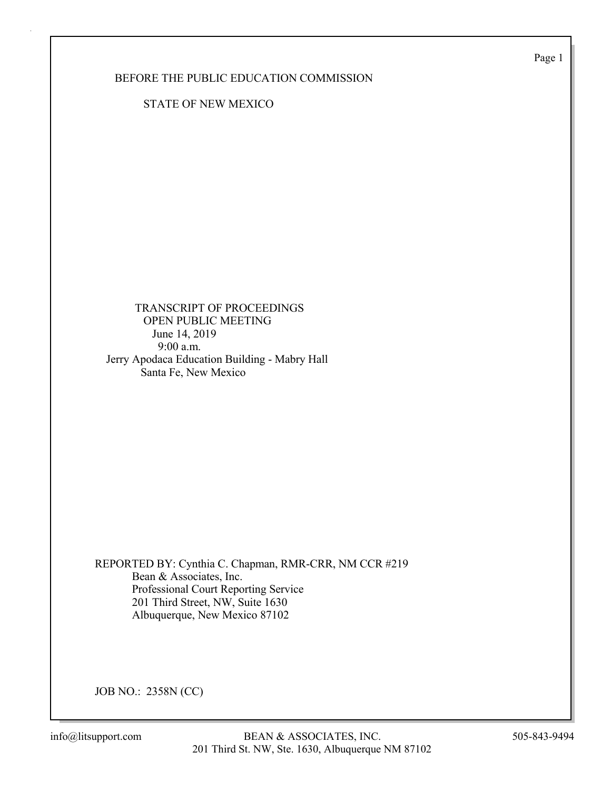Page 1

BEFORE THE PUBLIC EDUCATION COMMISSION

STATE OF NEW MEXICO

 TRANSCRIPT OF PROCEEDINGS OPEN PUBLIC MEETING June 14, 2019 9:00 a.m. Jerry Apodaca Education Building - Mabry Hall Santa Fe, New Mexico

REPORTED BY: Cynthia C. Chapman, RMR-CRR, NM CCR #219 Bean & Associates, Inc. Professional Court Reporting Service 201 Third Street, NW, Suite 1630 Albuquerque, New Mexico 87102

JOB NO.: 2358N (CC)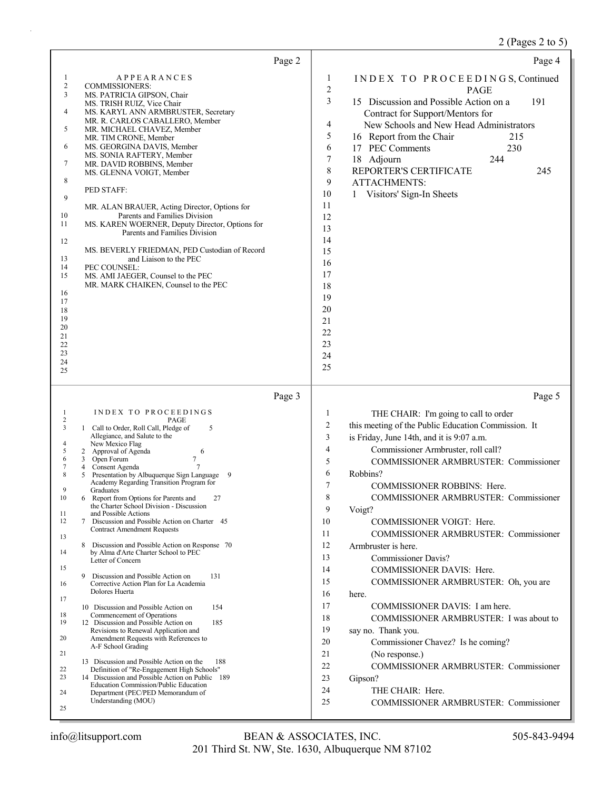# 2 (Pages 2 to 5)

| Page 2                                                                                                                                                                                                                                                                                                                                                                                                                                                                                                                                                                                                                                                                                                                                                                                                                                                                                                                                                                                                                                                                                                                                                                                                                                                                                                                                                                                                      | Page 4                                                                                                                                                                                                                                                                                                                                                                                                                                                                                                                                                                                                                                                                                                                                                                                                                                                                                                                                                                                                          |
|-------------------------------------------------------------------------------------------------------------------------------------------------------------------------------------------------------------------------------------------------------------------------------------------------------------------------------------------------------------------------------------------------------------------------------------------------------------------------------------------------------------------------------------------------------------------------------------------------------------------------------------------------------------------------------------------------------------------------------------------------------------------------------------------------------------------------------------------------------------------------------------------------------------------------------------------------------------------------------------------------------------------------------------------------------------------------------------------------------------------------------------------------------------------------------------------------------------------------------------------------------------------------------------------------------------------------------------------------------------------------------------------------------------|-----------------------------------------------------------------------------------------------------------------------------------------------------------------------------------------------------------------------------------------------------------------------------------------------------------------------------------------------------------------------------------------------------------------------------------------------------------------------------------------------------------------------------------------------------------------------------------------------------------------------------------------------------------------------------------------------------------------------------------------------------------------------------------------------------------------------------------------------------------------------------------------------------------------------------------------------------------------------------------------------------------------|
| <b>APPEARANCES</b><br>1<br>$\overline{c}$<br><b>COMMISSIONERS:</b><br>3<br>MS. PATRICIA GIPSON, Chair<br>MS. TRISH RUIZ, Vice Chair<br>4<br>MS. KARYL ANN ARMBRUSTER, Secretary<br>MR. R. CARLOS CABALLERO, Member<br>5<br>MR. MICHAEL CHAVEZ, Member<br>MR. TIM CRONE, Member<br>6<br>MS. GEORGINA DAVIS, Member<br>MS. SONIA RAFTERY, Member<br>7<br>MR. DAVID ROBBINS, Member<br>MS. GLENNA VOIGT, Member<br>8<br>PED STAFF:<br>9<br>MR. ALAN BRAUER, Acting Director, Options for<br>Parents and Families Division<br>10<br>11<br>MS. KAREN WOERNER, Deputy Director, Options for<br>Parents and Families Division<br>12<br>MS. BEVERLY FRIEDMAN, PED Custodian of Record<br>13<br>and Liaison to the PEC<br>14<br>PEC COUNSEL:<br>15<br>MS. AMI JAEGER, Counsel to the PEC<br>MR. MARK CHAIKEN, Counsel to the PEC<br>16<br>17<br>18<br>19<br>20<br>21<br>22<br>23<br>24<br>25                                                                                                                                                                                                                                                                                                                                                                                                                                                                                                                         | INDEX TO PROCEEDINGS, Continued<br>1<br>$\boldsymbol{2}$<br><b>PAGE</b><br>3<br>15 Discussion and Possible Action on a<br>191<br>Contract for Support/Mentors for<br>4<br>New Schools and New Head Administrators<br>5<br>16 Report from the Chair<br>215<br>6<br>17 PEC Comments<br>230<br>7<br>244<br>18 Adjourn<br>8<br>REPORTER'S CERTIFICATE<br>245<br>9<br><b>ATTACHMENTS:</b><br>10<br>1 Visitors' Sign-In Sheets<br>11<br>12<br>13<br>14<br>15<br>16<br>17<br>18<br>19<br>20<br>21<br>22<br>23<br>24<br>25                                                                                                                                                                                                                                                                                                                                                                                                                                                                                              |
| Page 3                                                                                                                                                                                                                                                                                                                                                                                                                                                                                                                                                                                                                                                                                                                                                                                                                                                                                                                                                                                                                                                                                                                                                                                                                                                                                                                                                                                                      | Page 5                                                                                                                                                                                                                                                                                                                                                                                                                                                                                                                                                                                                                                                                                                                                                                                                                                                                                                                                                                                                          |
| INDEX TO PROCEEDINGS<br>1<br>2<br>PAGE<br>3<br>1 Call to Order, Roll Call, Pledge of<br>5<br>Allegiance, and Salute to the<br>New Mexico Flag<br>4<br>5<br>2 Approval of Agenda<br>6<br>7<br>3 Open Forum<br>6<br>7<br>Consent Agenda<br>4<br>8<br>Presentation by Albuquerque Sign Language 9<br>5<br>Academy Regarding Transition Program for<br>9<br>Graduates<br>10<br>6 Report from Options for Parents and<br>27<br>the Charter School Division - Discussion<br>and Possible Actions<br>11<br>12<br>Discussion and Possible Action on Charter 45<br>7<br><b>Contract Amendment Requests</b><br>13<br>8<br>Discussion and Possible Action on Response 70<br>by Alma d'Arte Charter School to PEC<br>14<br>Letter of Concern<br>15<br>9<br>Discussion and Possible Action on<br>131<br>16<br>Corrective Action Plan for La Academia<br>Dolores Huerta<br>17<br>10 Discussion and Possible Action on<br>154<br>Commencement of Operations<br>18<br>19<br>12 Discussion and Possible Action on<br>185<br>Revisions to Renewal Application and<br>Amendment Requests with References to<br>20<br>A-F School Grading<br>21<br>13 Discussion and Possible Action on the<br>188<br>22<br>Definition of "Re-Engagement High Schools"<br>14 Discussion and Possible Action on Public 189<br>23<br>Education Commission/Public Education<br>Department (PEC/PED Memorandum of<br>24<br>Understanding (MOU)<br>25 | THE CHAIR: I'm going to call to order<br>$\mathbf{1}$<br>$\sqrt{2}$<br>this meeting of the Public Education Commission. It<br>3<br>is Friday, June 14th, and it is 9:07 a.m.<br>$\overline{4}$<br>Commissioner Armbruster, roll call?<br>5<br>COMMISSIONER ARMBRUSTER: Commissioner<br>6<br>Robbins?<br>7<br><b>COMMISSIONER ROBBINS: Here.</b><br>8<br>COMMISSIONER ARMBRUSTER: Commissioner<br>9<br>Voigt?<br>10<br>COMMISSIONER VOIGT: Here.<br>11<br><b>COMMISSIONER ARMBRUSTER: Commissioner</b><br>12<br>Armbruster is here.<br>13<br><b>Commissioner Davis?</b><br>14<br>COMMISSIONER DAVIS: Here.<br>15<br>COMMISSIONER ARMBRUSTER: Oh, you are<br>16<br>here.<br>17<br>COMMISSIONER DAVIS: I am here.<br>18<br>COMMISSIONER ARMBRUSTER: I was about to<br>19<br>say no. Thank you.<br>20<br>Commissioner Chavez? Is he coming?<br>21<br>(No response.)<br>22<br>COMMISSIONER ARMBRUSTER: Commissioner<br>23<br>Gipson?<br>24<br>THE CHAIR: Here.<br>25<br><b>COMMISSIONER ARMBRUSTER: Commissioner</b> |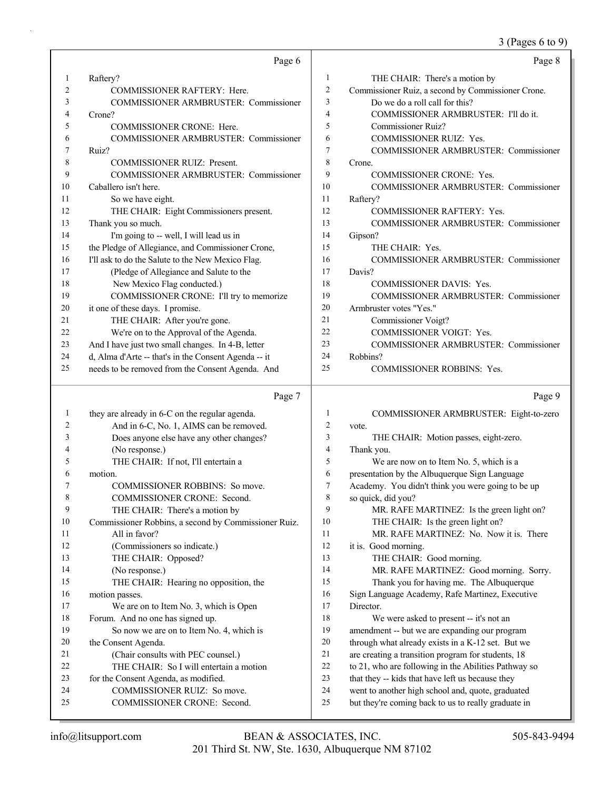3 (Pages 6 to 9)

|    | Page 6                                               |                | Page 8                                             |
|----|------------------------------------------------------|----------------|----------------------------------------------------|
| 1  | Raftery?                                             | 1              | THE CHAIR: There's a motion by                     |
| 2  | <b>COMMISSIONER RAFTERY: Here.</b>                   | $\overline{2}$ | Commissioner Ruiz, a second by Commissioner Crone. |
| 3  | <b>COMMISSIONER ARMBRUSTER: Commissioner</b>         | 3              | Do we do a roll call for this?                     |
| 4  | Crone?                                               | 4              | COMMISSIONER ARMBRUSTER: I'll do it.               |
| 5  | <b>COMMISSIONER CRONE: Here.</b>                     | 5              | Commissioner Ruiz?                                 |
| 6  | <b>COMMISSIONER ARMBRUSTER: Commissioner</b>         | 6              | <b>COMMISSIONER RUIZ: Yes.</b>                     |
|    | Ruiz?                                                | 7              | <b>COMMISSIONER ARMBRUSTER: Commissioner</b>       |
| 8  | <b>COMMISSIONER RUIZ: Present.</b>                   | 8              | Crone.                                             |
| 9  | COMMISSIONER ARMBRUSTER: Commissioner                | 9              | <b>COMMISSIONER CRONE: Yes.</b>                    |
| 10 | Caballero isn't here.                                | 10             | COMMISSIONER ARMBRUSTER: Commissioner              |
| 11 | So we have eight.                                    | 11             | Raftery?                                           |
| 12 | THE CHAIR: Eight Commissioners present.              | 12             | <b>COMMISSIONER RAFTERY: Yes.</b>                  |
| 13 | Thank you so much.                                   | 13             | <b>COMMISSIONER ARMBRUSTER: Commissioner</b>       |
| 14 | I'm going to -- well, I will lead us in              | 14             | Gipson?                                            |
| 15 | the Pledge of Allegiance, and Commissioner Crone,    | 15             | THE CHAIR: Yes.                                    |
| 16 | I'll ask to do the Salute to the New Mexico Flag.    | 16             | COMMISSIONER ARMBRUSTER: Commissioner              |
| 17 | (Pledge of Allegiance and Salute to the              | 17             | Davis?                                             |
| 18 | New Mexico Flag conducted.)                          | 18             | <b>COMMISSIONER DAVIS: Yes.</b>                    |
| 19 | COMMISSIONER CRONE: I'll try to memorize             | 19             | <b>COMMISSIONER ARMBRUSTER: Commissioner</b>       |
| 20 | it one of these days. I promise.                     | 20             | Armbruster votes "Yes."                            |
| 21 | THE CHAIR: After you're gone.                        | 21             | Commissioner Voigt?                                |
| 22 | We're on to the Approval of the Agenda.              | 22             | <b>COMMISSIONER VOIGT: Yes.</b>                    |
| 23 | And I have just two small changes. In 4-B, letter    | 23             | <b>COMMISSIONER ARMBRUSTER: Commissioner</b>       |
| 24 | d, Alma d'Arte -- that's in the Consent Agenda -- it | 24             | Robbins?                                           |
| 25 | needs to be removed from the Consent Agenda. And     | 25             | <b>COMMISSIONER ROBBINS: Yes.</b>                  |

## Page 7

|    | Page 7                                               |                | Page 9                                               |
|----|------------------------------------------------------|----------------|------------------------------------------------------|
| 1  | they are already in 6-C on the regular agenda.       | 1              | COMMISSIONER ARMBRUSTER: Eight-to-zero               |
| 2  | And in 6-C, No. 1, AIMS can be removed.              | $\overline{c}$ | vote.                                                |
| 3  | Does anyone else have any other changes?             | 3              | THE CHAIR: Motion passes, eight-zero.                |
| 4  | (No response.)                                       | $\overline{4}$ | Thank you.                                           |
| 5  | THE CHAIR: If not, I'll entertain a                  | 5              | We are now on to Item No. 5, which is a              |
| 6  | motion.                                              | 6              | presentation by the Albuquerque Sign Language        |
| 7  | COMMISSIONER ROBBINS: So move.                       | 7              | Academy. You didn't think you were going to be up    |
| 8  | <b>COMMISSIONER CRONE: Second.</b>                   | 8              | so quick, did you?                                   |
| 9  | THE CHAIR: There's a motion by                       | 9              | MR. RAFE MARTINEZ: Is the green light on?            |
| 10 | Commissioner Robbins, a second by Commissioner Ruiz. | 10             | THE CHAIR: Is the green light on?                    |
| 11 | All in favor?                                        | 11             | MR. RAFE MARTINEZ: No. Now it is. There              |
| 12 | (Commissioners so indicate.)                         | 12             | it is. Good morning.                                 |
| 13 | THE CHAIR: Opposed?                                  | 13             | THE CHAIR: Good morning.                             |
| 14 | (No response.)                                       | 14             | MR. RAFE MARTINEZ: Good morning. Sorry.              |
| 15 | THE CHAIR: Hearing no opposition, the                | 15             | Thank you for having me. The Albuquerque             |
| 16 | motion passes.                                       | 16             | Sign Language Academy, Rafe Martinez, Executive      |
| 17 | We are on to Item No. 3, which is Open               | 17             | Director.                                            |
| 18 | Forum. And no one has signed up.                     | 18             | We were asked to present -- it's not an              |
| 19 | So now we are on to Item No. 4, which is             | 19             | amendment -- but we are expanding our program        |
| 20 | the Consent Agenda.                                  | 20             | through what already exists in a K-12 set. But we    |
| 21 | (Chair consults with PEC counsel.)                   | 21             | are creating a transition program for students, 18   |
| 22 | THE CHAIR: So I will entertain a motion              | 22             | to 21, who are following in the Abilities Pathway so |
| 23 | for the Consent Agenda, as modified.                 | 23             | that they -- kids that have left us because they     |
| 24 | COMMISSIONER RUIZ: So move.                          | 24             | went to another high school and, quote, graduated    |
| 25 | <b>COMMISSIONER CRONE: Second.</b>                   | 25             | but they're coming back to us to really graduate in  |
|    |                                                      |                |                                                      |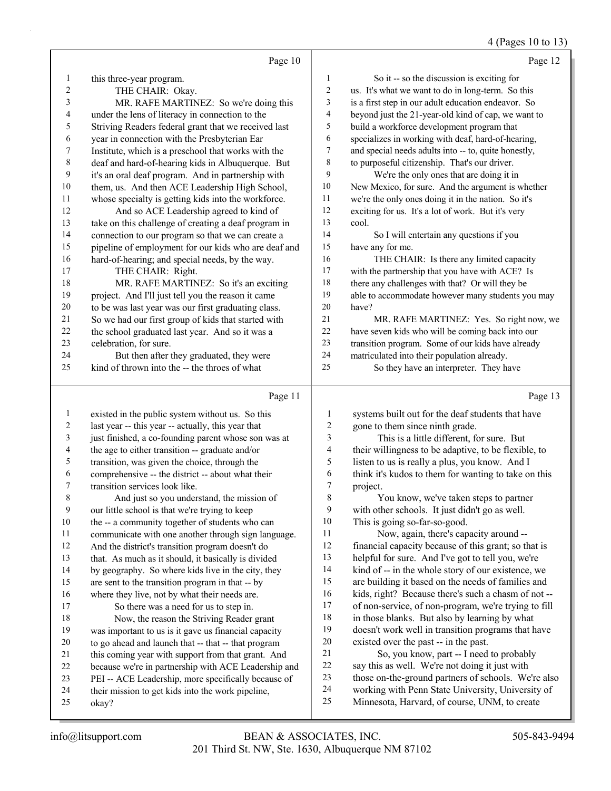## 4 (Pages 10 to 13)

|                | Page 10                                                    |                          | Page 12                                                                                    |
|----------------|------------------------------------------------------------|--------------------------|--------------------------------------------------------------------------------------------|
| 1              | this three-year program.                                   | 1                        | So it -- so the discussion is exciting for                                                 |
| 2              | THE CHAIR: Okay.                                           | $\overline{c}$           | us. It's what we want to do in long-term. So this                                          |
| 3              | MR. RAFE MARTINEZ: So we're doing this                     | 3                        | is a first step in our adult education endeavor. So                                        |
| 4              | under the lens of literacy in connection to the            | 4                        | beyond just the 21-year-old kind of cap, we want to                                        |
| 5              | Striving Readers federal grant that we received last       | 5                        | build a workforce development program that                                                 |
| 6              | year in connection with the Presbyterian Ear               | 6                        | specializes in working with deaf, hard-of-hearing,                                         |
| 7              | Institute, which is a preschool that works with the        | 7                        | and special needs adults into -- to, quite honestly,                                       |
| $\,8\,$        | deaf and hard-of-hearing kids in Albuquerque. But          | 8                        | to purposeful citizenship. That's our driver.                                              |
| 9              | it's an oral deaf program. And in partnership with         | 9                        | We're the only ones that are doing it in                                                   |
| 10             | them, us. And then ACE Leadership High School,             | $10\,$                   | New Mexico, for sure. And the argument is whether                                          |
| 11             | whose specialty is getting kids into the workforce.        | 11                       | we're the only ones doing it in the nation. So it's                                        |
| 12             | And so ACE Leadership agreed to kind of                    | 12                       | exciting for us. It's a lot of work. But it's very                                         |
| 13             | take on this challenge of creating a deaf program in       | 13                       | cool.                                                                                      |
| 14             | connection to our program so that we can create a          | 14                       | So I will entertain any questions if you                                                   |
| 15             | pipeline of employment for our kids who are deaf and       | 15                       | have any for me.                                                                           |
| 16             | hard-of-hearing; and special needs, by the way.            | 16                       | THE CHAIR: Is there any limited capacity                                                   |
| 17             | THE CHAIR: Right.                                          | 17                       | with the partnership that you have with ACE? Is                                            |
| 18             | MR. RAFE MARTINEZ: So it's an exciting                     | 18                       | there any challenges with that? Or will they be                                            |
| 19             | project. And I'll just tell you the reason it came         | 19                       | able to accommodate however many students you may                                          |
| 20             | to be was last year was our first graduating class.        | 20                       | have?                                                                                      |
| 21             | So we had our first group of kids that started with        | 21                       | MR. RAFE MARTINEZ: Yes. So right now, we                                                   |
| 22             | the school graduated last year. And so it was a            | 22                       | have seven kids who will be coming back into our                                           |
| 23             | celebration, for sure.                                     | 23                       | transition program. Some of our kids have already                                          |
| 24             | But then after they graduated, they were                   | 24                       | matriculated into their population already.                                                |
| 25             | kind of thrown into the -- the throes of what              | 25                       | So they have an interpreter. They have                                                     |
|                | Page 11                                                    |                          | Page 13                                                                                    |
| $\mathbf{1}$   | existed in the public system without us. So this           | $\mathbf{1}$             | systems built out for the deaf students that have                                          |
| $\overline{c}$ | last year -- this year -- actually, this year that         | 2                        | gone to them since ninth grade.                                                            |
| $\mathfrak{Z}$ | just finished, a co-founding parent whose son was at       | $\mathfrak{Z}$           | This is a little different, for sure. But                                                  |
| 4              | the age to either transition -- graduate and/or            | $\overline{\mathcal{A}}$ | their willingness to be adaptive, to be flexible, to                                       |
| 5              | transition, was given the choice, through the              | 5                        | listen to us is really a plus, you know. And I                                             |
| 6              | comprehensive -- the district -- about what their          | $\epsilon$               | think it's kudos to them for wanting to take on this                                       |
| 7              | transition services look like.                             |                          |                                                                                            |
| 8              |                                                            |                          |                                                                                            |
|                |                                                            | $\boldsymbol{7}$         | project.                                                                                   |
|                | And just so you understand, the mission of                 | 8                        | You know, we've taken steps to partner                                                     |
| 9              | our little school is that we're trying to keep             | 9                        | with other schools. It just didn't go as well.                                             |
| 10             | the -- a community together of students who can            | 10                       | This is going so-far-so-good.                                                              |
| 11             | communicate with one another through sign language.        | 11                       | Now, again, there's capacity around --                                                     |
| 12             | And the district's transition program doesn't do           | 12                       | financial capacity because of this grant; so that is                                       |
| 13             | that. As much as it should, it basically is divided        | 13                       | helpful for sure. And I've got to tell you, we're                                          |
| 14             | by geography. So where kids live in the city, they         | 14                       | kind of -- in the whole story of our existence, we                                         |
| 15             | are sent to the transition program in that -- by           | 15<br>16                 | are building it based on the needs of families and                                         |
| 16<br>17       | where they live, not by what their needs are.              | 17                       | kids, right? Because there's such a chasm of not --                                        |
| $18\,$         | So there was a need for us to step in.                     | 18                       | of non-service, of non-program, we're trying to fill                                       |
| 19             | Now, the reason the Striving Reader grant                  | 19                       | in those blanks. But also by learning by what                                              |
| 20             | was important to us is it gave us financial capacity       | $20\,$                   | doesn't work well in transition programs that have                                         |
| 21             | to go ahead and launch that -- that -- that program        | $21\,$                   | existed over the past -- in the past.                                                      |
| 22             | this coming year with support from that grant. And         | 22                       | So, you know, part -- I need to probably<br>say this as well. We're not doing it just with |
| 23             | because we're in partnership with ACE Leadership and       | 23                       | those on-the-ground partners of schools. We're also                                        |
| 24             | PEI -- ACE Leadership, more specifically because of        | 24                       | working with Penn State University, University of                                          |
| 25             | their mission to get kids into the work pipeline,<br>okay? | 25                       | Minnesota, Harvard, of course, UNM, to create                                              |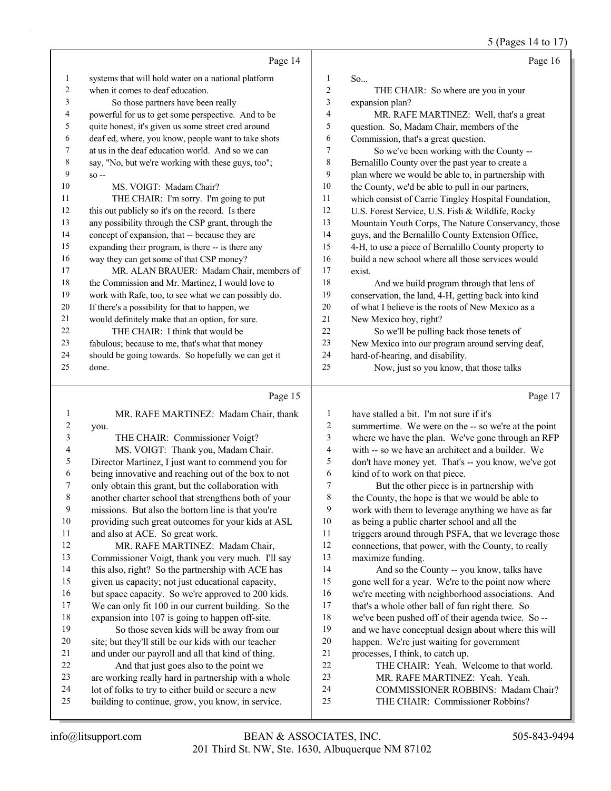5 (Pages 14 to 17)

|    | Page 14                                              |    | Page 16                                              |
|----|------------------------------------------------------|----|------------------------------------------------------|
| 1  | systems that will hold water on a national platform  | 1  | So                                                   |
| 2  | when it comes to deaf education.                     | 2  | THE CHAIR: So where are you in your                  |
| 3  | So those partners have been really                   | 3  | expansion plan?                                      |
| 4  | powerful for us to get some perspective. And to be   | 4  | MR. RAFE MARTINEZ: Well, that's a great              |
| 5  | quite honest, it's given us some street cred around  | 5  | question. So, Madam Chair, members of the            |
| 6  | deaf ed, where, you know, people want to take shots  | 6  | Commission, that's a great question.                 |
| 7  | at us in the deaf education world. And so we can     | 7  | So we've been working with the County --             |
| 8  | say, "No, but we're working with these guys, too";   | 8  | Bernalillo County over the past year to create a     |
| 9  | $SO -$                                               | 9  | plan where we would be able to, in partnership with  |
| 10 | MS. VOIGT: Madam Chair?                              | 10 | the County, we'd be able to pull in our partners,    |
| 11 | THE CHAIR: I'm sorry. I'm going to put               | 11 | which consist of Carrie Tingley Hospital Foundation, |
| 12 | this out publicly so it's on the record. Is there    | 12 | U.S. Forest Service, U.S. Fish & Wildlife, Rocky     |
| 13 | any possibility through the CSP grant, through the   | 13 | Mountain Youth Corps, The Nature Conservancy, those  |
| 14 | concept of expansion, that -- because they are       | 14 | guys, and the Bernalillo County Extension Office,    |
| 15 | expanding their program, is there -- is there any    | 15 | 4-H, to use a piece of Bernalillo County property to |
| 16 | way they can get some of that CSP money?             | 16 | build a new school where all those services would    |
| 17 | MR. ALAN BRAUER: Madam Chair, members of             | 17 | exist.                                               |
| 18 | the Commission and Mr. Martinez, I would love to     | 18 | And we build program through that lens of            |
| 19 | work with Rafe, too, to see what we can possibly do. | 19 | conservation, the land, 4-H, getting back into kind  |
| 20 | If there's a possibility for that to happen, we      | 20 | of what I believe is the roots of New Mexico as a    |
| 21 | would definitely make that an option, for sure.      | 21 | New Mexico boy, right?                               |
| 22 | THE CHAIR: I think that would be                     | 22 | So we'll be pulling back those tenets of             |
| 23 | fabulous; because to me, that's what that money      | 23 | New Mexico into our program around serving deaf,     |
| 24 | should be going towards. So hopefully we can get it  | 24 | hard-of-hearing, and disability.                     |
| 25 | done.                                                | 25 | Now, just so you know, that those talks              |

### Page 15  $\parallel$

|                | Page 15                                              |    | Page 17                                              |
|----------------|------------------------------------------------------|----|------------------------------------------------------|
| 1              | MR. RAFE MARTINEZ: Madam Chair, thank                | 1  | have stalled a bit. I'm not sure if it's             |
| $\overline{2}$ | you.                                                 | 2  | summertime. We were on the -- so we're at the point  |
| 3              | THE CHAIR: Commissioner Voigt?                       | 3  | where we have the plan. We've gone through an RFP    |
| 4              | MS. VOIGT: Thank you, Madam Chair.                   | 4  | with -- so we have an architect and a builder. We    |
| 5              | Director Martinez, I just want to commend you for    | 5  | don't have money yet. That's -- you know, we've got  |
| 6              | being innovative and reaching out of the box to not  | 6  | kind of to work on that piece.                       |
| 7              | only obtain this grant, but the collaboration with   | 7  | But the other piece is in partnership with           |
| 8              | another charter school that strengthens both of your | 8  | the County, the hope is that we would be able to     |
| 9              | missions. But also the bottom line is that you're    | 9  | work with them to leverage anything we have as far   |
| 10             | providing such great outcomes for your kids at ASL   | 10 | as being a public charter school and all the         |
| 11             | and also at ACE. So great work.                      | 11 | triggers around through PSFA, that we leverage those |
| 12             | MR. RAFE MARTINEZ: Madam Chair,                      | 12 | connections, that power, with the County, to really  |
| 13             | Commissioner Voigt, thank you very much. I'll say    | 13 | maximize funding.                                    |
| 14             | this also, right? So the partnership with ACE has    | 14 | And so the County -- you know, talks have            |
| 15             | given us capacity; not just educational capacity,    | 15 | gone well for a year. We're to the point now where   |
| 16             | but space capacity. So we're approved to 200 kids.   | 16 | we're meeting with neighborhood associations. And    |
| 17             | We can only fit 100 in our current building. So the  | 17 | that's a whole other ball of fun right there. So     |
| 18             | expansion into 107 is going to happen off-site.      | 18 | we've been pushed off of their agenda twice. So --   |
| 19             | So those seven kids will be away from our            | 19 | and we have conceptual design about where this will  |
| 20             | site; but they'll still be our kids with our teacher | 20 | happen. We're just waiting for government            |
| 21             | and under our payroll and all that kind of thing.    | 21 | processes, I think, to catch up.                     |
| 22             | And that just goes also to the point we              | 22 | THE CHAIR: Yeah. Welcome to that world.              |
| 23             | are working really hard in partnership with a whole  | 23 | MR. RAFE MARTINEZ: Yeah. Yeah.                       |
| 24             | lot of folks to try to either build or secure a new  | 24 | COMMISSIONER ROBBINS: Madam Chair?                   |
| 25             | building to continue, grow, you know, in service.    | 25 | THE CHAIR: Commissioner Robbins?                     |
|                |                                                      |    |                                                      |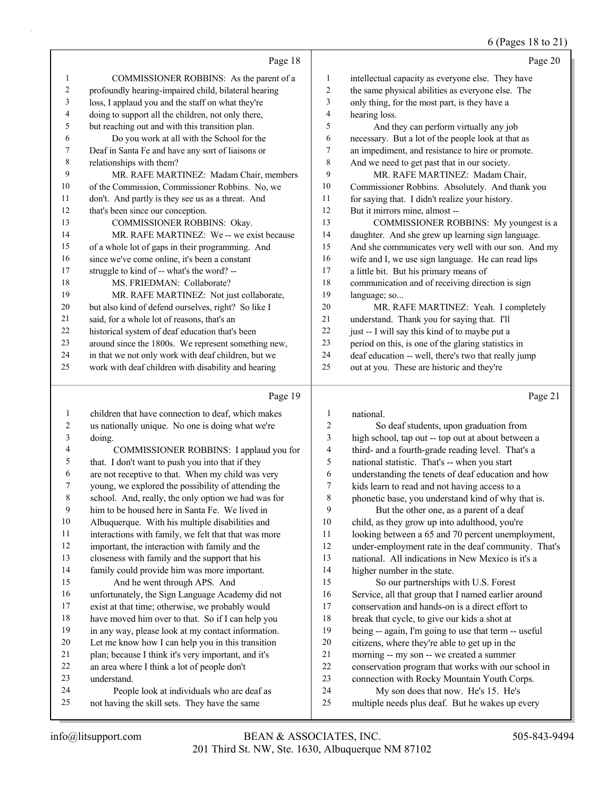## 6 (Pages 18 to 21)

|                | Page 18                                              |        | Page 20                                              |
|----------------|------------------------------------------------------|--------|------------------------------------------------------|
| 1              | COMMISSIONER ROBBINS: As the parent of a             | 1      | intellectual capacity as everyone else. They have    |
| $\overline{2}$ | profoundly hearing-impaired child, bilateral hearing | 2      | the same physical abilities as everyone else. The    |
| 3              | loss, I applaud you and the staff on what they're    | 3      | only thing, for the most part, is they have a        |
| 4              | doing to support all the children, not only there,   | 4      | hearing loss.                                        |
| 5              | but reaching out and with this transition plan.      | 5      | And they can perform virtually any job               |
| 6              | Do you work at all with the School for the           | 6      | necessary. But a lot of the people look at that as   |
| 7              | Deaf in Santa Fe and have any sort of liaisons or    | $\tau$ | an impediment, and resistance to hire or promote.    |
| 8              | relationships with them?                             | 8      | And we need to get past that in our society.         |
| 9              | MR. RAFE MARTINEZ: Madam Chair, members              | 9      | MR. RAFE MARTINEZ: Madam Chair,                      |
| 10             | of the Commission, Commissioner Robbins. No, we      | 10     | Commissioner Robbins. Absolutely. And thank you      |
| 11             | don't. And partly is they see us as a threat. And    | 11     | for saying that. I didn't realize your history.      |
| 12             | that's been since our conception.                    | 12     | But it mirrors mine, almost --                       |
| 13             | COMMISSIONER ROBBINS: Okay.                          | 13     | COMMISSIONER ROBBINS: My youngest is a               |
| 14             | MR. RAFE MARTINEZ: We -- we exist because            | 14     | daughter. And she grew up learning sign language.    |
| 15             | of a whole lot of gaps in their programming. And     | 15     | And she communicates very well with our son. And my  |
| 16             | since we've come online, it's been a constant        | 16     | wife and I, we use sign language. He can read lips   |
| 17             | struggle to kind of -- what's the word? --           | 17     | a little bit. But his primary means of               |
| 18             | MS. FRIEDMAN: Collaborate?                           | 18     | communication and of receiving direction is sign     |
| 19             | MR. RAFE MARTINEZ: Not just collaborate,             | 19     | language; so                                         |
| 20             | but also kind of defend ourselves, right? So like I  | 20     | MR. RAFE MARTINEZ: Yeah. I completely                |
| 21             | said, for a whole lot of reasons, that's an          | 21     | understand. Thank you for saying that. I'll          |
| 22             | historical system of deaf education that's been      | 22     | just -- I will say this kind of to maybe put a       |
| 23             | around since the 1800s. We represent something new,  | 23     | period on this, is one of the glaring statistics in  |
| 24             | in that we not only work with deaf children, but we  | 24     | deaf education -- well, there's two that really jump |
| 25             | work with deaf children with disability and hearing  | 25     | out at you. These are historic and they're           |
|                | Page 19                                              |        | Page 21                                              |

### Page 19

| 1                        | children that have connection to deaf, which makes   | 1  | national.                                            |
|--------------------------|------------------------------------------------------|----|------------------------------------------------------|
| $\overline{c}$           | us nationally unique. No one is doing what we're     | 2  | So deaf students, upon graduation from               |
| 3                        | doing.                                               | 3  | high school, tap out -- top out at about between a   |
| $\overline{\mathcal{A}}$ | COMMISSIONER ROBBINS: I applaud you for              | 4  | third- and a fourth-grade reading level. That's a    |
| 5                        | that. I don't want to push you into that if they     | 5  | national statistic. That's -- when you start         |
| 6                        | are not receptive to that. When my child was very    | 6  | understanding the tenets of deaf education and how   |
| 7                        | young, we explored the possibility of attending the  | 7  | kids learn to read and not having access to a        |
| $\,$ $\,$                | school. And, really, the only option we had was for  | 8  | phonetic base, you understand kind of why that is.   |
| 9                        | him to be housed here in Santa Fe. We lived in       | 9  | But the other one, as a parent of a deaf             |
| 10                       | Albuquerque. With his multiple disabilities and      | 10 | child, as they grow up into adulthood, you're        |
| 11                       | interactions with family, we felt that that was more | 11 | looking between a 65 and 70 percent unemployment,    |
| 12                       | important, the interaction with family and the       | 12 | under-employment rate in the deaf community. That's  |
| 13                       | closeness with family and the support that his       | 13 | national. All indications in New Mexico is it's a    |
| 14                       | family could provide him was more important.         | 14 | higher number in the state.                          |
| 15                       | And he went through APS. And                         | 15 | So our partnerships with U.S. Forest                 |
| 16                       | unfortunately, the Sign Language Academy did not     | 16 | Service, all that group that I named earlier around  |
| 17                       | exist at that time; otherwise, we probably would     | 17 | conservation and hands-on is a direct effort to      |
| 18                       | have moved him over to that. So if I can help you    | 18 | break that cycle, to give our kids a shot at         |
| 19                       | in any way, please look at my contact information.   | 19 | being -- again, I'm going to use that term -- useful |
| 20                       | Let me know how I can help you in this transition    | 20 | citizens, where they're able to get up in the        |
| 21                       | plan; because I think it's very important, and it's  | 21 | morning -- my son -- we created a summer             |
| 22                       | an area where I think a lot of people don't          | 22 | conservation program that works with our school in   |
| 23                       | understand.                                          | 23 | connection with Rocky Mountain Youth Corps.          |
| 24                       | People look at individuals who are deaf as           | 24 | My son does that now. He's 15. He's                  |
| 25                       | not having the skill sets. They have the same        | 25 | multiple needs plus deaf. But he wakes up every      |
|                          |                                                      |    |                                                      |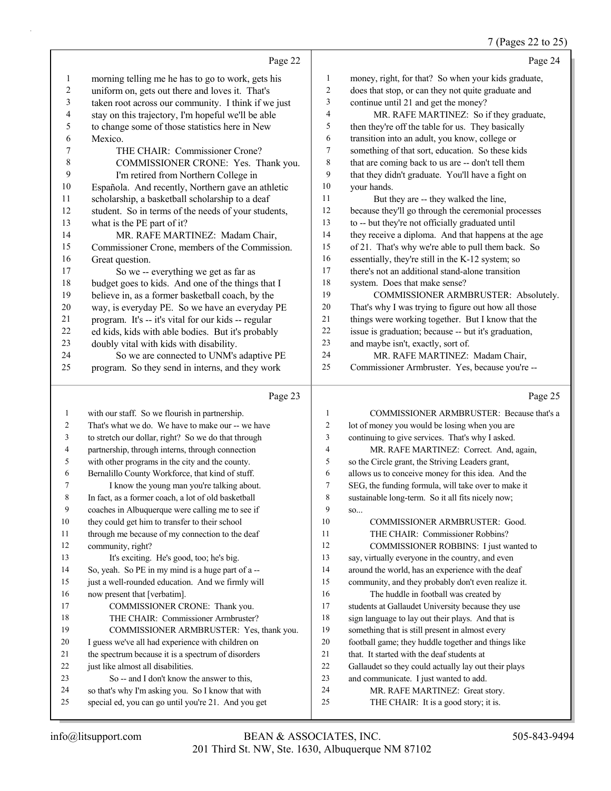#### 7 (Pages 22 to 25)

|                |                                                     |                | $(1 \text{ gcs } 22 \text{ to } 2)$                  |
|----------------|-----------------------------------------------------|----------------|------------------------------------------------------|
|                | Page 22                                             |                | Page 24                                              |
| $\mathbf{1}$   | morning telling me he has to go to work, gets his   | $\mathbf{1}$   | money, right, for that? So when your kids graduate,  |
| $\mathbf{2}$   | uniform on, gets out there and loves it. That's     | 2              | does that stop, or can they not quite graduate and   |
| $\mathfrak{Z}$ | taken root across our community. I think if we just | 3              | continue until 21 and get the money?                 |
| 4              | stay on this trajectory, I'm hopeful we'll be able  | 4              | MR. RAFE MARTINEZ: So if they graduate,              |
| 5              | to change some of those statistics here in New      | 5              | then they're off the table for us. They basically    |
| 6              | Mexico.                                             | 6              | transition into an adult, you know, college or       |
| $\tau$         | THE CHAIR: Commissioner Crone?                      | $\tau$         | something of that sort, education. So these kids     |
| $\,$ $\,$      | COMMISSIONER CRONE: Yes. Thank you.                 | 8              | that are coming back to us are -- don't tell them    |
| 9              | I'm retired from Northern College in                | 9              | that they didn't graduate. You'll have a fight on    |
| $10\,$         | Española. And recently, Northern gave an athletic   | 10             | your hands.                                          |
| 11             | scholarship, a basketball scholarship to a deaf     | 11             | But they are -- they walked the line,                |
| 12             | student. So in terms of the needs of your students, | 12             | because they'll go through the ceremonial processes  |
| 13             | what is the PE part of it?                          | 13             | to -- but they're not officially graduated until     |
| 14             | MR. RAFE MARTINEZ: Madam Chair,                     | 14             | they receive a diploma. And that happens at the age  |
| 15             | Commissioner Crone, members of the Commission.      | 15             | of 21. That's why we're able to pull them back. So   |
| 16             | Great question.                                     | 16             | essentially, they're still in the K-12 system; so    |
| 17             | So we -- everything we get as far as                | 17             | there's not an additional stand-alone transition     |
| 18             | budget goes to kids. And one of the things that I   | 18             | system. Does that make sense?                        |
| 19             | believe in, as a former basketball coach, by the    | 19             | COMMISSIONER ARMBRUSTER: Absolutely.                 |
| $20\,$         | way, is everyday PE. So we have an everyday PE      | 20             | That's why I was trying to figure out how all those  |
| $21\,$         | program. It's -- it's vital for our kids -- regular | 21             | things were working together. But I know that the    |
| $22\,$         | ed kids, kids with able bodies. But it's probably   | 22             | issue is graduation; because -- but it's graduation, |
| 23             | doubly vital with kids with disability.             | 23             | and maybe isn't, exactly, sort of.                   |
| 24             | So we are connected to UNM's adaptive PE            | 24             | MR. RAFE MARTINEZ: Madam Chair,                      |
| 25             | program. So they send in interns, and they work     | 25             | Commissioner Armbruster. Yes, because you're --      |
|                | Page 23                                             |                | Page 25                                              |
| $\mathbf{1}$   | with our staff. So we flourish in partnership.      | 1              | COMMISSIONER ARMBRUSTER: Because that's a            |
| $\overline{2}$ | That's what we do. We have to make our -- we have   | $\overline{c}$ | lot of money you would be losing when you are        |
| 3              | to stretch our dollar, right? So we do that through | 3              | continuing to give services. That's why I asked.     |
| $\overline{4}$ | partnership, through interns, through connection    | 4              | MR. RAFE MARTINEZ: Correct. And, again,              |

 partnership, through interns, through connection with other programs in the city and the county.

 Bernalillo County Workforce, that kind of stuff. 7 I know the young man you're talking about.

In fact, as a former coach, a lot of old basketball

coaches in Albuquerque were calling me to see if

they could get him to transfer to their school

11 through me because of my connection to the deaf

 community, right? 13 It's exciting. He's good, too; he's big.

So, yeah. So PE in my mind is a huge part of a --

just a well-rounded education. And we firmly will

- now present that [verbatim]. 17 COMMISSIONER CRONE: Thank you. 18 THE CHAIR: Commissioner Armbruster? 19 COMMISSIONER ARMBRUSTER: Yes, thank you. I guess we've all had experience with children on the spectrum because it is a spectrum of disorders 22 just like almost all disabilities.
- 23 So -- and I don't know the answer to this,
- so that's why I'm asking you. So I know that with special ed, you can go until you're 21. And you get
- 18 sign language to lay out their plays. And that is something that is still present in almost every
- football game; they huddle together and things like
- that. It started with the deaf students at

 so the Circle grant, the Striving Leaders grant, allows us to conceive money for this idea. And the SEG, the funding formula, will take over to make it sustainable long-term. So it all fits nicely now;

10 COMMISSIONER ARMBRUSTER: Good. 11 THE CHAIR: Commissioner Robbins? 12 COMMISSIONER ROBBINS: I just wanted to say, virtually everyone in the country, and even around the world, has an experience with the deaf community, and they probably don't even realize it. 16 The huddle in football was created by students at Gallaudet University because they use

- Gallaudet so they could actually lay out their plays
- and communicate. I just wanted to add.
- 24 MR. RAFE MARTINEZ: Great story.
- 25 THE CHAIR: It is a good story; it is.

so...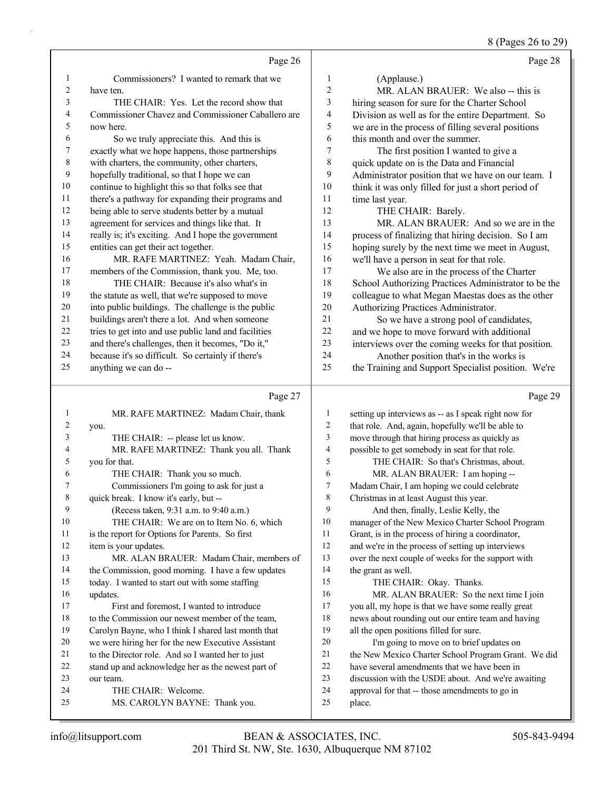## 8 (Pages 26 to 29)

|    | Page 26                                              |     | Page 28                                              |
|----|------------------------------------------------------|-----|------------------------------------------------------|
| 1  | Commissioners? I wanted to remark that we            | 1   | (Applause.)                                          |
| 2  | have ten.                                            | 2   | MR. ALAN BRAUER: We also -- this is                  |
| 3  | THE CHAIR: Yes. Let the record show that             | 3   | hiring season for sure for the Charter School        |
| 4  | Commissioner Chavez and Commissioner Caballero are   | 4   | Division as well as for the entire Department. So    |
| 5. | now here.                                            | 5   | we are in the process of filling several positions   |
| 6  | So we truly appreciate this. And this is             | 6   | this month and over the summer.                      |
| 7  | exactly what we hope happens, those partnerships     | 7   | The first position I wanted to give a                |
| 8  | with charters, the community, other charters,        | 8   | quick update on is the Data and Financial            |
| 9  | hopefully traditional, so that I hope we can         | 9   | Administrator position that we have on our team. I   |
| 10 | continue to highlight this so that folks see that    | 10  | think it was only filled for just a short period of  |
| 11 | there's a pathway for expanding their programs and   | 11  | time last year.                                      |
| 12 | being able to serve students better by a mutual      | 12  | THE CHAIR: Barely.                                   |
| 13 | agreement for services and things like that. It      | 13  | MR. ALAN BRAUER: And so we are in the                |
| 14 | really is; it's exciting. And I hope the government  | 14  | process of finalizing that hiring decision. So I am  |
| 15 | entities can get their act together.                 | 15  | hoping surely by the next time we meet in August,    |
| 16 | MR. RAFE MARTINEZ: Yeah. Madam Chair,                | 16  | we'll have a person in seat for that role.           |
| 17 | members of the Commission, thank you. Me, too.       | 17  | We also are in the process of the Charter            |
| 18 | THE CHAIR: Because it's also what's in               | 18  | School Authorizing Practices Administrator to be the |
| 19 | the statute as well, that we're supposed to move     | 19  | colleague to what Megan Maestas does as the other    |
| 20 | into public buildings. The challenge is the public   | 20  | Authorizing Practices Administrator.                 |
| 21 | buildings aren't there a lot. And when someone       | 2.1 | So we have a strong pool of candidates,              |
| 22 | tries to get into and use public land and facilities | 22  | and we hope to move forward with additional          |
| 23 | and there's challenges, then it becomes, "Do it,"    | 23  | interviews over the coming weeks for that position.  |
| 24 | because it's so difficult. So certainly if there's   | 24  | Another position that's in the works is              |
| 25 | anything we can do --                                | 25  | the Training and Support Specialist position. We're  |

## Page 27  $\vert$

| 1              | MR. RAFE MARTINEZ: Madam Chair, thank               | 1  | setting up interv |
|----------------|-----------------------------------------------------|----|-------------------|
| $\overline{2}$ | you.                                                | 2  | that role. And,   |
| 3              | THE CHAIR: -- please let us know.                   | 3  | move through th   |
| 4              | MR. RAFE MARTINEZ: Thank you all. Thank             | 4  | possible to get s |
| 5              | you for that.                                       | 5  | THE CH            |
| 6              | THE CHAIR: Thank you so much.                       | 6  | MR. ALA           |
| 7              | Commissioners I'm going to ask for just a           | 7  | Madam Chair, I    |
| $\,$ 8 $\,$    | quick break. I know it's early, but --              | 8  | Christmas in at   |
| 9              | (Recess taken, 9:31 a.m. to 9:40 a.m.)              | 9  | And then.         |
| 10             | THE CHAIR: We are on to Item No. 6, which           | 10 | manager of the    |
| 11             | is the report for Options for Parents. So first     | 11 | Grant, is in the  |
| 12             | item is your updates.                               | 12 | and we're in the  |
| 13             | MR. ALAN BRAUER: Madam Chair, members of            | 13 | over the next co  |
| 14             | the Commission, good morning. I have a few updates  | 14 | the grant as wel  |
| 15             | today. I wanted to start out with some staffing     | 15 | THE CH            |
| 16             | updates.                                            | 16 | MR. ALA           |
| 17             | First and foremost, I wanted to introduce           | 17 | you all, my hop   |
| 18             | to the Commission our newest member of the team,    | 18 | news about rout   |
| 19             | Carolyn Bayne, who I think I shared last month that | 19 | all the open pos  |
| 20             | we were hiring her for the new Executive Assistant  | 20 | I'm going         |
| 21             | to the Director role. And so I wanted her to just   | 21 | the New Mexico    |
| 22             | stand up and acknowledge her as the newest part of  | 22 | have several am   |
| 23             | our team.                                           | 23 | discussion with   |
| 24             | THE CHAIR: Welcome.                                 | 24 | approval for tha  |
| 25             | MS. CAROLYN BAYNE: Thank you.                       | 25 | place.            |
|                |                                                     |    |                   |

### Page 29

| 1              | setting up interviews as -- as I speak right now for |
|----------------|------------------------------------------------------|
| $\overline{2}$ | that role. And, again, hopefully we'll be able to    |
| 3              | move through that hiring process as quickly as       |
| 4              | possible to get somebody in seat for that role.      |
| 5              | THE CHAIR: So that's Christmas, about.               |
| 6              | MR. ALAN BRAUER: I am hoping --                      |
| 7              | Madam Chair, I am hoping we could celebrate          |
| 8              | Christmas in at least August this year.              |
| 9              | And then, finally, Leslie Kelly, the                 |
| 10             | manager of the New Mexico Charter School Program     |
| 11             | Grant, is in the process of hiring a coordinator,    |
| 12             | and we're in the process of setting up interviews    |
| 13             | over the next couple of weeks for the support with   |
| 14             | the grant as well.                                   |
| 15             | THE CHAIR: Okay. Thanks.                             |
| 16             | MR. ALAN BRAUER: So the next time I join             |
| 17             | you all, my hope is that we have some really great   |
| 18             | news about rounding out our entire team and having   |
| 19             | all the open positions filled for sure.              |
| 20             | I'm going to move on to brief updates on             |
| 21             | the New Mexico Charter School Program Grant. We did  |
| 22             | have several amendments that we have been in         |
| 23             | discussion with the USDE about. And we're awaiting   |
| 24             | approval for that -- those amendments to go in       |
| 25             | place.                                               |
|                |                                                      |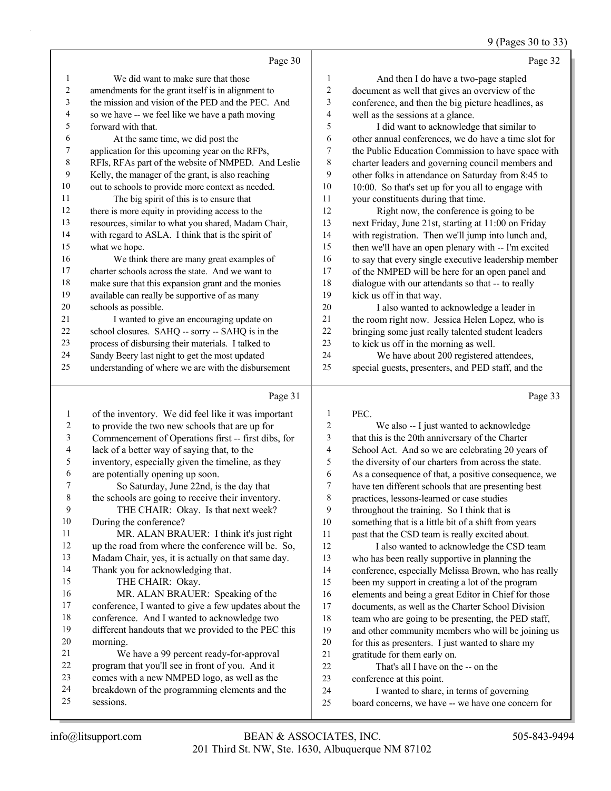9 (Pages 30 to 33)

|    | Page 30                                                                                                        |    | Page 32                                                 |
|----|----------------------------------------------------------------------------------------------------------------|----|---------------------------------------------------------|
| 1  | We did want to make sure that those                                                                            | 1  | And then I do have a two-page stapled                   |
| 2  | amendments for the grant itself is in alignment to                                                             | 2  | document as well that gives an overview of the          |
| 3  | the mission and vision of the PED and the PEC. And                                                             | 3  | conference, and then the big picture headlines, as      |
| 4  | so we have -- we feel like we have a path moving                                                               | 4  | well as the sessions at a glance.                       |
| 5  | forward with that.                                                                                             | 5  | I did want to acknowledge that similar to               |
| 6  | At the same time, we did post the                                                                              | 6  | other annual conferences, we do have a time slot for    |
| 7  | application for this upcoming year on the RFPs,                                                                | 7  | the Public Education Commission to have space with      |
| 8  | RFIs, RFAs part of the website of NMPED. And Leslie                                                            | 8  | charter leaders and governing council members and       |
| 9  | Kelly, the manager of the grant, is also reaching                                                              | 9  | other folks in attendance on Saturday from 8:45 to      |
| 10 | out to schools to provide more context as needed.                                                              | 10 | 10:00. So that's set up for you all to engage with      |
| 11 | The big spirit of this is to ensure that                                                                       | 11 | your constituents during that time.                     |
| 12 | there is more equity in providing access to the                                                                | 12 | Right now, the conference is going to be                |
| 13 | resources, similar to what you shared, Madam Chair,                                                            | 13 | next Friday, June 21st, starting at 11:00 on Friday     |
| 14 | with regard to ASLA. I think that is the spirit of                                                             | 14 | with registration. Then we'll jump into lunch and,      |
| 15 | what we hope.                                                                                                  | 15 | then we'll have an open plenary with -- I'm excited     |
| 16 | We think there are many great examples of                                                                      | 16 | to say that every single executive leadership member    |
| 17 | charter schools across the state. And we want to                                                               | 17 | of the NMPED will be here for an open panel and         |
| 18 | make sure that this expansion grant and the monies                                                             | 18 | dialogue with our attendants so that -- to really       |
| 19 | available can really be supportive of as many                                                                  | 19 | kick us off in that way.                                |
| 20 | schools as possible.                                                                                           | 20 | I also wanted to acknowledge a leader in                |
| 21 | I wanted to give an encouraging update on                                                                      | 21 | the room right now. Jessica Helen Lopez, who is         |
| 22 | school closures. SAHQ -- sorry -- SAHQ is in the                                                               | 22 | bringing some just really talented student leaders      |
| 23 | process of disbursing their materials. I talked to                                                             | 23 | to kick us off in the morning as well.                  |
| 24 | Sandy Beery last night to get the most updated                                                                 | 24 | We have about 200 registered attendees,                 |
| 25 | understanding of where we are with the disbursement                                                            | 25 | special guests, presenters, and PED staff, and the      |
|    | Page 31                                                                                                        |    | Page 33                                                 |
|    | of the inventory. We did feel like it was important                                                            | 1  | PEC.                                                    |
|    | an dalam kacamatan dan sebagai kacamatan dan kacamatan dan kacamatan dan kacamatan dan kacamatan dan kacamatan | C  | $W_{\alpha}$ also $\alpha$ Livet weated to ask a vilade |

| л. | of the inventory. We did feel like it was important  | $\mathbf{I}$   | PEC.                                                 |
|----|------------------------------------------------------|----------------|------------------------------------------------------|
| 2  | to provide the two new schools that are up for       | $\overline{2}$ | We also -- I just wanted to acknowledge              |
| 3  | Commencement of Operations first -- first dibs, for  | 3              | that this is the 20th anniversary of the Charter     |
| 4  | lack of a better way of saying that, to the          | 4              | School Act. And so we are celebrating 20 years of    |
| 5  | inventory, especially given the timeline, as they    | 5              | the diversity of our charters from across the state. |
| 6  | are potentially opening up soon.                     | 6              | As a consequence of that, a positive consequence, we |
|    | So Saturday, June 22nd, is the day that              | 7              | have ten different schools that are presenting best  |
| 8  | the schools are going to receive their inventory.    | 8              | practices, lessons-learned or case studies           |
| 9  | THE CHAIR: Okay. Is that next week?                  | 9              | throughout the training. So I think that is          |
| 10 | During the conference?                               | 10             | something that is a little bit of a shift from years |
| 11 | MR. ALAN BRAUER: I think it's just right             | 11             | past that the CSD team is really excited about.      |
| 12 | up the road from where the conference will be. So,   | 12             | I also wanted to acknowledge the CSD team            |
| 13 | Madam Chair, yes, it is actually on that same day.   | 13             | who has been really supportive in planning the       |
| 14 | Thank you for acknowledging that.                    | 14             | conference, especially Melissa Brown, who has really |
| 15 | THE CHAIR: Okay.                                     | 15             | been my support in creating a lot of the program     |
| 16 | MR. ALAN BRAUER: Speaking of the                     | 16             | elements and being a great Editor in Chief for those |
| 17 | conference, I wanted to give a few updates about the | 17             | documents, as well as the Charter School Division    |
| 18 | conference. And I wanted to acknowledge two          | 18             | team who are going to be presenting, the PED staff,  |
| 19 | different handouts that we provided to the PEC this  | 19             | and other community members who will be joining us   |
| 20 | morning.                                             | 20             | for this as presenters. I just wanted to share my    |
| 21 | We have a 99 percent ready-for-approval              | 21             | gratitude for them early on.                         |
| 22 | program that you'll see in front of you. And it      | 22             | That's all I have on the -- on the                   |
| 23 | comes with a new NMPED logo, as well as the          | 23             | conference at this point.                            |
| 24 | breakdown of the programming elements and the        | 24             | I wanted to share, in terms of governing             |
| 25 | sessions.                                            | 25             | board concerns, we have -- we have one concern for   |
|    |                                                      |                |                                                      |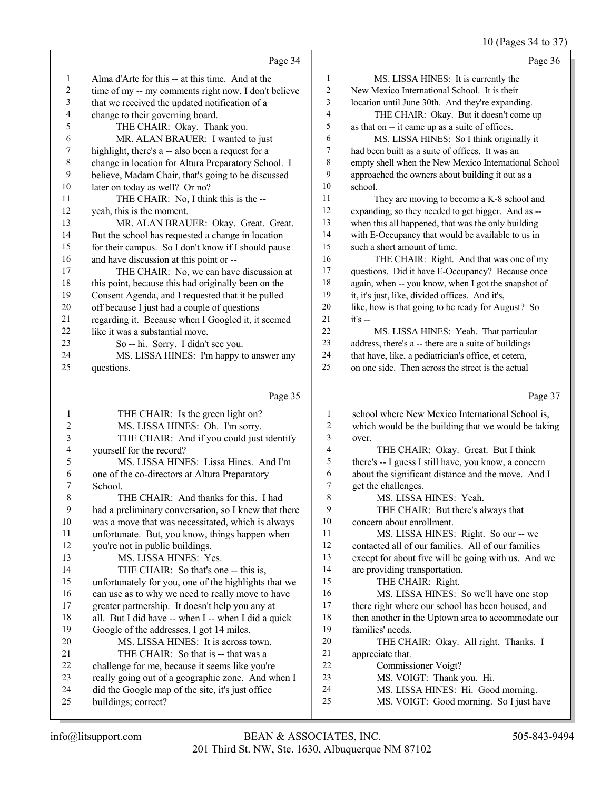10 (Pages 34 to 37)

|          | Page 34                                                                 |                | Page 36                                                                                                 |
|----------|-------------------------------------------------------------------------|----------------|---------------------------------------------------------------------------------------------------------|
| 1        | Alma d'Arte for this -- at this time. And at the                        | 1              | MS. LISSA HINES: It is currently the                                                                    |
| 2        | time of my -- my comments right now, I don't believe                    | $\sqrt{2}$     | New Mexico International School. It is their                                                            |
| 3        | that we received the updated notification of a                          | 3              | location until June 30th. And they're expanding.                                                        |
| 4        | change to their governing board.                                        | $\overline{4}$ | THE CHAIR: Okay. But it doesn't come up                                                                 |
| 5        | THE CHAIR: Okay. Thank you.                                             | 5              | as that on -- it came up as a suite of offices.                                                         |
| 6        | MR. ALAN BRAUER: I wanted to just                                       | 6              | MS. LISSA HINES: So I think originally it                                                               |
| 7        | highlight, there's a -- also been a request for a                       | $\tau$         | had been built as a suite of offices. It was an                                                         |
| 8        | change in location for Altura Preparatory School. I                     | 8              | empty shell when the New Mexico International School                                                    |
| 9        | believe, Madam Chair, that's going to be discussed                      | 9              | approached the owners about building it out as a                                                        |
| 10       | later on today as well? Or no?                                          | 10             | school.                                                                                                 |
| 11       | THE CHAIR: No, I think this is the --                                   | 11             | They are moving to become a K-8 school and                                                              |
| 12       | yeah, this is the moment.                                               | 12             | expanding; so they needed to get bigger. And as --                                                      |
| 13       | MR. ALAN BRAUER: Okay. Great. Great.                                    | 13             | when this all happened, that was the only building                                                      |
| 14       | But the school has requested a change in location                       | 14             | with E-Occupancy that would be available to us in                                                       |
| 15       | for their campus. So I don't know if I should pause                     | 15             | such a short amount of time.                                                                            |
| 16       | and have discussion at this point or --                                 | 16             | THE CHAIR: Right. And that was one of my                                                                |
| 17       | THE CHAIR: No, we can have discussion at                                | 17             | questions. Did it have E-Occupancy? Because once                                                        |
| 18       | this point, because this had originally been on the                     | 18             | again, when -- you know, when I got the snapshot of                                                     |
| 19       | Consent Agenda, and I requested that it be pulled                       | 19             | it, it's just, like, divided offices. And it's,                                                         |
| 20       | off because I just had a couple of questions                            | 20             | like, how is that going to be ready for August? So                                                      |
| 21       | regarding it. Because when I Googled it, it seemed                      | 21             | $it's -$                                                                                                |
| 22       | like it was a substantial move.                                         | 22             | MS. LISSA HINES: Yeah. That particular                                                                  |
| 23       | So -- hi. Sorry. I didn't see you.                                      | 23             | address, there's a -- there are a suite of buildings                                                    |
| 24       | MS. LISSA HINES: I'm happy to answer any                                | 24             | that have, like, a pediatrician's office, et cetera,                                                    |
| 25       | questions.                                                              | 25             | on one side. Then across the street is the actual                                                       |
|          |                                                                         |                |                                                                                                         |
|          | Page 35                                                                 |                | Page 37                                                                                                 |
| 1        |                                                                         | 1              |                                                                                                         |
| 2        | THE CHAIR: Is the green light on?<br>MS. LISSA HINES: Oh. I'm sorry.    | 2              | school where New Mexico International School is,<br>which would be the building that we would be taking |
| 3        |                                                                         | 3              | over.                                                                                                   |
| 4        | THE CHAIR: And if you could just identify<br>yourself for the record?   | 4              | THE CHAIR: Okay. Great. But I think                                                                     |
| 5        | MS. LISSA HINES: Lissa Hines. And I'm                                   | 5              | there's -- I guess I still have, you know, a concern                                                    |
| 6        | one of the co-directors at Altura Preparatory                           | 6              | about the significant distance and the move. And I                                                      |
| 7        | School.                                                                 | 7              | get the challenges.                                                                                     |
| 8        | THE CHAIR: And thanks for this. I had                                   | $\,$ $\,$      | MS. LISSA HINES: Yeah.                                                                                  |
| 9        | had a preliminary conversation, so I knew that there                    | 9              | THE CHAIR: But there's always that                                                                      |
| $10\,$   | was a move that was necessitated, which is always                       | 10             | concern about enrollment.                                                                               |
| 11       | unfortunate. But, you know, things happen when                          | 11             | MS. LISSA HINES: Right. So our -- we                                                                    |
| 12       | you're not in public buildings.                                         | 12             | contacted all of our families. All of our families                                                      |
| 13       | MS. LISSA HINES: Yes.                                                   | 13             | except for about five will be going with us. And we                                                     |
| 14       | THE CHAIR: So that's one -- this is,                                    | 14             | are providing transportation.                                                                           |
| 15       | unfortunately for you, one of the highlights that we                    | 15             | THE CHAIR: Right.                                                                                       |
| 16       | can use as to why we need to really move to have                        | 16             | MS. LISSA HINES: So we'll have one stop                                                                 |
| 17       | greater partnership. It doesn't help you any at                         | 17             | there right where our school has been housed, and                                                       |
| 18       | all. But I did have -- when I -- when I did a quick                     | 18             | then another in the Uptown area to accommodate our                                                      |
| 19       | Google of the addresses, I got 14 miles.                                | 19             | families' needs.                                                                                        |
| 20       | MS. LISSA HINES: It is across town.                                     | 20             | THE CHAIR: Okay. All right. Thanks. I                                                                   |
| 21       | THE CHAIR: So that is -- that was a                                     | 21             | appreciate that.                                                                                        |
| 22       | challenge for me, because it seems like you're                          | 22             | Commissioner Voigt?                                                                                     |
| 23       | really going out of a geographic zone. And when I                       | 23<br>24       | MS. VOIGT: Thank you. Hi.                                                                               |
| 24<br>25 | did the Google map of the site, it's just office<br>buildings; correct? | 25             | MS. LISSA HINES: Hi. Good morning.<br>MS. VOIGT: Good morning. So I just have                           |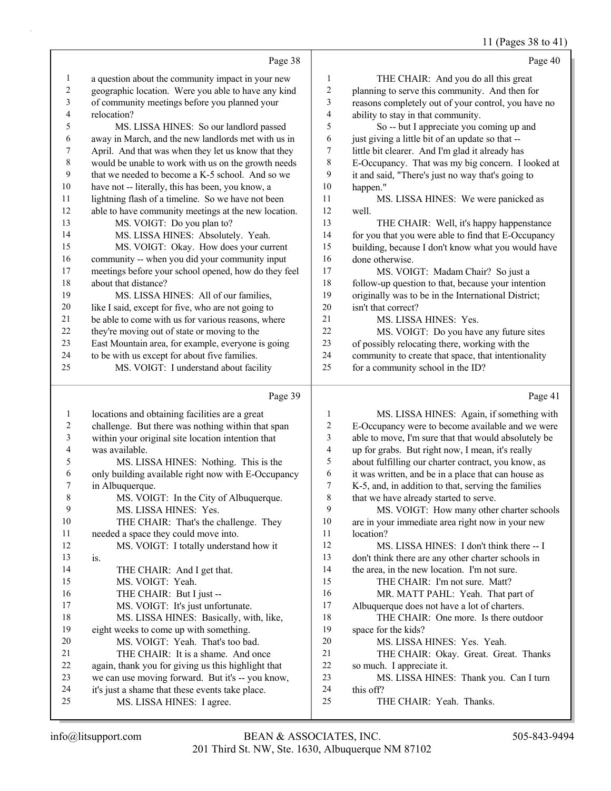#### 11 (Pages 38 to 41)

|              |                                                                              |                         | $1 + 100$                                            |
|--------------|------------------------------------------------------------------------------|-------------------------|------------------------------------------------------|
|              | Page 38                                                                      |                         | Page 40                                              |
| 1            | a question about the community impact in your new                            | 1                       | THE CHAIR: And you do all this great                 |
| $\mathbf{2}$ | geographic location. Were you able to have any kind                          | $\overline{c}$          | planning to serve this community. And then for       |
| 3            | of community meetings before you planned your                                | 3                       | reasons completely out of your control, you have no  |
| 4            | relocation?                                                                  | $\overline{4}$          | ability to stay in that community.                   |
| 5            | MS. LISSA HINES: So our landlord passed                                      | 5                       | So -- but I appreciate you coming up and             |
| 6            | away in March, and the new landlords met with us in                          | 6                       | just giving a little bit of an update so that --     |
| 7            | April. And that was when they let us know that they                          | 7                       | little bit clearer. And I'm glad it already has      |
| 8            | would be unable to work with us on the growth needs                          | $\,$ $\,$               | E-Occupancy. That was my big concern. I looked at    |
| 9            | that we needed to become a K-5 school. And so we                             | 9                       | it and said, "There's just no way that's going to    |
| 10           | have not -- literally, this has been, you know, a                            | 10                      | happen."                                             |
| 11           | lightning flash of a timeline. So we have not been                           | 11                      | MS. LISSA HINES: We were panicked as                 |
| 12           | able to have community meetings at the new location.                         | 12                      | well.                                                |
| 13           | MS. VOIGT: Do you plan to?                                                   | 13                      | THE CHAIR: Well, it's happy happenstance             |
| 14           | MS. LISSA HINES: Absolutely. Yeah.                                           | 14                      | for you that you were able to find that E-Occupancy  |
| 15           | MS. VOIGT: Okay. How does your current                                       | 15                      | building, because I don't know what you would have   |
| 16           | community -- when you did your community input                               | 16                      | done otherwise.                                      |
| 17           | meetings before your school opened, how do they feel                         | 17                      | MS. VOIGT: Madam Chair? So just a                    |
| 18           | about that distance?                                                         | 18                      | follow-up question to that, because your intention   |
| 19           | MS. LISSA HINES: All of our families,                                        | 19                      | originally was to be in the International District;  |
| 20           | like I said, except for five, who are not going to                           | 20                      | isn't that correct?                                  |
| 21           | be able to come with us for various reasons, where                           | 21                      | MS. LISSA HINES: Yes.                                |
| 22           | they're moving out of state or moving to the                                 | 22                      | MS. VOIGT: Do you have any future sites              |
| 23           | East Mountain area, for example, everyone is going                           | 23                      | of possibly relocating there, working with the       |
| 24           | to be with us except for about five families.                                | 24                      | community to create that space, that intentionality  |
| 25           | MS. VOIGT: I understand about facility                                       | 25                      | for a community school in the ID?                    |
|              |                                                                              |                         |                                                      |
|              | Page 39                                                                      |                         | Page 41                                              |
| 1            | locations and obtaining facilities are a great                               | 1                       | MS. LISSA HINES: Again, if something with            |
| 2            |                                                                              |                         |                                                      |
|              | challenge. But there was nothing within that span                            | $\boldsymbol{2}$        | E-Occupancy were to become available and we were     |
| 3            | within your original site location intention that                            | 3                       | able to move, I'm sure that that would absolutely be |
| 4            | was available.                                                               | $\overline{\mathbf{4}}$ | up for grabs. But right now, I mean, it's really     |
| 5            | MS. LISSA HINES: Nothing. This is the                                        | 5                       | about fulfilling our charter contract, you know, as  |
| 6            | only building available right now with E-Occupancy                           | 6                       | it was written, and be in a place that can house as  |
| 7            | in Albuquerque.                                                              | $\overline{7}$          | K-5, and, in addition to that, serving the families  |
| 8            | MS. VOIGT: In the City of Albuquerque.                                       | 8                       | that we have already started to serve.               |
| 9            | MS. LISSA HINES: Yes.                                                        | 9                       | MS. VOIGT: How many other charter schools            |
| 10           | THE CHAIR: That's the challenge. They                                        | $10\,$                  | are in your immediate area right now in your new     |
| 11           | needed a space they could move into.                                         | 11                      | location?                                            |
| 12           | MS. VOIGT: I totally understand how it                                       | 12                      | MS. LISSA HINES: I don't think there -- I            |
| 13           | is.                                                                          | 13                      | don't think there are any other charter schools in   |
| 14           | THE CHAIR: And I get that.                                                   | 14                      | the area, in the new location. I'm not sure.         |
| 15           | MS. VOIGT: Yeah.                                                             | 15                      | THE CHAIR: I'm not sure. Matt?                       |
| 16           | THE CHAIR: But I just --                                                     | 16                      | MR. MATT PAHL: Yeah. That part of                    |
| 17           | MS. VOIGT: It's just unfortunate.                                            | 17                      | Albuquerque does not have a lot of charters.         |
| 18           | MS. LISSA HINES: Basically, with, like,                                      | 18                      | THE CHAIR: One more. Is there outdoor                |
| 19           | eight weeks to come up with something.                                       | 19                      | space for the kids?                                  |
| 20           | MS. VOIGT: Yeah. That's too bad.                                             | $20\,$                  | MS. LISSA HINES: Yes. Yeah.                          |
| 21           | THE CHAIR: It is a shame. And once                                           | 21                      | THE CHAIR: Okay. Great. Great. Thanks                |
| 22           | again, thank you for giving us this highlight that                           | 22                      | so much. I appreciate it.                            |
| 23           | we can use moving forward. But it's -- you know,                             | 23                      | MS. LISSA HINES: Thank you. Can I turn               |
| 24<br>25     | it's just a shame that these events take place.<br>MS. LISSA HINES: I agree. | 24<br>25                | this off?<br>THE CHAIR: Yeah. Thanks.                |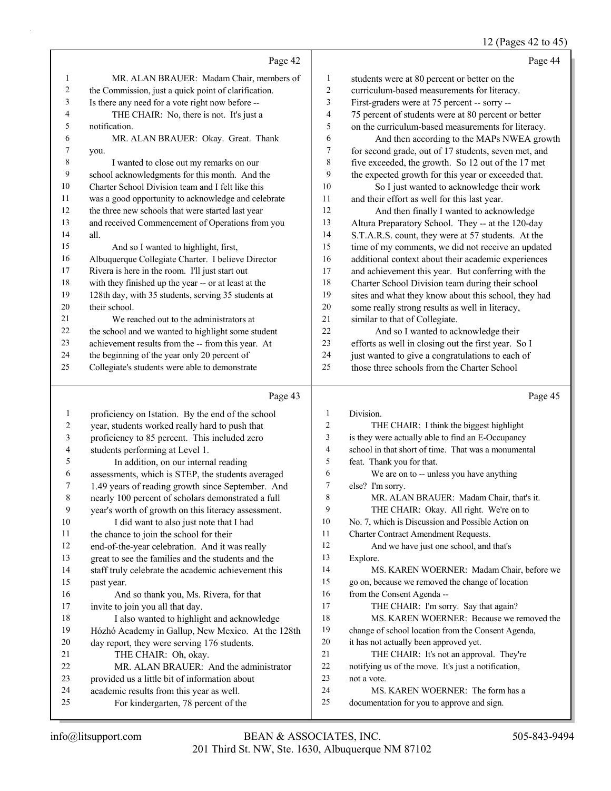## 12 (Pages 42 to 45)

|    | Page 42                                              |                | Page 44                                              |
|----|------------------------------------------------------|----------------|------------------------------------------------------|
| 1  | MR. ALAN BRAUER: Madam Chair, members of             | 1              | students were at 80 percent or better on the         |
| 2  | the Commission, just a quick point of clarification. | $\overline{2}$ | curriculum-based measurements for literacy.          |
| 3  | Is there any need for a vote right now before --     | 3              | First-graders were at 75 percent -- sorry --         |
| 4  | THE CHAIR: No, there is not. It's just a             | $\overline{4}$ | 75 percent of students were at 80 percent or better  |
| 5  | notification.                                        | 5              | on the curriculum-based measurements for literacy.   |
| 6  | MR. ALAN BRAUER: Okay. Great. Thank                  | 6              | And then according to the MAPs NWEA growth           |
| 7  | you.                                                 | 7              | for second grade, out of 17 students, seven met, and |
| 8  | I wanted to close out my remarks on our              | 8              | five exceeded, the growth. So 12 out of the 17 met   |
| 9  | school acknowledgments for this month. And the       | 9              | the expected growth for this year or exceeded that.  |
| 10 | Charter School Division team and I felt like this    | 10             | So I just wanted to acknowledge their work           |
| 11 | was a good opportunity to acknowledge and celebrate  | 11             | and their effort as well for this last year.         |
| 12 | the three new schools that were started last year    | 12             | And then finally I wanted to acknowledge             |
| 13 | and received Commencement of Operations from you     | 13             | Altura Preparatory School. They -- at the 120-day    |
| 14 | all.                                                 | 14             | S.T.A.R.S. count, they were at 57 students. At the   |
| 15 | And so I wanted to highlight, first,                 | 15             | time of my comments, we did not receive an updated   |
| 16 | Albuquerque Collegiate Charter. I believe Director   | 16             | additional context about their academic experiences  |
| 17 | Rivera is here in the room. I'll just start out      | 17             | and achievement this year. But conferring with the   |
| 18 | with they finished up the year -- or at least at the | 18             | Charter School Division team during their school     |
| 19 | 128th day, with 35 students, serving 35 students at  | 19             | sites and what they know about this school, they had |
| 20 | their school.                                        | 20             | some really strong results as well in literacy,      |
| 21 | We reached out to the administrators at              | 21             | similar to that of Collegiate.                       |
| 22 | the school and we wanted to highlight some student   | 22             | And so I wanted to acknowledge their                 |
| 23 | achievement results from the -- from this year. At   | 23             | efforts as well in closing out the first year. So I  |
| 24 | the beginning of the year only 20 percent of         | 24             | just wanted to give a congratulations to each of     |
| 25 | Collegiate's students were able to demonstrate       | 25             | those three schools from the Charter School          |
|    | Page 43                                              |                | Page 45                                              |
|    | proficiency on Istation. By the end of the school    |                | Division.                                            |
|    |                                                      |                | $CUTATD$ $T$ $A$ $A$ $A$ $A$ $A$ $A$                 |

| $\overline{2}$ | year, students worked really hard to push that      | $\overline{2}$ | THE CHAIR: I think the biggest highlight            |
|----------------|-----------------------------------------------------|----------------|-----------------------------------------------------|
| 3              | proficiency to 85 percent. This included zero       | 3              | is they were actually able to find an E-Occupancy   |
| $\overline{4}$ | students performing at Level 1.                     | 4              | school in that short of time. That was a monumental |
| 5              | In addition, on our internal reading                | 5              | feat. Thank you for that.                           |
| 6              | assessments, which is STEP, the students averaged   | 6              | We are on to -- unless you have anything            |
| 7              | 1.49 years of reading growth since September. And   | 7              | else? I'm sorry.                                    |
| 8              | nearly 100 percent of scholars demonstrated a full  | 8              | MR. ALAN BRAUER: Madam Chair, that's it.            |
| 9              | year's worth of growth on this literacy assessment. | 9              | THE CHAIR: Okay. All right. We're on to             |
| 10             | I did want to also just note that I had             | 10             | No. 7, which is Discussion and Possible Action on   |
| 11             | the chance to join the school for their             | 11             | Charter Contract Amendment Requests.                |
| 12             | end-of-the-year celebration. And it was really      | 12             | And we have just one school, and that's             |
| 13             | great to see the families and the students and the  | 13             | Explore.                                            |
| 14             | staff truly celebrate the academic achievement this | 14             | MS. KAREN WOERNER: Madam Chair, before we           |
| 15             | past year.                                          | 15             | go on, because we removed the change of location    |
| 16             | And so thank you, Ms. Rivera, for that              | 16             | from the Consent Agenda --                          |
| 17             | invite to join you all that day.                    | 17             | THE CHAIR: I'm sorry. Say that again?               |
| 18             | I also wanted to highlight and acknowledge          | 18             | MS. KAREN WOERNER: Because we removed the           |
| 19             | Hózhó Academy in Gallup, New Mexico. At the 128th   | 19             | change of school location from the Consent Agenda,  |
| 20             | day report, they were serving 176 students.         | 20             | it has not actually been approved yet.              |
| 21             | THE CHAIR: Oh, okay.                                | 21             | THE CHAIR: It's not an approval. They're            |
| 22             | MR. ALAN BRAUER: And the administrator              | 22             | notifying us of the move. It's just a notification, |
| 23             | provided us a little bit of information about       | 23             | not a vote.                                         |
| 24             | academic results from this year as well.            | 24             | MS. KAREN WOERNER: The form has a                   |
| 25             | For kindergarten, 78 percent of the                 | 25             | documentation for you to approve and sign.          |
|                |                                                     |                |                                                     |
|                |                                                     |                |                                                     |

 $15\,$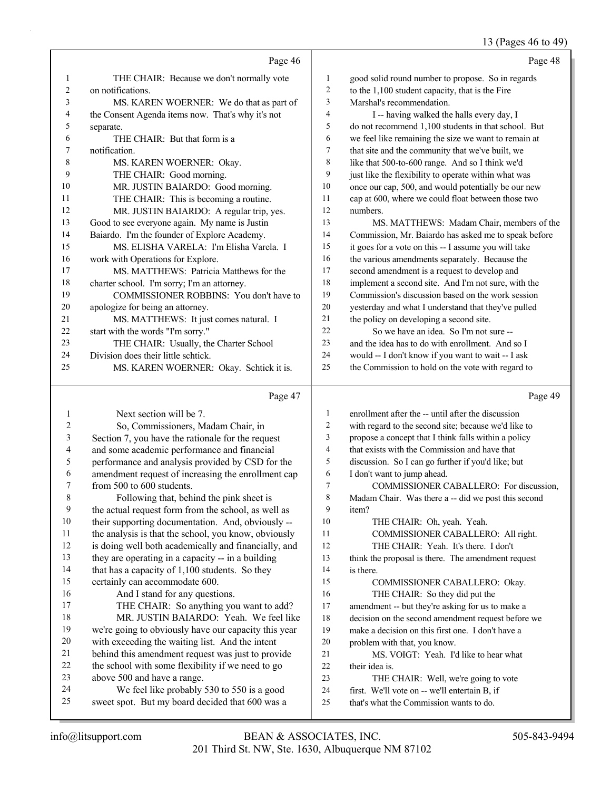### 13 (Pages 46 to 49)

|              | Page 46                                                                                       |              | Page 48                                                                                  |
|--------------|-----------------------------------------------------------------------------------------------|--------------|------------------------------------------------------------------------------------------|
| $\mathbf{1}$ | THE CHAIR: Because we don't normally vote                                                     | 1            | good solid round number to propose. So in regards                                        |
| 2            | on notifications.                                                                             | $\mathbf{2}$ | to the 1,100 student capacity, that is the Fire                                          |
| 3            | MS. KAREN WOERNER: We do that as part of                                                      | 3            | Marshal's recommendation.                                                                |
| 4            | the Consent Agenda items now. That's why it's not                                             | 4            | I -- having walked the halls every day, I                                                |
| 5            | separate.                                                                                     | 5            | do not recommend 1,100 students in that school. But                                      |
| 6            | THE CHAIR: But that form is a                                                                 | 6            | we feel like remaining the size we want to remain at                                     |
| 7            | notification.                                                                                 | 7            | that site and the community that we've built, we                                         |
| 8            | MS. KAREN WOERNER: Okay.                                                                      | $\,$ 8 $\,$  | like that 500-to-600 range. And so I think we'd                                          |
| 9            | THE CHAIR: Good morning.                                                                      | 9            | just like the flexibility to operate within what was                                     |
| 10           | MR. JUSTIN BAIARDO: Good morning.                                                             | 10           | once our cap, 500, and would potentially be our new                                      |
| 11           | THE CHAIR: This is becoming a routine.                                                        | 11           | cap at 600, where we could float between those two                                       |
| 12           | MR. JUSTIN BAIARDO: A regular trip, yes.                                                      | 12           | numbers.                                                                                 |
| 13           | Good to see everyone again. My name is Justin                                                 | 13           | MS. MATTHEWS: Madam Chair, members of the                                                |
| 14           | Baiardo. I'm the founder of Explore Academy.                                                  | 14           | Commission, Mr. Baiardo has asked me to speak before                                     |
| 15           | MS. ELISHA VARELA: I'm Elisha Varela. I                                                       | 15           | it goes for a vote on this -- I assume you will take                                     |
| 16           | work with Operations for Explore.                                                             | 16           | the various amendments separately. Because the                                           |
| 17           | MS. MATTHEWS: Patricia Matthews for the                                                       | 17           | second amendment is a request to develop and                                             |
| 18           | charter school. I'm sorry; I'm an attorney.                                                   | 18           | implement a second site. And I'm not sure, with the                                      |
| 19           | COMMISSIONER ROBBINS: You don't have to                                                       | 19           | Commission's discussion based on the work session                                        |
| 20           | apologize for being an attorney.                                                              | 20           | yesterday and what I understand that they've pulled                                      |
| 21           | MS. MATTHEWS: It just comes natural. I                                                        | 21           | the policy on developing a second site.                                                  |
| 22           | start with the words "I'm sorry."                                                             | 22           | So we have an idea. So I'm not sure --                                                   |
| 23           | THE CHAIR: Usually, the Charter School                                                        | 23           | and the idea has to do with enrollment. And so I                                         |
| 24           | Division does their little schtick.                                                           | 24           | would -- I don't know if you want to wait -- I ask                                       |
| 25           | MS. KAREN WOERNER: Okay. Schtick it is.                                                       | 25           | the Commission to hold on the vote with regard to                                        |
|              | Page 47                                                                                       |              | Page 49                                                                                  |
| 1            | Next section will be 7.                                                                       | 1            | enrollment after the -- until after the discussion                                       |
| 2            | So, Commissioners, Madam Chair, in                                                            | 2            | with regard to the second site; because we'd like to                                     |
| 3            | Section 7, you have the rationale for the request                                             | 3            | propose a concept that I think falls within a policy                                     |
| 4            | and some academic performance and financial                                                   | 4            | that exists with the Commission and have that                                            |
| 5            | performance and analysis provided by CSD for the                                              | 5            | discussion. So I can go further if you'd like; but                                       |
| 6            | amendment request of increasing the enrollment cap                                            |              |                                                                                          |
| 7            |                                                                                               | 6            | I don't want to jump ahead.                                                              |
|              | from 500 to 600 students.                                                                     | 7            | COMMISSIONER CABALLERO: For discussion,                                                  |
| 8            | Following that, behind the pink sheet is                                                      | $\,$ 8 $\,$  | Madam Chair. Was there a -- did we post this second                                      |
| 9            | the actual request form from the school, as well as                                           | 9            | item?                                                                                    |
| 10           | their supporting documentation. And, obviously --                                             | $10\,$       | THE CHAIR: Oh, yeah. Yeah.                                                               |
| 11           | the analysis is that the school, you know, obviously                                          | 11           | COMMISSIONER CABALLERO: All right.                                                       |
| 12           | is doing well both academically and financially, and                                          | 12           | THE CHAIR: Yeah. It's there. I don't                                                     |
| 13           | they are operating in a capacity -- in a building                                             | 13           | think the proposal is there. The amendment request                                       |
| 14           | that has a capacity of 1,100 students. So they                                                | 14           | is there.                                                                                |
| 15           | certainly can accommodate 600.                                                                | 15           | COMMISSIONER CABALLERO: Okay.                                                            |
| 16           | And I stand for any questions.                                                                | 16           | THE CHAIR: So they did put the                                                           |
| 17           | THE CHAIR: So anything you want to add?                                                       | 17           | amendment -- but they're asking for us to make a                                         |
| 18           | MR. JUSTIN BAIARDO: Yeah. We feel like                                                        | 18           | decision on the second amendment request before we                                       |
| 19           | we're going to obviously have our capacity this year                                          | 19           | make a decision on this first one. I don't have a                                        |
| 20           | with exceeding the waiting list. And the intent                                               | 20           | problem with that, you know.                                                             |
| 21           | behind this amendment request was just to provide                                             | 21           | MS. VOIGT: Yeah. I'd like to hear what                                                   |
| $22\,$       | the school with some flexibility if we need to go                                             | 22           | their idea is.                                                                           |
| 23           | above 500 and have a range.                                                                   | 23           | THE CHAIR: Well, we're going to vote                                                     |
| 24<br>25     | We feel like probably 530 to 550 is a good<br>sweet spot. But my board decided that 600 was a | 24<br>25     | first. We'll vote on -- we'll entertain B, if<br>that's what the Commission wants to do. |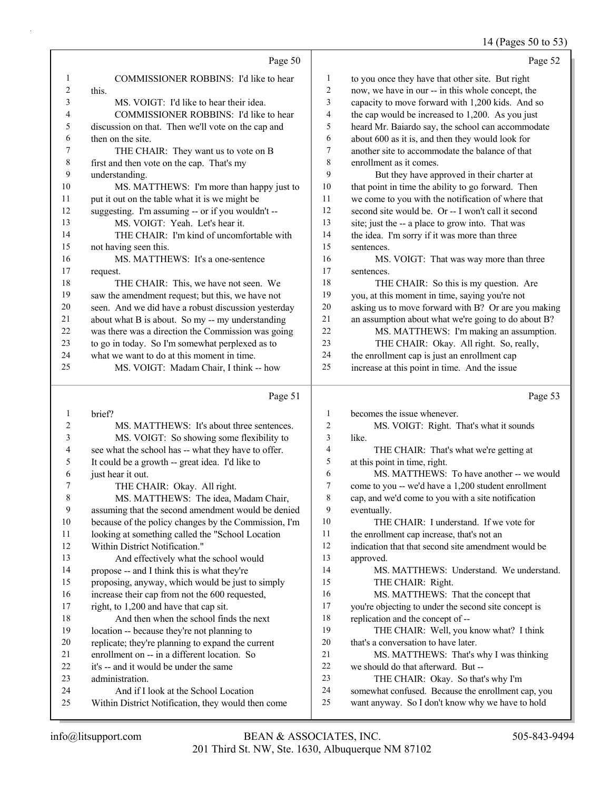#### 14 (Pages 50 to 53)

|                |                                                     |                         | $\cdots$<br>.                                       |
|----------------|-----------------------------------------------------|-------------------------|-----------------------------------------------------|
|                | Page 50                                             |                         | Page 52                                             |
| 1              | COMMISSIONER ROBBINS: I'd like to hear              | 1                       | to you once they have that other site. But right    |
| $\overline{c}$ | this.                                               | $\overline{2}$          | now, we have in our -- in this whole concept, the   |
| 3              | MS. VOIGT: I'd like to hear their idea.             | 3                       | capacity to move forward with 1,200 kids. And so    |
| 4              | COMMISSIONER ROBBINS: I'd like to hear              | $\overline{4}$          | the cap would be increased to 1,200. As you just    |
| 5              | discussion on that. Then we'll vote on the cap and  | 5                       | heard Mr. Baiardo say, the school can accommodate   |
| 6              | then on the site.                                   | 6                       | about 600 as it is, and then they would look for    |
| 7              | THE CHAIR: They want us to vote on B                | 7                       | another site to accommodate the balance of that     |
| 8              | first and then vote on the cap. That's my           | $\,$ 8 $\,$             | enrollment as it comes.                             |
| 9              | understanding.                                      | 9                       | But they have approved in their charter at          |
| 10             | MS. MATTHEWS: I'm more than happy just to           | $10\,$                  | that point in time the ability to go forward. Then  |
| 11             | put it out on the table what it is we might be      | $11\,$                  | we come to you with the notification of where that  |
| 12             | suggesting. I'm assuming -- or if you wouldn't --   | 12                      | second site would be. Or -- I won't call it second  |
| 13             | MS. VOIGT: Yeah. Let's hear it.                     | 13                      | site; just the -- a place to grow into. That was    |
| 14             | THE CHAIR: I'm kind of uncomfortable with           | 14                      | the idea. I'm sorry if it was more than three       |
| 15             | not having seen this.                               | 15                      | sentences.                                          |
| 16             | MS. MATTHEWS: It's a one-sentence                   | 16                      | MS. VOIGT: That was way more than three             |
| 17             | request.                                            | 17                      | sentences.                                          |
| 18             | THE CHAIR: This, we have not seen. We               | 18                      | THE CHAIR: So this is my question. Are              |
| 19             | saw the amendment request; but this, we have not    | 19                      | you, at this moment in time, saying you're not      |
| 20             | seen. And we did have a robust discussion yesterday | 20                      | asking us to move forward with B? Or are you making |
| $21\,$         | about what B is about. So my -- my understanding    | 21                      | an assumption about what we're going to do about B? |
| $22\,$         | was there was a direction the Commission was going  | 22                      | MS. MATTHEWS: I'm making an assumption.             |
| 23             | to go in today. So I'm somewhat perplexed as to     | 23                      | THE CHAIR: Okay. All right. So, really,             |
| 24             | what we want to do at this moment in time.          | 24                      | the enrollment cap is just an enrollment cap        |
| 25             | MS. VOIGT: Madam Chair, I think -- how              | 25                      | increase at this point in time. And the issue       |
|                | Page 51                                             |                         | Page 53                                             |
| $\mathbf{1}$   | brief?                                              | 1                       | becomes the issue whenever.                         |
| $\overline{c}$ | MS. MATTHEWS: It's about three sentences.           | $\overline{c}$          | MS. VOIGT: Right. That's what it sounds             |
| 3              | MS. VOIGT: So showing some flexibility to           | 3                       | like.                                               |
| 4              | see what the school has -- what they have to offer. | $\overline{\mathbf{4}}$ | THE CHAIR: That's what we're getting at             |
| 5              | It could be a growth -- great idea. I'd like to     | 5                       | at this point in time, right.                       |
| 6              | just hear it out.                                   | 6                       | MS. MATTHEWS: To have another -- we would           |
| 7              | THE CHAIR: Okay. All right.                         | $\boldsymbol{7}$        | come to you -- we'd have a 1,200 student enrollment |
| 8              | MS. MATTHEWS: The idea, Madam Chair,                | 8                       | cap, and we'd come to you with a site notification  |
| 9              | assuming that the second amendment would be denied  | 9                       | eventually.                                         |
| 10             | because of the nolicy changes by the Commission I'm | 10                      | THE CHAIR: Lunderstand If we vote for               |

 because of the policy changes by the Commission, I'm looking at something called the "School Location

Within District Notification."

- 13 And effectively what the school would
- propose -- and I think this is what they're
- proposing, anyway, which would be just to simply
- increase their cap from not the 600 requested,
- 17 right, to 1,200 and have that cap sit. 18 And then when the school finds the next
- location -- because they're not planning to
- replicate; they're planning to expand the current
- enrollment on -- in a different location. So
- it's -- and it would be under the same

administration.

- 
- 24 And if I look at the School Location Within District Notification, they would then come
- the enrollment cap increase, that's not an indication that that second site amendment would be approved.
- 14 MS. MATTHEWS: Understand. We understand. 15 THE CHAIR: Right.
- 16 MS. MATTHEWS: That the concept that you're objecting to under the second site concept is
- replication and the concept of --

19 THE CHAIR: Well, you know what? I think that's a conversation to have later.

- 21 MS. MATTHEWS: That's why I was thinking we should do that afterward. But --
- 23 THE CHAIR: Okay. So that's why I'm
- somewhat confused. Because the enrollment cap, you
- want anyway. So I don't know why we have to hold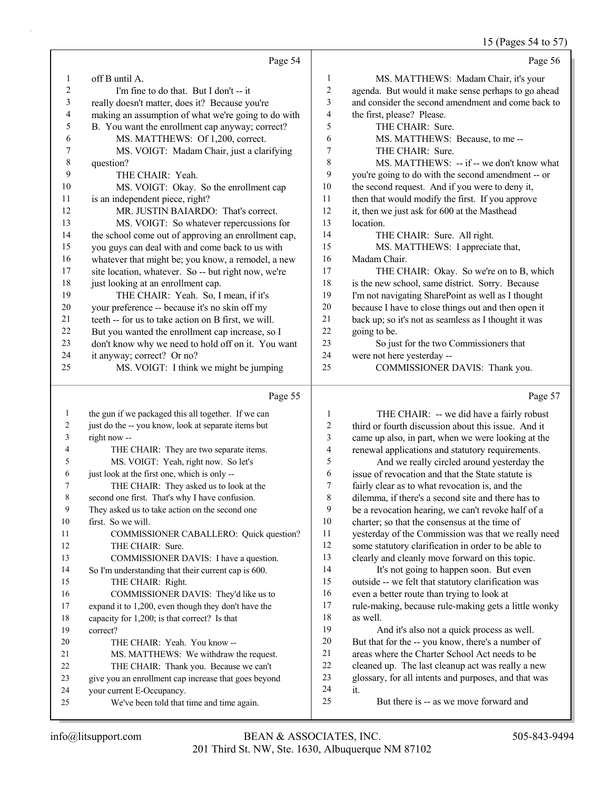|              |                                                      |                          | 15 (Pages 54 to 57)                                  |
|--------------|------------------------------------------------------|--------------------------|------------------------------------------------------|
|              | Page 54                                              |                          | Page 56                                              |
| 1            | off B until A.                                       | $\mathbf{1}$             | MS. MATTHEWS: Madam Chair, it's your                 |
| 2            | I'm fine to do that. But I don't -- it               | $\overline{c}$           | agenda. But would it make sense perhaps to go ahead  |
| 3            | really doesn't matter, does it? Because you're       | 3                        | and consider the second amendment and come back to   |
| 4            | making an assumption of what we're going to do with  | $\overline{4}$           | the first, please? Please.                           |
| 5            | B. You want the enrollment cap anyway; correct?      | 5                        | THE CHAIR: Sure.                                     |
| 6            | MS. MATTHEWS: Of 1,200, correct.                     | 6                        | MS. MATTHEWS: Because, to me --                      |
| 7            | MS. VOIGT: Madam Chair, just a clarifying            | 7                        | THE CHAIR: Sure.                                     |
| 8            | question?                                            | 8                        | MS. MATTHEWS: -- if -- we don't know what            |
| 9            | THE CHAIR: Yeah.                                     | 9                        | you're going to do with the second amendment -- or   |
| 10           | MS. VOIGT: Okay. So the enrollment cap               | 10                       | the second request. And if you were to deny it,      |
| 11           | is an independent piece, right?                      | 11                       | then that would modify the first. If you approve     |
| 12           | MR. JUSTIN BAIARDO: That's correct.                  | 12                       | it, then we just ask for 600 at the Masthead         |
| 13           | MS. VOIGT: So whatever repercussions for             | 13                       | location.                                            |
| 14           | the school come out of approving an enrollment cap,  | 14                       | THE CHAIR: Sure. All right.                          |
| 15           | you guys can deal with and come back to us with      | 15                       | MS. MATTHEWS: I appreciate that,                     |
| 16           | whatever that might be; you know, a remodel, a new   | 16                       | Madam Chair.                                         |
| 17           | site location, whatever. So -- but right now, we're  | 17                       | THE CHAIR: Okay. So we're on to B, which             |
| 18           | just looking at an enrollment cap.                   | 18                       | is the new school, same district. Sorry. Because     |
| 19           | THE CHAIR: Yeah. So, I mean, if it's                 | 19                       | I'm not navigating SharePoint as well as I thought   |
| 20           | your preference -- because it's no skin off my       | 20                       | because I have to close things out and then open it  |
| 21           | teeth -- for us to take action on B first, we will.  | 21                       | back up; so it's not as seamless as I thought it was |
| 22           | But you wanted the enrollment cap increase, so I     | 22                       | going to be.                                         |
| 23           | don't know why we need to hold off on it. You want   | 23                       | So just for the two Commissioners that               |
| 24           | it anyway; correct? Or no?                           | 24                       | were not here yesterday --                           |
| 25           | MS. VOIGT: I think we might be jumping               | 25                       | COMMISSIONER DAVIS: Thank you.                       |
|              | Page 55                                              |                          | Page 57                                              |
| $\mathbf{1}$ | the gun if we packaged this all together. If we can  | $\mathbf{1}$             | THE CHAIR: -- we did have a fairly robust            |
| 2            | just do the -- you know, look at separate items but  | $\overline{c}$           | third or fourth discussion about this issue. And it  |
| 3            | right now --                                         | 3                        | came up also, in part, when we were looking at the   |
| 4            | THE CHAIR: They are two separate items.              | $\overline{\mathcal{A}}$ | renewal applications and statutory requirements.     |
| 5            | MS. VOIGT: Yeah, right now. So let's                 | 5                        | And we really circled around yesterday the           |
| 6            | just look at the first one, which is only --         | 6                        | issue of revocation and that the State statute is    |
| 7            | THE CHAIR: They asked us to look at the              | $\overline{7}$           | fairly clear as to what revocation is, and the       |
| 8            | second one first. That's why I have confusion.       | $\,$ $\,$                | dilemma, if there's a second site and there has to   |
| 9            | They asked us to take action on the second one       | 9                        | be a revocation hearing, we can't revoke half of a   |
| 10           | first. So we will.                                   | 10                       | charter; so that the consensus at the time of        |
| 11           | COMMISSIONER CABALLERO: Quick question?              | 11                       | yesterday of the Commission was that we really need  |
| 12           | THE CHAIR: Sure.                                     | 12                       | some statutory clarification in order to be able to  |
| 13           | COMMISSIONER DAVIS: I have a question.               | 13                       | clearly and cleanly move forward on this topic.      |
| 14           | So I'm understanding that their current cap is 600.  | 14                       | It's not going to happen soon. But even              |
| 15           | THE CHAIR: Right.                                    | 15                       | outside -- we felt that statutory clarification was  |
| 16           | COMMISSIONER DAVIS: They'd like us to                | 16                       | even a better route than trying to look at           |
| 17           | expand it to 1,200, even though they don't have the  | 17                       | rule-making, because rule-making gets a little wonky |
| 18           | capacity for 1,200; is that correct? Is that         | 18                       | as well.                                             |
| 19           | correct?                                             | 19                       | And it's also not a quick process as well.           |
| 20           | THE CHAIR: Yeah. You know --                         | $20\,$                   | But that for the -- you know, there's a number of    |
| 21           | MS. MATTHEWS: We withdraw the request.               | 21                       | areas where the Charter School Act needs to be       |
| 22           | THE CHAIR: Thank you. Because we can't               | $22\,$                   | cleaned up. The last cleanup act was really a new    |
| 23           | give you an enrollment cap increase that goes beyond | 23                       | glossary, for all intents and purposes, and that was |
| 24           | your current E-Occupancy.                            | 24                       | it.                                                  |
| 25           | We've been told that time and time again.            | 25                       | But there is -- as we move forward and               |

24 your current E-Occupancy. 25 We've been told that time and time again.

But there is -- as we move forward and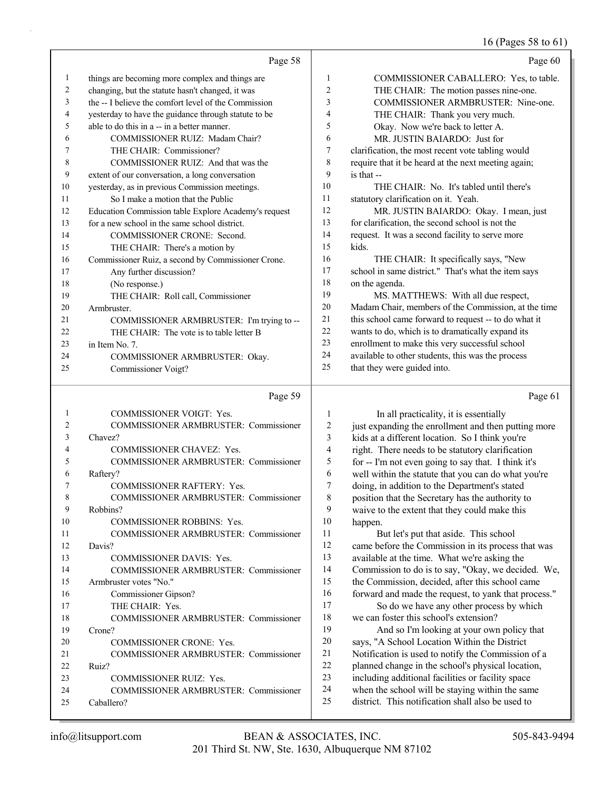#### 16 (Pages 58 to 61)

|                | Page 58                                              |                  | Page 60                                              |
|----------------|------------------------------------------------------|------------------|------------------------------------------------------|
| $\mathbf{1}$   | things are becoming more complex and things are      | $\mathbf{1}$     | COMMISSIONER CABALLERO: Yes, to table.               |
| $\overline{c}$ | changing, but the statute hasn't changed, it was     | $\overline{2}$   | THE CHAIR: The motion passes nine-one.               |
| 3              | the -- I believe the comfort level of the Commission | 3                | COMMISSIONER ARMBRUSTER: Nine-one.                   |
| $\overline{4}$ | yesterday to have the guidance through statute to be | 4                | THE CHAIR: Thank you very much.                      |
| 5              | able to do this in a -- in a better manner.          | 5                | Okay. Now we're back to letter A.                    |
| 6              | COMMISSIONER RUIZ: Madam Chair?                      | 6                | MR. JUSTIN BAIARDO: Just for                         |
| 7              | THE CHAIR: Commissioner?                             | $\boldsymbol{7}$ | clarification, the most recent vote tabling would    |
| 8              | COMMISSIONER RUIZ: And that was the                  | 8                | require that it be heard at the next meeting again;  |
| 9              | extent of our conversation, a long conversation      | 9                | is that --                                           |
| 10             | yesterday, as in previous Commission meetings.       | 10               | THE CHAIR: No. It's tabled until there's             |
| 11             | So I make a motion that the Public                   | 11               | statutory clarification on it. Yeah.                 |
| 12             | Education Commission table Explore Academy's request | 12               | MR. JUSTIN BAIARDO: Okay. I mean, just               |
| 13             | for a new school in the same school district.        | 13               | for clarification, the second school is not the      |
| 14             | COMMISSIONER CRONE: Second.                          | 14               | request. It was a second facility to serve more      |
| 15             | THE CHAIR: There's a motion by                       | 15               | kids.                                                |
| 16             | Commissioner Ruiz, a second by Commissioner Crone.   | 16               | THE CHAIR: It specifically says, "New                |
| 17             | Any further discussion?                              | 17               | school in same district." That's what the item says  |
| 18             | (No response.)                                       | 18               | on the agenda.                                       |
| 19             | THE CHAIR: Roll call, Commissioner                   | 19               | MS. MATTHEWS: With all due respect,                  |
| 20             | Armbruster.                                          | 20               | Madam Chair, members of the Commission, at the time  |
| 21             | COMMISSIONER ARMBRUSTER: I'm trying to --            | 21               | this school came forward to request -- to do what it |
| 22             | THE CHAIR: The vote is to table letter B             | 22               | wants to do, which is to dramatically expand its     |
| 23             | in Item No. 7.                                       | 23               | enrollment to make this very successful school       |
| 24             | COMMISSIONER ARMBRUSTER: Okay.                       | 24               | available to other students, this was the process    |
| 25             | Commissioner Voigt?                                  | 25               | that they were guided into.                          |
|                |                                                      |                  |                                                      |
|                | Page 59                                              |                  | Page 61                                              |
| 1              | COMMISSIONER VOIGT: Yes.                             | $\mathbf{1}$     | In all practicality, it is essentially               |
| $\mathfrak{2}$ | COMMISSIONER ARMBRUSTER: Commissioner                | $\overline{c}$   | just expanding the enrollment and then putting more  |
| 3              | Chavez?                                              | 3                | kids at a different location. So I think you're      |
| 4              | COMMISSIONER CHAVEZ: Yes.                            | $\overline{4}$   | right. There needs to be statutory clarification     |
| 5              | COMMISSIONER ARMBRUSTER: Commissioner                | 5                | for -- I'm not even going to say that. I think it's  |
| 6              | Raftery?                                             | 6                | well within the statute that you can do what you're  |
| 7              | COMMISSIONER RAFTERY: Yes.                           | $\overline{7}$   | doing, in addition to the Department's stated        |
| 8              | COMMISSIONER ARMBRUSTER: Commissioner                | 8                | position that the Secretary has the authority to     |
| 9              | Robbins?                                             | 9                | waive to the extent that they could make this        |
| 10             | COMMISSIONER ROBBINS: Yes.                           | 10               | happen.                                              |

11 But let's put that aside. This school came before the Commission in its process that was available at the time. What we're asking the Commission to do is to say, "Okay, we decided. We, the Commission, decided, after this school came forward and made the request, to yank that process."

17 So do we have any other process by which 18 we can foster this school's extension?

19 And so I'm looking at your own policy that says, "A School Location Within the District Notification is used to notify the Commission of a planned change in the school's physical location, including additional facilities or facility space when the school will be staying within the same district. This notification shall also be used to

25 Caballero?

12 Davis?

19 Crone?

22 Ruiz?

11 COMMISSIONER ARMBRUSTER: Commissioner

14 COMMISSIONER ARMBRUSTER: Commissioner

18 COMMISSIONER ARMBRUSTER: Commissioner

21 COMMISSIONER ARMBRUSTER: Commissioner

24 COMMISSIONER ARMBRUSTER: Commissioner

13 COMMISSIONER DAVIS: Yes.

20 COMMISSIONER CRONE: Yes.

23 COMMISSIONER RUIZ: Yes.

15 Armbruster votes "No." 16 Commissioner Gipson? 17 THE CHAIR: Yes.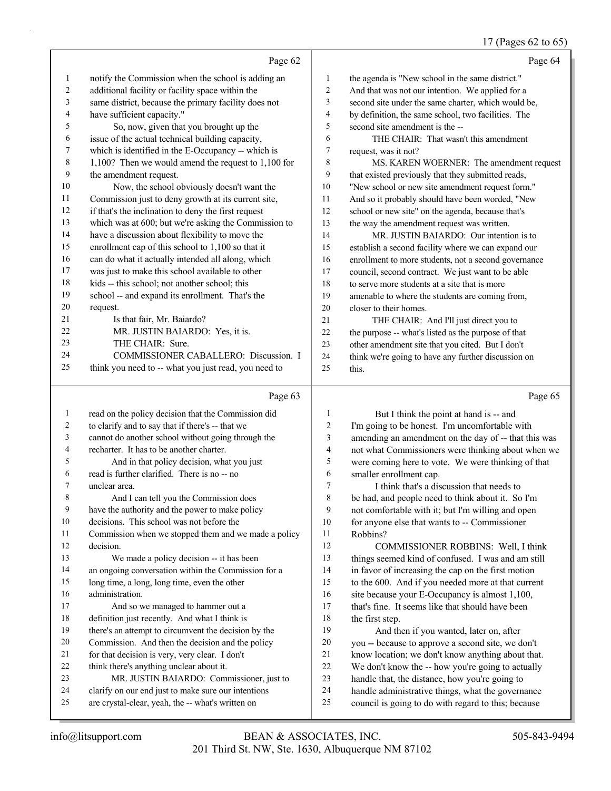#### (Pages 62 to 65)

|                |                                                      |                  | $17$ (1 agos 02 to 02)                               |
|----------------|------------------------------------------------------|------------------|------------------------------------------------------|
|                | Page 62                                              |                  | Page 64                                              |
| $\mathbf{1}$   | notify the Commission when the school is adding an   | $\mathbf{1}$     | the agenda is "New school in the same district."     |
| $\overline{c}$ | additional facility or facility space within the     | $\sqrt{2}$       | And that was not our intention. We applied for a     |
| 3              | same district, because the primary facility does not | $\mathfrak{Z}$   | second site under the same charter, which would be,  |
| 4              | have sufficient capacity."                           | $\overline{4}$   | by definition, the same school, two facilities. The  |
| 5              | So, now, given that you brought up the               | 5                | second site amendment is the --                      |
| 6              | issue of the actual technical building capacity,     | 6                | THE CHAIR: That wasn't this amendment                |
| 7              | which is identified in the E-Occupancy -- which is   | $\tau$           | request, was it not?                                 |
| 8              | 1,100? Then we would amend the request to 1,100 for  | 8                | MS. KAREN WOERNER: The amendment request             |
| 9              | the amendment request.                               | 9                | that existed previously that they submitted reads,   |
| 10             | Now, the school obviously doesn't want the           | 10               | "New school or new site amendment request form."     |
| 11             | Commission just to deny growth at its current site,  | 11               | And so it probably should have been worded, "New     |
| 12             | if that's the inclination to deny the first request  | 12               | school or new site" on the agenda, because that's    |
| 13             | which was at 600; but we're asking the Commission to | 13               | the way the amendment request was written.           |
| 14             | have a discussion about flexibility to move the      | 14               | MR. JUSTIN BAIARDO: Our intention is to              |
| 15             | enrollment cap of this school to 1,100 so that it    | 15               | establish a second facility where we can expand our  |
| 16             | can do what it actually intended all along, which    | 16               | enrollment to more students, not a second governance |
| 17             | was just to make this school available to other      | 17               | council, second contract. We just want to be able    |
| 18             | kids -- this school; not another school; this        | 18               | to serve more students at a site that is more        |
| 19             | school -- and expand its enrollment. That's the      | 19               | amenable to where the students are coming from,      |
| 20             | request.                                             | 20               | closer to their homes.                               |
| 21             | Is that fair, Mr. Baiardo?                           | 21               | THE CHAIR: And I'll just direct you to               |
| 22             | MR. JUSTIN BAIARDO: Yes, it is.                      | 22               | the purpose -- what's listed as the purpose of that  |
| 23             | THE CHAIR: Sure.                                     | 23               | other amendment site that you cited. But I don't     |
| 24             | COMMISSIONER CABALLERO: Discussion. I                | 24               | think we're going to have any further discussion on  |
| 25             | think you need to -- what you just read, you need to | 25               | this.                                                |
|                | Page 63                                              |                  | Page 65                                              |
| $\mathbf{1}$   | read on the policy decision that the Commission did  | $\mathbf{1}$     | But I think the point at hand is -- and              |
| 2              | to clarify and to say that if there's -- that we     | $\boldsymbol{2}$ | I'm going to be honest. I'm uncomfortable with       |
| 3              | cannot do another school without going through the   | 3                | amending an amendment on the day of -- that this was |
| 4              | recharter. It has to be another charter.             | $\overline{4}$   | not what Commissioners were thinking about when we   |
| 5              | And in that policy decision, what you just           | 5                | were coming here to vote. We were thinking of that   |
| 6              | read is further clarified. There is no -- no         | 6                | smaller enrollment cap.                              |
| 7              | unclear area.                                        | $\sqrt{ }$       | I think that's a discussion that needs to            |
| 8              | And I can tell you the Commission does               | 8                | be had, and people need to think about it. So I'm    |
| 9              | have the authority and the power to make policy      | 9                | not comfortable with it; but I'm willing and open    |
| 10             | decisions. This school was not before the            | 10               | for anyone else that wants to -- Commissioner        |
| 11             | Commission when we stopped them and we made a policy | 11               | Robbins?                                             |

- decision.
- 13 We made a policy decision -- it has been
- an ongoing conversation within the Commission for a
- long time, a long, long time, even the other
- administration. 17 And so we managed to hammer out a
- definition just recently. And what I think is
- there's an attempt to circumvent the decision by the
- Commission. And then the decision and the policy
- for that decision is very, very clear. I don't
- think there's anything unclear about it.
- 23 MR. JUSTIN BAIARDO: Commissioner, just to
- clarify on our end just to make sure our intentions are crystal-clear, yeah, the -- what's written on

- 12 COMMISSIONER ROBBINS: Well, I think things seemed kind of confused. I was and am still in favor of increasing the cap on the first motion to the 600. And if you needed more at that current 16 site because your E-Occupancy is almost 1,100, that's fine. It seems like that should have been 18 the first step. 19 And then if you wanted, later on, after
- you -- because to approve a second site, we don't know location; we don't know anything about that.
- We don't know the -- how you're going to actually
- handle that, the distance, how you're going to
- handle administrative things, what the governance
- council is going to do with regard to this; because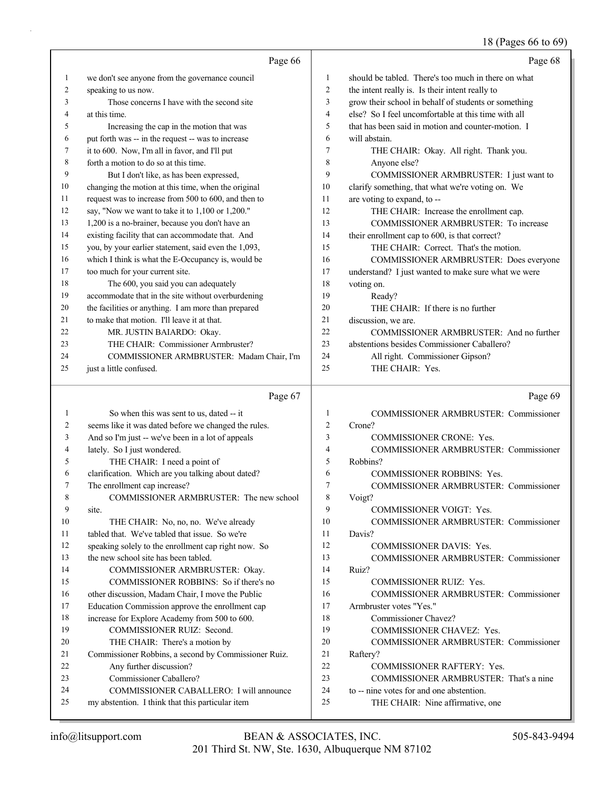### 18 (Pages 66 to 69)

|          |                                                      |                | $10 \text{ (}1 \text{ g}$ co 00 to 07 $\text{)}$                     |
|----------|------------------------------------------------------|----------------|----------------------------------------------------------------------|
|          | Page 66                                              |                | Page 68                                                              |
| 1        | we don't see anyone from the governance council      | 1              | should be tabled. There's too much in there on what                  |
| 2        | speaking to us now.                                  | $\overline{c}$ | the intent really is. Is their intent really to                      |
| 3        | Those concerns I have with the second site           | 3              | grow their school in behalf of students or something                 |
| 4        | at this time.                                        | 4              | else? So I feel uncomfortable at this time with all                  |
| 5        | Increasing the cap in the motion that was            | 5              | that has been said in motion and counter-motion. I                   |
| 6        | put forth was -- in the request -- was to increase   | 6              | will abstain.                                                        |
| 7        | it to 600. Now, I'm all in favor, and I'll put       | 7              | THE CHAIR: Okay. All right. Thank you.                               |
| 8        | forth a motion to do so at this time.                | 8              | Anyone else?                                                         |
| 9        | But I don't like, as has been expressed,             | 9              | COMMISSIONER ARMBRUSTER: I just want to                              |
| 10       | changing the motion at this time, when the original  | 10             | clarify something, that what we're voting on. We                     |
| 11       | request was to increase from 500 to 600, and then to | 11             | are voting to expand, to --                                          |
| 12       | say, "Now we want to take it to 1,100 or 1,200."     | 12             | THE CHAIR: Increase the enrollment cap.                              |
| 13       | 1,200 is a no-brainer, because you don't have an     | 13             | COMMISSIONER ARMBRUSTER: To increase                                 |
| 14       | existing facility that can accommodate that. And     | 14             | their enrollment cap to 600, is that correct?                        |
| 15       | you, by your earlier statement, said even the 1,093, | 15             | THE CHAIR: Correct. That's the motion.                               |
| 16       | which I think is what the E-Occupancy is, would be   | 16             | COMMISSIONER ARMBRUSTER: Does everyone                               |
| 17       | too much for your current site.                      | 17             | understand? I just wanted to make sure what we were                  |
| 18       | The 600, you said you can adequately                 | 18             | voting on.                                                           |
| 19       | accommodate that in the site without overburdening   | 19             | Ready?                                                               |
| 20       | the facilities or anything. I am more than prepared  | 20             | THE CHAIR: If there is no further                                    |
| 21       | to make that motion. I'll leave it at that.          | 21             | discussion, we are.                                                  |
| 22       | MR. JUSTIN BAIARDO: Okay.                            | 22             | COMMISSIONER ARMBRUSTER: And no further                              |
| 23       | THE CHAIR: Commissioner Armbruster?                  | 23             | abstentions besides Commissioner Caballero?                          |
| 24       | COMMISSIONER ARMBRUSTER: Madam Chair, I'm            | 24             | All right. Commissioner Gipson?                                      |
| 25       | just a little confused.                              | 25             | THE CHAIR: Yes.                                                      |
|          |                                                      |                |                                                                      |
|          | Page 67                                              |                | Page 69                                                              |
| 1        | So when this was sent to us, dated -- it             | 1              | <b>COMMISSIONER ARMBRUSTER: Commissioner</b>                         |
| 2        | seems like it was dated before we changed the rules. | $\overline{2}$ | Crone?                                                               |
| 3        | And so I'm just -- we've been in a lot of appeals    | 3              | <b>COMMISSIONER CRONE: Yes.</b>                                      |
| 4        | lately. So I just wondered.                          | 4              | COMMISSIONER ARMBRUSTER: Commissioner                                |
| 5        | THE CHAIR: I need a point of                         | 5              | Robbins?                                                             |
| 6        | clarification. Which are you talking about dated?    | 6              | <b>COMMISSIONER ROBBINS: Yes.</b>                                    |
| 7        | The enrollment cap increase?                         | 7              | COMMISSIONER ARMBRUSTER: Commissioner                                |
| 8        | COMMISSIONER ARMBRUSTER: The new school              | 8              | Voigt?                                                               |
| 9        | site.                                                | 9              | <b>COMMISSIONER VOIGT: Yes.</b>                                      |
| 10       | THE CHAIR: No, no, no. We've already                 | 10             | <b>COMMISSIONER ARMBRUSTER: Commissioner</b>                         |
| 11       | tabled that. We've tabled that issue. So we're       | 11             | Davis?                                                               |
| 12       | speaking solely to the enrollment cap right now. So  | 12             | COMMISSIONER DAVIS: Yes.                                             |
| 13       | the new school site has been tabled.                 | 13             | <b>COMMISSIONER ARMBRUSTER: Commissioner</b>                         |
| 14       | COMMISSIONER ARMBRUSTER: Okay.                       | 14             | Ruiz?                                                                |
| 15       | COMMISSIONER ROBBINS: So if there's no               | 15             | COMMISSIONER RUIZ: Yes.                                              |
| 16       | other discussion, Madam Chair, I move the Public     | 16             | COMMISSIONER ARMBRUSTER: Commissioner                                |
| 17       | Education Commission approve the enrollment cap      | 17             | Armbruster votes "Yes."                                              |
| 18       | increase for Explore Academy from 500 to 600.        | 18             | Commissioner Chavez?                                                 |
| 19       | COMMISSIONER RUIZ: Second.                           | 19             | COMMISSIONER CHAVEZ: Yes.                                            |
| 20       | THE CHAIR: There's a motion by                       | 20<br>21       | COMMISSIONER ARMBRUSTER: Commissioner                                |
| 21       | Commissioner Robbins, a second by Commissioner Ruiz. | 22             | Raftery?                                                             |
| 22<br>23 | Any further discussion?<br>Commissioner Caballero?   | 23             | COMMISSIONER RAFTERY: Yes.<br>COMMISSIONER ARMBRUSTER: That's a nine |
|          |                                                      |                |                                                                      |

- 23 COMMISSIONER ARMBRUSTER: That's a nine
- 24 to -- nine votes for and one abstention.
- 25 THE CHAIR: Nine affirmative, one

24 COMMISSIONER CABALLERO: I will announce

25 my abstention. I think that this particular item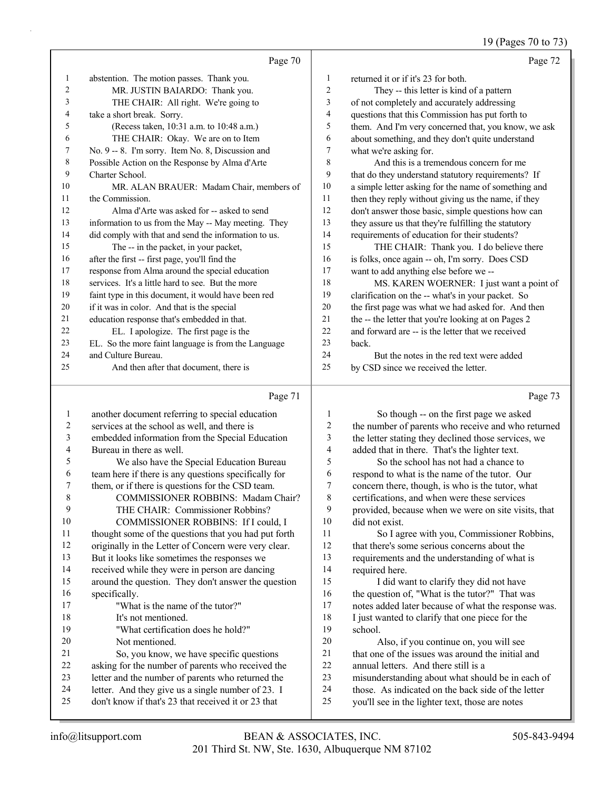19 (Pages 70 to 73)

|    | Page 70                                              |    | Page 72                                              |
|----|------------------------------------------------------|----|------------------------------------------------------|
| 1  | abstention. The motion passes. Thank you.            | 1  | returned it or if it's 23 for both.                  |
| 2  | MR. JUSTIN BAIARDO: Thank you.                       | 2  | They -- this letter is kind of a pattern             |
| 3  | THE CHAIR: All right. We're going to                 | 3  | of not completely and accurately addressing          |
| 4  | take a short break. Sorry.                           | 4  | questions that this Commission has put forth to      |
| 5  | (Recess taken, 10:31 a.m. to 10:48 a.m.)             | 5  | them. And I'm very concerned that, you know, we ask  |
| 6  | THE CHAIR: Okay. We are on to Item                   | 6  | about something, and they don't quite understand     |
| 7  | No. 9 -- 8. I'm sorry. Item No. 8, Discussion and    | 7  | what we're asking for.                               |
| 8  | Possible Action on the Response by Alma d'Arte       | 8  | And this is a tremendous concern for me              |
| 9  | Charter School.                                      | 9  | that do they understand statutory requirements? If   |
| 10 | MR. ALAN BRAUER: Madam Chair, members of             | 10 | a simple letter asking for the name of something and |
| 11 | the Commission.                                      | 11 | then they reply without giving us the name, if they  |
| 12 | Alma d'Arte was asked for -- asked to send           | 12 | don't answer those basic, simple questions how can   |
| 13 | information to us from the May -- May meeting. They  | 13 | they assure us that they're fulfilling the statutory |
| 14 | did comply with that and send the information to us. | 14 | requirements of education for their students?        |
| 15 | The -- in the packet, in your packet,                | 15 | THE CHAIR: Thank you. I do believe there             |
| 16 | after the first -- first page, you'll find the       | 16 | is folks, once again -- oh, I'm sorry. Does CSD      |
| 17 | response from Alma around the special education      | 17 | want to add anything else before we --               |
| 18 | services. It's a little hard to see. But the more    | 18 | MS. KAREN WOERNER: I just want a point of            |
| 19 | faint type in this document, it would have been red  | 19 | clarification on the -- what's in your packet. So    |
| 20 | if it was in color. And that is the special          | 20 | the first page was what we had asked for. And then   |
| 21 | education response that's embedded in that.          | 21 | the -- the letter that you're looking at on Pages 2  |
| 22 | EL. I apologize. The first page is the               | 22 | and forward are -- is the letter that we received    |
| 23 | EL. So the more faint language is from the Language  | 23 | back.                                                |
| 24 | and Culture Bureau.                                  | 24 | But the notes in the red text were added             |
| 25 | And then after that document, there is               | 25 | by CSD since we received the letter.                 |
|    | Page 71                                              |    | Page 73                                              |

|                | rage/1                                               |    | $r$ age $r$ $\sigma$                                |
|----------------|------------------------------------------------------|----|-----------------------------------------------------|
| 1              | another document referring to special education      |    | So though -- on the first page we asked             |
| $\overline{2}$ | services at the school as well, and there is         | 2  | the number of parents who receive and who returned  |
| 3              | embedded information from the Special Education      | 3  | the letter stating they declined those services, we |
| 4              | Bureau in there as well.                             | 4  | added that in there. That's the lighter text.       |
| 5              | We also have the Special Education Bureau            | 5  | So the school has not had a chance to               |
| 6              | team here if there is any questions specifically for | 6  | respond to what is the name of the tutor. Our       |
| 7              | them, or if there is questions for the CSD team.     | 7  | concern there, though, is who is the tutor, what    |
| 8              | <b>COMMISSIONER ROBBINS: Madam Chair?</b>            | 8  | certifications, and when were these services        |
| 9              | THE CHAIR: Commissioner Robbins?                     | 9  | provided, because when we were on site visits, that |
| 10             | COMMISSIONER ROBBINS: If I could, I                  | 10 | did not exist.                                      |
| 11             | thought some of the questions that you had put forth | 11 | So I agree with you, Commissioner Robbins,          |
| 12             | originally in the Letter of Concern were very clear. | 12 | that there's some serious concerns about the        |
| 13             | But it looks like sometimes the responses we         | 13 | requirements and the understanding of what is       |
| 14             | received while they were in person are dancing       | 14 | required here.                                      |
| 15             | around the question. They don't answer the question  | 15 | I did want to clarify they did not have             |
| 16             | specifically.                                        | 16 | the question of, "What is the tutor?" That was      |
| 17             | "What is the name of the tutor?"                     | 17 | notes added later because of what the response was. |
| 18             | It's not mentioned.                                  | 18 | I just wanted to clarify that one piece for the     |
| 19             | "What certification does he hold?"                   | 19 | school.                                             |
| 20             | Not mentioned.                                       | 20 | Also, if you continue on, you will see              |
| 21             | So, you know, we have specific questions             | 21 | that one of the issues was around the initial and   |
| 22             | asking for the number of parents who received the    | 22 | annual letters. And there still is a                |
| 23             | letter and the number of parents who returned the    | 23 | misunderstanding about what should be in each of    |
| 24             | letter. And they give us a single number of 23. I    | 24 | those. As indicated on the back side of the letter  |
| 25             | don't know if that's 23 that received it or 23 that  | 25 | you'll see in the lighter text, those are notes     |
|                |                                                      |    |                                                     |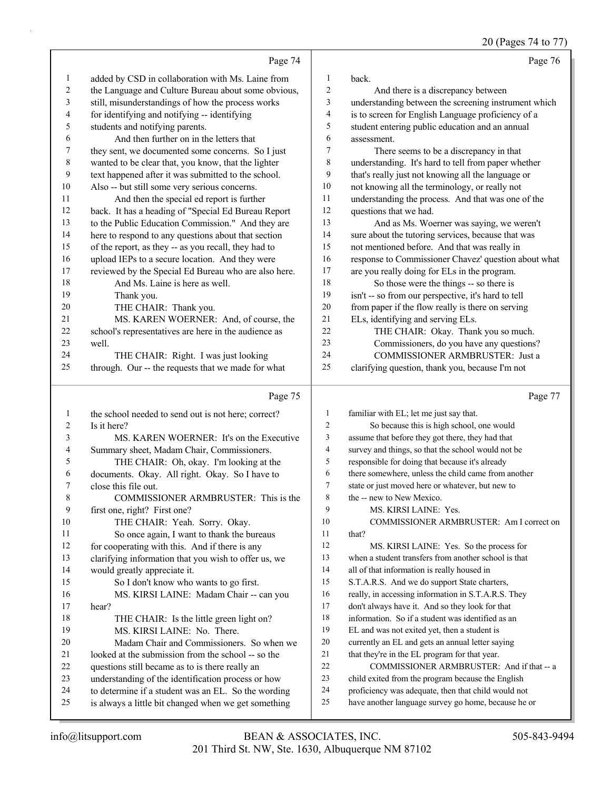|              |                                                      |                         | 20 (Pages 74 to 77)                                  |
|--------------|------------------------------------------------------|-------------------------|------------------------------------------------------|
|              | Page 74                                              |                         | Page 76                                              |
| $\mathbf{1}$ | added by CSD in collaboration with Ms. Laine from    | $\mathbf{1}$            | back.                                                |
| 2            | the Language and Culture Bureau about some obvious,  | $\overline{c}$          | And there is a discrepancy between                   |
| 3            | still, misunderstandings of how the process works    | $\mathfrak{Z}$          | understanding between the screening instrument which |
| 4            | for identifying and notifying -- identifying         | $\overline{4}$          | is to screen for English Language proficiency of a   |
| 5            | students and notifying parents.                      | 5                       | student entering public education and an annual      |
| 6            | And then further on in the letters that              | 6                       | assessment.                                          |
| 7            | they sent, we documented some concerns. So I just    | $\tau$                  | There seems to be a discrepancy in that              |
| $\,8\,$      | wanted to be clear that, you know, that the lighter  | 8                       | understanding. It's hard to tell from paper whether  |
| 9            | text happened after it was submitted to the school.  | 9                       | that's really just not knowing all the language or   |
| 10           | Also -- but still some very serious concerns.        | 10                      | not knowing all the terminology, or really not       |
| 11           | And then the special ed report is further            | 11                      | understanding the process. And that was one of the   |
| 12           | back. It has a heading of "Special Ed Bureau Report  | 12                      | questions that we had.                               |
| 13           | to the Public Education Commission." And they are    | 13                      | And as Ms. Woerner was saying, we weren't            |
| 14           | here to respond to any questions about that section  | 14                      | sure about the tutoring services, because that was   |
| 15           | of the report, as they -- as you recall, they had to | 15                      | not mentioned before. And that was really in         |
| 16           | upload IEPs to a secure location. And they were      | 16                      | response to Commissioner Chavez' question about what |
| 17           | reviewed by the Special Ed Bureau who are also here. | 17                      | are you really doing for ELs in the program.         |
| 18           | And Ms. Laine is here as well.                       | 18                      | So those were the things -- so there is              |
| 19           | Thank you.                                           | 19                      | isn't -- so from our perspective, it's hard to tell  |
| 20           | THE CHAIR: Thank you.                                | 20                      | from paper if the flow really is there on serving    |
| 21           | MS. KAREN WOERNER: And, of course, the               | 21                      | ELs, identifying and serving ELs.                    |
| 22           | school's representatives are here in the audience as | 22                      | THE CHAIR: Okay. Thank you so much.                  |
| 23           | well.                                                | 23                      | Commissioners, do you have any questions?            |
| 24           | THE CHAIR: Right. I was just looking                 | 24                      | COMMISSIONER ARMBRUSTER: Just a                      |
| 25           | through. Our -- the requests that we made for what   | 25                      | clarifying question, thank you, because I'm not      |
|              | Page 75                                              |                         | Page 77                                              |
| $\mathbf{1}$ | the school needed to send out is not here; correct?  | $\mathbf{1}$            | familiar with EL; let me just say that.              |
| 2            | Is it here?                                          | $\overline{c}$          | So because this is high school, one would            |
| 3            | MS. KAREN WOERNER: It's on the Executive             | 3                       | assume that before they got there, they had that     |
| 4            | Summary sheet, Madam Chair, Commissioners.           | $\overline{\mathbf{4}}$ | survey and things, so that the school would not be   |
| 5            | THE CHAIR: Oh, okay. I'm looking at the              | 5                       | responsible for doing that because it's already      |
| 6            | documents. Okay. All right. Okay. So I have to       | 6                       | there somewhere, unless the child came from another  |
| 7            | close this file out.                                 | 7                       | state or just moved here or whatever, but new to     |
| 8            | COMMISSIONER ARMBRUSTER: This is the                 | 8                       | the -- new to New Mexico.                            |
| 9            | first one, right? First one?                         | 9                       | MS. KIRSI LAINE: Yes.                                |
| 10           | THE CHAIR: Yeah. Sorry. Okay.                        | 10                      | COMMISSIONER ARMBRUSTER: Am I correct on             |
| 11           | So once again, I want to thank the bureaus           | 11                      | that?                                                |
| 12           | for cooperating with this. And if there is any       | 12                      | MS. KIRSI LAINE: Yes. So the process for             |
| 13           | clarifying information that you wish to offer us, we | 13                      | when a student transfers from another school is that |
| 14           | would greatly appreciate it.                         | 14                      | all of that information is really housed in          |
| 15           | So I don't know who wants to go first.               | 15                      | S.T.A.R.S. And we do support State charters,         |
| 16           | MS. KIRSI LAINE: Madam Chair -- can you              | 16                      | really, in accessing information in S.T.A.R.S. They  |
| 17           | hear?                                                | 17                      | don't always have it. And so they look for that      |
| 18           | THE CHAIR: Is the little green light on?             | 18                      | information. So if a student was identified as an    |
| 19           | MS. KIRSI LAINE: No. There.                          | 19                      | EL and was not exited yet, then a student is         |
| 20           | Madam Chair and Commissioners. So when we            | 20                      | currently an EL and gets an annual letter saying     |
| 21           | looked at the submission from the school -- so the   | 21                      | that they're in the EL program for that year.        |
| 22           | questions still became as to is there really an      | 22                      | COMMISSIONER ARMBRUSTER: And if that -- a            |
| 23           | understanding of the identification process or how   | 23                      | child exited from the program because the English    |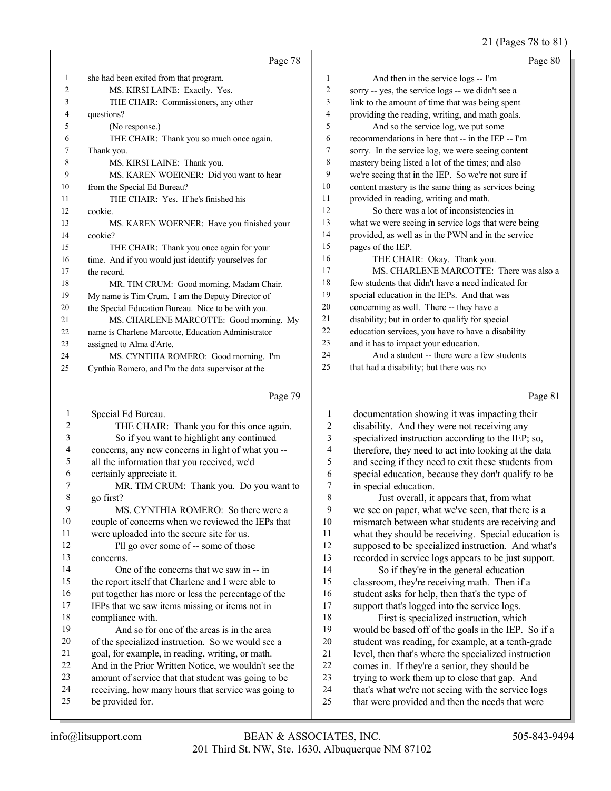## 21 (Pages 78 to 81)

|              | Page 78                                                                                                    |                | Page 80                                                                                             |
|--------------|------------------------------------------------------------------------------------------------------------|----------------|-----------------------------------------------------------------------------------------------------|
| 1            | she had been exited from that program.                                                                     | $\mathbf{1}$   | And then in the service logs -- I'm                                                                 |
| 2            | MS. KIRSI LAINE: Exactly. Yes.                                                                             | 2              | sorry -- yes, the service logs -- we didn't see a                                                   |
| 3            | THE CHAIR: Commissioners, any other                                                                        | 3              | link to the amount of time that was being spent                                                     |
| 4            | questions?                                                                                                 | 4              | providing the reading, writing, and math goals.                                                     |
| 5            | (No response.)                                                                                             | 5              | And so the service log, we put some                                                                 |
| 6            | THE CHAIR: Thank you so much once again.                                                                   | 6              | recommendations in here that -- in the IEP -- I'm                                                   |
| 7            | Thank you.                                                                                                 | 7              | sorry. In the service log, we were seeing content                                                   |
| 8            | MS. KIRSI LAINE: Thank you.                                                                                | $\,$ $\,$      | mastery being listed a lot of the times; and also                                                   |
| 9            | MS. KAREN WOERNER: Did you want to hear                                                                    | 9              | we're seeing that in the IEP. So we're not sure if                                                  |
| 10           | from the Special Ed Bureau?                                                                                | 10             | content mastery is the same thing as services being                                                 |
| 11           | THE CHAIR: Yes. If he's finished his                                                                       | 11             | provided in reading, writing and math.                                                              |
| 12           | cookie.                                                                                                    | 12             | So there was a lot of inconsistencies in                                                            |
| 13           | MS. KAREN WOERNER: Have you finished your                                                                  | 13             | what we were seeing in service logs that were being                                                 |
| 14           | cookie?                                                                                                    | 14             | provided, as well as in the PWN and in the service                                                  |
| 15           | THE CHAIR: Thank you once again for your                                                                   | 15             | pages of the IEP.                                                                                   |
| 16           | time. And if you would just identify yourselves for                                                        | 16             | THE CHAIR: Okay. Thank you.                                                                         |
| 17           | the record.                                                                                                | 17             | MS. CHARLENE MARCOTTE: There was also a                                                             |
| 18           | MR. TIM CRUM: Good morning, Madam Chair.                                                                   | 18             | few students that didn't have a need indicated for                                                  |
| 19           | My name is Tim Crum. I am the Deputy Director of                                                           | 19             | special education in the IEPs. And that was                                                         |
| 20           | the Special Education Bureau. Nice to be with you.                                                         | 20             | concerning as well. There -- they have a                                                            |
| 21           | MS. CHARLENE MARCOTTE: Good morning. My                                                                    | 21             | disability; but in order to qualify for special                                                     |
| 22           | name is Charlene Marcotte, Education Administrator                                                         | 22             | education services, you have to have a disability                                                   |
| 23           | assigned to Alma d'Arte.                                                                                   | 23             | and it has to impact your education.                                                                |
| 24           | MS. CYNTHIA ROMERO: Good morning. I'm                                                                      | 24             | And a student -- there were a few students                                                          |
| 25           | Cynthia Romero, and I'm the data supervisor at the                                                         | 25             | that had a disability; but there was no                                                             |
|              |                                                                                                            |                |                                                                                                     |
|              | Page 79                                                                                                    |                | Page 81                                                                                             |
| $\mathbf{1}$ | Special Ed Bureau.                                                                                         | 1              | documentation showing it was impacting their                                                        |
| 2            | THE CHAIR: Thank you for this once again.                                                                  | $\overline{c}$ | disability. And they were not receiving any                                                         |
| 3            | So if you want to highlight any continued                                                                  | 3              | specialized instruction according to the IEP; so,                                                   |
| 4            | concerns, any new concerns in light of what you --                                                         | 4              | therefore, they need to act into looking at the data                                                |
| 5            | all the information that you received, we'd                                                                | 5              | and seeing if they need to exit these students from                                                 |
| 6            | certainly appreciate it.                                                                                   | 6              | special education, because they don't qualify to be                                                 |
| 7            | MR. TIM CRUM: Thank you. Do you want to                                                                    | 7              | in special education.                                                                               |
| 8            | go first?                                                                                                  | 8              | Just overall, it appears that, from what                                                            |
| 9            | MS. CYNTHIA ROMERO: So there were a                                                                        | 9              | we see on paper, what we've seen, that there is a                                                   |
| 10           | couple of concerns when we reviewed the IEPs that                                                          | 10             | mismatch between what students are receiving and                                                    |
| 11           | were uploaded into the secure site for us.                                                                 | 11             | what they should be receiving. Special education is                                                 |
| 12           | I'll go over some of -- some of those                                                                      | 12             | supposed to be specialized instruction. And what's                                                  |
| 13           | concerns.                                                                                                  | 13             | recorded in service logs appears to be just support.                                                |
| 14           | One of the concerns that we saw in -- in                                                                   | 14             | So if they're in the general education                                                              |
| 15           | the report itself that Charlene and I were able to                                                         | 15             | classroom, they're receiving math. Then if a                                                        |
| 16           | put together has more or less the percentage of the                                                        | 16             | student asks for help, then that's the type of                                                      |
| 17           | IEPs that we saw items missing or items not in                                                             | 17             | support that's logged into the service logs.                                                        |
| 18           | compliance with.                                                                                           | 18             | First is specialized instruction, which                                                             |
| 19           | And so for one of the areas is in the area                                                                 | 19             | would be based off of the goals in the IEP. So if a                                                 |
| 20           | of the specialized instruction. So we would see a                                                          | 20             | student was reading, for example, at a tenth-grade                                                  |
| 21           | goal, for example, in reading, writing, or math.                                                           | 21             | level, then that's where the specialized instruction                                                |
| 22<br>23     | And in the Prior Written Notice, we wouldn't see the                                                       | 22             | comes in. If they're a senior, they should be                                                       |
| 24           | amount of service that that student was going to be<br>receiving, how many hours that service was going to | 23<br>24       | trying to work them up to close that gap. And<br>that's what we're not seeing with the service logs |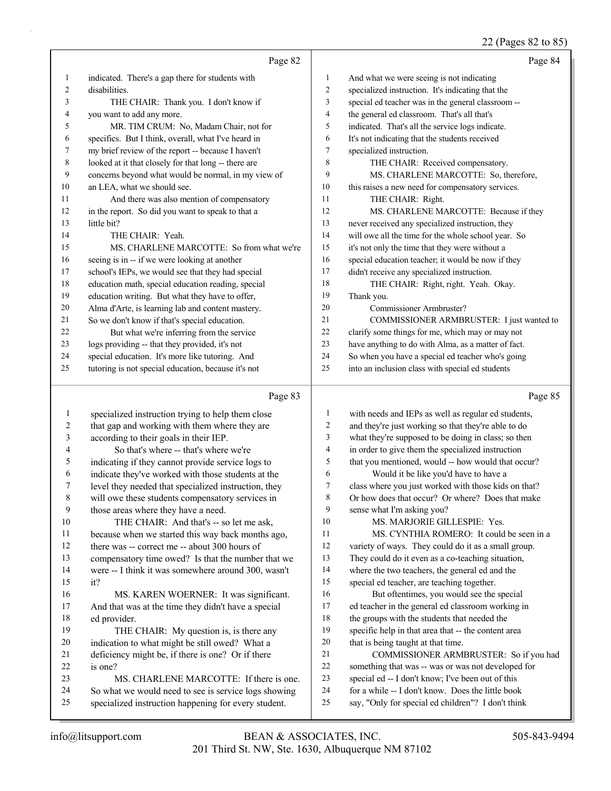#### 22 (Pages 82 to 85)

|    | Page 82                                              |                | Page 84                                             |
|----|------------------------------------------------------|----------------|-----------------------------------------------------|
| 1  | indicated. There's a gap there for students with     | 1              | And what we were seeing is not indicating           |
| 2  | disabilities.                                        | 2              | specialized instruction. It's indicating that the   |
| 3  | THE CHAIR: Thank you. I don't know if                | 3              | special ed teacher was in the general classroom --  |
| 4  | you want to add any more.                            | $\overline{4}$ | the general ed classroom. That's all that's         |
| 5  | MR. TIM CRUM: No, Madam Chair, not for               | 5              | indicated. That's all the service logs indicate.    |
| 6  | specifics. But I think, overall, what I've heard in  | 6              | It's not indicating that the students received      |
| 7  | my brief review of the report -- because I haven't   | $\tau$         | specialized instruction.                            |
| 8  | looked at it that closely for that long -- there are | 8              | THE CHAIR: Received compensatory.                   |
| 9  | concerns beyond what would be normal, in my view of  | 9              | MS. CHARLENE MARCOTTE: So, therefore,               |
| 10 | an LEA, what we should see.                          | 10             | this raises a new need for compensatory services.   |
| 11 | And there was also mention of compensatory           | 11             | THE CHAIR: Right.                                   |
| 12 | in the report. So did you want to speak to that a    | 12             | MS. CHARLENE MARCOTTE: Because if they              |
| 13 | little bit?                                          | 13             | never received any specialized instruction, they    |
| 14 | THE CHAIR: Yeah.                                     | 14             | will owe all the time for the whole school year. So |
| 15 | MS. CHARLENE MARCOTTE: So from what we're            | 15             | it's not only the time that they were without a     |
| 16 | seeing is in -- if we were looking at another        | 16             | special education teacher; it would be now if they  |
| 17 | school's IEPs, we would see that they had special    | 17             | didn't receive any specialized instruction.         |
| 18 | education math, special education reading, special   | 18             | THE CHAIR: Right, right. Yeah. Okay.                |
| 19 | education writing. But what they have to offer,      | 19             | Thank you.                                          |
| 20 | Alma d'Arte, is learning lab and content mastery.    | 20             | Commissioner Armbruster?                            |
| 21 | So we don't know if that's special education.        | 21             | COMMISSIONER ARMBRUSTER: I just wanted to           |
| 22 | But what we're inferring from the service            | 22             | clarify some things for me, which may or may not    |
| 23 | logs providing -- that they provided, it's not       | 23             | have anything to do with Alma, as a matter of fact. |
| 24 | special education. It's more like tutoring. And      | 24             | So when you have a special ed teacher who's going   |
| 25 | tutoring is not special education, because it's not  | 25             | into an inclusion class with special ed students    |
|    |                                                      |                |                                                     |

#### Page 83

 specialized instruction trying to help them close that gap and working with them where they are according to their goals in their IEP. 4 So that's where -- that's where we're indicating if they cannot provide service logs to indicate they've worked with those students at the level they needed that specialized instruction, they will owe these students compensatory services in those areas where they have a need. 10 THE CHAIR: And that's -- so let me ask, because when we started this way back months ago, 12 there was -- correct me -- about 300 hours of compensatory time owed? Is that the number that we were -- I think it was somewhere around 300, wasn't it? 16 MS. KAREN WOERNER: It was significant. And that was at the time they didn't have a special ed provider. 19 THE CHAIR: My question is, is there any indication to what might be still owed? What a deficiency might be, if there is one? Or if there is one? 23 MS. CHARLENE MARCOTTE: If there is one. So what we would need to see is service logs showing specialized instruction happening for every student. with needs and IEPs as well as regular ed students, and they're just working so that they're able to do what they're supposed to be doing in class; so then in order to give them the specialized instruction that you mentioned, would -- how would that occur? 6 Would it be like you'd have to have a class where you just worked with those kids on that? Or how does that occur? Or where? Does that make sense what I'm asking you? 10 MS. MARJORIE GILLESPIE: Yes. 11 MS. CYNTHIA ROMERO: It could be seen in a variety of ways. They could do it as a small group. They could do it even as a co-teaching situation, where the two teachers, the general ed and the special ed teacher, are teaching together. 16 But oftentimes, you would see the special ed teacher in the general ed classroom working in the groups with the students that needed the specific help in that area that -- the content area that is being taught at that time. 21 COMMISSIONER ARMBRUSTER: So if you had something that was -- was or was not developed for special ed -- I don't know; I've been out of this for a while -- I don't know. Does the little book say, "Only for special ed children"? I don't think

Page 85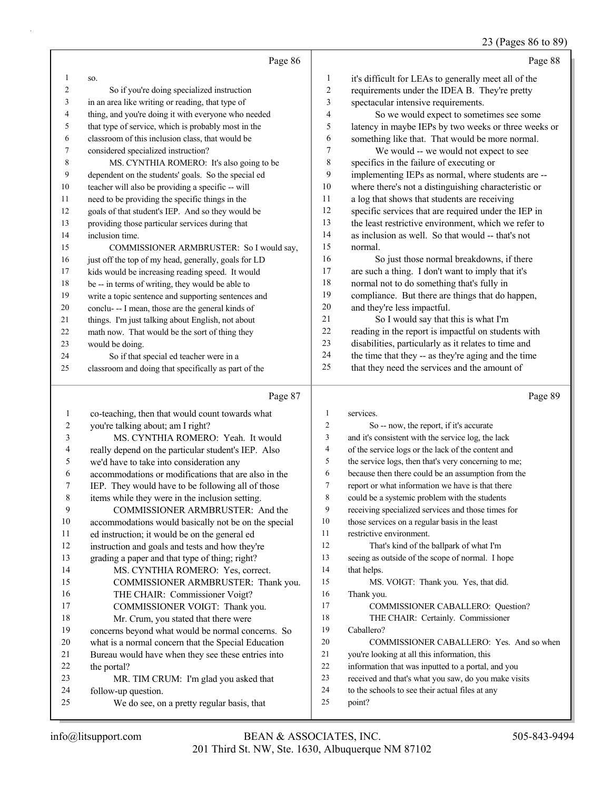## 23 (Pages 86 to 89)

|    | Page 86                                              |    | Page 88                                              |
|----|------------------------------------------------------|----|------------------------------------------------------|
|    | SO.                                                  | 1  | it's difficult for LEAs to generally meet all of the |
| 2  | So if you're doing specialized instruction           | 2  | requirements under the IDEA B. They're pretty        |
| 3  | in an area like writing or reading, that type of     | 3  | spectacular intensive requirements.                  |
| 4  | thing, and you're doing it with everyone who needed  | 4  | So we would expect to sometimes see some             |
| 5  | that type of service, which is probably most in the  | 5  | latency in maybe IEPs by two weeks or three weeks or |
| 6  | classroom of this inclusion class, that would be     | 6  | something like that. That would be more normal.      |
| 7  | considered specialized instruction?                  | 7  | We would -- we would not expect to see               |
| 8  | MS. CYNTHIA ROMERO: It's also going to be            | 8  | specifics in the failure of executing or             |
| 9  | dependent on the students' goals. So the special ed  | 9  | implementing IEPs as normal, where students are --   |
| 10 | teacher will also be providing a specific -- will    | 10 | where there's not a distinguishing characteristic or |
| 11 | need to be providing the specific things in the      | 11 | a log that shows that students are receiving         |
| 12 | goals of that student's IEP. And so they would be    | 12 | specific services that are required under the IEP in |
| 13 | providing those particular services during that      | 13 | the least restrictive environment, which we refer to |
| 14 | inclusion time.                                      | 14 | as inclusion as well. So that would -- that's not    |
| 15 | COMMISSIONER ARMBRUSTER: So I would say,             | 15 | normal.                                              |
| 16 | just off the top of my head, generally, goals for LD | 16 | So just those normal breakdowns, if there            |
| 17 | kids would be increasing reading speed. It would     | 17 | are such a thing. I don't want to imply that it's    |
| 18 | be -- in terms of writing, they would be able to     | 18 | normal not to do something that's fully in           |
| 19 | write a topic sentence and supporting sentences and  | 19 | compliance. But there are things that do happen,     |
| 20 | conclu--- I mean, those are the general kinds of     | 20 | and they're less impactful.                          |
| 21 | things. I'm just talking about English, not about    | 21 | So I would say that this is what I'm                 |
| 22 | math now. That would be the sort of thing they       | 22 | reading in the report is impactful on students with  |
| 23 | would be doing.                                      | 23 | disabilities, particularly as it relates to time and |
| 24 | So if that special ed teacher were in a              | 24 | the time that they -- as they're aging and the time  |
| 25 | classroom and doing that specifically as part of the | 25 | that they need the services and the amount of        |

#### Page

|    | Page 87                                              |    | Page 89                                              |
|----|------------------------------------------------------|----|------------------------------------------------------|
| 1  | co-teaching, then that would count towards what      | 1  | services.                                            |
| 2  | you're talking about; am I right?                    | 2  | So -- now, the report, if it's accurate              |
| 3  | MS. CYNTHIA ROMERO: Yeah. It would                   | 3  | and it's consistent with the service log, the lack   |
| 4  | really depend on the particular student's IEP. Also  | 4  | of the service logs or the lack of the content and   |
| 5  | we'd have to take into consideration any             | 5  | the service logs, then that's very concerning to me; |
| 6  | accommodations or modifications that are also in the | 6  | because then there could be an assumption from the   |
| 7  | IEP. They would have to be following all of those    | 7  | report or what information we have is that there     |
| 8  | items while they were in the inclusion setting.      | 8  | could be a systemic problem with the students        |
| 9  | COMMISSIONER ARMBRUSTER: And the                     | 9  | receiving specialized services and those times for   |
| 10 | accommodations would basically not be on the special | 10 | those services on a regular basis in the least       |
| 11 | ed instruction; it would be on the general ed        | 11 | restrictive environment.                             |
| 12 | instruction and goals and tests and how they're      | 12 | That's kind of the ballpark of what I'm              |
| 13 | grading a paper and that type of thing; right?       | 13 | seeing as outside of the scope of normal. I hope     |
| 14 | MS. CYNTHIA ROMERO: Yes, correct.                    | 14 | that helps.                                          |
| 15 | COMMISSIONER ARMBRUSTER: Thank you.                  | 15 | MS. VOIGT: Thank you. Yes, that did.                 |
| 16 | THE CHAIR: Commissioner Voigt?                       | 16 | Thank you.                                           |
| 17 | COMMISSIONER VOIGT: Thank you.                       | 17 | COMMISSIONER CABALLERO: Question?                    |
| 18 | Mr. Crum, you stated that there were                 | 18 | THE CHAIR: Certainly. Commissioner                   |
| 19 | concerns beyond what would be normal concerns. So    | 19 | Caballero?                                           |
| 20 | what is a normal concern that the Special Education  | 20 | COMMISSIONER CABALLERO: Yes. And so when             |
| 21 | Bureau would have when they see these entries into   | 21 | you're looking at all this information, this         |
| 22 | the portal?                                          | 22 | information that was inputted to a portal, and you   |
| 23 | MR. TIM CRUM: I'm glad you asked that                | 23 | received and that's what you saw, do you make visits |
| 24 | follow-up question.                                  | 24 | to the schools to see their actual files at any      |
| 25 | We do see, on a pretty regular basis, that           | 25 | point?                                               |
|    |                                                      |    |                                                      |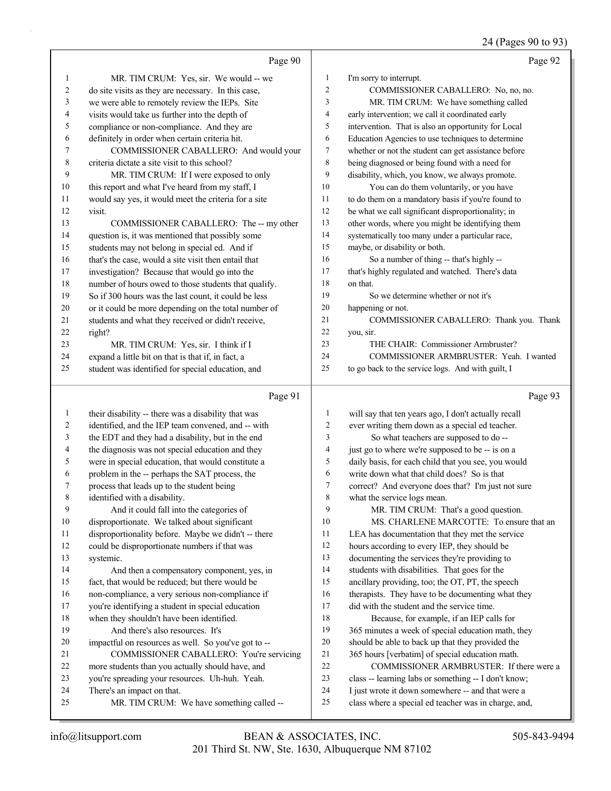## 24 (Pages 90 to 93)

|              | Page 90                                                                                                   |                | Page 92                                                                                                   |
|--------------|-----------------------------------------------------------------------------------------------------------|----------------|-----------------------------------------------------------------------------------------------------------|
| $\mathbf{1}$ | MR. TIM CRUM: Yes, sir. We would -- we                                                                    | $\mathbf{1}$   | I'm sorry to interrupt.                                                                                   |
| 2            | do site visits as they are necessary. In this case,                                                       | $\overline{c}$ | COMMISSIONER CABALLERO: No, no, no.                                                                       |
| 3            | we were able to remotely review the IEPs. Site                                                            | 3              | MR. TIM CRUM: We have something called                                                                    |
| 4            | visits would take us further into the depth of                                                            | 4              | early intervention; we call it coordinated early                                                          |
| 5            | compliance or non-compliance. And they are                                                                | 5              | intervention. That is also an opportunity for Local                                                       |
| 6            | definitely in order when certain criteria hit.                                                            | 6              | Education Agencies to use techniques to determine                                                         |
| 7            | COMMISSIONER CABALLERO: And would your                                                                    | $\tau$         | whether or not the student can get assistance before                                                      |
| 8            | criteria dictate a site visit to this school?                                                             | 8              | being diagnosed or being found with a need for                                                            |
| 9            | MR. TIM CRUM: If I were exposed to only                                                                   | 9              | disability, which, you know, we always promote.                                                           |
| 10           | this report and what I've heard from my staff, I                                                          | 10             | You can do them voluntarily, or you have                                                                  |
| 11           | would say yes, it would meet the criteria for a site                                                      | 11             | to do them on a mandatory basis if you're found to                                                        |
| 12           | visit.                                                                                                    | 12             | be what we call significant disproportionality; in                                                        |
| 13           | COMMISSIONER CABALLERO: The -- my other                                                                   | 13             | other words, where you might be identifying them                                                          |
| 14           | question is, it was mentioned that possibly some                                                          | 14             | systematically too many under a particular race,                                                          |
| 15           | students may not belong in special ed. And if                                                             | 15             | maybe, or disability or both.                                                                             |
| 16           | that's the case, would a site visit then entail that                                                      | 16             | So a number of thing -- that's highly --                                                                  |
| 17           | investigation? Because that would go into the                                                             | 17             | that's highly regulated and watched. There's data                                                         |
| 18           | number of hours owed to those students that qualify.                                                      | 18             | on that.                                                                                                  |
| 19           | So if 300 hours was the last count, it could be less                                                      | 19             | So we determine whether or not it's                                                                       |
| 20           | or it could be more depending on the total number of                                                      | 20             | happening or not.                                                                                         |
| 21           | students and what they received or didn't receive,                                                        | 21             | COMMISSIONER CABALLERO: Thank you. Thank                                                                  |
| 22           | right?                                                                                                    | 22             | you, sir.                                                                                                 |
| 23           | MR. TIM CRUM: Yes, sir. I think if I                                                                      | 23             | THE CHAIR: Commissioner Armbruster?                                                                       |
| 24           | expand a little bit on that is that if, in fact, a                                                        | 24             | COMMISSIONER ARMBRUSTER: Yeah. I wanted                                                                   |
| 25           | student was identified for special education, and                                                         | 25             | to go back to the service logs. And with guilt, I                                                         |
|              |                                                                                                           |                |                                                                                                           |
|              | Page 91                                                                                                   |                | Page 93                                                                                                   |
| $\mathbf{1}$ |                                                                                                           | 1              |                                                                                                           |
| 2            | their disability -- there was a disability that was<br>identified, and the IEP team convened, and -- with | $\overline{c}$ | will say that ten years ago, I don't actually recall<br>ever writing them down as a special ed teacher.   |
| 3            | the EDT and they had a disability, but in the end                                                         | 3              | So what teachers are supposed to do --                                                                    |
| 4            | the diagnosis was not special education and they                                                          | 4              | just go to where we're supposed to be -- is on a                                                          |
| 5            | were in special education, that would constitute a                                                        | 5              | daily basis, for each child that you see, you would                                                       |
| 6            | problem in the -- perhaps the SAT process, the                                                            | 6              | write down what that child does? So is that                                                               |
| 7            | process that leads up to the student being                                                                | 7              | correct? And everyone does that? I'm just not sure                                                        |
| 8            | identified with a disability.                                                                             | 8              | what the service logs mean.                                                                               |
| 9            | And it could fall into the categories of                                                                  | 9              | MR. TIM CRUM: That's a good question.                                                                     |
| 10           | disproportionate. We talked about significant                                                             | 10             | MS. CHARLENE MARCOTTE: To ensure that an                                                                  |
| 11           | disproportionality before. Maybe we didn't -- there                                                       | 11             | LEA has documentation that they met the service                                                           |
| 12           | could be disproportionate numbers if that was                                                             | 12             | hours according to every IEP, they should be                                                              |
| 13           | systemic.                                                                                                 | 13             | documenting the services they're providing to                                                             |
| 14           | And then a compensatory component, yes, in                                                                | 14             | students with disabilities. That goes for the                                                             |
| 15           | fact, that would be reduced; but there would be                                                           | 15             | ancillary providing, too; the OT, PT, the speech                                                          |
| 16           | non-compliance, a very serious non-compliance if                                                          | 16             | therapists. They have to be documenting what they                                                         |
| 17           | you're identifying a student in special education                                                         | 17             | did with the student and the service time.                                                                |
| 18           | when they shouldn't have been identified.                                                                 | 18             | Because, for example, if an IEP calls for                                                                 |
| 19           | And there's also resources. It's                                                                          | 19             | 365 minutes a week of special education math, they                                                        |
| 20           | impactful on resources as well. So you've got to --                                                       | $20\,$         | should be able to back up that they provided the                                                          |
| 21           | COMMISSIONER CABALLERO: You're servicing                                                                  | 21             | 365 hours [verbatim] of special education math.                                                           |
| 22           | more students than you actually should have, and                                                          | 22             | COMMISSIONER ARMBRUSTER: If there were a                                                                  |
| 23           | you're spreading your resources. Uh-huh. Yeah.                                                            | 23             | class -- learning labs or something -- I don't know;                                                      |
| 24<br>25     | There's an impact on that.<br>MR. TIM CRUM: We have something called --                                   | 24<br>25       | I just wrote it down somewhere -- and that were a<br>class where a special ed teacher was in charge, and, |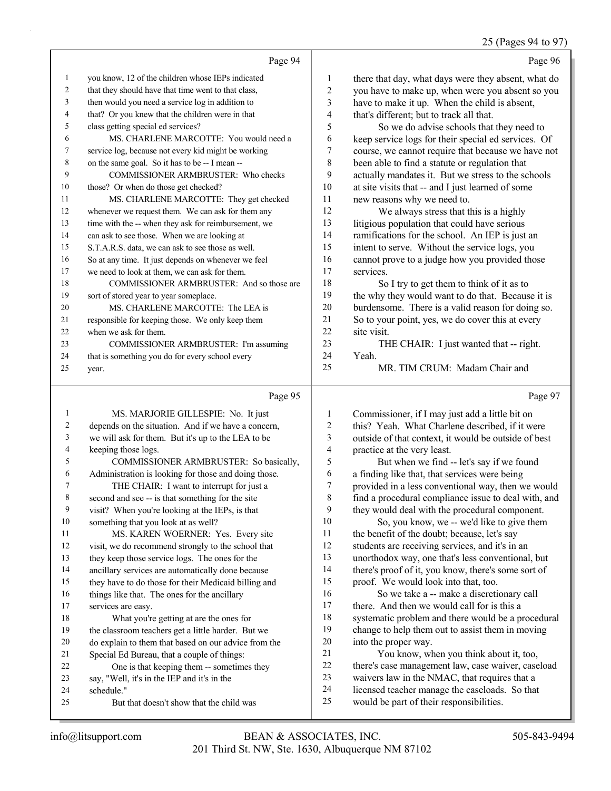#### 25 (Pages 94 to 97)

|              | Page 94                                              |                | Page 96                                              |
|--------------|------------------------------------------------------|----------------|------------------------------------------------------|
| $\mathbf{1}$ | you know, 12 of the children whose IEPs indicated    | $\mathbf{1}$   | there that day, what days were they absent, what do  |
| 2            | that they should have that time went to that class,  | $\overline{c}$ | you have to make up, when were you absent so you     |
| 3            | then would you need a service log in addition to     | 3              | have to make it up. When the child is absent,        |
| 4            | that? Or you knew that the children were in that     | 4              | that's different; but to track all that.             |
| 5            | class getting special ed services?                   | 5              | So we do advise schools that they need to            |
| 6            | MS. CHARLENE MARCOTTE: You would need a              | 6              | keep service logs for their special ed services. Of  |
| 7            | service log, because not every kid might be working  | $\overline{7}$ | course, we cannot require that because we have not   |
| 8            | on the same goal. So it has to be -- I mean --       | $\,$ 8 $\,$    | been able to find a statute or regulation that       |
| 9            | COMMISSIONER ARMBRUSTER: Who checks                  | 9              | actually mandates it. But we stress to the schools   |
| 10           | those? Or when do those get checked?                 | $10\,$         | at site visits that -- and I just learned of some    |
| 11           | MS. CHARLENE MARCOTTE: They get checked              | 11             | new reasons why we need to.                          |
| 12           | whenever we request them. We can ask for them any    | 12             | We always stress that this is a highly               |
| 13           | time with the -- when they ask for reimbursement, we | 13             | litigious population that could have serious         |
| 14           | can ask to see those. When we are looking at         | 14             | ramifications for the school. An IEP is just an      |
| 15           | S.T.A.R.S. data, we can ask to see those as well.    | 15             | intent to serve. Without the service logs, you       |
| 16           | So at any time. It just depends on whenever we feel  | 16             | cannot prove to a judge how you provided those       |
| 17           | we need to look at them, we can ask for them.        | 17             | services.                                            |
| 18           | COMMISSIONER ARMBRUSTER: And so those are            | 18             | So I try to get them to think of it as to            |
| 19           | sort of stored year to year someplace.               | 19             | the why they would want to do that. Because it is    |
| 20           | MS. CHARLENE MARCOTTE: The LEA is                    | 20             | burdensome. There is a valid reason for doing so.    |
| 21           | responsible for keeping those. We only keep them     | 21             | So to your point, yes, we do cover this at every     |
| 22           | when we ask for them.                                | 22             | site visit.                                          |
| 23           | COMMISSIONER ARMBRUSTER: I'm assuming                | 23             | THE CHAIR: I just wanted that -- right.              |
| 24           | that is something you do for every school every      | 24             | Yeah.                                                |
| 25           | year.                                                | 25             | MR. TIM CRUM: Madam Chair and                        |
|              | Page 95                                              |                | Page 97                                              |
| $\mathbf{1}$ | MS. MARJORIE GILLESPIE: No. It just                  | 1              | Commissioner, if I may just add a little bit on      |
| 2            | depends on the situation. And if we have a concern,  | $\overline{c}$ | this? Yeah. What Charlene described, if it were      |
| 3            | we will ask for them. But it's up to the LEA to be   | 3              | outside of that context, it would be outside of best |
| 4            | keeping those logs.                                  | 4              | practice at the very least.                          |
| 5            | COMMISSIONER ARMBRUSTER: So basically,               | 5              | But when we find -- let's say if we found            |
| 6            | Administration is looking for those and doing those. | 6              | a finding like that, that services were being        |
| 7            | THE CHAIR: I want to interrupt for just a            | 7              | provided in a less conventional way, then we would   |
| 8            | second and see -- is that something for the site     | 8              | find a procedural compliance issue to deal with, and |
| 9            | visit? When you're looking at the IEPs, is that      | 9              | they would deal with the procedural component.       |
| 10           | something that you look at as well?                  | $10\,$         | So, you know, we -- we'd like to give them           |
| 11           | MS. KAREN WOERNER: Yes. Every site                   | 11             | the benefit of the doubt; because, let's say         |
| 12           | visit, we do recommend strongly to the school that   | 12             | students are receiving services, and it's in an      |
| 13           | they keep those service logs. The ones for the       | 13             | unorthodox way, one that's less conventional, but    |
| 14           | ancillary services are automatically done because    | 14             | there's proof of it, you know, there's some sort of  |
| 15           | they have to do those for their Medicaid billing and | 15             | proof. We would look into that, too.                 |
| 16           | things like that. The ones for the ancillary         | 16             | So we take a -- make a discretionary call            |

schedule."

services are easy.

18 What you're getting at are the ones for the classroom teachers get a little harder. But we do explain to them that based on our advice from the

 Special Ed Bureau, that a couple of things: 22 One is that keeping them -- sometimes they

25 But that doesn't show that the child was

say, "Well, it's in the IEP and it's in the

17 there. And then we would call for is this a

21 You know, when you think about it, too, there's case management law, case waiver, caseload waivers law in the NMAC, that requires that a licensed teacher manage the caseloads. So that

would be part of their responsibilities.

into the proper way.

 systematic problem and there would be a procedural change to help them out to assist them in moving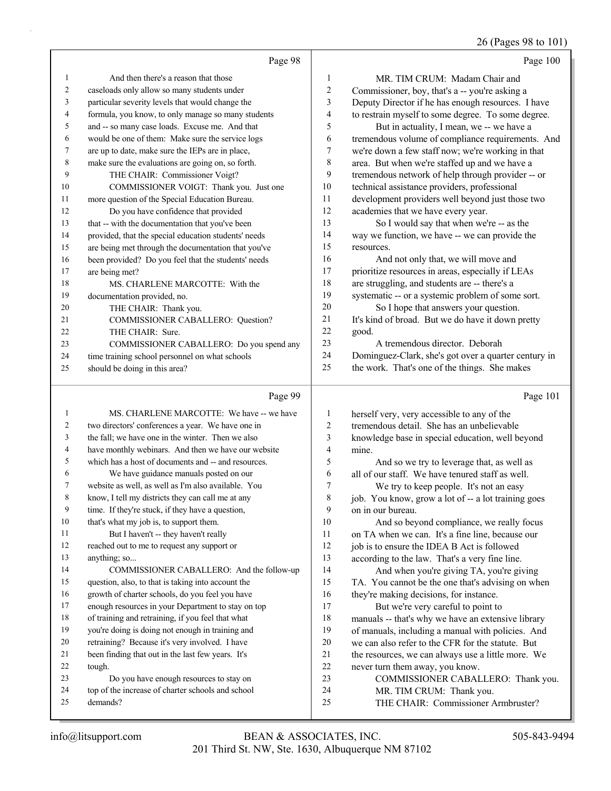26 (Pages 98 to 101)

|    | Page 98                                              |                | Page 100                                             |
|----|------------------------------------------------------|----------------|------------------------------------------------------|
| 1  | And then there's a reason that those                 | 1              | MR. TIM CRUM: Madam Chair and                        |
| 2  | caseloads only allow so many students under          | $\overline{c}$ | Commissioner, boy, that's a -- you're asking a       |
| 3  | particular severity levels that would change the     | 3              | Deputy Director if he has enough resources. I have   |
| 4  | formula, you know, to only manage so many students   | 4              | to restrain myself to some degree. To some degree.   |
| 5  | and -- so many case loads. Excuse me. And that       | 5              | But in actuality, I mean, we -- we have a            |
| 6  | would be one of them: Make sure the service logs     | 6              | tremendous volume of compliance requirements. And    |
| 7  | are up to date, make sure the IEPs are in place,     | 7              | we're down a few staff now; we're working in that    |
| 8  | make sure the evaluations are going on, so forth.    | 8              | area. But when we're staffed up and we have a        |
| 9  | THE CHAIR: Commissioner Voigt?                       | 9              | tremendous network of help through provider -- or    |
| 10 | COMMISSIONER VOIGT: Thank you. Just one              | 10             | technical assistance providers, professional         |
| 11 | more question of the Special Education Bureau.       | 11             | development providers well beyond just those two     |
| 12 | Do you have confidence that provided                 | 12             | academies that we have every year.                   |
| 13 | that -- with the documentation that you've been      | 13             | So I would say that when we're -- as the             |
| 14 | provided, that the special education students' needs | 14             | way we function, we have -- we can provide the       |
| 15 | are being met through the documentation that you've  | 15             | resources.                                           |
| 16 | been provided? Do you feel that the students' needs  | 16             | And not only that, we will move and                  |
| 17 | are being met?                                       | 17             | prioritize resources in areas, especially if LEAs    |
| 18 | MS. CHARLENE MARCOTTE: With the                      | 18             | are struggling, and students are -- there's a        |
| 19 | documentation provided, no.                          | 19             | systematic -- or a systemic problem of some sort.    |
| 20 | THE CHAIR: Thank you.                                | 20             | So I hope that answers your question.                |
| 21 | COMMISSIONER CABALLERO: Question?                    | 21             | It's kind of broad. But we do have it down pretty    |
| 22 | THE CHAIR: Sure.                                     | 22             | good.                                                |
| 23 | COMMISSIONER CABALLERO: Do you spend any             | 23             | A tremendous director. Deborah                       |
| 24 | time training school personnel on what schools       | 24             | Dominguez-Clark, she's got over a quarter century in |
| 25 | should be doing in this area?                        | 25             | the work. That's one of the things. She makes        |
|    | Page 99                                              |                | Page 101                                             |
| 1  | MS. CHARLENE MARCOTTE: We have -- we have            | 1              | herself very, very accessible to any of the          |
|    |                                                      |                |                                                      |

| 2  | two directors' conferences a year. We have one in   | $\overline{c}$ | tremendous detail. She has an unbelievable          |
|----|-----------------------------------------------------|----------------|-----------------------------------------------------|
| 3  | the fall; we have one in the winter. Then we also   | 3              | knowledge base in special education, well beyond    |
| 4  | have monthly webinars. And then we have our website | 4              | mine.                                               |
| 5  | which has a host of documents and -- and resources. | 5              | And so we try to leverage that, as well as          |
| 6  | We have guidance manuals posted on our              | 6              | all of our staff. We have tenured staff as well.    |
| 7  | website as well, as well as I'm also available. You | 7              | We try to keep people. It's not an easy             |
| 8  | know, I tell my districts they can call me at any   | 8              | job. You know, grow a lot of -- a lot training goes |
| 9  | time. If they're stuck, if they have a question,    | 9              | on in our bureau.                                   |
| 10 | that's what my job is, to support them.             | 10             | And so beyond compliance, we really focus           |
| 11 | But I haven't -- they haven't really                | 11             | on TA when we can. It's a fine line, because our    |
| 12 | reached out to me to request any support or         | 12             | job is to ensure the IDEA B Act is followed         |
| 13 | anything; so                                        | 13             | according to the law. That's a very fine line.      |
| 14 | COMMISSIONER CABALLERO: And the follow-up           | 14             | And when you're giving TA, you're giving            |
| 15 | question, also, to that is taking into account the  | 15             | TA. You cannot be the one that's advising on when   |
| 16 | growth of charter schools, do you feel you have     | 16             | they're making decisions, for instance.             |
| 17 | enough resources in your Department to stay on top  | 17             | But we're very careful to point to                  |
| 18 | of training and retraining, if you feel that what   | 18             | manuals -- that's why we have an extensive library  |
| 19 | you're doing is doing not enough in training and    | 19             | of manuals, including a manual with policies. And   |
| 20 | retraining? Because it's very involved. I have      | 20             | we can also refer to the CFR for the statute. But   |
| 21 | been finding that out in the last few years. It's   | 21             | the resources, we can always use a little more. We  |
| 22 | tough.                                              | 22             | never turn them away, you know.                     |
| 23 | Do you have enough resources to stay on             | 23             | COMMISSIONER CABALLERO: Thank you.                  |
| 24 | top of the increase of charter schools and school   | 24             | MR. TIM CRUM: Thank you.                            |
| 25 | demands?                                            | 25             | THE CHAIR: Commissioner Armbruster?                 |
|    |                                                     |                |                                                     |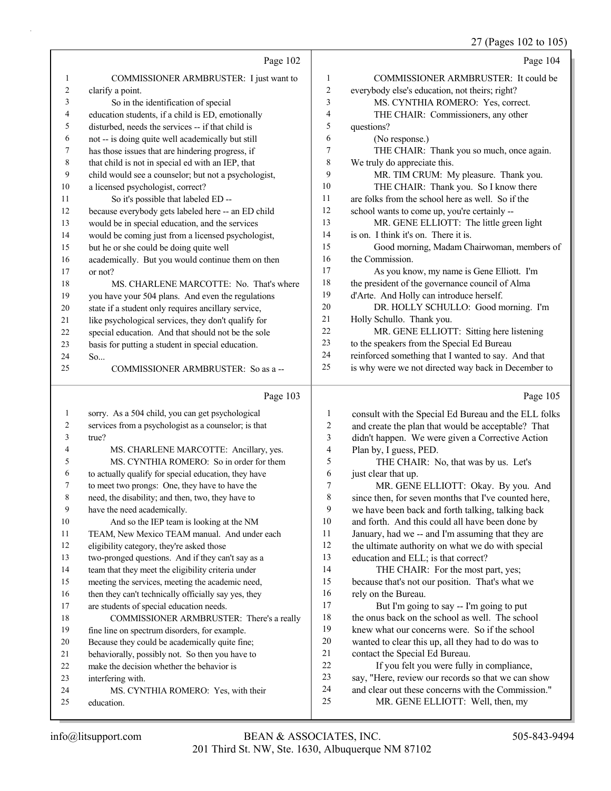## 27 (Pages 102 to 105)

|                | Page 102                                                                              |                  | Page 104                                                                                          |
|----------------|---------------------------------------------------------------------------------------|------------------|---------------------------------------------------------------------------------------------------|
| 1              | COMMISSIONER ARMBRUSTER: I just want to                                               | 1                | COMMISSIONER ARMBRUSTER: It could be                                                              |
| $\overline{c}$ | clarify a point.                                                                      | $\boldsymbol{2}$ | everybody else's education, not theirs; right?                                                    |
| 3              | So in the identification of special                                                   | 3                | MS. CYNTHIA ROMERO: Yes, correct.                                                                 |
| 4              | education students, if a child is ED, emotionally                                     | 4                | THE CHAIR: Commissioners, any other                                                               |
| 5              | disturbed, needs the services -- if that child is                                     | 5                | questions?                                                                                        |
| 6              | not -- is doing quite well academically but still                                     | 6                | (No response.)                                                                                    |
| 7              | has those issues that are hindering progress, if                                      | 7                | THE CHAIR: Thank you so much, once again.                                                         |
| $\,$ $\,$      | that child is not in special ed with an IEP, that                                     | 8                | We truly do appreciate this.                                                                      |
| $\overline{9}$ | child would see a counselor; but not a psychologist,                                  | 9                | MR. TIM CRUM: My pleasure. Thank you.                                                             |
| 10             | a licensed psychologist, correct?                                                     | 10               | THE CHAIR: Thank you. So I know there                                                             |
| 11             | So it's possible that labeled ED --                                                   | 11               | are folks from the school here as well. So if the                                                 |
| 12             | because everybody gets labeled here -- an ED child                                    | 12               | school wants to come up, you're certainly --                                                      |
| 13             | would be in special education, and the services                                       | 13               | MR. GENE ELLIOTT: The little green light                                                          |
| 14             | would be coming just from a licensed psychologist,                                    | 14               | is on. I think it's on. There it is.                                                              |
| 15             | but he or she could be doing quite well                                               | 15               | Good morning, Madam Chairwoman, members of                                                        |
| 16             | academically. But you would continue them on then                                     | 16               | the Commission.                                                                                   |
| 17             | or not?                                                                               | 17               | As you know, my name is Gene Elliott. I'm                                                         |
| 18             | MS. CHARLENE MARCOTTE: No. That's where                                               | 18               | the president of the governance council of Alma                                                   |
| 19             | you have your 504 plans. And even the regulations                                     | 19               | d'Arte. And Holly can introduce herself.                                                          |
| 20             | state if a student only requires ancillary service,                                   | 20               | DR. HOLLY SCHULLO: Good morning. I'm                                                              |
| 21             | like psychological services, they don't qualify for                                   | 21               | Holly Schullo. Thank you.                                                                         |
| 22             | special education. And that should not be the sole                                    | 22               | MR. GENE ELLIOTT: Sitting here listening                                                          |
| 23             | basis for putting a student in special education.                                     | 23<br>24         | to the speakers from the Special Ed Bureau<br>reinforced something that I wanted to say. And that |
| 24<br>25       | So                                                                                    | 25               | is why were we not directed way back in December to                                               |
|                | COMMISSIONER ARMBRUSTER: So as a --                                                   |                  |                                                                                                   |
|                |                                                                                       |                  |                                                                                                   |
|                | Page 103                                                                              |                  | Page 105                                                                                          |
| $\mathbf{1}$   | sorry. As a 504 child, you can get psychological                                      | 1                | consult with the Special Ed Bureau and the ELL folks                                              |
| 2              | services from a psychologist as a counselor; is that                                  | 2                | and create the plan that would be acceptable? That                                                |
| 3              | true?                                                                                 | 3                | didn't happen. We were given a Corrective Action                                                  |
| 4              | MS. CHARLENE MARCOTTE: Ancillary, yes.                                                | 4                | Plan by, I guess, PED.                                                                            |
| 5              | MS. CYNTHIA ROMERO: So in order for them                                              | 5                | THE CHAIR: No, that was by us. Let's                                                              |
| 6              | to actually qualify for special education, they have                                  | 6                | just clear that up.                                                                               |
| 7              | to meet two prongs: One, they have to have the                                        | 7                | MR. GENE ELLIOTT: Okay. By you. And                                                               |
| 8              | need, the disability; and then, two, they have to                                     | 8                | since then, for seven months that I've counted here,                                              |
| 9              | have the need academically.                                                           | 9                | we have been back and forth talking, talking back                                                 |
| 10             | And so the IEP team is looking at the NM                                              | 10               | and forth. And this could all have been done by                                                   |
| 11             | TEAM, New Mexico TEAM manual. And under each                                          | 11               | January, had we -- and I'm assuming that they are                                                 |
| 12             | eligibility category, they're asked those                                             | 12               | the ultimate authority on what we do with special                                                 |
| 13             | two-pronged questions. And if they can't say as a                                     | 13               | education and ELL; is that correct?                                                               |
| 14             | team that they meet the eligibility criteria under                                    | 14               | THE CHAIR: For the most part, yes;                                                                |
| 15             | meeting the services, meeting the academic need,                                      | 15               | because that's not our position. That's what we                                                   |
| 16<br>17       | then they can't technically officially say yes, they                                  | 16<br>17         | rely on the Bureau.                                                                               |
| 18             | are students of special education needs.<br>COMMISSIONER ARMBRUSTER: There's a really | 18               | But I'm going to say -- I'm going to put<br>the onus back on the school as well. The school       |
| 19             | fine line on spectrum disorders, for example.                                         | 19               | knew what our concerns were. So if the school                                                     |
| 20             | Because they could be academically quite fine;                                        | 20               | wanted to clear this up, all they had to do was to                                                |
| 21             | behaviorally, possibly not. So then you have to                                       | 21               | contact the Special Ed Bureau.                                                                    |
| 22             | make the decision whether the behavior is                                             | $22\,$           | If you felt you were fully in compliance,                                                         |
| 23             | interfering with.                                                                     | 23               | say, "Here, review our records so that we can show                                                |
| 24<br>25       | MS. CYNTHIA ROMERO: Yes, with their<br>education.                                     | 24<br>25         | and clear out these concerns with the Commission."<br>MR. GENE ELLIOTT: Well, then, my            |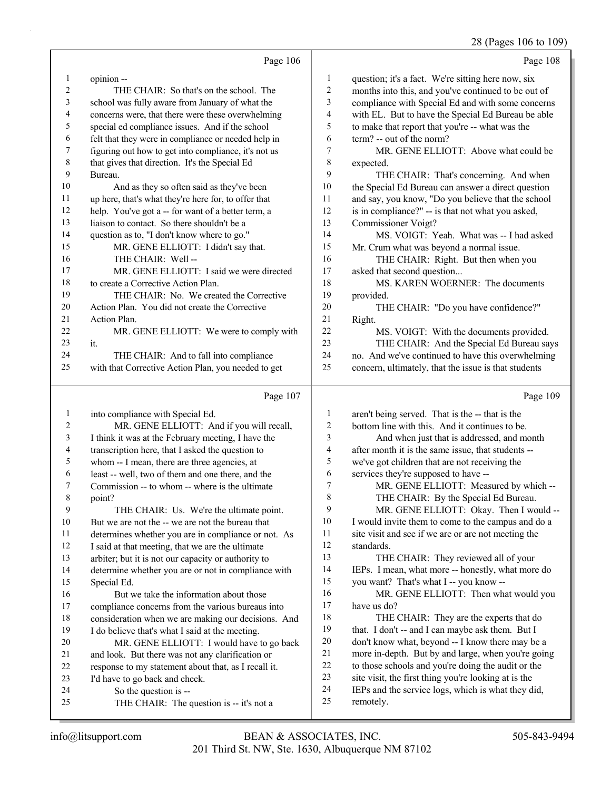## 28 (Pages 106 to 109)

|                | Page 106                                                                                         |                         | Page 108                                                                                          |
|----------------|--------------------------------------------------------------------------------------------------|-------------------------|---------------------------------------------------------------------------------------------------|
| $\mathbf{1}$   | opinion--                                                                                        | $\mathbf{1}$            | question; it's a fact. We're sitting here now, six                                                |
| 2              | THE CHAIR: So that's on the school. The                                                          | $\sqrt{2}$              | months into this, and you've continued to be out of                                               |
| 3              | school was fully aware from January of what the                                                  | 3                       | compliance with Special Ed and with some concerns                                                 |
| 4              | concerns were, that there were these overwhelming                                                | $\overline{\mathbf{4}}$ | with EL. But to have the Special Ed Bureau be able                                                |
| 5              | special ed compliance issues. And if the school                                                  | 5                       | to make that report that you're -- what was the                                                   |
| 6              | felt that they were in compliance or needed help in                                              | 6                       | term? -- out of the norm?                                                                         |
| 7              | figuring out how to get into compliance, it's not us                                             | $\tau$                  | MR. GENE ELLIOTT: Above what could be                                                             |
| 8              | that gives that direction. It's the Special Ed                                                   | $\,$ 8 $\,$             | expected.                                                                                         |
| 9              | Bureau.                                                                                          | 9                       | THE CHAIR: That's concerning. And when                                                            |
| 10             | And as they so often said as they've been                                                        | $10\,$                  | the Special Ed Bureau can answer a direct question                                                |
| 11             | up here, that's what they're here for, to offer that                                             | 11                      | and say, you know, "Do you believe that the school                                                |
| 12             | help. You've got a -- for want of a better term, a                                               | 12                      | is in compliance?" -- is that not what you asked,                                                 |
| 13             | liaison to contact. So there shouldn't be a                                                      | 13                      | Commissioner Voigt?                                                                               |
| 14             | question as to, "I don't know where to go."                                                      | 14                      | MS. VOIGT: Yeah. What was -- I had asked                                                          |
| 15             | MR. GENE ELLIOTT: I didn't say that.                                                             | 15                      | Mr. Crum what was beyond a normal issue.                                                          |
| 16             | THE CHAIR: Well --                                                                               | 16                      | THE CHAIR: Right. But then when you                                                               |
| 17             | MR. GENE ELLIOTT: I said we were directed                                                        | 17                      | asked that second question                                                                        |
| 18             | to create a Corrective Action Plan.                                                              | 18                      | MS. KAREN WOERNER: The documents                                                                  |
| 19             | THE CHAIR: No. We created the Corrective                                                         | 19                      | provided.                                                                                         |
| 20             | Action Plan. You did not create the Corrective                                                   | 20                      | THE CHAIR: "Do you have confidence?"                                                              |
| 21             | Action Plan.                                                                                     | 21                      | Right.                                                                                            |
| 22             | MR. GENE ELLIOTT: We were to comply with                                                         | 22                      | MS. VOIGT: With the documents provided.                                                           |
| 23             | it.                                                                                              | 23                      | THE CHAIR: And the Special Ed Bureau says                                                         |
| 24             | THE CHAIR: And to fall into compliance                                                           | 24                      | no. And we've continued to have this overwhelming                                                 |
| 25             | with that Corrective Action Plan, you needed to get                                              | 25                      | concern, ultimately, that the issue is that students                                              |
|                |                                                                                                  |                         |                                                                                                   |
|                | Page 107                                                                                         |                         | Page 109                                                                                          |
| $\mathbf{1}$   |                                                                                                  | 1                       |                                                                                                   |
| $\overline{c}$ | into compliance with Special Ed.                                                                 | $\sqrt{2}$              | aren't being served. That is the -- that is the<br>bottom line with this. And it continues to be. |
| 3              | MR. GENE ELLIOTT: And if you will recall,<br>I think it was at the February meeting, I have the  | 3                       |                                                                                                   |
| 4              |                                                                                                  | $\overline{\mathbf{4}}$ | And when just that is addressed, and month<br>after month it is the same issue, that students --  |
| 5              | transcription here, that I asked the question to<br>whom -- I mean, there are three agencies, at | 5                       | we've got children that are not receiving the                                                     |
| 6              | least -- well, two of them and one there, and the                                                | 6                       | services they're supposed to have --                                                              |
| 7              | Commission -- to whom -- where is the ultimate                                                   | 7                       | MR. GENE ELLIOTT: Measured by which --                                                            |
| 8              | point?                                                                                           | $\,$ $\,$               | THE CHAIR: By the Special Ed Bureau.                                                              |
| $\mathbf{9}$   | THE CHAIR: Us. We're the ultimate point.                                                         | 9                       | MR. GENE ELLIOTT: Okay. Then I would --                                                           |
| 10             | But we are not the -- we are not the bureau that                                                 | 10                      | I would invite them to come to the campus and do a                                                |
| 11             | determines whether you are in compliance or not. As                                              | 11                      | site visit and see if we are or are not meeting the                                               |
| 12             | I said at that meeting, that we are the ultimate                                                 | 12                      | standards.                                                                                        |
| 13             | arbiter; but it is not our capacity or authority to                                              | 13                      | THE CHAIR: They reviewed all of your                                                              |
| 14             | determine whether you are or not in compliance with                                              | 14                      | IEPs. I mean, what more -- honestly, what more do                                                 |
| 15             | Special Ed.                                                                                      | 15                      | you want? That's what I -- you know --                                                            |
| 16             | But we take the information about those                                                          | 16                      | MR. GENE ELLIOTT: Then what would you                                                             |
| 17             | compliance concerns from the various bureaus into                                                | 17                      | have us do?                                                                                       |
| 18             | consideration when we are making our decisions. And                                              | 18                      | THE CHAIR: They are the experts that do                                                           |
| 19             | I do believe that's what I said at the meeting.                                                  | 19                      | that. I don't -- and I can maybe ask them. But I                                                  |
| 20             | MR. GENE ELLIOTT: I would have to go back                                                        | $20\,$                  | don't know what, beyond -- I know there may be a                                                  |
| 21             | and look. But there was not any clarification or                                                 | 21                      | more in-depth. But by and large, when you're going                                                |
| 22             | response to my statement about that, as I recall it.                                             | $22\,$                  | to those schools and you're doing the audit or the                                                |
| 23             | I'd have to go back and check.                                                                   | 23                      | site visit, the first thing you're looking at is the                                              |
| 24<br>25       | So the question is --<br>THE CHAIR: The question is -- it's not a                                | 24<br>25                | IEPs and the service logs, which is what they did,<br>remotely.                                   |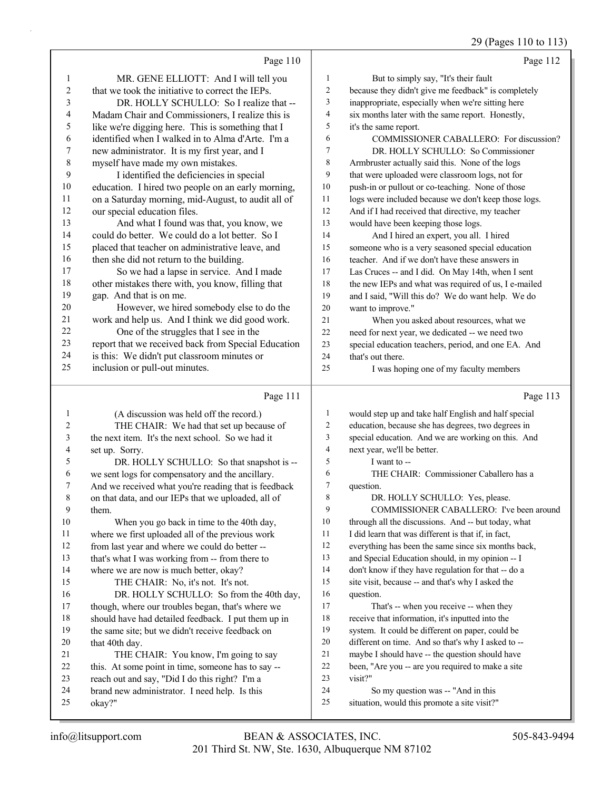## 29 (Pages 110 to 113)

|                | Page 110                                                                       |                               | Page 112                                                                                                   |
|----------------|--------------------------------------------------------------------------------|-------------------------------|------------------------------------------------------------------------------------------------------------|
| $\mathbf{1}$   | MR. GENE ELLIOTT: And I will tell you                                          | 1                             | But to simply say, "It's their fault                                                                       |
| 2              | that we took the initiative to correct the IEPs.                               | $\overline{c}$                | because they didn't give me feedback" is completely                                                        |
| 3              | DR. HOLLY SCHULLO: So I realize that --                                        | $\mathfrak{Z}$                | inappropriate, especially when we're sitting here                                                          |
| 4              | Madam Chair and Commissioners, I realize this is                               | $\overline{\mathcal{A}}$      | six months later with the same report. Honestly,                                                           |
| 5              | like we're digging here. This is something that I                              | 5                             | it's the same report.                                                                                      |
| 6              | identified when I walked in to Alma d'Arte. I'm a                              | 6                             | COMMISSIONER CABALLERO: For discussion?                                                                    |
| 7              | new administrator. It is my first year, and I                                  | $\overline{7}$                | DR. HOLLY SCHULLO: So Commissioner                                                                         |
| $\,8\,$        | myself have made my own mistakes.                                              | $\,$ 8 $\,$                   | Armbruster actually said this. None of the logs                                                            |
| 9              | I identified the deficiencies in special                                       | 9                             | that were uploaded were classroom logs, not for                                                            |
| 10             | education. I hired two people on an early morning,                             | 10                            | push-in or pullout or co-teaching. None of those                                                           |
| 11             | on a Saturday morning, mid-August, to audit all of                             | 11                            | logs were included because we don't keep those logs.                                                       |
| 12             | our special education files.                                                   | 12                            | And if I had received that directive, my teacher                                                           |
| 13             | And what I found was that, you know, we                                        | 13                            | would have been keeping those logs.                                                                        |
| 14             | could do better. We could do a lot better. So I                                | 14                            | And I hired an expert, you all. I hired                                                                    |
| 15             | placed that teacher on administrative leave, and                               | 15                            | someone who is a very seasoned special education                                                           |
| 16             | then she did not return to the building.                                       | 16                            | teacher. And if we don't have these answers in                                                             |
| 17             | So we had a lapse in service. And I made                                       | 17                            | Las Cruces -- and I did. On May 14th, when I sent                                                          |
| 18             | other mistakes there with, you know, filling that                              | 18                            | the new IEPs and what was required of us, I e-mailed                                                       |
| 19             | gap. And that is on me.                                                        | 19                            | and I said, "Will this do? We do want help. We do                                                          |
| 20             | However, we hired somebody else to do the                                      | 20                            | want to improve."                                                                                          |
| 21             | work and help us. And I think we did good work.                                | 21                            | When you asked about resources, what we                                                                    |
| 22             | One of the struggles that I see in the                                         | 22                            | need for next year, we dedicated -- we need two                                                            |
| 23             | report that we received back from Special Education                            | 23                            | special education teachers, period, and one EA. And                                                        |
| 24             | is this: We didn't put classroom minutes or                                    | 24                            | that's out there.                                                                                          |
| 25             | inclusion or pull-out minutes.                                                 | 25                            | I was hoping one of my faculty members                                                                     |
|                | Page 111                                                                       |                               |                                                                                                            |
|                |                                                                                |                               | Page 113                                                                                                   |
|                |                                                                                |                               |                                                                                                            |
| $\mathbf{1}$   | (A discussion was held off the record.)                                        | $\mathbf{1}$                  | would step up and take half English and half special                                                       |
| $\overline{c}$ | THE CHAIR: We had that set up because of                                       | $\overline{c}$                | education, because she has degrees, two degrees in                                                         |
| 3              | the next item. It's the next school. So we had it                              | $\overline{\mathbf{3}}$       | special education. And we are working on this. And                                                         |
| 4<br>5         | set up. Sorry.                                                                 | $\overline{\mathcal{L}}$<br>5 | next year, we'll be better.                                                                                |
|                | DR. HOLLY SCHULLO: So that snapshot is --                                      | 6                             | I want to --                                                                                               |
| 6<br>7         | we sent logs for compensatory and the ancillary.                               | 7                             | THE CHAIR: Commissioner Caballero has a<br>question.                                                       |
| 8              | And we received what you're reading that is feedback                           | 8                             |                                                                                                            |
| 9              | on that data, and our IEPs that we uploaded, all of                            | 9                             | DR. HOLLY SCHULLO: Yes, please.                                                                            |
| 10             | them.                                                                          | 10                            | COMMISSIONER CABALLERO: I've been around                                                                   |
| 11             | When you go back in time to the 40th day,                                      | 11                            | through all the discussions. And -- but today, what<br>I did learn that was different is that if, in fact, |
| 12             | where we first uploaded all of the previous work                               | 12                            |                                                                                                            |
| 13             | from last year and where we could do better --                                 | 13                            | everything has been the same since six months back,                                                        |
| 14             | that's what I was working from -- from there to                                | 14                            | and Special Education should, in my opinion -- I<br>don't know if they have regulation for that -- do a    |
| 15             | where we are now is much better, okay?                                         | 15                            | site visit, because -- and that's why I asked the                                                          |
| 16             | THE CHAIR: No, it's not. It's not.<br>DR. HOLLY SCHULLO: So from the 40th day, | 16                            | question.                                                                                                  |
| 17             | though, where our troubles began, that's where we                              | 17                            | That's -- when you receive -- when they                                                                    |
| 18             | should have had detailed feedback. I put them up in                            | 18                            | receive that information, it's inputted into the                                                           |
| 19             | the same site; but we didn't receive feedback on                               | 19                            | system. It could be different on paper, could be                                                           |
| 20             | that 40th day.                                                                 | 20                            | different on time. And so that's why I asked to --                                                         |
| 21             | THE CHAIR: You know, I'm going to say                                          | 21                            | maybe I should have -- the question should have                                                            |
| 22             | this. At some point in time, someone has to say --                             | 22                            | been, "Are you -- are you required to make a site                                                          |
| 23             | reach out and say, "Did I do this right? I'm a                                 | 23                            | visit?"                                                                                                    |
| 24             | brand new administrator. I need help. Is this                                  | 24                            | So my question was -- "And in this                                                                         |
| 25             | okay?"                                                                         | 25                            | situation, would this promote a site visit?"                                                               |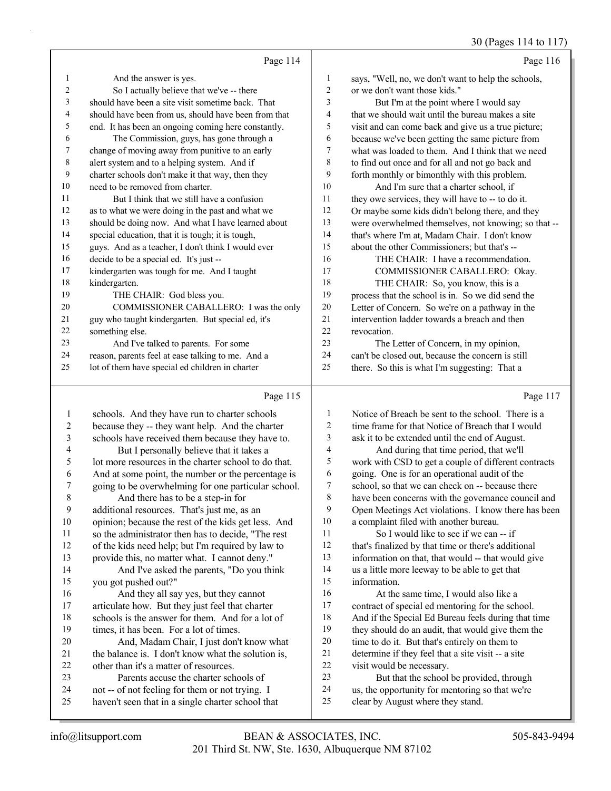30 (Pages 114 to 117)

|    | Page 114                                             |                 | Page 116                                             |
|----|------------------------------------------------------|-----------------|------------------------------------------------------|
| 1  | And the answer is yes.                               | 1               | says, "Well, no, we don't want to help the schools,  |
| 2  | So I actually believe that we've -- there            | $\overline{c}$  | or we don't want those kids."                        |
| 3  | should have been a site visit sometime back. That    | 3               | But I'm at the point where I would say               |
| 4  | should have been from us, should have been from that | 4               | that we should wait until the bureau makes a site    |
| 5  | end. It has been an ongoing coming here constantly.  | 5               | visit and can come back and give us a true picture;  |
| 6  | The Commission, guys, has gone through a             | 6               | because we've been getting the same picture from     |
| 7  | change of moving away from punitive to an early      | 7               | what was loaded to them. And I think that we need    |
| 8  | alert system and to a helping system. And if         | 8               | to find out once and for all and not go back and     |
| 9  | charter schools don't make it that way, then they    | 9               | forth monthly or bimonthly with this problem.        |
| 10 | need to be removed from charter.                     | 10 <sup>1</sup> | And I'm sure that a charter school, if               |
| 11 | But I think that we still have a confusion           | 11              | they owe services, they will have to -- to do it.    |
| 12 | as to what we were doing in the past and what we     | 12              | Or maybe some kids didn't belong there, and they     |
| 13 | should be doing now. And what I have learned about   | 13              | were overwhelmed themselves, not knowing; so that -- |
| 14 | special education, that it is tough; it is tough,    | 14              | that's where I'm at, Madam Chair. I don't know       |
| 15 | guys. And as a teacher, I don't think I would ever   | 15              | about the other Commissioners; but that's --         |
| 16 | decide to be a special ed. It's just --              | 16              | THE CHAIR: I have a recommendation.                  |
| 17 | kindergarten was tough for me. And I taught          | 17              | COMMISSIONER CABALLERO: Okay.                        |
| 18 | kindergarten.                                        | 18              | THE CHAIR: So, you know, this is a                   |
| 19 | THE CHAIR: God bless you.                            | 19              | process that the school is in. So we did send the    |
| 20 | COMMISSIONER CABALLERO: I was the only               | 20              | Letter of Concern. So we're on a pathway in the      |
| 21 | guy who taught kindergarten. But special ed, it's    | 21              | intervention ladder towards a breach and then        |
| 22 | something else.                                      | 22              | revocation.                                          |
| 23 | And I've talked to parents. For some                 | 23              | The Letter of Concern, in my opinion,                |
| 24 | reason, parents feel at ease talking to me. And a    | 24              | can't be closed out, because the concern is still    |
| 25 | lot of them have special ed children in charter      | 25              | there. So this is what I'm suggesting: That a        |
|    |                                                      |                 |                                                      |

# Page 115 |

|             | Page 115                                             |    | Page 117                                             |
|-------------|------------------------------------------------------|----|------------------------------------------------------|
| 1           | schools. And they have run to charter schools        | 1  | Notice of Breach be sent to the school. There is a   |
| 2           | because they -- they want help. And the charter      | 2  | time frame for that Notice of Breach that I would    |
| 3           | schools have received them because they have to.     | 3  | ask it to be extended until the end of August.       |
| 4           | But I personally believe that it takes a             | 4  | And during that time period, that we'll              |
| 5           | lot more resources in the charter school to do that. | 5  | work with CSD to get a couple of different contracts |
| 6           | And at some point, the number or the percentage is   | 6  | going. One is for an operational audit of the        |
| 7           | going to be overwhelming for one particular school.  | 7  | school, so that we can check on -- because there     |
| $\,$ 8 $\,$ | And there has to be a step-in for                    | 8  | have been concerns with the governance council and   |
| 9           | additional resources. That's just me, as an          | 9  | Open Meetings Act violations. I know there has been  |
| 10          | opinion; because the rest of the kids get less. And  | 10 | a complaint filed with another bureau.               |
| 11          | so the administrator then has to decide, "The rest   | 11 | So I would like to see if we can -- if               |
| 12          | of the kids need help; but I'm required by law to    | 12 | that's finalized by that time or there's additional  |
| 13          | provide this, no matter what. I cannot deny."        | 13 | information on that, that would -- that would give   |
| 14          | And I've asked the parents, "Do you think            | 14 | us a little more leeway to be able to get that       |
| 15          | you got pushed out?"                                 | 15 | information.                                         |
| 16          | And they all say yes, but they cannot                | 16 | At the same time, I would also like a                |
| 17          | articulate how. But they just feel that charter      | 17 | contract of special ed mentoring for the school.     |
| 18          | schools is the answer for them. And for a lot of     | 18 | And if the Special Ed Bureau feels during that time  |
| 19          | times, it has been. For a lot of times.              | 19 | they should do an audit, that would give them the    |
| 20          | And, Madam Chair, I just don't know what             | 20 | time to do it. But that's entirely on them to        |
| 21          | the balance is. I don't know what the solution is,   | 21 | determine if they feel that a site visit -- a site   |
| 22          | other than it's a matter of resources.               | 22 | visit would be necessary.                            |
| 23          | Parents accuse the charter schools of                | 23 | But that the school be provided, through             |
| 24          | not -- of not feeling for them or not trying. I      | 24 | us, the opportunity for mentoring so that we're      |
| 25          | haven't seen that in a single charter school that    | 25 | clear by August where they stand.                    |
|             |                                                      |    |                                                      |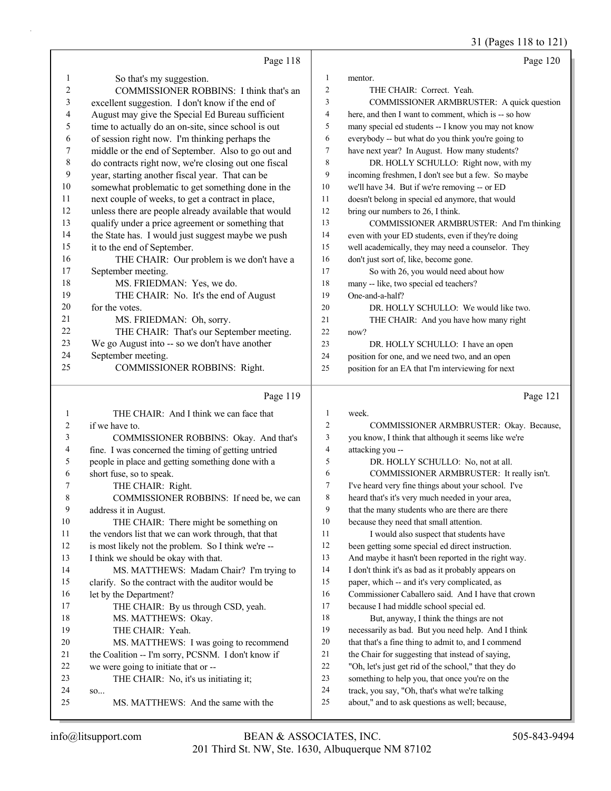31 (Pages 118 to 121)

|          | Page 118                                             |                | Page 120                                                                                         |
|----------|------------------------------------------------------|----------------|--------------------------------------------------------------------------------------------------|
| 1        | So that's my suggestion.                             | $\mathbf{1}$   | mentor.                                                                                          |
| 2        | COMMISSIONER ROBBINS: I think that's an              | 2              | THE CHAIR: Correct. Yeah.                                                                        |
| 3        | excellent suggestion. I don't know if the end of     | 3              | COMMISSIONER ARMBRUSTER: A quick question                                                        |
| 4        | August may give the Special Ed Bureau sufficient     | 4              | here, and then I want to comment, which is -- so how                                             |
| 5        | time to actually do an on-site, since school is out  | 5              | many special ed students -- I know you may not know                                              |
| 6        | of session right now. I'm thinking perhaps the       | 6              | everybody -- but what do you think you're going to                                               |
| 7        | middle or the end of September. Also to go out and   | $\overline{7}$ | have next year? In August. How many students?                                                    |
| 8        | do contracts right now, we're closing out one fiscal | 8              | DR. HOLLY SCHULLO: Right now, with my                                                            |
| 9        | year, starting another fiscal year. That can be      | 9              | incoming freshmen, I don't see but a few. So maybe                                               |
| 10       | somewhat problematic to get something done in the    | 10             | we'll have 34. But if we're removing -- or ED                                                    |
| 11       | next couple of weeks, to get a contract in place,    | 11             | doesn't belong in special ed anymore, that would                                                 |
| 12       | unless there are people already available that would | 12             | bring our numbers to 26, I think.                                                                |
| 13       | qualify under a price agreement or something that    | 13             | COMMISSIONER ARMBRUSTER: And I'm thinking                                                        |
| 14       | the State has. I would just suggest maybe we push    | 14             | even with your ED students, even if they're doing                                                |
| 15       | it to the end of September.                          | 15             | well academically, they may need a counselor. They                                               |
| 16       | THE CHAIR: Our problem is we don't have a            | 16             | don't just sort of, like, become gone.                                                           |
| 17       | September meeting.                                   | 17             | So with 26, you would need about how                                                             |
| 18       | MS. FRIEDMAN: Yes, we do.                            | 18             | many -- like, two special ed teachers?                                                           |
| 19       | THE CHAIR: No. It's the end of August                | 19             | One-and-a-half?                                                                                  |
| 20       | for the votes.                                       | 20             | DR. HOLLY SCHULLO: We would like two.                                                            |
| 21       | MS. FRIEDMAN: Oh, sorry.                             | 21             | THE CHAIR: And you have how many right                                                           |
| 22       | THE CHAIR: That's our September meeting.             | 22             | now?                                                                                             |
| 23       | We go August into -- so we don't have another        | 23             | DR. HOLLY SCHULLO: I have an open                                                                |
| 24       | September meeting.                                   | 24             | position for one, and we need two, and an open                                                   |
| 25       | <b>COMMISSIONER ROBBINS: Right.</b>                  | 25             | position for an EA that I'm interviewing for next                                                |
|          | Page 119                                             |                | Page 121                                                                                         |
| 1        | THE CHAIR: And I think we can face that              | 1              | week.                                                                                            |
| 2        | if we have to.                                       | $\overline{c}$ | COMMISSIONER ARMBRUSTER: Okay. Because,                                                          |
| 3        | COMMISSIONER ROBBINS: Okay. And that's               | 3              | you know, I think that although it seems like we're                                              |
| 4        | fine. I was concerned the timing of getting untried  | 4              | attacking you --                                                                                 |
| 5        | people in place and getting something done with a    | 5              | DR. HOLLY SCHULLO: No, not at all.                                                               |
| 6        | short fuse, so to speak.                             | 6              | COMMISSIONER ARMBRUSTER: It really isn't.                                                        |
| 7        | THE CHAIR: Right.                                    | 7              | I've heard very fine things about your school. I've                                              |
| 8        | COMMISSIONER ROBBINS: If need be, we can             | $\,$ 8 $\,$    | heard that's it's very much needed in your area,                                                 |
| 9        | address it in August.                                | 9              | that the many students who are there are there                                                   |
| $10\,$   | THE CHAIR: There might be something on               | 10             | because they need that small attention.                                                          |
| 11       | the vendors list that we can work through, that that | 11             | I would also suspect that students have                                                          |
| 12       | is most likely not the problem. So I think we're --  | 12             | been getting some special ed direct instruction.                                                 |
| 13       | I think we should be okay with that.                 | 13             | And maybe it hasn't been reported in the right way.                                              |
| 14       | MS. MATTHEWS: Madam Chair? I'm trying to             | 14             | I don't think it's as bad as it probably appears on                                              |
| 15       | clarify. So the contract with the auditor would be   | 15             | paper, which -- and it's very complicated, as                                                    |
| 16       | let by the Department?                               | 16             | Commissioner Caballero said. And I have that crown                                               |
| 17       | THE CHAIR: By us through CSD, yeah.                  | 17             | because I had middle school special ed.                                                          |
| 18       |                                                      |                | But, anyway, I think the things are not                                                          |
|          | MS. MATTHEWS: Okay.                                  | 18             |                                                                                                  |
| 19       | THE CHAIR: Yeah.                                     | 19             | necessarily as bad. But you need help. And I think                                               |
| 20       | MS. MATTHEWS: I was going to recommend               | 20             | that that's a fine thing to admit to, and I commend                                              |
| 21       | the Coalition -- I'm sorry, PCSNM. I don't know if   | 21             | the Chair for suggesting that instead of saying,                                                 |
| 22       | we were going to initiate that or --                 | $22\,$         | "Oh, let's just get rid of the school," that they do                                             |
| 23       | THE CHAIR: No, it's us initiating it;                | 23             | something to help you, that once you're on the                                                   |
| 24<br>25 | so<br>MS. MATTHEWS: And the same with the            | 24<br>25       | track, you say, "Oh, that's what we're talking<br>about," and to ask questions as well; because, |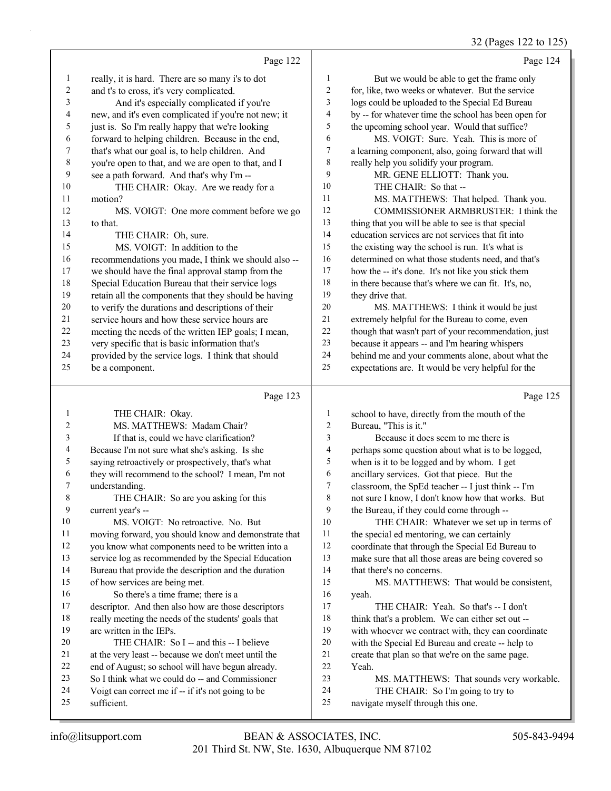32 (Pages 122 to 125)

|                          |                                                      |                          | 32 (Fages 122 to 123                                 |
|--------------------------|------------------------------------------------------|--------------------------|------------------------------------------------------|
|                          | Page 122                                             |                          | Page 124                                             |
| $\mathbf{1}$             | really, it is hard. There are so many i's to dot     | $\mathbf{1}$             | But we would be able to get the frame only           |
| $\sqrt{2}$               | and t's to cross, it's very complicated.             | $\overline{c}$           | for, like, two weeks or whatever. But the service    |
| 3                        | And it's especially complicated if you're            | 3                        | logs could be uploaded to the Special Ed Bureau      |
| $\overline{\mathbf{4}}$  | new, and it's even complicated if you're not new; it | 4                        | by -- for whatever time the school has been open for |
| 5                        | just is. So I'm really happy that we're looking      | 5                        | the upcoming school year. Would that suffice?        |
| 6                        | forward to helping children. Because in the end,     | 6                        | MS. VOIGT: Sure. Yeah. This is more of               |
| $\boldsymbol{7}$         | that's what our goal is, to help children. And       | 7                        | a learning component, also, going forward that will  |
| $\,$ $\,$                | you're open to that, and we are open to that, and I  | $\,8\,$                  | really help you solidify your program.               |
| 9                        | see a path forward. And that's why I'm --            | 9                        | MR. GENE ELLIOTT: Thank you.                         |
| 10                       | THE CHAIR: Okay. Are we ready for a                  | 10                       | THE CHAIR: So that --                                |
| 11                       | motion?                                              | 11                       | MS. MATTHEWS: That helped. Thank you.                |
| 12                       | MS. VOIGT: One more comment before we go             | 12                       | COMMISSIONER ARMBRUSTER: I think the                 |
| 13                       | to that.                                             | 13                       | thing that you will be able to see is that special   |
| 14                       | THE CHAIR: Oh, sure.                                 | 14                       | education services are not services that fit into    |
| 15                       | MS. VOIGT: In addition to the                        | 15                       | the existing way the school is run. It's what is     |
| 16                       | recommendations you made, I think we should also --  | 16                       | determined on what those students need, and that's   |
| $17\,$                   | we should have the final approval stamp from the     | 17                       | how the -- it's done. It's not like you stick them   |
| $18\,$                   | Special Education Bureau that their service logs     | 18                       | in there because that's where we can fit. It's, no,  |
| 19                       | retain all the components that they should be having | 19                       | they drive that.                                     |
| $20\,$                   | to verify the durations and descriptions of their    | $20\,$                   | MS. MATTHEWS: I think it would be just               |
| 21                       | service hours and how these service hours are        | $21\,$                   | extremely helpful for the Bureau to come, even       |
| $22\,$                   | meeting the needs of the written IEP goals; I mean,  | $22\,$                   | though that wasn't part of your recommendation, just |
| 23                       | very specific that is basic information that's       | 23                       | because it appears -- and I'm hearing whispers       |
| 24                       | provided by the service logs. I think that should    | 24                       | behind me and your comments alone, about what the    |
| 25                       | be a component.                                      | 25                       | expectations are. It would be very helpful for the   |
|                          | Page 123                                             |                          | Page 125                                             |
|                          |                                                      |                          |                                                      |
| $\mathbf{1}$             | THE CHAIR: Okay.                                     | $\mathbf{1}$             | school to have, directly from the mouth of the       |
| $\overline{c}$           | MS. MATTHEWS: Madam Chair?                           | 2                        | Bureau, "This is it."                                |
| 3                        | If that is, could we have clarification?             | 3                        | Because it does seem to me there is                  |
| $\overline{\mathcal{A}}$ | Because I'm not sure what she's asking. Is she       | $\overline{\mathcal{L}}$ | perhaps some question about what is to be logged,    |
| 5                        | saying retroactively or prospectively, that's what   | 5                        | when is it to be logged and by whom. I get           |
| 6                        | they will recommend to the school? I mean, I'm not   | 6                        | ancillary services. Got that piece. But the          |
| 7                        | understanding.                                       | 7                        | classroom, the SpEd teacher -- I just think -- I'm   |

8 THE CHAIR: So are you asking for this current year's --

10 MS. VOIGT: No retroactive. No. But

- moving forward, you should know and demonstrate that you know what components need to be written into a
- service log as recommended by the Special Education
- Bureau that provide the description and the duration
- of how services are being met.
- 16 So there's a time frame; there is a
- descriptor. And then also how are those descriptors really meeting the needs of the students' goals that
- are written in the IEPs. 20 THE CHAIR: So I -- and this -- I believe
- at the very least -- because we don't meet until the
- end of August; so school will have begun already.
- So I think what we could do -- and Commissioner
- Voigt can correct me if -- if it's not going to be
- sufficient.

15 MS. MATTHEWS: That would be consistent, yeah. 17 THE CHAIR: Yeah. So that's -- I don't 18 think that's a problem. We can either set out --

not sure I know, I don't know how that works. But

10 THE CHAIR: Whatever we set up in terms of

the Bureau, if they could come through --

11 the special ed mentoring, we can certainly coordinate that through the Special Ed Bureau to make sure that all those areas are being covered so

- with whoever we contract with, they can coordinate
- with the Special Ed Bureau and create -- help to
- create that plan so that we're on the same page.
- Yeah.

that there's no concerns.

- 23 MS. MATTHEWS: That sounds very workable.
- 24 THE CHAIR: So I'm going to try to
- navigate myself through this one.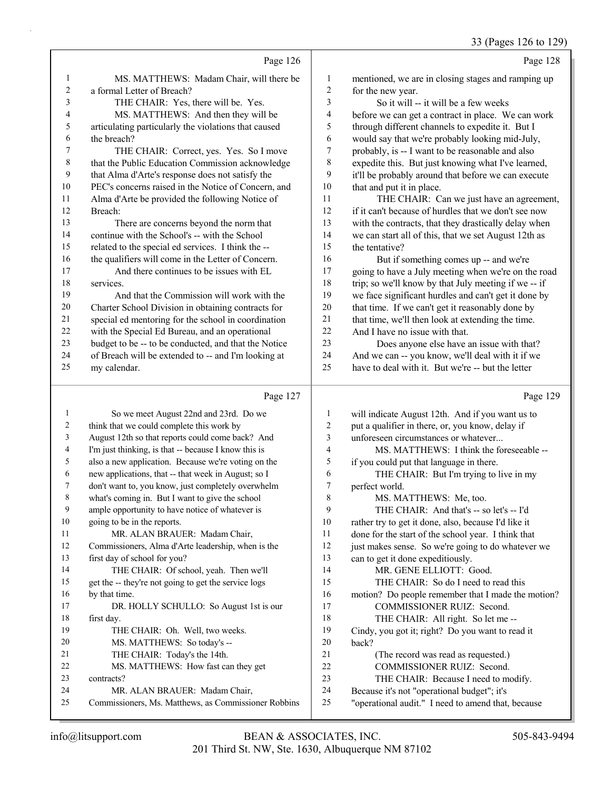|    |                                                      |                | 33 (Pages 126 to 129)                                |
|----|------------------------------------------------------|----------------|------------------------------------------------------|
|    | Page 126                                             |                | Page 128                                             |
| 1  | MS. MATTHEWS: Madam Chair, will there be             | 1              | mentioned, we are in closing stages and ramping up   |
| 2  | a formal Letter of Breach?                           | $\overline{c}$ | for the new year.                                    |
| 3  | THE CHAIR: Yes, there will be. Yes.                  | 3              | So it will -- it will be a few weeks                 |
| 4  | MS. MATTHEWS: And then they will be                  | 4              | before we can get a contract in place. We can work   |
| 5  | articulating particularly the violations that caused | 5              | through different channels to expedite it. But I     |
| 6  | the breach?                                          | 6              | would say that we're probably looking mid-July,      |
| 7  | THE CHAIR: Correct, yes. Yes. So I move              | 7              | probably, is -- I want to be reasonable and also     |
| 8  | that the Public Education Commission acknowledge     | 8              | expedite this. But just knowing what I've learned,   |
| 9  | that Alma d'Arte's response does not satisfy the     | 9              | it'll be probably around that before we can execute  |
| 10 | PEC's concerns raised in the Notice of Concern, and  | 10             | that and put it in place.                            |
| 11 | Alma d'Arte be provided the following Notice of      | 11             | THE CHAIR: Can we just have an agreement,            |
| 12 | Breach:                                              | 12             | if it can't because of hurdles that we don't see now |
| 13 | There are concerns beyond the norm that              | 13             | with the contracts, that they drastically delay when |
| 14 | continue with the School's -- with the School        | 14             | we can start all of this, that we set August 12th as |
| 15 | related to the special ed services. I think the --   | 15             | the tentative?                                       |
| 16 | the qualifiers will come in the Letter of Concern.   | 16             | But if something comes up -- and we're               |
| 17 | And there continues to be issues with EL             | 17             | going to have a July meeting when we're on the road  |
| 18 | services.                                            | 18             | trip; so we'll know by that July meeting if we -- if |
| 19 | And that the Commission will work with the           | 19             | we face significant hurdles and can't get it done by |
| 20 | Charter School Division in obtaining contracts for   | 20             | that time. If we can't get it reasonably done by     |
| 21 | special ed mentoring for the school in coordination  | 21             | that time, we'll then look at extending the time.    |
| 22 | with the Special Ed Bureau, and an operational       | 22             | And I have no issue with that.                       |
| 23 | budget to be -- to be conducted, and that the Notice | 23             | Does anyone else have an issue with that?            |
| 24 | of Breach will be extended to -- and I'm looking at  | 24             | And we can -- you know, we'll deal with it if we     |
| 25 | my calendar.                                         | 25             | have to deal with it. But we're -- but the letter    |
|    | Page 127                                             |                | Page 129                                             |
| 1  | So we meet August 22nd and 23rd. Do we               | 1              | will indicate August 12th. And if you want us to     |
| 2  | think that we could complete this work by            | $\overline{c}$ | put a qualifier in there, or, you know, delay if     |
| 3  | August 12th so that reports could come back? And     | 3              | unforeseen circumstances or whatever                 |
| 4  | I'm just thinking, is that -- because I know this is | $\overline{4}$ | MS. MATTHEWS: I think the foreseeable --             |
| 5  | also a new application. Because we're voting on the  | 5              | if you could put that language in there.             |
| 6  | new applications, that -- that week in August; so I  | 6              | THE CHAIR: But I'm trying to live in my              |
| 7  | don't want to, you know, just completely overwhelm   | 7              | perfect world.                                       |
| 8  | what's coming in. But I want to give the school      | 8              | MS. MATTHEWS: Me, too.                               |
| 9  | ample opportunity to have notice of whatever is      | 9              | THE CHAIR: And that's -- so let's -- I'd             |
| 10 | going to be in the reports.                          | 10             | rather try to get it done, also, because I'd like it |
| 11 | MR. ALAN BRAUER: Madam Chair,                        | 11             | done for the start of the school year. I think that  |
| 12 | Commissioners, Alma d'Arte leadership, when is the   | 12             | just makes sense. So we're going to do whatever we   |
| 13 | first day of school for you?                         | 13             | can to get it done expeditiously.                    |
| 14 | THE CHAIR: Of school, yeah. Then we'll               | 14             | MR. GENE ELLIOTT: Good.                              |
| 15 | get the -- they're not going to get the service logs | 15             | THE CHAIR: So do I need to read this                 |

 motion? Do people remember that I made the motion? 17 COMMISSIONER RUIZ: Second.

- 18 THE CHAIR: All right. So let me --
- Cindy, you got it; right? Do you want to read it back?
- 21 (The record was read as requested.)
- 22 COMMISSIONER RUIZ: Second.
- 23 THE CHAIR: Because I need to modify.
- Because it's not "operational budget"; it's
- "operational audit." I need to amend that, because

contracts?

by that time.

first day.

17 DR. HOLLY SCHULLO: So August 1st is our

19 THE CHAIR: Oh. Well, two weeks. 20 MS. MATTHEWS: So today's -- 21 THE CHAIR: Today's the 14th.

22 MS. MATTHEWS: How fast can they get

Commissioners, Ms. Matthews, as Commissioner Robbins

24 MR. ALAN BRAUER: Madam Chair,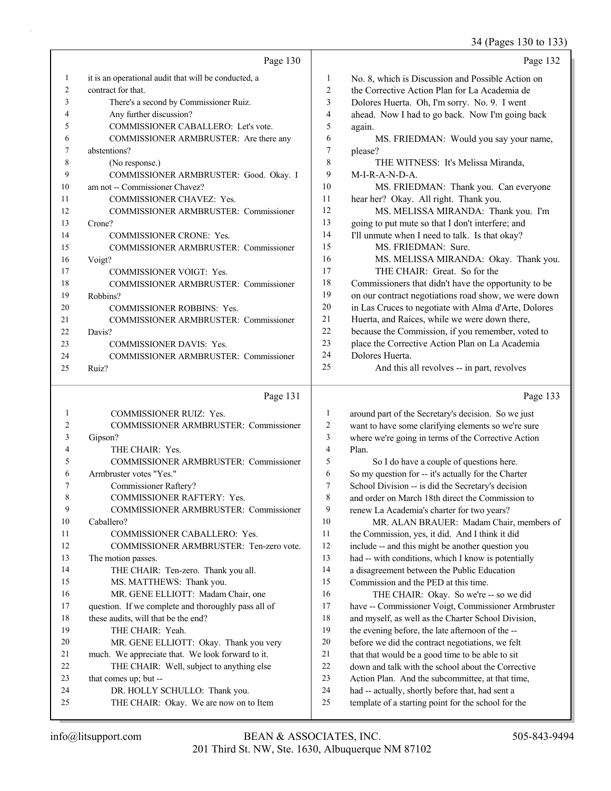34 (Pages 130 to 133)

Page 130 1 it is an operational audit that will be conducted, a 2 contract for that. 3 There's a second by Commissioner Ruiz. 4 Any further discussion? 5 COMMISSIONER CABALLERO: Let's vote. 6 COMMISSIONER ARMBRUSTER: Are there any 7 abstentions? 8 (No response.) 9 COMMISSIONER ARMBRUSTER: Good. Okay. I 10 am not -- Commissioner Chavez? 11 COMMISSIONER CHAVEZ: Yes. 12 COMMISSIONER ARMBRUSTER: Commissioner 13 Crone? 14 COMMISSIONER CRONE: Yes. 15 COMMISSIONER ARMBRUSTER: Commissioner 16 Voigt? 17 COMMISSIONER VOIGT: Yes. 18 COMMISSIONER ARMBRUSTER: Commissioner 19 Robbins? 20 COMMISSIONER ROBBINS: Yes. 21 COMMISSIONER ARMBRUSTER: Commissioner 22 Davis? 23 COMMISSIONER DAVIS: Yes. 24 COMMISSIONER ARMBRUSTER: Commissioner 25 Ruiz? Page 131 1 COMMISSIONER RUIZ: Yes. Page 132 1 No. 8, which is Discussion and Possible Action on 2 the Corrective Action Plan for La Academia de 3 Dolores Huerta. Oh, I'm sorry. No. 9. I went 4 ahead. Now I had to go back. Now I'm going back 5 again. 6 MS. FRIEDMAN: Would you say your name, 7 please? 8 THE WITNESS: It's Melissa Miranda, 9 M-I-R-A-N-D-A. 10 MS. FRIEDMAN: Thank you. Can everyone 11 hear her? Okay. All right. Thank you. 12 MS. MELISSA MIRANDA: Thank you. I'm 13 going to put mute so that I don't interfere; and 14 I'll unmute when I need to talk. Is that okay? 15 MS. FRIEDMAN: Sure. 16 MS. MELISSA MIRANDA: Okay. Thank you. 17 THE CHAIR: Great. So for the 18 Commissioners that didn't have the opportunity to be 19 on our contract negotiations road show, we were down 20 in Las Cruces to negotiate with Alma d'Arte, Dolores 21 Huerta, and Raíces, while we were down there, 22 because the Commission, if you remember, voted to 23 place the Corrective Action Plan on La Academia 24 Dolores Huerta. 25 And this all revolves -- in part, revolves Page 133 1 around part of the Secretary's decision. So we just want to have some clarifying elements so we're sure

| $\overline{c}$ | <b>COMMISSIONER ARMBRUSTER: Commissioner</b>        | 2  | want to have some clarifying elements so we're sure |
|----------------|-----------------------------------------------------|----|-----------------------------------------------------|
| 3              | Gipson?                                             | 3  | where we're going in terms of the Corrective Action |
| 4              | THE CHAIR: Yes.                                     | 4  | Plan.                                               |
| 5              | COMMISSIONER ARMBRUSTER: Commissioner               | 5  | So I do have a couple of questions here.            |
| 6              | Armbruster votes "Yes."                             | 6  | So my question for -- it's actually for the Charter |
| 7              | Commissioner Raftery?                               | 7  | School Division -- is did the Secretary's decision  |
| 8              | <b>COMMISSIONER RAFTERY: Yes.</b>                   | 8  | and order on March 18th direct the Commission to    |
| 9              | COMMISSIONER ARMBRUSTER: Commissioner               | 9  | renew La Academia's charter for two years?          |
| 10             | Caballero?                                          | 10 | MR. ALAN BRAUER: Madam Chair, members o             |
| 11             | <b>COMMISSIONER CABALLERO: Yes.</b>                 | 11 | the Commission, yes, it did. And I think it did     |
| 12             | COMMISSIONER ARMBRUSTER: Ten-zero vote.             | 12 | include -- and this might be another question you   |
| 13             | The motion passes.                                  | 13 | had -- with conditions, which I know is potentially |
| 14             | THE CHAIR: Ten-zero. Thank you all.                 | 14 | a disagreement between the Public Education         |
| 15             | MS. MATTHEWS: Thank you.                            | 15 | Commission and the PED at this time.                |
| 16             | MR. GENE ELLIOTT: Madam Chair, one                  | 16 | THE CHAIR: Okay. So we're -- so we did              |
| 17             | question. If we complete and thoroughly pass all of | 17 | have -- Commissioner Voigt, Commissioner Armbruster |
| 18             | these audits, will that be the end?                 | 18 | and myself, as well as the Charter School Division, |
| 19             | THE CHAIR: Yeah.                                    | 19 | the evening before, the late afternoon of the --    |
| 20             | MR. GENE ELLIOTT: Okay. Thank you very              | 20 | before we did the contract negotiations, we felt    |
| 21             | much. We appreciate that. We look forward to it.    | 21 | that that would be a good time to be able to sit    |
| 22             | THE CHAIR: Well, subject to anything else           | 22 | down and talk with the school about the Corrective  |
| 23             | that comes up; but --                               | 23 | Action Plan. And the subcommittee, at that time,    |
| 24             | DR. HOLLY SCHULLO: Thank you.                       | 24 | had -- actually, shortly before that, had sent a    |
| 25             | THE CHAIR: Okay. We are now on to Item              | 25 | template of a starting point for the school for the |
|                |                                                     |    |                                                     |

201 Third St. NW, Ste. 1630, Albuquerque NM 87102 info@litsupport.com BEAN & ASSOCIATES, INC. 505-843-9494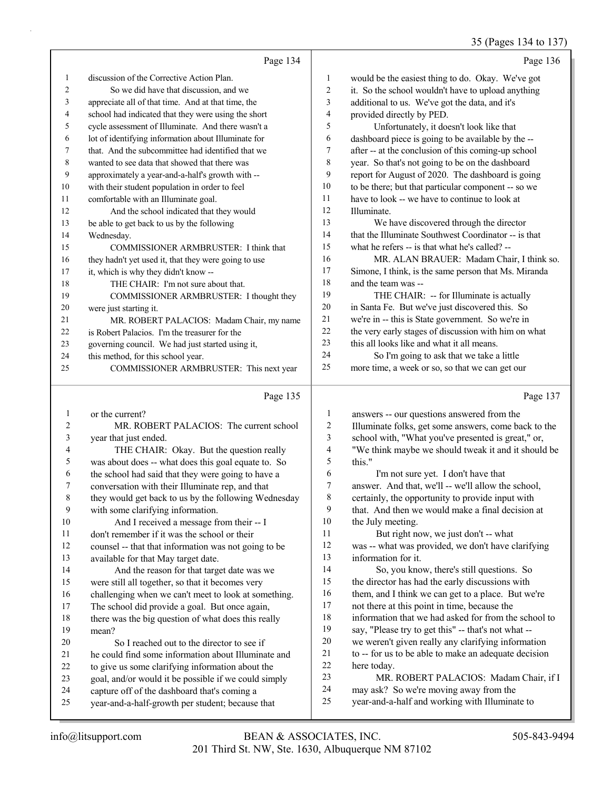#### 35 (Pages 134 to 137)

|                |                                                      |                | $33$ (1 agos 134 to 137                              |
|----------------|------------------------------------------------------|----------------|------------------------------------------------------|
|                | Page 134                                             |                | Page 136                                             |
| 1              | discussion of the Corrective Action Plan.            | 1              | would be the easiest thing to do. Okay. We've got    |
| 2              | So we did have that discussion, and we               | $\overline{2}$ | it. So the school wouldn't have to upload anything   |
| 3              | appreciate all of that time. And at that time, the   | 3              | additional to us. We've got the data, and it's       |
| 4              | school had indicated that they were using the short  | 4              | provided directly by PED.                            |
| 5              | cycle assessment of Illuminate. And there wasn't a   | 5              | Unfortunately, it doesn't look like that             |
| 6              | lot of identifying information about Illuminate for  | 6              | dashboard piece is going to be available by the --   |
| 7              | that. And the subcommittee had identified that we    | 7              | after -- at the conclusion of this coming-up school  |
| 8              | wanted to see data that showed that there was        | 8              | year. So that's not going to be on the dashboard     |
| 9              | approximately a year-and-a-half's growth with --     | 9              | report for August of 2020. The dashboard is going    |
| 10             | with their student population in order to feel       | 10             | to be there; but that particular component -- so we  |
| 11             | comfortable with an Illuminate goal.                 | 11             | have to look -- we have to continue to look at       |
| 12             | And the school indicated that they would             | 12             | Illuminate.                                          |
| 13             | be able to get back to us by the following           | 13             | We have discovered through the director              |
| 14             | Wednesday.                                           | 14             | that the Illuminate Southwest Coordinator -- is that |
| 15             | COMMISSIONER ARMBRUSTER: I think that                | 15             | what he refers -- is that what he's called? --       |
| 16             | they hadn't yet used it, that they were going to use | 16             | MR. ALAN BRAUER: Madam Chair, I think so.            |
| 17             | it, which is why they didn't know --                 | $17\,$         | Simone, I think, is the same person that Ms. Miranda |
| 18             | THE CHAIR: I'm not sure about that.                  | 18             | and the team was --                                  |
| 19             | COMMISSIONER ARMBRUSTER: I thought they              | 19             | THE CHAIR: -- for Illuminate is actually             |
| 20             | were just starting it.                               | $20\,$         | in Santa Fe. But we've just discovered this. So      |
| 21             | MR. ROBERT PALACIOS: Madam Chair, my name            | $21\,$         | we're in -- this is State government. So we're in    |
| 22             | is Robert Palacios. I'm the treasurer for the        | 22             | the very early stages of discussion with him on what |
| 23             | governing council. We had just started using it,     | 23             | this all looks like and what it all means.           |
| 24             | this method, for this school year.                   | 24             | So I'm going to ask that we take a little            |
| 25             | COMMISSIONER ARMBRUSTER: This next year              | 25             | more time, a week or so, so that we can get our      |
|                | Page 135                                             |                | Page 137                                             |
| $\mathbf{1}$   | or the current?                                      | 1              | answers -- our questions answered from the           |
| $\overline{c}$ | MR. ROBERT PALACIOS: The current school              | $\overline{2}$ | Illuminate folks, get some answers, come back to the |
| $\mathfrak{Z}$ | year that just ended.                                | 3              | school with, "What you've presented is great," or,   |
| 4              | THE CHAIR: Okay. But the question really             | 4              | "We think maybe we should tweak it and it should be  |
| 5              | was about does -- what does this goal equate to. So  | 5              | this."                                               |
| 6              | the school had said that they were going to have a   | 6              | I'm not sure yet. I don't have that                  |
| 7              | conversation with their Illuminate rep, and that     | $\overline{7}$ | answer. And that, we'll -- we'll allow the school,   |
| $\,$ 8 $\,$    | they would get back to us by the following Wednesday | 8              | certainly, the opportunity to provide input with     |
| 9              | with some clarifying information.                    | 9              | that. And then we would make a final decision at     |
| $10\,$         | And I received a message from their -- I             | $10\,$         | the July meeting.                                    |
| 11             | don't remember if it was the school or their         | 11             | But right now, we just don't -- what                 |
| 12             | counsel -- that that information was not going to be | 12             | was -- what was provided, we don't have clarifying   |
| 13             | available for that May target date.                  | 13             | information for it.                                  |
| 14             | And the reason for that target date was we           | 14             | So, you know, there's still questions. So            |
| 15             | were still all together, so that it becomes very     | 15             | the director has had the early discussions with      |
| 16             | challenging when we can't meet to look at something. | 16             | them, and I think we can get to a place. But we're   |
| $17\,$         | The school did provide a goal. But once again,       | $17\,$         | not there at this point in time, because the         |
| $18\,$         | there was the big question of what does this really  | 18             | information that we had asked for from the school to |

- information that we had asked for from the school to
- say, "Please try to get this" -- that's not what --
- we weren't given really any clarifying information to -- for us to be able to make an adequate decision
- here today.
- 23 MR. ROBERT PALACIOS: Madam Chair, if I
- may ask? So we're moving away from the
- year-and-a-half and working with Illuminate to

mean?

20 So I reached out to the director to see if he could find some information about Illuminate and to give us some clarifying information about the goal, and/or would it be possible if we could simply

 capture off of the dashboard that's coming a year-and-a-half-growth per student; because that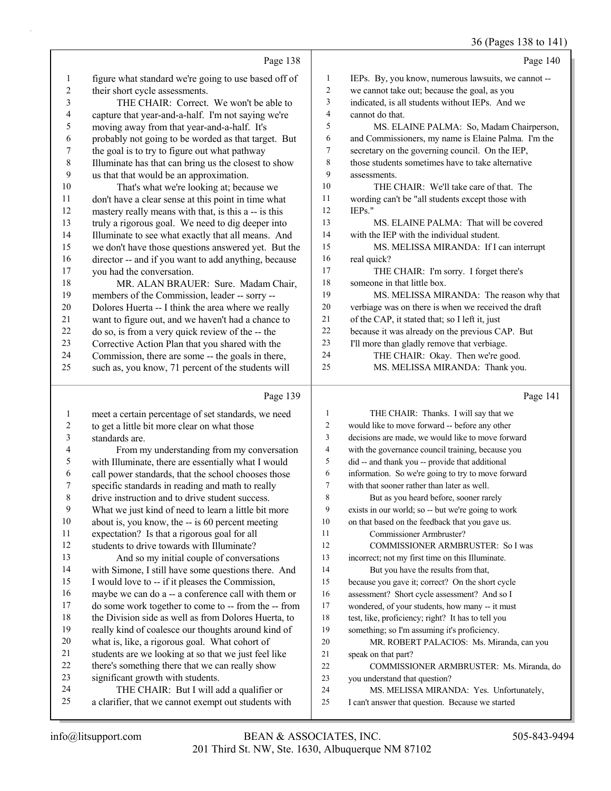36 (Pages 138 to 141)

|              | Page 138                                             |                | Page 140                                            |
|--------------|------------------------------------------------------|----------------|-----------------------------------------------------|
| $\mathbf{1}$ | figure what standard we're going to use based off of | 1              | IEPs. By, you know, numerous lawsuits, we cannot -- |
| 2            | their short cycle assessments.                       | 2              | we cannot take out; because the goal, as you        |
| 3            | THE CHAIR: Correct. We won't be able to              | 3              | indicated, is all students without IEPs. And we     |
| 4            | capture that year-and-a-half. I'm not saying we're   | $\overline{4}$ | cannot do that.                                     |
| 5            | moving away from that year-and-a-half. It's          | 5              | MS. ELAINE PALMA: So, Madam Chairperson,            |
| 6            | probably not going to be worded as that target. But  | 6              | and Commissioners, my name is Elaine Palma. I'm the |
| 7            | the goal is to try to figure out what pathway        | $\overline{7}$ | secretary on the governing council. On the IEP,     |
| $\,8\,$      | Illuminate has that can bring us the closest to show | 8              | those students sometimes have to take alternative   |
| 9            | us that that would be an approximation.              | 9              | assessments.                                        |
| 10           | That's what we're looking at; because we             | 10             | THE CHAIR: We'll take care of that. The             |
| 11           | don't have a clear sense at this point in time what  | 11             | wording can't be "all students except those with    |
| 12           | mastery really means with that, is this a -- is this | 12             | $IEPs.$ "                                           |
| 13           | truly a rigorous goal. We need to dig deeper into    | 13             | MS. ELAINE PALMA: That will be covered              |
| 14           | Illuminate to see what exactly that all means. And   | 14             | with the IEP with the individual student.           |
| 15           | we don't have those questions answered yet. But the  | 15             | MS. MELISSA MIRANDA: If I can interrupt             |
| 16           | director -- and if you want to add anything, because | 16             | real quick?                                         |
| 17           | you had the conversation.                            | 17             | THE CHAIR: I'm sorry. I forget there's              |
| 18           | MR. ALAN BRAUER: Sure. Madam Chair,                  | 18             | someone in that little box.                         |
| 19           | members of the Commission, leader -- sorry --        | 19             | MS. MELISSA MIRANDA: The reason why that            |
| 20           | Dolores Huerta -- I think the area where we really   | 20             | verbiage was on there is when we received the draft |
| 21           | want to figure out, and we haven't had a chance to   | 21             | of the CAP, it stated that; so I left it, just      |
| 22           | do so, is from a very quick review of the -- the     | 22             | because it was already on the previous CAP. But     |
| 23           | Corrective Action Plan that you shared with the      | 23             | I'll more than gladly remove that verbiage.         |
| 24           | Commission, there are some -- the goals in there,    | 24             | THE CHAIR: Okay. Then we're good.                   |
| 25           | such as, you know, 71 percent of the students will   | 25             | MS. MELISSA MIRANDA: Thank you.                     |
|              |                                                      |                |                                                     |

# Page 139

| 1  | meet a certain percentage of set standards, we need  | 1  | THE <sub>C</sub> |
|----|------------------------------------------------------|----|------------------|
| 2  | to get a little bit more clear on what those         | 2  | would like to    |
| 3  | standards are.                                       | 3  | decisions are    |
| 4  | From my understanding from my conversation           | 4  | with the gov     |
| 5  | with Illuminate, there are essentially what I would  | 5  | did -- and th    |
| 6  | call power standards, that the school chooses those  | 6  | information.     |
| 7  | specific standards in reading and math to really     | 7  | with that soc    |
| 8  | drive instruction and to drive student success.      | 8  | But as           |
| 9  | What we just kind of need to learn a little bit more | 9  | exists in our    |
| 10 | about is, you know, the -- is 60 percent meeting     | 10 | on that based    |
| 11 | expectation? Is that a rigorous goal for all         | 11 | Comm             |
| 12 | students to drive towards with Illuminate?           | 12 | <b>COM</b>       |
| 13 | And so my initial couple of conversations            | 13 | incorrect; no    |
| 14 | with Simone, I still have some questions there. And  | 14 | But yo           |
| 15 | I would love to -- if it pleases the Commission,     | 15 | because you      |
| 16 | maybe we can do a -- a conference call with them or  | 16 | assessment?      |
| 17 | do some work together to come to -- from the -- from | 17 | wondered, o      |
| 18 | the Division side as well as from Dolores Huerta, to | 18 | test, like, pro  |
| 19 | really kind of coalesce our thoughts around kind of  | 19 | something; s     |
| 20 | what is, like, a rigorous goal. What cohort of       | 20 | MR. F            |
| 21 | students are we looking at so that we just feel like | 21 | speak on tha     |
| 22 | there's something there that we can really show      | 22 | <b>COMI</b>      |
| 23 | significant growth with students.                    | 23 | you understa     |
| 24 | THE CHAIR: But I will add a qualifier or             | 24 | MS. M            |
| 25 | a clarifier, that we cannot exempt out students with | 25 | I can't answe    |
|    |                                                      |    |                  |

### Page 141

| 1              | THE CHAIR: Thanks. I will say that we              |
|----------------|----------------------------------------------------|
| $\overline{2}$ | would like to move forward -- before any other     |
| 3              | decisions are made, we would like to move forward  |
| 4              | with the governance council training, because you  |
| 5              | did -- and thank you -- provide that additional    |
| 6              | information. So we're going to try to move forward |
| 7              | with that sooner rather than later as well.        |
| 8              | But as you heard before, sooner rarely             |
| 9              | exists in our world; so -- but we're going to work |
| 10             | on that based on the feedback that you gave us.    |
| 11             | Commissioner Armbruster?                           |
| 12             | <b>COMMISSIONER ARMBRUSTER: So I was</b>           |
| 13             | incorrect; not my first time on this Illuminate.   |
| 14             | But you have the results from that,                |
| 15             | because you gave it; correct? On the short cycle   |
| 16             | assessment? Short cycle assessment? And so I       |
| 17             | wondered, of your students, how many -- it must    |
| 18             | test, like, proficiency; right? It has to tell you |
| 19             | something; so I'm assuming it's proficiency.       |
| 20             | MR. ROBERT PALACIOS: Ms. Miranda, can you          |
| 21             | speak on that part?                                |
| 22             | COMMISSIONER ARMBRUSTER: Ms. Miranda, do           |
| 23             | you understand that question?                      |
| 24             | MS. MELISSA MIRANDA: Yes. Unfortunately,           |
| 25             | I can't answer that question. Because we started   |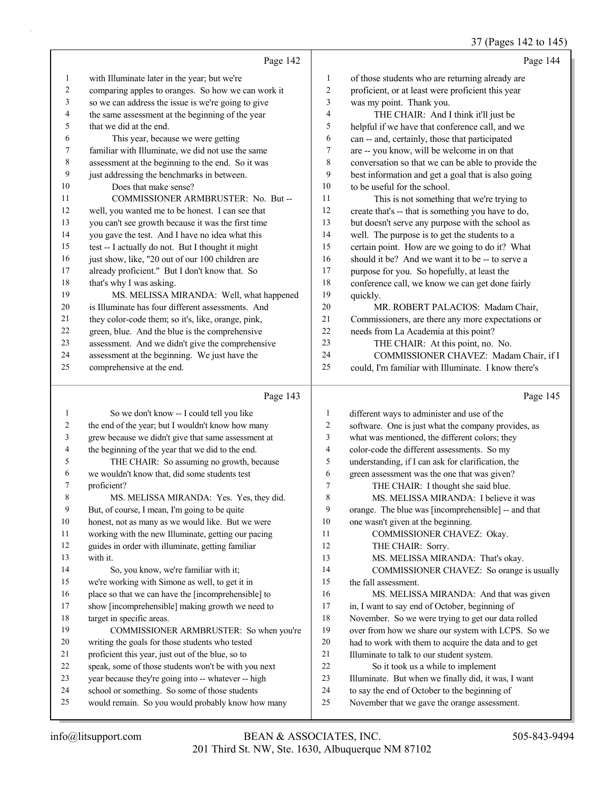37 (Pages 142 to 145)

|    |                                                    |                | $31$ (1 ages 1+2 to 1+2                             |
|----|----------------------------------------------------|----------------|-----------------------------------------------------|
|    | Page 142                                           |                | Page 144                                            |
| 1  | with Illuminate later in the year; but we're       | 1              | of those students who are returning already are     |
| 2  | comparing apples to oranges. So how we can work it | $\overline{c}$ | proficient, or at least were proficient this year   |
| 3  | so we can address the issue is we're going to give | 3              | was my point. Thank you.                            |
| 4  | the same assessment at the beginning of the year   | 4              | THE CHAIR: And I think it'll just be                |
| 5  | that we did at the end.                            | 5              | helpful if we have that conference call, and we     |
| 6  | This year, because we were getting                 | 6              | can -- and, certainly, those that participated      |
| 7  | familiar with Illuminate, we did not use the same  | 7              | are -- you know, will be welcome in on that         |
| 8  | assessment at the beginning to the end. So it was  | 8              | conversation so that we can be able to provide the  |
| 9  | just addressing the benchmarks in between.         | 9              | best information and get a goal that is also going  |
| 10 | Does that make sense?                              | 10             | to be useful for the school.                        |
| 11 | COMMISSIONER ARMBRUSTER: No. But-                  | 11             | This is not something that we're trying to          |
| 12 | well, you wanted me to be honest. I can see that   | 12             | create that's -- that is something you have to do,  |
| 13 | you can't see growth because it was the first time | 13             | but doesn't serve any purpose with the school as    |
| 14 | you gave the test. And I have no idea what this    | 14             | well. The purpose is to get the students to a       |
| 15 | test -- I actually do not. But I thought it might  | 15             | certain point. How are we going to do it? What      |
| 16 | just show, like, "20 out of our 100 children are   | 16             | should it be? And we want it to be -- to serve a    |
| 17 | already proficient." But I don't know that. So     | 17             | purpose for you. So hopefully, at least the         |
| 18 | that's why I was asking.                           | 18             | conference call, we know we can get done fairly     |
| 19 | MS. MELISSA MIRANDA: Well, what happened           | 19             | quickly.                                            |
| 20 | is Illuminate has four different assessments. And  | 20             | MR. ROBERT PALACIOS: Madam Chair,                   |
| 21 | they color-code them; so it's, like, orange, pink, | 21             | Commissioners, are there any more expectations or   |
| 22 | green, blue. And the blue is the comprehensive     | 22             | needs from La Academia at this point?               |
| 23 | assessment. And we didn't give the comprehensive   | 23             | THE CHAIR: At this point, no. No.                   |
| 24 | assessment at the beginning. We just have the      | 24             | COMMISSIONER CHAVEZ: Madam Chair, if I              |
| 25 | comprehensive at the end.                          | 25             | could, I'm familiar with Illuminate. I know there's |
|    | Page 143                                           |                | Page 145                                            |
| 1  | So we don't know -- I could tell you like          | 1              | different ways to administer and use of the         |
| 2  | the end of the year: but I wouldn't know how many  | 2              | software. One is just what the company provides, as |

|                | the chu of the year, but I wouldn't know how many    | ∸  | software. One is just what the company provides, as  |
|----------------|------------------------------------------------------|----|------------------------------------------------------|
| 3              | grew because we didn't give that same assessment at  | 3  | what was mentioned, the different colors; they       |
| $\overline{4}$ | the beginning of the year that we did to the end.    | 4  | color-code the different assessments. So my          |
| 5              | THE CHAIR: So assuming no growth, because            | 5  | understanding, if I can ask for clarification, the   |
| 6              | we wouldn't know that, did some students test        | 6  | green assessment was the one that was given?         |
| 7              | proficient?                                          | 7  | THE CHAIR: I thought she said blue.                  |
| 8              | MS. MELISSA MIRANDA: Yes. Yes, they did.             | 8  | MS. MELISSA MIRANDA: I believe it was                |
| 9              | But, of course, I mean, I'm going to be quite        | 9  | orange. The blue was [incomprehensible] -- and that  |
| 10             | honest, not as many as we would like. But we were    | 10 | one wasn't given at the beginning.                   |
| 11             | working with the new Illuminate, getting our pacing  | 11 | COMMISSIONER CHAVEZ: Okay.                           |
| 12             | guides in order with illuminate, getting familiar    | 12 | THE CHAIR: Sorry.                                    |
| 13             | with it.                                             | 13 | MS. MELISSA MIRANDA: That's okay.                    |
| 14             | So, you know, we're familiar with it;                | 14 | COMMISSIONER CHAVEZ: So orange is usually            |
| 15             | we're working with Simone as well, to get it in      | 15 | the fall assessment.                                 |
| 16             | place so that we can have the [incomprehensible] to  | 16 | MS. MELISSA MIRANDA: And that was given              |
| 17             | show [incomprehensible] making growth we need to     | 17 | in, I want to say end of October, beginning of       |
| 18             | target in specific areas.                            | 18 | November. So we were trying to get our data rolled   |
| 19             | COMMISSIONER ARMBRUSTER: So when you're              | 19 | over from how we share our system with LCPS. So we   |
| 20             | writing the goals for those students who tested      | 20 | had to work with them to acquire the data and to get |
| 21             | proficient this year, just out of the blue, so to    | 21 | Illuminate to talk to our student system.            |
| 22             | speak, some of those students won't be with you next | 22 | So it took us a while to implement                   |
| 23             | year because they're going into -- whatever -- high  | 23 | Illuminate. But when we finally did, it was, I want  |
| 24             | school or something. So some of those students       | 24 | to say the end of October to the beginning of        |
| 25             | would remain. So you would probably know how many    | 25 | November that we gave the orange assessment.         |
|                |                                                      |    |                                                      |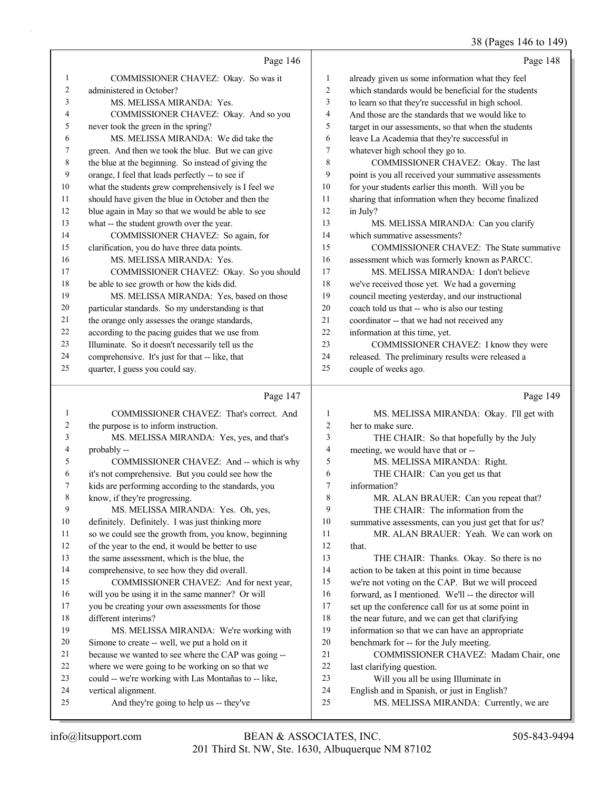## 38 (Pages 146 to 149)

|    | Page 146                                            |                | Page 148                                             |
|----|-----------------------------------------------------|----------------|------------------------------------------------------|
| 1  | COMMISSIONER CHAVEZ: Okay. So was it                | 1              | already given us some information what they feel     |
| 2  | administered in October?                            | $\overline{c}$ | which standards would be beneficial for the students |
| 3  | MS. MELISSA MIRANDA: Yes.                           | 3              | to learn so that they're successful in high school.  |
| 4  | COMMISSIONER CHAVEZ: Okay. And so you               | $\overline{4}$ | And those are the standards that we would like to    |
| 5  | never took the green in the spring?                 | 5              | target in our assessments, so that when the students |
| 6  | MS. MELISSA MIRANDA: We did take the                | 6              | leave La Academia that they're successful in         |
| 7  | green. And then we took the blue. But we can give   | $\tau$         | whatever high school they go to.                     |
| 8  | the blue at the beginning. So instead of giving the | 8              | COMMISSIONER CHAVEZ: Okay. The last                  |
| 9  | orange, I feel that leads perfectly -- to see if    | 9              | point is you all received your summative assessments |
| 10 | what the students grew comprehensively is I feel we | 10             | for your students earlier this month. Will you be    |
| 11 | should have given the blue in October and then the  | 11             | sharing that information when they become finalized  |
| 12 | blue again in May so that we would be able to see   | 12             | in July?                                             |
| 13 | what -- the student growth over the year.           | 13             | MS. MELISSA MIRANDA: Can you clarify                 |
| 14 | COMMISSIONER CHAVEZ: So again, for                  | 14             | which summative assessments?                         |
| 15 | clarification, you do have three data points.       | 15             | COMMISSIONER CHAVEZ: The State summative             |
| 16 | MS. MELISSA MIRANDA: Yes.                           | 16             | assessment which was formerly known as PARCC.        |
| 17 | COMMISSIONER CHAVEZ: Okay. So you should            | 17             | MS. MELISSA MIRANDA: I don't believe                 |
| 18 | be able to see growth or how the kids did.          | 18             | we've received those yet. We had a governing         |
| 19 | MS. MELISSA MIRANDA: Yes, based on those            | 19             | council meeting yesterday, and our instructional     |
| 20 | particular standards. So my understanding is that   | 20             | coach told us that -- who is also our testing        |
| 21 | the orange only assesses the orange standards,      | 21             | coordinator -- that we had not received any          |
| 22 | according to the pacing guides that we use from     | 22             | information at this time, yet.                       |
| 23 | Illuminate. So it doesn't necessarily tell us the   | 23             | COMMISSIONER CHAVEZ: I know they were                |
| 24 | comprehensive. It's just for that -- like, that     | 24             | released. The preliminary results were released a    |
| 25 | quarter, I guess you could say.                     | 25             | couple of weeks ago.                                 |
|    | Page 147                                            |                | Page 149                                             |

|    | COMMISSIONER CHAVEZ: That's correct. And             |                | MS. MELISSA MIRANDA: Okay. I'll get with             |
|----|------------------------------------------------------|----------------|------------------------------------------------------|
| 2  | the purpose is to inform instruction.                | $\overline{c}$ | her to make sure.                                    |
| 3  | MS. MELISSA MIRANDA: Yes, yes, and that's            | 3              | THE CHAIR: So that hopefully by the July             |
| 4  | probably --                                          | 4              | meeting, we would have that or --                    |
| 5  | COMMISSIONER CHAVEZ: And -- which is why             | 5              | MS. MELISSA MIRANDA: Right.                          |
| 6  | it's not comprehensive. But you could see how the    | 6              | THE CHAIR: Can you get us that                       |
| 7  | kids are performing according to the standards, you  | 7              | information?                                         |
| 8  | know, if they're progressing.                        | 8              | MR. ALAN BRAUER: Can you repeat that?                |
| 9  | MS. MELISSA MIRANDA: Yes. Oh, yes,                   | 9              | THE CHAIR: The information from the                  |
| 10 | definitely. Definitely. I was just thinking more     | 10             | summative assessments, can you just get that for us? |
| 11 | so we could see the growth from, you know, beginning | 11             | MR. ALAN BRAUER: Yeah. We can work on                |
| 12 | of the year to the end, it would be better to use    | 12             | that.                                                |
| 13 | the same assessment, which is the blue, the          | 13             | THE CHAIR: Thanks. Okay. So there is no              |
| 14 | comprehensive, to see how they did overall.          | 14             | action to be taken at this point in time because     |
| 15 | COMMISSIONER CHAVEZ: And for next year,              | 15             | we're not voting on the CAP. But we will proceed     |
| 16 | will you be using it in the same manner? Or will     | 16             | forward, as I mentioned. We'll -- the director will  |
| 17 | you be creating your own assessments for those       | 17             | set up the conference call for us at some point in   |
| 18 | different interims?                                  | 18             | the near future, and we can get that clarifying      |
| 19 | MS. MELISSA MIRANDA: We're working with              | 19             | information so that we can have an appropriate       |
| 20 | Simone to create -- well, we put a hold on it        | 20             | benchmark for -- for the July meeting.               |
| 21 | because we wanted to see where the CAP was going --  | 21             | COMMISSIONER CHAVEZ: Madam Chair, one                |
| 22 | where we were going to be working on so that we      | 22             | last clarifying question.                            |
| 23 | could -- we're working with Las Montañas to -- like, | 23             | Will you all be using Illuminate in                  |
| 24 | vertical alignment.                                  | 24             | English and in Spanish, or just in English?          |
| 25 | And they're going to help us -- they've              | 25             | MS. MELISSA MIRANDA: Currently, we are               |
|    |                                                      |                |                                                      |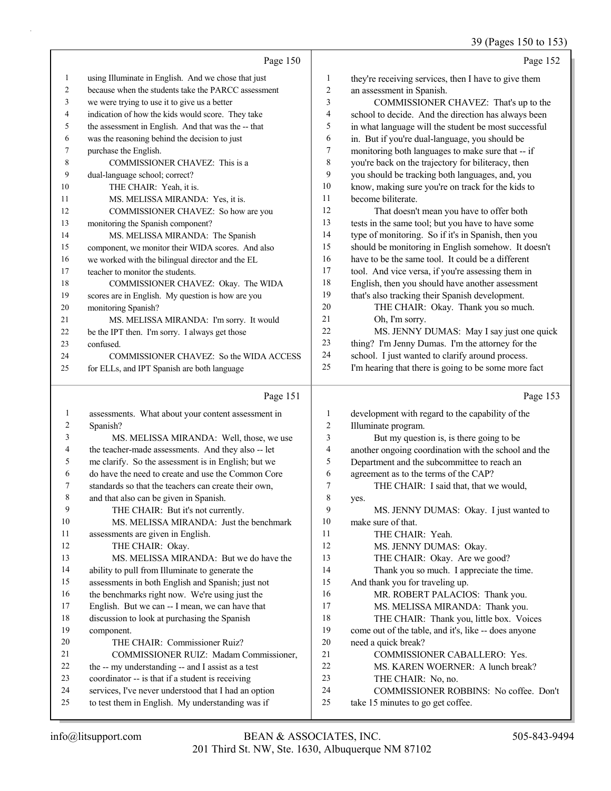#### 39 (Pages 150 to 153)

|                |                                                      |              | 39 (Pages 150 to 15.                                 |
|----------------|------------------------------------------------------|--------------|------------------------------------------------------|
|                | Page 150                                             |              | Page 152                                             |
| $\mathbf{1}$   | using Illuminate in English. And we chose that just  | $\mathbf{1}$ | they're receiving services, then I have to give them |
| $\overline{2}$ | because when the students take the PARCC assessment  | 2            | an assessment in Spanish.                            |
| 3              | we were trying to use it to give us a better         | 3            | COMMISSIONER CHAVEZ: That's up to the                |
| 4              | indication of how the kids would score. They take    | 4            | school to decide. And the direction has always been  |
| 5              | the assessment in English. And that was the -- that  | 5            | in what language will the student be most successful |
| 6              | was the reasoning behind the decision to just        | 6            | in. But if you're dual-language, you should be       |
| $\tau$         | purchase the English.                                | 7            | monitoring both languages to make sure that -- if    |
| 8              | COMMISSIONER CHAVEZ: This is a                       | 8            | you're back on the trajectory for biliteracy, then   |
| 9              | dual-language school; correct?                       | 9            | you should be tracking both languages, and, you      |
| 10             | THE CHAIR: Yeah, it is.                              | 10           | know, making sure you're on track for the kids to    |
| 11             | MS. MELISSA MIRANDA: Yes, it is.                     | 11           | become biliterate.                                   |
| 12             | COMMISSIONER CHAVEZ: So how are you                  | 12           | That doesn't mean you have to offer both             |
| 13             | monitoring the Spanish component?                    | 13           | tests in the same tool; but you have to have some    |
| 14             | MS. MELISSA MIRANDA: The Spanish                     | 14           | type of monitoring. So if it's in Spanish, then you  |
| 15             | component, we monitor their WIDA scores. And also    | 15           | should be monitoring in English somehow. It doesn't  |
| 16             | we worked with the bilingual director and the EL     | 16           | have to be the same tool. It could be a different    |
| 17             | teacher to monitor the students.                     | 17           | tool. And vice versa, if you're assessing them in    |
| 18             | COMMISSIONER CHAVEZ: Okay. The WIDA                  | 18           | English, then you should have another assessment     |
| 19             | scores are in English. My question is how are you    | 19           | that's also tracking their Spanish development.      |
| 20             | monitoring Spanish?                                  | 20           | THE CHAIR: Okay. Thank you so much.                  |
| 21             | MS. MELISSA MIRANDA: I'm sorry. It would             | 21           | Oh, I'm sorry.                                       |
| 22             | be the IPT then. I'm sorry. I always get those       | $22\,$       | MS. JENNY DUMAS: May I say just one quick            |
| 23             | confused.                                            | 23           | thing? I'm Jenny Dumas. I'm the attorney for the     |
| 24             | COMMISSIONER CHAVEZ: So the WIDA ACCESS              | 24           | school. I just wanted to clarify around process.     |
| 25             | for ELLs, and IPT Spanish are both language          | 25           | I'm hearing that there is going to be some more fact |
|                | Page 151                                             |              | Page 153                                             |
| $\mathbf{1}$   | assessments. What about your content assessment in   | 1            | development with regard to the capability of the     |
| 2              | Spanish?                                             | 2            | Illuminate program.                                  |
| 3              | MS. MELISSA MIRANDA: Well, those, we use             | 3            | But my question is, is there going to be             |
| 4              | the teacher-made assessments. And they also -- let   | 4            | another ongoing coordination with the school and the |
| 5              | me clarify. So the assessment is in English; but we  | 5            | Department and the subcommittee to reach an          |
| 6              | do have the need to create and use the Common Core   | 6            | agreement as to the terms of the CAP?                |
|                | standards so that the teachers can create their own. | 7            | THE CHAIR: I said that, that we would,               |
| 8              | and that also can be given in Spanish.               | 8            | yes.                                                 |
| 9              | THE CHAIR: But it's not currently.                   | 9            | MS. JENNY DUMAS: Okay. I just wanted to              |
| 10             | MS. MELISSA MIRANDA: Just the benchmark              | 10           | make sure of that.                                   |
| 11             | assessments are given in English.                    | 11           | THE CHAIR: Yeah.                                     |
| 12             | THE CHAIR: Okay.                                     | 12           | MS. JENNY DUMAS: Okay.                               |
| 13             | MS. MELISSA MIRANDA: But we do have the              | 13           | THE CHAIR: Okay. Are we good?                        |
| 14             | ability to pull from Illuminate to generate the      | 14           | Thank you so much. I appreciate the time.            |
| 15             | assessments in both English and Spanish; just not    | 15           | And thank you for traveling up.                      |
| 16             | the benchmarks right now. We're using just the       | 16           | MR. ROBERT PALACIOS: Thank you.                      |

- 16 MR. ROBERT PALACIOS: Thank you.
- 17 MS. MELISSA MIRANDA: Thank you.
- 18 THE CHAIR: Thank you, little box. Voices

 come out of the table, and it's, like -- does anyone need a quick break?

- 21 COMMISSIONER CABALLERO: Yes.
- 22 MS. KAREN WOERNER: A lunch break?
- 23 THE CHAIR: No, no.
- 24 COMMISSIONER ROBBINS: No coffee. Don't
- take 15 minutes to go get coffee.

component.

 English. But we can -- I mean, we can have that discussion to look at purchasing the Spanish

21 COMMISSIONER RUIZ: Madam Commissioner,

20 THE CHAIR: Commissioner Ruiz?

 the -- my understanding -- and I assist as a test coordinator -- is that if a student is receiving services, I've never understood that I had an option to test them in English. My understanding was if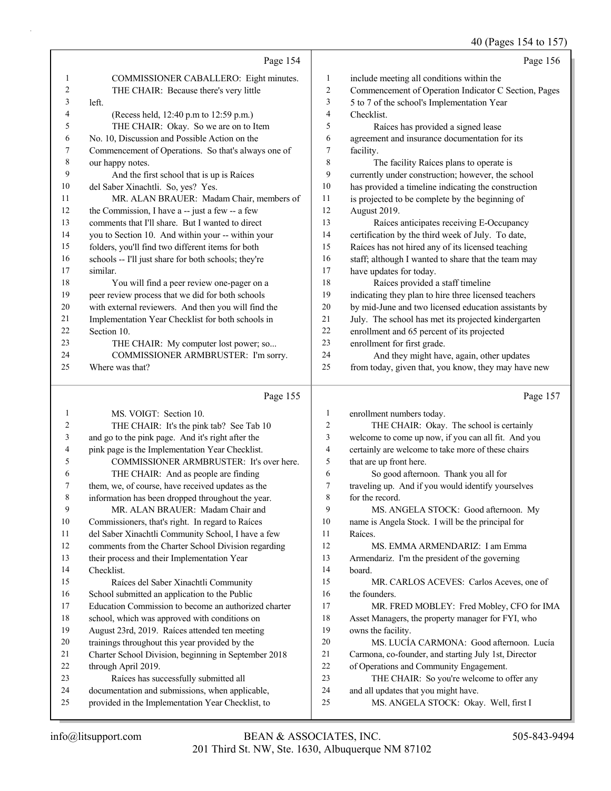## 40 (Pages 154 to 157)

|          | Page 154                                                                                               |                | Page 156                                                                                         |
|----------|--------------------------------------------------------------------------------------------------------|----------------|--------------------------------------------------------------------------------------------------|
| 1        | COMMISSIONER CABALLERO: Eight minutes.                                                                 | 1              | include meeting all conditions within the                                                        |
| 2        | THE CHAIR: Because there's very little                                                                 | 2              | Commencement of Operation Indicator C Section, Pages                                             |
| 3        | left.                                                                                                  | 3              | 5 to 7 of the school's Implementation Year                                                       |
| 4        | (Recess held, 12:40 p.m to 12:59 p.m.)                                                                 | 4              | Checklist.                                                                                       |
| 5        | THE CHAIR: Okay. So we are on to Item                                                                  | 5              | Raíces has provided a signed lease                                                               |
| 6        | No. 10, Discussion and Possible Action on the                                                          | 6              | agreement and insurance documentation for its                                                    |
| 7        | Commencement of Operations. So that's always one of                                                    | 7              | facility.                                                                                        |
| 8        | our happy notes.                                                                                       | 8              | The facility Raíces plans to operate is                                                          |
| 9        | And the first school that is up is Raíces                                                              | 9              | currently under construction; however, the school                                                |
| 10       | del Saber Xinachtli. So, yes? Yes.                                                                     | 10             | has provided a timeline indicating the construction                                              |
| 11       | MR. ALAN BRAUER: Madam Chair, members of                                                               | 11             | is projected to be complete by the beginning of                                                  |
| 12       | the Commission, I have a -- just a few -- a few                                                        | 12             | August 2019.                                                                                     |
| 13       | comments that I'll share. But I wanted to direct                                                       | 13             | Raíces anticipates receiving E-Occupancy                                                         |
| 14       | you to Section 10. And within your -- within your                                                      | 14             | certification by the third week of July. To date,                                                |
| 15       | folders, you'll find two different items for both                                                      | 15             | Raíces has not hired any of its licensed teaching                                                |
| 16       | schools -- I'll just share for both schools; they're                                                   | 16             | staff; although I wanted to share that the team may                                              |
| 17       | similar.                                                                                               | 17             | have updates for today.                                                                          |
| 18       | You will find a peer review one-pager on a                                                             | 18             | Raíces provided a staff timeline                                                                 |
| 19       | peer review process that we did for both schools                                                       | 19             | indicating they plan to hire three licensed teachers                                             |
| 20       | with external reviewers. And then you will find the                                                    | 20             | by mid-June and two licensed education assistants by                                             |
| 21       | Implementation Year Checklist for both schools in                                                      | 21             | July. The school has met its projected kindergarten                                              |
| 22       | Section 10.                                                                                            | 22             | enrollment and 65 percent of its projected                                                       |
| 23<br>24 | THE CHAIR: My computer lost power; so                                                                  | 23             | enrollment for first grade.                                                                      |
| 25       | COMMISSIONER ARMBRUSTER: I'm sorry.<br>Where was that?                                                 | 24<br>25       | And they might have, again, other updates<br>from today, given that, you know, they may have new |
|          |                                                                                                        |                |                                                                                                  |
|          |                                                                                                        |                |                                                                                                  |
|          | Page 155                                                                                               |                | Page 157                                                                                         |
| 1        | MS. VOIGT: Section 10.                                                                                 | 1              | enrollment numbers today.                                                                        |
| 2        | THE CHAIR: It's the pink tab? See Tab 10                                                               | $\overline{c}$ | THE CHAIR: Okay. The school is certainly                                                         |
| 3        | and go to the pink page. And it's right after the                                                      | 3              | welcome to come up now, if you can all fit. And you                                              |
| 4        | pink page is the Implementation Year Checklist.                                                        | 4              | certainly are welcome to take more of these chairs                                               |
| 5        | COMMISSIONER ARMBRUSTER: It's over here.                                                               | 5              | that are up front here.                                                                          |
| 6        | THE CHAIR: And as people are finding                                                                   | 6              | So good afternoon. Thank you all for                                                             |
| 7        | them, we, of course, have received updates as the                                                      | 7              | traveling up. And if you would identify yourselves                                               |
| 8        | information has been dropped throughout the year.                                                      | 8              | for the record.                                                                                  |
| 9        | MR. ALAN BRAUER: Madam Chair and                                                                       | 9              | MS. ANGELA STOCK: Good afternoon. My                                                             |
| 10       | Commissioners, that's right. In regard to Raíces                                                       | 10             | name is Angela Stock. I will be the principal for                                                |
| 11       | del Saber Xinachtli Community School, I have a few                                                     | 11             | Raíces.                                                                                          |
| 12       | comments from the Charter School Division regarding                                                    | 12             | MS. EMMA ARMENDARIZ: I am Emma                                                                   |
| 13       | their process and their Implementation Year                                                            | 13             | Armendariz. I'm the president of the governing                                                   |
| 14       | Checklist.                                                                                             | 14             | board.                                                                                           |
| 15       | Raíces del Saber Xinachtli Community                                                                   | 15             | MR. CARLOS ACEVES: Carlos Aceves, one of                                                         |
| 16       | School submitted an application to the Public                                                          | 16             | the founders.                                                                                    |
| 17<br>18 | Education Commission to become an authorized charter                                                   | 17<br>18       | MR. FRED MOBLEY: Fred Mobley, CFO for IMA                                                        |
| 19       | school, which was approved with conditions on                                                          | 19             | Asset Managers, the property manager for FYI, who                                                |
| 20       | August 23rd, 2019. Raíces attended ten meeting                                                         | 20             | owns the facility.<br>MS. LUCÍA CARMONA: Good afternoon. Lucía                                   |
| 21       | trainings throughout this year provided by the<br>Charter School Division, beginning in September 2018 | 21             | Carmona, co-founder, and starting July 1st, Director                                             |
| 22       | through April 2019.                                                                                    | 22             | of Operations and Community Engagement.                                                          |
| 23       | Raíces has successfully submitted all                                                                  | 23             | THE CHAIR: So you're welcome to offer any                                                        |
| 24<br>25 | documentation and submissions, when applicable,<br>provided in the Implementation Year Checklist, to   | 24<br>25       | and all updates that you might have.<br>MS. ANGELA STOCK: Okay. Well, first I                    |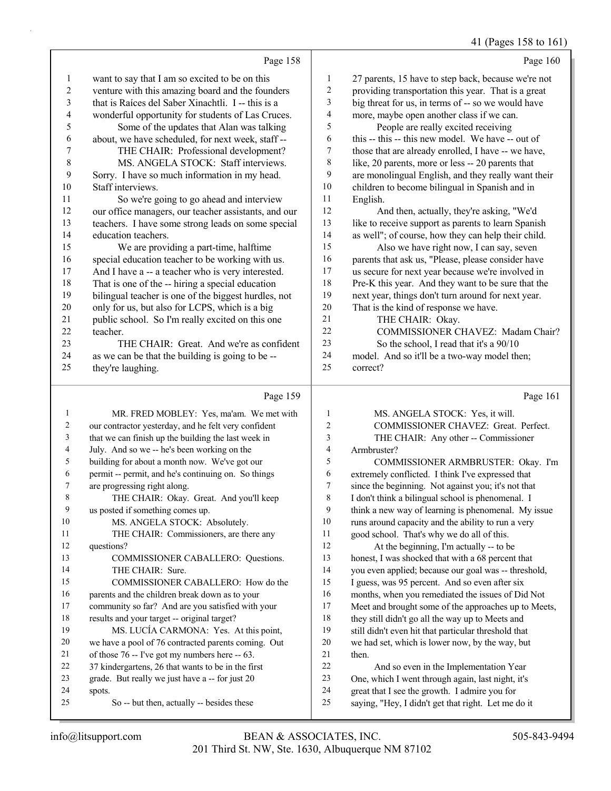41 (Pages 158 to 161)

|                         | Page 158                                                  |                         | Page 160                                                                                           |
|-------------------------|-----------------------------------------------------------|-------------------------|----------------------------------------------------------------------------------------------------|
| $\mathbf{1}$            | want to say that I am so excited to be on this            | 1                       | 27 parents, 15 have to step back, because we're not                                                |
| $\overline{\mathbf{c}}$ | venture with this amazing board and the founders          | $\overline{\mathbf{c}}$ | providing transportation this year. That is a great                                                |
| $\overline{3}$          | that is Raíces del Saber Xinachtli. I -- this is a        | 3                       | big threat for us, in terms of -- so we would have                                                 |
| 4                       | wonderful opportunity for students of Las Cruces.         | 4                       | more, maybe open another class if we can.                                                          |
| 5                       | Some of the updates that Alan was talking                 | 5                       | People are really excited receiving                                                                |
| 6                       | about, we have scheduled, for next week, staff --         | 6                       | this -- this -- this new model. We have -- out of                                                  |
| 7                       | THE CHAIR: Professional development?                      | 7                       | those that are already enrolled, I have -- we have,                                                |
| $\,$ $\,$               | MS. ANGELA STOCK: Staff interviews.                       | 8                       | like, 20 parents, more or less -- 20 parents that                                                  |
| 9                       | Sorry. I have so much information in my head.             | 9                       | are monolingual English, and they really want their                                                |
| 10                      | Staff interviews.                                         | $10\,$                  | children to become bilingual in Spanish and in                                                     |
| 11                      | So we're going to go ahead and interview                  | 11                      | English.                                                                                           |
| 12                      | our office managers, our teacher assistants, and our      | $12\,$                  | And then, actually, they're asking, "We'd                                                          |
| 13                      | teachers. I have some strong leads on some special        | 13                      | like to receive support as parents to learn Spanish                                                |
| 14                      | education teachers.                                       | 14                      | as well"; of course, how they can help their child.                                                |
| 15                      | We are providing a part-time, halftime                    | 15                      | Also we have right now, I can say, seven                                                           |
| 16                      | special education teacher to be working with us.          | 16                      | parents that ask us, "Please, please consider have                                                 |
| 17                      | And I have a -- a teacher who is very interested.         | 17                      | us secure for next year because we're involved in                                                  |
| $18\,$                  | That is one of the -- hiring a special education          | 18                      | Pre-K this year. And they want to be sure that the                                                 |
| 19                      | bilingual teacher is one of the biggest hurdles, not      | 19                      | next year, things don't turn around for next year.                                                 |
| $20\,$                  | only for us, but also for LCPS, which is a big            | $20\,$                  | That is the kind of response we have.                                                              |
| 21                      | public school. So I'm really excited on this one          | 21                      | THE CHAIR: Okay.                                                                                   |
| $22\,$                  | teacher.                                                  | 22                      | COMMISSIONER CHAVEZ: Madam Chair?                                                                  |
| 23                      | THE CHAIR: Great. And we're as confident                  | 23                      | So the school, I read that it's a 90/10                                                            |
| 24                      | as we can be that the building is going to be --          | 24                      | model. And so it'll be a two-way model then;                                                       |
| 25                      | they're laughing.                                         | 25                      | correct?                                                                                           |
|                         |                                                           |                         |                                                                                                    |
|                         | Page 159                                                  |                         | Page 161                                                                                           |
| 1                       | MR. FRED MOBLEY: Yes, ma'am. We met with                  | 1                       | MS. ANGELA STOCK: Yes, it will.                                                                    |
| $\overline{\mathbf{c}}$ | our contractor yesterday, and he felt very confident      | 2                       | COMMISSIONER CHAVEZ: Great. Perfect.                                                               |
| 3                       | that we can finish up the building the last week in       | 3                       | THE CHAIR: Any other -- Commissioner                                                               |
| 4                       | July. And so we -- he's been working on the               | 4                       | Armbruster?                                                                                        |
| 5                       | building for about a month now. We've got our             | 5                       | COMMISSIONER ARMBRUSTER: Okay. I'm                                                                 |
| 6                       | permit -- permit, and he's continuing on. So things       | 6                       | extremely conflicted. I think I've expressed that                                                  |
| 7                       | are progressing right along.                              | 7                       | since the beginning. Not against you; it's not that                                                |
| 8                       | THE CHAIR: Okay. Great. And you'll keep                   | 8                       | I don't think a bilingual school is phenomenal. I                                                  |
| $\overline{9}$          | us posted if something comes up.                          | 9                       | think a new way of learning is phenomenal. My issue                                                |
| 10                      | MS. ANGELA STOCK: Absolutely.                             | 10                      | runs around capacity and the ability to run a very                                                 |
| 11                      | THE CHAIR: Commissioners, are there any                   | 11                      | good school. That's why we do all of this.                                                         |
| 12                      | questions?                                                | 12                      | At the beginning, I'm actually -- to be                                                            |
| 13                      | COMMISSIONER CABALLERO: Questions.                        | 13                      | honest, I was shocked that with a 68 percent that                                                  |
| 14                      | THE CHAIR: Sure.                                          | 14                      | you even applied; because our goal was -- threshold,                                               |
| 15                      | COMMISSIONER CABALLERO: How do the                        | 15                      | I guess, was 95 percent. And so even after six                                                     |
| 16                      | parents and the children break down as to your            | 16                      | months, when you remediated the issues of Did Not                                                  |
| 17                      | community so far? And are you satisfied with your         | 17                      | Meet and brought some of the approaches up to Meets,                                               |
| 18                      | results and your target -- original target?               | 18                      | they still didn't go all the way up to Meets and                                                   |
| 19                      | MS. LUCÍA CARMONA: Yes. At this point,                    | 19                      | still didn't even hit that particular threshold that                                               |
| 20                      | we have a pool of 76 contracted parents coming. Out       | $20\,$                  | we had set, which is lower now, by the way, but                                                    |
| 21<br>$22\,$            | of those 76 -- I've got my numbers here -- 63.            | $21\,$<br>22            | then.                                                                                              |
| 23                      | 37 kindergartens, 26 that wants to be in the first        | 23                      | And so even in the Implementation Year                                                             |
| 24                      | grade. But really we just have a -- for just 20<br>spots. | 24                      | One, which I went through again, last night, it's<br>great that I see the growth. I admire you for |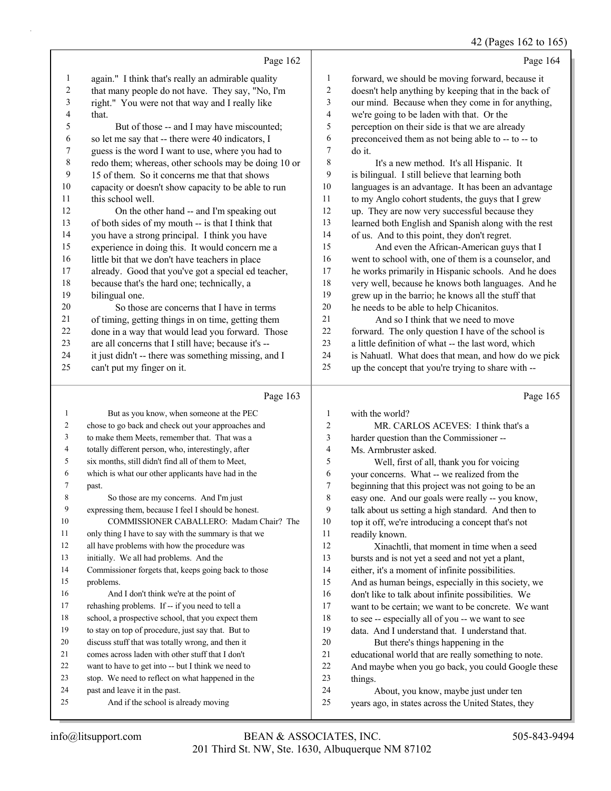#### 42 (Pages 162 to 165)

|         |                                                      |                | o                                                    |
|---------|------------------------------------------------------|----------------|------------------------------------------------------|
|         | Page 162                                             |                | Page 164                                             |
| 1       | again." I think that's really an admirable quality   | 1              | forward, we should be moving forward, because it     |
| 2       | that many people do not have. They say, "No, I'm     | $\overline{c}$ | doesn't help anything by keeping that in the back of |
| 3       | right." You were not that way and I really like      | 3              | our mind. Because when they come in for anything,    |
| 4       | that.                                                | 4              | we're going to be laden with that. Or the            |
| 5       | But of those -- and I may have miscounted;           | 5              | perception on their side is that we are already      |
| 6       | so let me say that -- there were 40 indicators, I    | 6              | preconceived them as not being able to -- to -- to   |
| $\tau$  | guess is the word I want to use, where you had to    | 7              | do it.                                               |
| $\,8\,$ | redo them; whereas, other schools may be doing 10 or | $\,$ $\,$      | It's a new method. It's all Hispanic. It             |
| 9       | 15 of them. So it concerns me that that shows        | 9              | is bilingual. I still believe that learning both     |
| $10\,$  | capacity or doesn't show capacity to be able to run  | $10\,$         | languages is an advantage. It has been an advantage  |
| 11      | this school well.                                    | 11             | to my Anglo cohort students, the guys that I grew    |
| 12      | On the other hand -- and I'm speaking out            | 12             | up. They are now very successful because they        |
| 13      | of both sides of my mouth -- is that I think that    | 13             | learned both English and Spanish along with the rest |
| 14      | you have a strong principal. I think you have        | 14             | of us. And to this point, they don't regret.         |
| 15      | experience in doing this. It would concern me a      | 15             | And even the African-American guys that I            |
| 16      | little bit that we don't have teachers in place      | 16             | went to school with, one of them is a counselor, and |
| 17      | already. Good that you've got a special ed teacher,  | 17             | he works primarily in Hispanic schools. And he does  |
| $18\,$  | because that's the hard one; technically, a          | 18             | very well, because he knows both languages. And he   |
| 19      | bilingual one.                                       | 19             | grew up in the barrio; he knows all the stuff that   |
| 20      | So those are concerns that I have in terms           | 20             | he needs to be able to help Chicanitos.              |
| 21      | of timing, getting things in on time, getting them   | 21             | And so I think that we need to move                  |
| 22      | done in a way that would lead you forward. Those     | 22             | forward. The only question I have of the school is   |
| 23      | are all concerns that I still have; because it's --  | 23             | a little definition of what -- the last word, which  |
| 24      | it just didn't -- there was something missing, and I | 24             | is Nahuatl. What does that mean, and how do we pick  |
| 25      | can't put my finger on it.                           | 25             | up the concept that you're trying to share with --   |
|         |                                                      |                |                                                      |
|         | Page 163                                             |                | Page 165                                             |
| 1       | But as you know, when someone at the PEC             | 1              | with the world?                                      |
| 2       | chose to go back and check out your approaches and   | $\overline{c}$ | MR. CARLOS ACEVES: I think that's a                  |
| 3       | to make them Meets, remember that. That was a        | 3              | harder question than the Commissioner --             |
| 4       | totally different person, who, interestingly, after  | 4              | Ms. Armbruster asked.                                |
| 5       | six months, still didn't find all of them to Meet,   | 5              | Well, first of all, thank you for voicing            |
| 6       | which is what our other applicants have had in the   | 6              | your concerns. What -- we realized from the          |
| 7       | past.                                                | 7              | beginning that this project was not going to be an   |
| 8       | So those are my concerns. And I'm just               | 8              | easy one. And our goals were really -- you know,     |

|    | But as you know, when someone at the PEC             | 1  | with the world?                                      |
|----|------------------------------------------------------|----|------------------------------------------------------|
| 2  | chose to go back and check out your approaches and   | 2  | MR. CARLOS ACEVES: I think that's a                  |
| 3  | to make them Meets, remember that. That was a        | 3  | harder question than the Commissioner --             |
| 4  | totally different person, who, interestingly, after  | 4  | Ms. Armbruster asked.                                |
| 5  | six months, still didn't find all of them to Meet,   | 5  | Well, first of all, thank you for voicing            |
| 6  | which is what our other applicants have had in the   | 6  | your concerns. What -- we realized from the          |
| 7  | past.                                                | 7  | beginning that this project was not going to be an   |
| 8  | So those are my concerns. And I'm just               | 8  | easy one. And our goals were really -- you know,     |
| 9  | expressing them, because I feel I should be honest.  | 9  | talk about us setting a high standard. And then to   |
| 10 | COMMISSIONER CABALLERO: Madam Chair? The             | 10 | top it off, we're introducing a concept that's not   |
| 11 | only thing I have to say with the summary is that we | 11 | readily known.                                       |
| 12 | all have problems with how the procedure was         | 12 | Xinachtli, that moment in time when a seed           |
| 13 | initially. We all had problems. And the              | 13 | bursts and is not yet a seed and not yet a plant,    |
| 14 | Commissioner forgets that, keeps going back to those | 14 | either, it's a moment of infinite possibilities.     |
| 15 | problems.                                            | 15 | And as human beings, especially in this society, we  |
| 16 | And I don't think we're at the point of              | 16 | don't like to talk about infinite possibilities. We  |
| 17 | rehashing problems. If -- if you need to tell a      | 17 | want to be certain; we want to be concrete. We want  |
| 18 | school, a prospective school, that you expect them   | 18 | to see -- especially all of you -- we want to see    |
| 19 | to stay on top of procedure, just say that. But to   | 19 | data. And I understand that. I understand that.      |
| 20 | discuss stuff that was totally wrong, and then it    | 20 | But there's things happening in the                  |
| 21 | comes across laden with other stuff that I don't     | 21 | educational world that are really something to note. |
| 22 | want to have to get into -- but I think we need to   | 22 | And maybe when you go back, you could Google these   |
| 23 | stop. We need to reflect on what happened in the     | 23 | things.                                              |
| 24 | past and leave it in the past.                       | 24 | About, you know, maybe just under ten                |
| 25 | And if the school is already moving                  | 25 | years ago, in states across the United States, they  |
|    |                                                      |    |                                                      |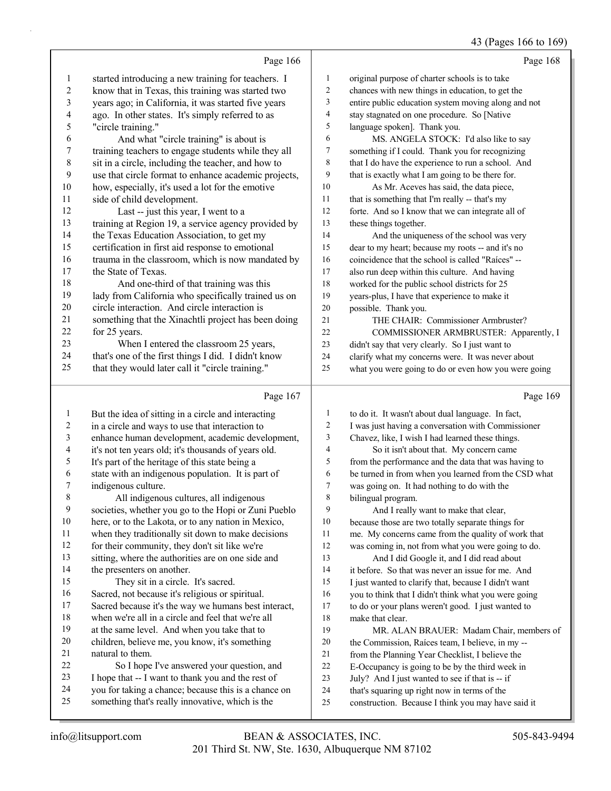## 43 (Pages 166 to 169)

|                          | Page 166                                                                                                 |                  | Page 168                                                                                           |
|--------------------------|----------------------------------------------------------------------------------------------------------|------------------|----------------------------------------------------------------------------------------------------|
| $\mathbf{1}$             | started introducing a new training for teachers. I                                                       | $\mathbf{1}$     | original purpose of charter schools is to take                                                     |
| $\overline{\mathbf{c}}$  | know that in Texas, this training was started two                                                        | $\overline{c}$   | chances with new things in education, to get the                                                   |
| 3                        | years ago; in California, it was started five years                                                      | $\mathfrak{Z}$   | entire public education system moving along and not                                                |
| $\overline{\mathcal{L}}$ | ago. In other states. It's simply referred to as                                                         | 4                | stay stagnated on one procedure. So [Native                                                        |
| 5                        | "circle training."                                                                                       | $\sqrt{5}$       | language spoken]. Thank you.                                                                       |
| 6                        | And what "circle training" is about is                                                                   | 6                | MS. ANGELA STOCK: I'd also like to say                                                             |
| 7                        | training teachers to engage students while they all                                                      | $\tau$           | something if I could. Thank you for recognizing                                                    |
| $\,$ $\,$                | sit in a circle, including the teacher, and how to                                                       | $\,$ 8 $\,$      | that I do have the experience to run a school. And                                                 |
| 9                        | use that circle format to enhance academic projects,                                                     | 9                | that is exactly what I am going to be there for.                                                   |
| 10                       | how, especially, it's used a lot for the emotive                                                         | 10               | As Mr. Aceves has said, the data piece,                                                            |
| 11                       | side of child development.                                                                               | 11               | that is something that I'm really -- that's my                                                     |
| 12                       | Last -- just this year, I went to a                                                                      | 12               | forte. And so I know that we can integrate all of                                                  |
| 13                       | training at Region 19, a service agency provided by                                                      | 13               | these things together.                                                                             |
| 14                       | the Texas Education Association, to get my                                                               | 14               | And the uniqueness of the school was very                                                          |
| 15                       | certification in first aid response to emotional                                                         | 15               | dear to my heart; because my roots -- and it's no                                                  |
| 16                       | trauma in the classroom, which is now mandated by                                                        | 16               | coincidence that the school is called "Raíces" --                                                  |
| 17                       | the State of Texas.                                                                                      | $17\,$           | also run deep within this culture. And having                                                      |
| 18                       | And one-third of that training was this                                                                  | 18               | worked for the public school districts for 25                                                      |
| 19                       | lady from California who specifically trained us on                                                      | 19               | years-plus, I have that experience to make it                                                      |
| 20                       | circle interaction. And circle interaction is                                                            | 20               | possible. Thank you.                                                                               |
| 21                       | something that the Xinachtli project has been doing                                                      | 21               | THE CHAIR: Commissioner Armbruster?                                                                |
| $22\,$                   | for 25 years.                                                                                            | 22               | COMMISSIONER ARMBRUSTER: Apparently, I                                                             |
| 23                       | When I entered the classroom 25 years,                                                                   | 23               | didn't say that very clearly. So I just want to                                                    |
| 24                       | that's one of the first things I did. I didn't know                                                      | 24               | clarify what my concerns were. It was never about                                                  |
| 25                       | that they would later call it "circle training."                                                         | 25               | what you were going to do or even how you were going                                               |
|                          |                                                                                                          |                  |                                                                                                    |
|                          |                                                                                                          |                  |                                                                                                    |
|                          | Page 167                                                                                                 |                  | Page 169                                                                                           |
| 1                        | But the idea of sitting in a circle and interacting                                                      | $\mathbf{1}$     | to do it. It wasn't about dual language. In fact,                                                  |
| $\overline{c}$           | in a circle and ways to use that interaction to                                                          | $\sqrt{2}$       | I was just having a conversation with Commissioner                                                 |
| 3                        | enhance human development, academic development,                                                         | $\mathfrak{Z}$   | Chavez, like, I wish I had learned these things.                                                   |
| 4                        | it's not ten years old; it's thousands of years old.                                                     | 4                | So it isn't about that. My concern came                                                            |
| 5                        | It's part of the heritage of this state being a                                                          | 5                | from the performance and the data that was having to                                               |
| 6                        | state with an indigenous population. It is part of                                                       | 6                | be turned in from when you learned from the CSD what                                               |
| 7                        | indigenous culture.                                                                                      | $\boldsymbol{7}$ | was going on. It had nothing to do with the                                                        |
| 8                        | All indigenous cultures, all indigenous                                                                  | $\,$ 8 $\,$      | bilingual program.                                                                                 |
| 9                        | societies, whether you go to the Hopi or Zuni Pueblo                                                     | 9                | And I really want to make that clear,                                                              |
| $10\,$                   | here, or to the Lakota, or to any nation in Mexico,                                                      | 10               | because those are two totally separate things for                                                  |
| 11                       | when they traditionally sit down to make decisions                                                       | 11               | me. My concerns came from the quality of work that                                                 |
| 12                       | for their community, they don't sit like we're                                                           | $12\,$           | was coming in, not from what you were going to do.                                                 |
| 13                       | sitting, where the authorities are on one side and                                                       | 13               | And I did Google it, and I did read about                                                          |
| 14                       | the presenters on another.                                                                               | 14               | it before. So that was never an issue for me. And                                                  |
| 15                       | They sit in a circle. It's sacred.                                                                       | 15               | I just wanted to clarify that, because I didn't want                                               |
| 16                       | Sacred, not because it's religious or spiritual.                                                         | 16               | you to think that I didn't think what you were going                                               |
| 17                       | Sacred because it's the way we humans best interact,                                                     | 17               | to do or your plans weren't good. I just wanted to                                                 |
| 18                       | when we're all in a circle and feel that we're all                                                       | $18\,$           | make that clear.                                                                                   |
| 19                       | at the same level. And when you take that to                                                             | 19               | MR. ALAN BRAUER: Madam Chair, members of                                                           |
| $20\,$                   | children, believe me, you know, it's something                                                           | $20\,$           | the Commission, Raíces team, I believe, in my --                                                   |
| 21                       | natural to them.                                                                                         | 21               | from the Planning Year Checklist, I believe the                                                    |
| $22\,$                   | So I hope I've answered your question, and                                                               | 22               | E-Occupancy is going to be by the third week in                                                    |
| 23                       | I hope that -- I want to thank you and the rest of                                                       | 23               | July? And I just wanted to see if that is -- if                                                    |
| 24<br>25                 | you for taking a chance; because this is a chance on<br>something that's really innovative, which is the | 24<br>25         | that's squaring up right now in terms of the<br>construction. Because I think you may have said it |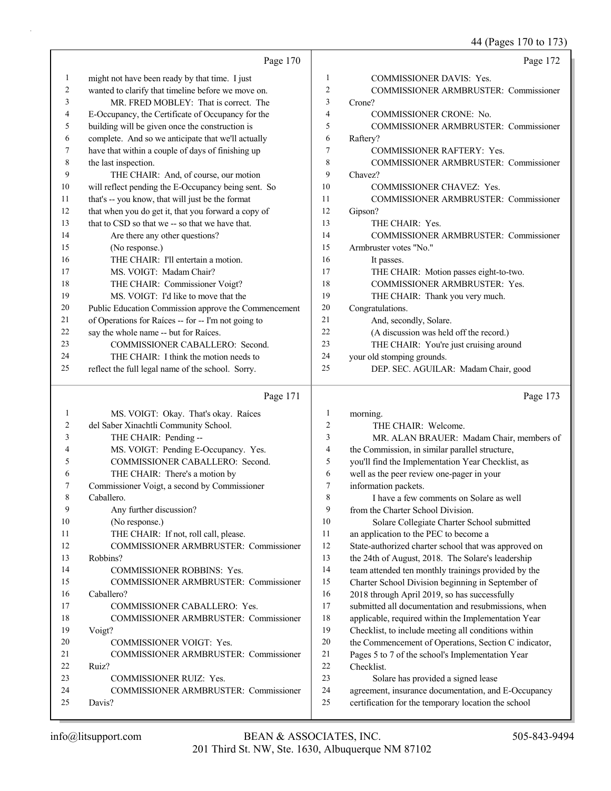44 (Pages 170 to 173)

|    | Page 170                                             |    | Page 172                                     |
|----|------------------------------------------------------|----|----------------------------------------------|
| 1  | might not have been ready by that time. I just       | 1  | <b>COMMISSIONER DAVIS: Yes.</b>              |
| 2  | wanted to clarify that timeline before we move on.   | 2  | <b>COMMISSIONER ARMBRUSTER: Commissioner</b> |
| 3  | MR. FRED MOBLEY: That is correct. The                | 3  | Crone?                                       |
| 4  | E-Occupancy, the Certificate of Occupancy for the    | 4  | <b>COMMISSIONER CRONE: No.</b>               |
| 5  | building will be given once the construction is      | 5  | <b>COMMISSIONER ARMBRUSTER: Commissioner</b> |
| 6  | complete. And so we anticipate that we'll actually   | 6  | Raftery?                                     |
| 7  | have that within a couple of days of finishing up    | 7  | <b>COMMISSIONER RAFTERY: Yes.</b>            |
| 8  | the last inspection.                                 | 8  | <b>COMMISSIONER ARMBRUSTER: Commissioner</b> |
| 9  | THE CHAIR: And, of course, our motion                | 9  | Chavez?                                      |
| 10 | will reflect pending the E-Occupancy being sent. So  | 10 | <b>COMMISSIONER CHAVEZ: Yes.</b>             |
| 11 | that's -- you know, that will just be the format     | 11 | <b>COMMISSIONER ARMBRUSTER: Commissioner</b> |
| 12 | that when you do get it, that you forward a copy of  | 12 | Gipson?                                      |
| 13 | that to CSD so that we -- so that we have that.      | 13 | THE CHAIR: Yes.                              |
| 14 | Are there any other questions?                       | 14 | <b>COMMISSIONER ARMBRUSTER: Commissioner</b> |
| 15 | (No response.)                                       | 15 | Armbruster votes "No."                       |
| 16 | THE CHAIR: I'll entertain a motion.                  | 16 | It passes.                                   |
| 17 | MS. VOIGT: Madam Chair?                              | 17 | THE CHAIR: Motion passes eight-to-two.       |
| 18 | THE CHAIR: Commissioner Voigt?                       | 18 | <b>COMMISSIONER ARMBRUSTER: Yes.</b>         |
| 19 | MS. VOIGT: I'd like to move that the                 | 19 | THE CHAIR: Thank you very much.              |
| 20 | Public Education Commission approve the Commencement | 20 | Congratulations.                             |
| 21 | of Operations for Raíces -- for -- I'm not going to  | 21 | And, secondly, Solare.                       |
| 22 | say the whole name -- but for Raíces.                | 22 | (A discussion was held off the record.)      |
| 23 | COMMISSIONER CABALLERO: Second.                      | 23 | THE CHAIR: You're just cruising around       |
| 24 | THE CHAIR: I think the motion needs to               | 24 | your old stomping grounds.                   |
| 25 | reflect the full legal name of the school. Sorry.    | 25 | DEP. SEC. AGUILAR: Madam Chair, good         |

## Page 171 |

|    | Page 171                                     |                | Page 173                                             |
|----|----------------------------------------------|----------------|------------------------------------------------------|
| 1  | MS. VOIGT: Okay. That's okay. Raíces         | 1              | morning.                                             |
| 2  | del Saber Xinachtli Community School.        | $\overline{2}$ | THE CHAIR: Welcome.                                  |
| 3  | THE CHAIR: Pending --                        | 3              | MR. ALAN BRAUER: Madam Chair, members of             |
| 4  | MS. VOIGT: Pending E-Occupancy. Yes.         | 4              | the Commission, in similar parallel structure,       |
| 5  | COMMISSIONER CABALLERO: Second.              | 5              | you'll find the Implementation Year Checklist, as    |
| 6  | THE CHAIR: There's a motion by               | 6              | well as the peer review one-pager in your            |
| 7  | Commissioner Voigt, a second by Commissioner | 7              | information packets.                                 |
| 8  | Caballero.                                   | 8              | I have a few comments on Solare as well              |
| 9  | Any further discussion?                      | 9              | from the Charter School Division.                    |
| 10 | (No response.)                               | 10             | Solare Collegiate Charter School submitted           |
| 11 | THE CHAIR: If not, roll call, please.        | 11             | an application to the PEC to become a                |
| 12 | <b>COMMISSIONER ARMBRUSTER: Commissioner</b> | 12             | State-authorized charter school that was approved on |
| 13 | Robbins?                                     | 13             | the 24th of August, 2018. The Solare's leadership    |
| 14 | <b>COMMISSIONER ROBBINS: Yes.</b>            | 14             | team attended ten monthly trainings provided by the  |
| 15 | COMMISSIONER ARMBRUSTER: Commissioner        | 15             | Charter School Division beginning in September of    |
| 16 | Caballero?                                   | 16             | 2018 through April 2019, so has successfully         |
| 17 | <b>COMMISSIONER CABALLERO: Yes.</b>          | 17             | submitted all documentation and resubmissions, when  |
| 18 | <b>COMMISSIONER ARMBRUSTER: Commissioner</b> | 18             | applicable, required within the Implementation Year  |
| 19 | Voigt?                                       | 19             | Checklist, to include meeting all conditions within  |
| 20 | <b>COMMISSIONER VOIGT: Yes.</b>              | 20             | the Commencement of Operations, Section C indicator, |
| 21 | <b>COMMISSIONER ARMBRUSTER: Commissioner</b> | 21             | Pages 5 to 7 of the school's Implementation Year     |
| 22 | Ruiz?                                        | 22             | Checklist.                                           |
| 23 | COMMISSIONER RUIZ: Yes.                      | 23             | Solare has provided a signed lease                   |
| 24 | COMMISSIONER ARMBRUSTER: Commissioner        | 24             | agreement, insurance documentation, and E-Occupancy  |
| 25 | Davis?                                       | 25             | certification for the temporary location the school  |
|    |                                              |                |                                                      |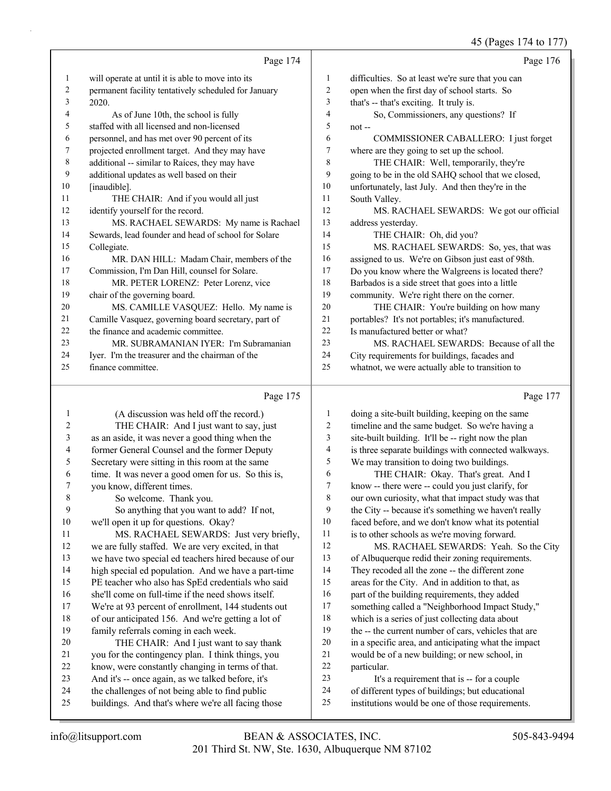45 (Pages 174 to 177)

|    |                                                      |                | $15 \text{ (14505 I)}$ to $111$                    |
|----|------------------------------------------------------|----------------|----------------------------------------------------|
|    | Page 174                                             |                | Page 176                                           |
| 1  | will operate at until it is able to move into its    | 1              | difficulties. So at least we're sure that you can  |
| 2  | permanent facility tentatively scheduled for January | $\overline{c}$ | open when the first day of school starts. So       |
| 3  | 2020.                                                | 3              | that's -- that's exciting. It truly is.            |
| 4  | As of June 10th, the school is fully                 | 4              | So, Commissioners, any questions? If               |
| 5  | staffed with all licensed and non-licensed           | 5              | $not -$                                            |
| 6  | personnel, and has met over 90 percent of its        | 6              | COMMISSIONER CABALLERO: I just forget              |
| 7  | projected enrollment target. And they may have       | 7              | where are they going to set up the school.         |
| 8  | additional -- similar to Raíces, they may have       | 8              | THE CHAIR: Well, temporarily, they're              |
| 9  | additional updates as well based on their            | 9              | going to be in the old SAHQ school that we closed, |
| 10 | [inaudible].                                         | 10             | unfortunately, last July. And then they're in the  |
| 11 | THE CHAIR: And if you would all just                 | 11             | South Valley.                                      |
| 12 | identify yourself for the record.                    | 12             | MS. RACHAEL SEWARDS: We got our official           |
| 13 | MS. RACHAEL SEWARDS: My name is Rachael              | 13             | address yesterday.                                 |
| 14 | Sewards, lead founder and head of school for Solare  | 14             | THE CHAIR: Oh, did you?                            |
| 15 | Collegiate.                                          | 15             | MS. RACHAEL SEWARDS: So, yes, that was             |
| 16 | MR. DAN HILL: Madam Chair, members of the            | 16             | assigned to us. We're on Gibson just east of 98th. |
| 17 | Commission, I'm Dan Hill, counsel for Solare.        | 17             | Do you know where the Walgreens is located there?  |
| 18 | MR. PETER LORENZ: Peter Lorenz, vice                 | 18             | Barbados is a side street that goes into a little  |
| 19 | chair of the governing board.                        | 19             | community. We're right there on the corner.        |
| 20 | MS. CAMILLE VASQUEZ: Hello. My name is               | 20             | THE CHAIR: You're building on how many             |
| 21 | Camille Vasquez, governing board secretary, part of  | 21             | portables? It's not portables; it's manufactured.  |
| 22 | the finance and academic committee.                  | 22             | Is manufactured better or what?                    |
| 23 | MR. SUBRAMANIAN IYER: I'm Subramanian                | 23             | MS. RACHAEL SEWARDS: Because of all the            |
| 24 | Iyer. I'm the treasurer and the chairman of the      | 24             | City requirements for buildings, facades and       |
| 25 | finance committee.                                   | 25             | whatnot, we were actually able to transition to    |
|    | Page 175                                             |                | Page 177                                           |

#### Page 175 |

| 1  | (A discussion was held off the record.)              | 1  | doing a site-built building, keeping on the same     |
|----|------------------------------------------------------|----|------------------------------------------------------|
| 2  | THE CHAIR: And I just want to say, just              | 2  | timeline and the same budget. So we're having a      |
| 3  | as an aside, it was never a good thing when the      | 3  | site-built building. It'll be -- right now the plan  |
| 4  | former General Counsel and the former Deputy         | 4  | is three separate buildings with connected walkways. |
| 5  | Secretary were sitting in this room at the same      | 5  | We may transition to doing two buildings.            |
| 6  | time. It was never a good omen for us. So this is,   | 6  | THE CHAIR: Okay. That's great. And I                 |
| 7  | you know, different times.                           | 7  | know -- there were -- could you just clarify, for    |
| 8  | So welcome. Thank you.                               | 8  | our own curiosity, what that impact study was that   |
| 9  | So anything that you want to add? If not,            | 9  | the City -- because it's something we haven't really |
| 10 | we'll open it up for questions. Okay?                | 10 | faced before, and we don't know what its potential   |
| 11 | MS. RACHAEL SEWARDS: Just very briefly,              | 11 | is to other schools as we're moving forward.         |
| 12 | we are fully staffed. We are very excited, in that   | 12 | MS. RACHAEL SEWARDS: Yeah. So the City               |
| 13 | we have two special ed teachers hired because of our | 13 | of Albuquerque redid their zoning requirements.      |
| 14 | high special ed population. And we have a part-time  | 14 | They recoded all the zone -- the different zone      |
| 15 | PE teacher who also has SpEd credentials who said    | 15 | areas for the City. And in addition to that, as      |
| 16 | she'll come on full-time if the need shows itself.   | 16 | part of the building requirements, they added        |
| 17 | We're at 93 percent of enrollment, 144 students out  | 17 | something called a "Neighborhood Impact Study,"      |
| 18 | of our anticipated 156. And we're getting a lot of   | 18 | which is a series of just collecting data about      |
| 19 | family referrals coming in each week.                | 19 | the -- the current number of cars, vehicles that are |
| 20 | THE CHAIR: And I just want to say thank              | 20 | in a specific area, and anticipating what the impact |
| 21 | you for the contingency plan. I think things, you    | 21 | would be of a new building; or new school, in        |
| 22 | know, were constantly changing in terms of that.     | 22 | particular.                                          |
| 23 | And it's -- once again, as we talked before, it's    | 23 | It's a requirement that is -- for a couple           |
| 24 | the challenges of not being able to find public      | 24 | of different types of buildings; but educational     |
| 25 | buildings. And that's where we're all facing those   | 25 | institutions would be one of those requirements.     |
|    |                                                      |    |                                                      |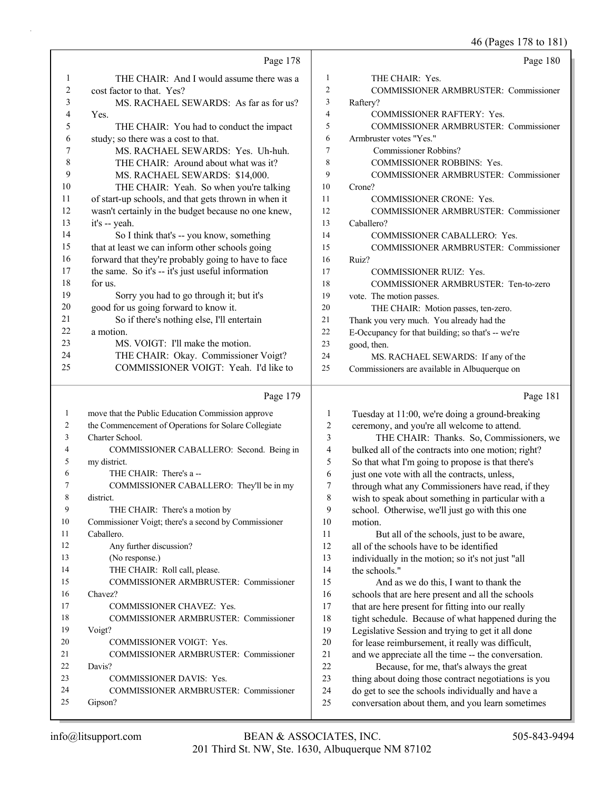|              |                                                      |                         | 46 (Pages 178 to 181)                               |
|--------------|------------------------------------------------------|-------------------------|-----------------------------------------------------|
|              | Page 178                                             |                         | Page 180                                            |
| 1            | THE CHAIR: And I would assume there was a            | 1                       | THE CHAIR: Yes.                                     |
| 2            | cost factor to that. Yes?                            | $\overline{\mathbf{c}}$ | COMMISSIONER ARMBRUSTER: Commissioner               |
| 3            | MS. RACHAEL SEWARDS: As far as for us?               | 3                       | Raftery?                                            |
| 4            | Yes.                                                 | 4                       | <b>COMMISSIONER RAFTERY: Yes.</b>                   |
| 5            | THE CHAIR: You had to conduct the impact             | 5                       | COMMISSIONER ARMBRUSTER: Commissioner               |
| 6            | study; so there was a cost to that.                  | 6                       | Armbruster votes "Yes."                             |
| 7            | MS. RACHAEL SEWARDS: Yes. Uh-huh.                    | 7                       | Commissioner Robbins?                               |
| 8            | THE CHAIR: Around about what was it?                 | 8                       | COMMISSIONER ROBBINS: Yes.                          |
| 9            | MS. RACHAEL SEWARDS: \$14,000.                       | 9                       | COMMISSIONER ARMBRUSTER: Commissioner               |
| 10           | THE CHAIR: Yeah. So when you're talking              | 10                      | Crone?                                              |
| 11           | of start-up schools, and that gets thrown in when it | 11                      | <b>COMMISSIONER CRONE: Yes.</b>                     |
| 12           | wasn't certainly in the budget because no one knew,  | 12                      | COMMISSIONER ARMBRUSTER: Commissioner               |
| 13           | it's -- yeah.                                        | 13                      | Caballero?                                          |
| 14           | So I think that's -- you know, something             | 14                      | COMMISSIONER CABALLERO: Yes.                        |
| 15           | that at least we can inform other schools going      | 15                      | COMMISSIONER ARMBRUSTER: Commissioner               |
| 16           | forward that they're probably going to have to face  | 16                      | Ruiz?                                               |
| 17           | the same. So it's -- it's just useful information    | 17                      | <b>COMMISSIONER RUIZ: Yes.</b>                      |
| 18           | for us.                                              | 18                      | COMMISSIONER ARMBRUSTER: Ten-to-zero                |
| 19           | Sorry you had to go through it; but it's             | 19                      | vote. The motion passes.                            |
| 20           | good for us going forward to know it.                | 20                      | THE CHAIR: Motion passes, ten-zero.                 |
| 21           | So if there's nothing else, I'll entertain           | 21                      | Thank you very much. You already had the            |
| 22           | a motion.                                            | 22                      | E-Occupancy for that building; so that's -- we're   |
| 23           | MS. VOIGT: I'll make the motion.                     | 23                      | good, then.                                         |
| 24           | THE CHAIR: Okay. Commissioner Voigt?                 | 24                      | MS. RACHAEL SEWARDS: If any of the                  |
| 25           | COMMISSIONER VOIGT: Yeah. I'd like to                | 25                      | Commissioners are available in Albuquerque on       |
|              | Page 179                                             |                         | Page 181                                            |
| $\mathbf{1}$ | move that the Public Education Commission approve    | 1                       | Tuesday at 11:00, we're doing a ground-breaking     |
| 2            | the Commencement of Operations for Solare Collegiate | $\sqrt{2}$              | ceremony, and you're all welcome to attend.         |
| 3            | Charter School.                                      | 3                       | THE CHAIR: Thanks. So, Commissioners, we            |
| 4            | COMMISSIONER CABALLERO: Second. Being in             | $\overline{4}$          | bulked all of the contracts into one motion; right? |
| 5            | my district.                                         | 5                       | So that what I'm going to propose is that there's   |
| 6            | THE CHAIR: There's a--                               | 6                       | just one vote with all the contracts, unless,       |
| 7            | COMMISSIONER CABALLERO: They'll be in my             | 7                       | through what any Commissioners have read, if they   |
| 8            | district.                                            | 8                       | wish to speak about something in particular with a  |
| 9            | THE CHAIR: There's a motion by                       | 9                       | school. Otherwise, we'll just go with this one      |
| 10           | Commissioner Voigt; there's a second by Commissioner | 10                      | motion.                                             |
| 11           | Caballero.                                           | 11                      | But all of the schools, just to be aware,           |
| 12           | Any further discussion?                              | 12                      | all of the schools have to be identified            |
| 13           | (No response.)                                       | 13                      | individually in the motion; so it's not just "all   |
| 14           | THE CHAIR: Roll call, please.                        | 14                      | the schools."                                       |
| 15           | COMMISSIONER ARMBRUSTER: Commissioner                | 15                      | And as we do this, I want to thank the              |
| 16           | Chavez?                                              | 16                      | schools that are here present and all the schools   |
| 17           | COMMISSIONER CHAVEZ: Yes.                            | 17                      | that are here present for fitting into our really   |
| 18           | COMMISSIONER ARMBRUSTER: Commissioner                | 18                      | tight schedule. Because of what happened during the |
| 19           | Voigt?                                               | 19                      | Legislative Session and trying to get it all done   |
| 20           | COMMISSIONER VOIGT: Yes.                             | 20                      | for lease reimbursement, it really was difficult,   |
| 21           | COMMISSIONER ARMBRUSTER: Commissioner                | $21\,$                  | and we appreciate all the time -- the conversation. |
| 22           | Davis?                                               | 22                      | Because, for me, that's always the great            |

22 Because, for me, that's always the great thing about doing those contract negotiations is you do get to see the schools individually and have a conversation about them, and you learn sometimes

25 Gipson?

23 COMMISSIONER DAVIS: Yes.

24 COMMISSIONER ARMBRUSTER: Commissioner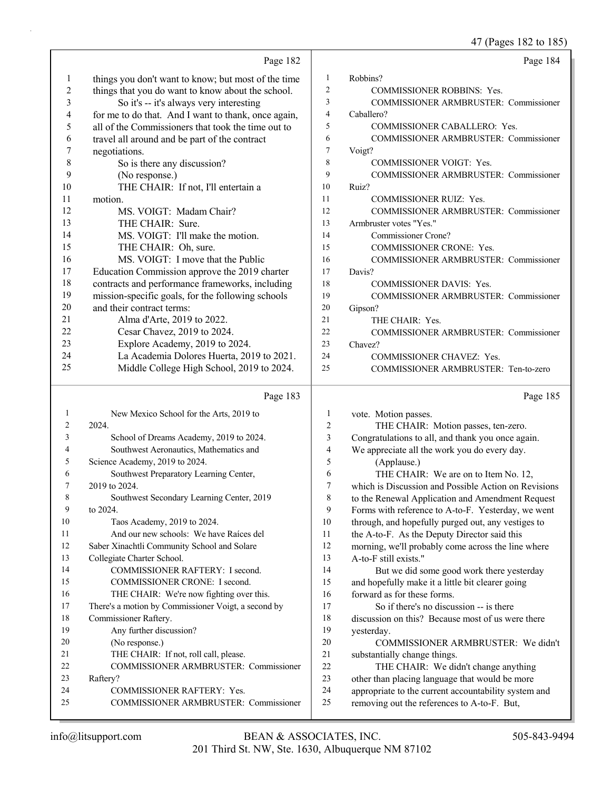47 (Pages 182 to 185)

|                          | Page 182                                                            |                | Page 184                                                                                            |
|--------------------------|---------------------------------------------------------------------|----------------|-----------------------------------------------------------------------------------------------------|
| 1                        | things you don't want to know; but most of the time                 | $\mathbf{1}$   | Robbins?                                                                                            |
| $\sqrt{2}$               | things that you do want to know about the school.                   | $\overline{2}$ | <b>COMMISSIONER ROBBINS: Yes.</b>                                                                   |
| 3                        | So it's -- it's always very interesting                             | 3              | COMMISSIONER ARMBRUSTER: Commissioner                                                               |
| $\overline{\mathcal{A}}$ | for me to do that. And I want to thank, once again,                 | $\overline{4}$ | Caballero?                                                                                          |
| 5                        | all of the Commissioners that took the time out to                  | 5              | COMMISSIONER CABALLERO: Yes.                                                                        |
| 6                        | travel all around and be part of the contract                       | 6              | COMMISSIONER ARMBRUSTER: Commissioner                                                               |
| 7                        | negotiations.                                                       | 7              | Voigt?                                                                                              |
| $\,$ $\,$                | So is there any discussion?                                         | 8              | COMMISSIONER VOIGT: Yes.                                                                            |
| 9                        | (No response.)                                                      | 9              | COMMISSIONER ARMBRUSTER: Commissioner                                                               |
| 10                       | THE CHAIR: If not, I'll entertain a                                 | 10             | Ruiz?                                                                                               |
| 11                       | motion.                                                             | 11             | COMMISSIONER RUIZ: Yes.                                                                             |
| 12                       | MS. VOIGT: Madam Chair?                                             | 12             | COMMISSIONER ARMBRUSTER: Commissioner                                                               |
| 13                       | THE CHAIR: Sure.                                                    | 13             | Armbruster votes "Yes."                                                                             |
| 14                       | MS. VOIGT: I'll make the motion.                                    | 14             | Commissioner Crone?                                                                                 |
| 15                       | THE CHAIR: Oh, sure.                                                | 15             | COMMISSIONER CRONE: Yes.                                                                            |
| 16                       | MS. VOIGT: I move that the Public                                   | 16             | COMMISSIONER ARMBRUSTER: Commissioner                                                               |
| 17                       | Education Commission approve the 2019 charter                       | 17             | Davis?                                                                                              |
| 18                       | contracts and performance frameworks, including                     | 18             | COMMISSIONER DAVIS: Yes.                                                                            |
| 19                       | mission-specific goals, for the following schools                   | 19             | COMMISSIONER ARMBRUSTER: Commissioner                                                               |
| 20                       | and their contract terms:                                           | 20             | Gipson?                                                                                             |
| 21                       | Alma d'Arte, 2019 to 2022.                                          | 21             | THE CHAIR: Yes.                                                                                     |
| 22                       | Cesar Chavez, 2019 to 2024.                                         | 22             | COMMISSIONER ARMBRUSTER: Commissioner                                                               |
| 23                       | Explore Academy, 2019 to 2024.                                      | 23             | Chavez?                                                                                             |
| 24                       | La Academia Dolores Huerta, 2019 to 2021.                           | 24             | COMMISSIONER CHAVEZ: Yes.                                                                           |
| 25                       | Middle College High School, 2019 to 2024.                           | 25             | COMMISSIONER ARMBRUSTER: Ten-to-zero                                                                |
|                          |                                                                     |                |                                                                                                     |
|                          |                                                                     |                |                                                                                                     |
|                          | Page 183                                                            |                | Page 185                                                                                            |
| 1                        | New Mexico School for the Arts, 2019 to                             | 1              | vote. Motion passes.                                                                                |
| 2                        | 2024.                                                               | 2              | THE CHAIR: Motion passes, ten-zero.                                                                 |
| 3                        | School of Dreams Academy, 2019 to 2024.                             | 3              | Congratulations to all, and thank you once again.                                                   |
| 4                        | Southwest Aeronautics, Mathematics and                              | 4              | We appreciate all the work you do every day.                                                        |
| 5                        | Science Academy, 2019 to 2024.                                      | 5              | (Applause.)                                                                                         |
| 6                        | Southwest Preparatory Learning Center,                              | 6              | THE CHAIR: We are on to Item No. 12,                                                                |
| 7                        | 2019 to 2024.                                                       | 7              | which is Discussion and Possible Action on Revisions                                                |
| 8                        | Southwest Secondary Learning Center, 2019                           | 8              | to the Renewal Application and Amendment Request                                                    |
| 9                        | to 2024.                                                            | 9              | Forms with reference to A-to-F. Yesterday, we went                                                  |
| 10                       | Taos Academy, 2019 to 2024.                                         | 10             | through, and hopefully purged out, any vestiges to                                                  |
| 11                       | And our new schools: We have Raíces del                             | 11             | the A-to-F. As the Deputy Director said this                                                        |
| 12                       | Saber Xinachtli Community School and Solare                         | 12             | morning, we'll probably come across the line where                                                  |
| 13                       | Collegiate Charter School.                                          | 13             | A-to-F still exists."                                                                               |
| 14                       | COMMISSIONER RAFTERY: I second.                                     | 14             | But we did some good work there yesterday                                                           |
| 15                       | COMMISSIONER CRONE: I second.                                       | 15             | and hopefully make it a little bit clearer going                                                    |
| 16                       | THE CHAIR: We're now fighting over this.                            | 16             | forward as for these forms.                                                                         |
| 17                       | There's a motion by Commissioner Voigt, a second by                 | 17             | So if there's no discussion -- is there                                                             |
| 18                       | Commissioner Raftery.                                               | 18             | discussion on this? Because most of us were there                                                   |
| 19                       | Any further discussion?                                             | 19             | yesterday.                                                                                          |
| 20                       | (No response.)                                                      | 20             | COMMISSIONER ARMBRUSTER: We didn't                                                                  |
| 21                       | THE CHAIR: If not, roll call, please.                               | 21             | substantially change things.                                                                        |
| 22                       | COMMISSIONER ARMBRUSTER: Commissioner                               | 22             | THE CHAIR: We didn't change anything                                                                |
| 23                       | Raftery?                                                            | 23             | other than placing language that would be more                                                      |
| 24<br>25                 | COMMISSIONER RAFTERY: Yes.<br>COMMISSIONER ARMBRUSTER: Commissioner | 24<br>25       | appropriate to the current accountability system and<br>removing out the references to A-to-F. But, |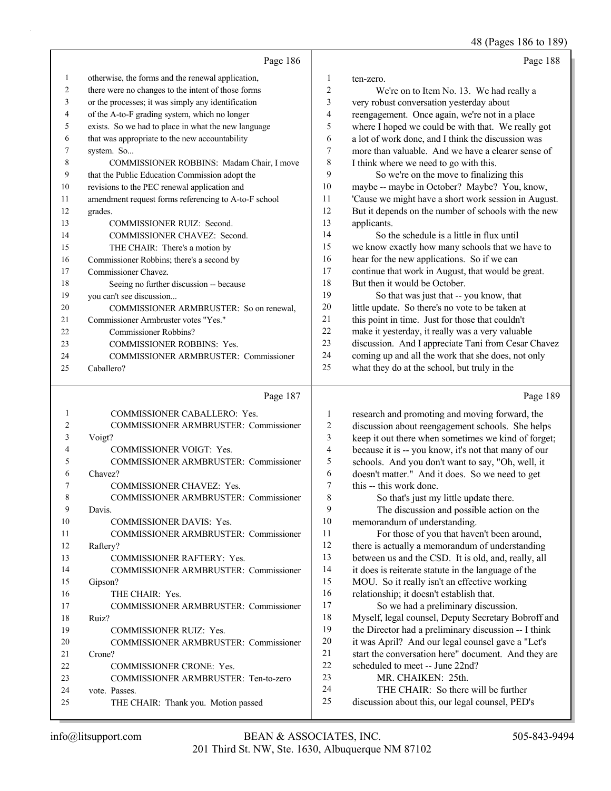|    | Page 186                                                                                                                                                                                                                                                                                                                                                                             |                | Page 188                                             |
|----|--------------------------------------------------------------------------------------------------------------------------------------------------------------------------------------------------------------------------------------------------------------------------------------------------------------------------------------------------------------------------------------|----------------|------------------------------------------------------|
| 1  | otherwise, the forms and the renewal application,                                                                                                                                                                                                                                                                                                                                    | 1              | ten-zero.                                            |
| 2  | there were no changes to the intent of those forms                                                                                                                                                                                                                                                                                                                                   | $\overline{c}$ | We're on to Item No. 13. We had really a             |
| 3  | or the processes; it was simply any identification                                                                                                                                                                                                                                                                                                                                   | 3              | very robust conversation yesterday about             |
| 4  | of the A-to-F grading system, which no longer                                                                                                                                                                                                                                                                                                                                        | 4              | reengagement. Once again, we're not in a place       |
| 5  | exists. So we had to place in what the new language                                                                                                                                                                                                                                                                                                                                  | 5              | where I hoped we could be with that. We really got   |
| 6  | that was appropriate to the new accountability                                                                                                                                                                                                                                                                                                                                       | 6              | a lot of work done, and I think the discussion was   |
| 7  | system. So                                                                                                                                                                                                                                                                                                                                                                           | 7              | more than valuable. And we have a clearer sense of   |
| 8  | COMMISSIONER ROBBINS: Madam Chair, I move                                                                                                                                                                                                                                                                                                                                            | 8              | I think where we need to go with this.               |
| 9  | that the Public Education Commission adopt the                                                                                                                                                                                                                                                                                                                                       | 9              | So we're on the move to finalizing this              |
| 10 | revisions to the PEC renewal application and                                                                                                                                                                                                                                                                                                                                         | 10             | maybe -- maybe in October? Maybe? You, know,         |
| 11 | amendment request forms referencing to A-to-F school                                                                                                                                                                                                                                                                                                                                 | 11             | 'Cause we might have a short work session in August. |
| 12 | grades.                                                                                                                                                                                                                                                                                                                                                                              | 12             | But it depends on the number of schools with the new |
| 13 | <b>COMMISSIONER RUIZ: Second.</b>                                                                                                                                                                                                                                                                                                                                                    | 13             | applicants.                                          |
| 14 | COMMISSIONER CHAVEZ: Second.                                                                                                                                                                                                                                                                                                                                                         | 14             | So the schedule is a little in flux until            |
| 15 | THE CHAIR: There's a motion by                                                                                                                                                                                                                                                                                                                                                       | 15             | we know exactly how many schools that we have to     |
| 16 | Commissioner Robbins; there's a second by                                                                                                                                                                                                                                                                                                                                            | 16             | hear for the new applications. So if we can          |
| 17 | Commissioner Chavez.                                                                                                                                                                                                                                                                                                                                                                 | 17             | continue that work in August, that would be great.   |
| 18 | Seeing no further discussion -- because                                                                                                                                                                                                                                                                                                                                              | 18             | But then it would be October.                        |
| 19 | you can't see discussion                                                                                                                                                                                                                                                                                                                                                             | 19             | So that was just that -- you know, that              |
| 20 | COMMISSIONER ARMBRUSTER: So on renewal,                                                                                                                                                                                                                                                                                                                                              | 20             | little update. So there's no vote to be taken at     |
| 21 | Commissioner Armbruster votes "Yes."                                                                                                                                                                                                                                                                                                                                                 | 21             | this point in time. Just for those that couldn't     |
| 22 | Commissioner Robbins?                                                                                                                                                                                                                                                                                                                                                                | 22             | make it yesterday, it really was a very valuable     |
| 23 | <b>COMMISSIONER ROBBINS: Yes.</b>                                                                                                                                                                                                                                                                                                                                                    | 23             | discussion. And I appreciate Tani from Cesar Chavez  |
| 24 | COMMISSIONER ARMBRUSTER: Commissioner                                                                                                                                                                                                                                                                                                                                                | 24             | coming up and all the work that she does, not only   |
| 25 | Caballero?                                                                                                                                                                                                                                                                                                                                                                           | 25             | what they do at the school, but truly in the         |
|    | Page 187                                                                                                                                                                                                                                                                                                                                                                             |                | Page 189                                             |
|    | COMMISSIONER CABALLERO: Yes.                                                                                                                                                                                                                                                                                                                                                         | 1              | research and promoting and moving forward, the       |
|    | $\overline{O}$ $\overline{O}$ $\overline{O}$ $\overline{O}$ $\overline{O}$ $\overline{O}$ $\overline{O}$ $\overline{O}$ $\overline{O}$ $\overline{O}$ $\overline{O}$ $\overline{O}$ $\overline{O}$ $\overline{O}$ $\overline{O}$ $\overline{O}$ $\overline{O}$ $\overline{O}$ $\overline{O}$ $\overline{O}$ $\overline{O}$ $\overline{O}$ $\overline{O}$ $\overline{O}$ $\overline{$ | $\sim$         |                                                      |

| 2  | COMMISSIONER ARMBRUSTER: Commissioner        |
|----|----------------------------------------------|
| 3  | Voigt?                                       |
| 4  | <b>COMMISSIONER VOIGT: Yes.</b>              |
| 5  | <b>COMMISSIONER ARMBRUSTER: Commissioner</b> |
| 6  | Chavez?                                      |
| 7  | <b>COMMISSIONER CHAVEZ: Yes.</b>             |
| 8  | <b>COMMISSIONER ARMBRUSTER: Commissioner</b> |
| 9  | Davis.                                       |
| 10 | <b>COMMISSIONER DAVIS: Yes.</b>              |
| 11 | COMMISSIONER ARMBRUSTER: Commissioner        |
| 12 | Raftery?                                     |
| 13 | <b>COMMISSIONER RAFTERY: Yes.</b>            |
| 14 | COMMISSIONER ARMBRUSTER: Commissioner        |
| 15 | Gipson?                                      |
| 16 | THE CHAIR: Yes.                              |
| 17 | COMMISSIONER ARMBRUSTER: Commissioner        |
| 18 | Ruiz?                                        |
| 19 | <b>COMMISSIONER RUIZ: Yes.</b>               |
| 20 | <b>COMMISSIONER ARMBRUSTER: Commissioner</b> |
| 21 | Crone?                                       |
| 22 | <b>COMMISSIONER CRONE: Yes.</b>              |
| 23 | COMMISSIONER ARMBRUSTER: Ten-to-zero         |
| 24 | vote. Passes.                                |
| 25 | THE CHAIR: Thank you. Motion passed          |

 discussion about reengagement schools. She helps keep it out there when sometimes we kind of forget; because it is -- you know, it's not that many of our schools. And you don't want to say, "Oh, well, it doesn't matter." And it does. So we need to get this -- this work done. 8 So that's just my little update there. 9 The discussion and possible action on the memorandum of understanding. 11 For those of you that haven't been around, there is actually a memorandum of understanding between us and the CSD. It is old, and, really, all it does is reiterate statute in the language of the MOU. So it really isn't an effective working relationship; it doesn't establish that.

17 So we had a preliminary discussion. Myself, legal counsel, Deputy Secretary Bobroff and the Director had a preliminary discussion -- I think it was April? And our legal counsel gave a "Let's start the conversation here" document. And they are scheduled to meet -- June 22nd? 23 MR. CHAIKEN: 25th.

- 
- 24 THE CHAIR: So there will be further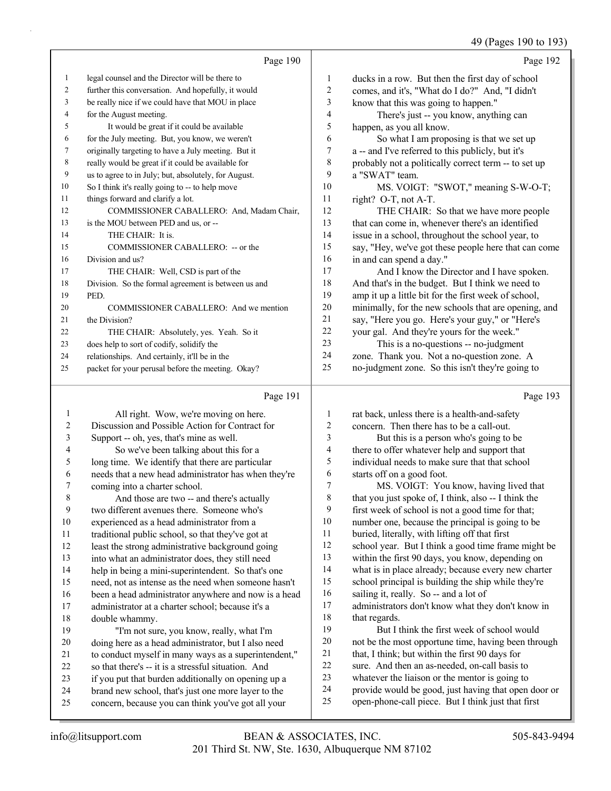49 (Pages 190 to 193)

|                | $12.1$ ages 190 to 1997                           |
|----------------|---------------------------------------------------|
|                | Page 192                                          |
| 1              | ducks in a row. But then the first day of school  |
| 2              | comes, and it's, "What do I do?" And, "I didn't   |
| 3              | know that this was going to happen."              |
| $\overline{4}$ | There's just -- you know, anything can            |
| 5              | happen, as you all know.                          |
| 6              | So what I am proposing is that we set up          |
| 7              | a -- and I've referred to this publicly, but it's |
|                |                                                   |

 probably not a politically correct term -- to set up a "SWAT" team. 10 MS. VOIGT: "SWOT," meaning S-W-O-T;

right? O-T, not A-T.

12 THE CHAIR: So that we have more people that can come in, whenever there's an identified issue in a school, throughout the school year, to say, "Hey, we've got these people here that can come in and can spend a day."

17 And I know the Director and I have spoken. And that's in the budget. But I think we need to amp it up a little bit for the first week of school, minimally, for the new schools that are opening, and say, "Here you go. Here's your guy," or "Here's your gal. And they're yours for the week."

23 This is a no-questions -- no-judgment zone. Thank you. Not a no-question zone. A no-judgment zone. So this isn't they're going to

#### Page 191

Page 190

 legal counsel and the Director will be there to further this conversation. And hopefully, it would be really nice if we could have that MOU in place

5 It would be great if it could be available for the July meeting. But, you know, we weren't originally targeting to have a July meeting. But it really would be great if it could be available for us to agree to in July; but, absolutely, for August. So I think it's really going to -- to help move

12 COMMISSIONER CABALLERO: And, Madam Chair,

for the August meeting.

things forward and clarify a lot.

14 THE CHAIR: It is.

Division and us?

PED.

21 the Division?

is the MOU between PED and us, or --

15 COMMISSIONER CABALLERO: -- or the

22 THE CHAIR: Absolutely, yes. Yeah. So it

 does help to sort of codify, solidify the relationships. And certainly, it'll be in the packet for your perusal before the meeting. Okay?

20 COMMISSIONER CABALLERO: And we mention

17 THE CHAIR: Well, CSD is part of the Division. So the formal agreement is between us and

| 1      | All right. Wow, we're moving on here.                | 1  | rat back, unless there is a health-and-safety        |
|--------|------------------------------------------------------|----|------------------------------------------------------|
| 2      | Discussion and Possible Action for Contract for      | 2  | concern. Then there has to be a call-out.            |
| 3      | Support -- oh, yes, that's mine as well.             | 3  | But this is a person who's going to be               |
| 4      | So we've been talking about this for a               | 4  | there to offer whatever help and support that        |
| 5      | long time. We identify that there are particular     | 5  | individual needs to make sure that that school       |
| 6      | needs that a new head administrator has when they're | 6  | starts off on a good foot.                           |
| 7      | coming into a charter school.                        | 7  | MS. VOIGT: You know, having lived that               |
| 8      | And those are two -- and there's actually            | 8  | that you just spoke of, I think, also -- I think the |
| 9      | two different avenues there. Someone who's           | 9  | first week of school is not a good time for that;    |
| $10\,$ | experienced as a head administrator from a           | 10 | number one, because the principal is going to be     |
| 11     | traditional public school, so that they've got at    | 11 | buried, literally, with lifting off that first       |
| 12     | least the strong administrative background going     | 12 | school year. But I think a good time frame might be  |
| 13     | into what an administrator does, they still need     | 13 | within the first 90 days, you know, depending on     |
| 14     | help in being a mini-superintendent. So that's one   | 14 | what is in place already; because every new charter  |
| 15     | need, not as intense as the need when someone hasn't | 15 | school principal is building the ship while they're  |
| 16     | been a head administrator anywhere and now is a head | 16 | sailing it, really. So -- and a lot of               |
| 17     | administrator at a charter school; because it's a    | 17 | administrators don't know what they don't know in    |
| 18     | double whammy.                                       | 18 | that regards.                                        |
| 19     | "I'm not sure, you know, really, what I'm            | 19 | But I think the first week of school would           |
| 20     | doing here as a head administrator, but I also need  | 20 | not be the most opportune time, having been through  |
| 21     | to conduct myself in many ways as a superintendent," | 21 | that, I think; but within the first 90 days for      |
| 22     | so that there's -- it is a stressful situation. And  | 22 | sure. And then an as-needed, on-call basis to        |
| 23     | if you put that burden additionally on opening up a  | 23 | whatever the liaison or the mentor is going to       |
| 24     | brand new school, that's just one more layer to the  | 24 | provide would be good, just having that open door or |
| 25     | concern, because you can think you've got all your   | 25 | open-phone-call piece. But I think just that first   |
|        |                                                      |    |                                                      |

Page 193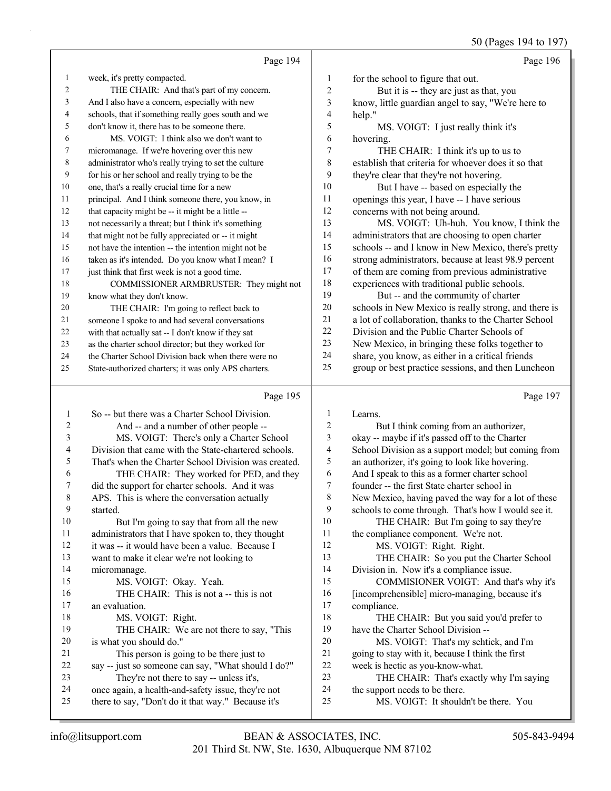50 (Pages 194 to 197)

|    | Page 194                                             |    | Page 196                                             |
|----|------------------------------------------------------|----|------------------------------------------------------|
| 1  | week, it's pretty compacted.                         | 1  | for the school to figure that out.                   |
| 2  | THE CHAIR: And that's part of my concern.            | 2  | But it is -- they are just as that, you              |
| 3  | And I also have a concern, especially with new       | 3  | know, little guardian angel to say, "We're here to   |
| 4  | schools, that if something really goes south and we  | 4  | help."                                               |
| 5  | don't know it, there has to be someone there.        | 5  | MS. VOIGT: I just really think it's                  |
| 6  | MS. VOIGT: I think also we don't want to             | 6  | hovering.                                            |
| 7  | micromanage. If we're hovering over this new         | 7  | THE CHAIR: I think it's up to us to                  |
| 8  | administrator who's really trying to set the culture | 8  | establish that criteria for whoever does it so that  |
| 9  | for his or her school and really trying to be the    | 9  | they're clear that they're not hovering.             |
| 10 | one, that's a really crucial time for a new          | 10 | But I have -- based on especially the                |
| 11 | principal. And I think someone there, you know, in   | 11 | openings this year, I have -- I have serious         |
| 12 | that capacity might be -- it might be a little --    | 12 | concerns with not being around.                      |
| 13 | not necessarily a threat; but I think it's something | 13 | MS. VOIGT: Uh-huh. You know, I think the             |
| 14 | that might not be fully appreciated or -- it might   | 14 | administrators that are choosing to open charter     |
| 15 | not have the intention -- the intention might not be | 15 | schools -- and I know in New Mexico, there's pretty  |
| 16 | taken as it's intended. Do you know what I mean? I   | 16 | strong administrators, because at least 98.9 percent |
| 17 | just think that first week is not a good time.       | 17 | of them are coming from previous administrative      |
| 18 | COMMISSIONER ARMBRUSTER: They might not              | 18 | experiences with traditional public schools.         |
| 19 | know what they don't know.                           | 19 | But -- and the community of charter                  |
| 20 | THE CHAIR: I'm going to reflect back to              | 20 | schools in New Mexico is really strong, and there is |
| 21 | someone I spoke to and had several conversations     | 21 | a lot of collaboration, thanks to the Charter School |
| 22 | with that actually sat -- I don't know if they sat   | 22 | Division and the Public Charter Schools of           |
| 23 | as the charter school director; but they worked for  | 23 | New Mexico, in bringing these folks together to      |
| 24 | the Charter School Division back when there were no  | 24 | share, you know, as either in a critical friends     |
| 25 | State-authorized charters; it was only APS charters. | 25 | group or best practice sessions, and then Luncheon   |
|    |                                                      |    |                                                      |

#### Page 195

|    | Page 195                                             |    | Page 197                                            |
|----|------------------------------------------------------|----|-----------------------------------------------------|
| 1  | So -- but there was a Charter School Division.       | 1  | Learns.                                             |
| 2  | And -- and a number of other people --               | 2  | But I think coming from an authorizer,              |
| 3  | MS. VOIGT: There's only a Charter School             | 3  | okay -- maybe if it's passed off to the Charter     |
| 4  | Division that came with the State-chartered schools. | 4  | School Division as a support model; but coming from |
| 5  | That's when the Charter School Division was created. | 5  | an authorizer, it's going to look like hovering.    |
| 6  | THE CHAIR: They worked for PED, and they             | 6  | And I speak to this as a former charter school      |
| 7  | did the support for charter schools. And it was      | 7  | founder -- the first State charter school in        |
| 8  | APS. This is where the conversation actually         | 8  | New Mexico, having paved the way for a lot of these |
| 9  | started.                                             | 9  | schools to come through. That's how I would see it. |
| 10 | But I'm going to say that from all the new           | 10 | THE CHAIR: But I'm going to say they're             |
| 11 | administrators that I have spoken to, they thought   | 11 | the compliance component. We're not.                |
| 12 | it was -- it would have been a value. Because I      | 12 | MS. VOIGT: Right. Right.                            |
| 13 | want to make it clear we're not looking to           | 13 | THE CHAIR: So you put the Charter School            |
| 14 | micromanage.                                         | 14 | Division in. Now it's a compliance issue.           |
| 15 | MS. VOIGT: Okay. Yeah.                               | 15 | COMMISIONER VOIGT: And that's why it's              |
| 16 | THE CHAIR: This is not a -- this is not              | 16 | [incomprehensible] micro-managing, because it's     |
| 17 | an evaluation.                                       | 17 | compliance.                                         |
| 18 | MS. VOIGT: Right.                                    | 18 | THE CHAIR: But you said you'd prefer to             |
| 19 | THE CHAIR: We are not there to say, "This            | 19 | have the Charter School Division --                 |
| 20 | is what you should do."                              | 20 | MS. VOIGT: That's my schtick, and I'm               |
| 21 | This person is going to be there just to             | 21 | going to stay with it, because I think the first    |
| 22 | say -- just so someone can say, "What should I do?"  | 22 | week is hectic as you-know-what.                    |
| 23 | They're not there to say -- unless it's,             | 23 | THE CHAIR: That's exactly why I'm saying            |
| 24 | once again, a health-and-safety issue, they're not   | 24 | the support needs to be there.                      |
| 25 | there to say, "Don't do it that way." Because it's   | 25 | MS. VOIGT: It shouldn't be there. You               |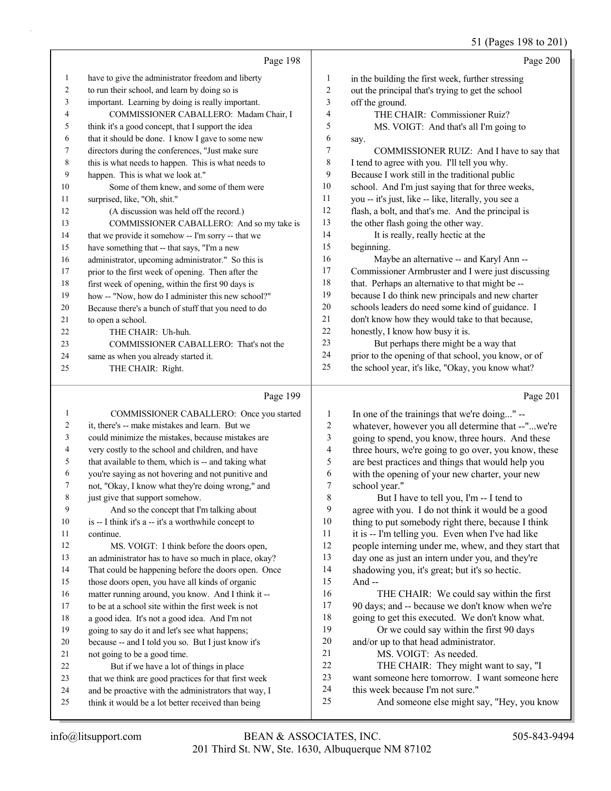# 51 (Pages 198 to 201)

|    | Page 198                                             |    | Page 200                                             |
|----|------------------------------------------------------|----|------------------------------------------------------|
| 1  | have to give the administrator freedom and liberty   | 1  | in the building the first week, further stressing    |
| 2  | to run their school, and learn by doing so is        | 2  | out the principal that's trying to get the school    |
| 3  | important. Learning by doing is really important.    | 3  | off the ground.                                      |
| 4  | COMMISSIONER CABALLERO: Madam Chair, I               | 4  | THE CHAIR: Commissioner Ruiz?                        |
| 5  | think it's a good concept, that I support the idea   | 5  | MS. VOIGT: And that's all I'm going to               |
| 6  | that it should be done. I know I gave to some new    | 6  | say.                                                 |
| 7  | directors during the conferences, "Just make sure    | 7  | COMMISSIONER RUIZ: And I have to say that            |
| 8  | this is what needs to happen. This is what needs to  | 8  | I tend to agree with you. I'll tell you why.         |
| 9  | happen. This is what we look at."                    | 9  | Because I work still in the traditional public       |
| 10 | Some of them knew, and some of them were             | 10 | school. And I'm just saying that for three weeks,    |
| 11 | surprised, like, "Oh, shit."                         | 11 | you -- it's just, like -- like, literally, you see a |
| 12 | (A discussion was held off the record.)              | 12 | flash, a bolt, and that's me. And the principal is   |
| 13 | COMMISSIONER CABALLERO: And so my take is            | 13 | the other flash going the other way.                 |
| 14 | that we provide it somehow -- I'm sorry -- that we   | 14 | It is really, really hectic at the                   |
| 15 | have something that -- that says, "I'm a new         | 15 | beginning.                                           |
| 16 | administrator, upcoming administrator." So this is   | 16 | Maybe an alternative -- and Karyl Ann --             |
| 17 | prior to the first week of opening. Then after the   | 17 | Commissioner Armbruster and I were just discussing   |
| 18 | first week of opening, within the first 90 days is   | 18 | that. Perhaps an alternative to that might be --     |
| 19 | how -- "Now, how do I administer this new school?"   | 19 | because I do think new principals and new charter    |
| 20 | Because there's a bunch of stuff that you need to do | 20 | schools leaders do need some kind of guidance. I     |
| 21 | to open a school.                                    | 21 | don't know how they would take to that because,      |
| 22 | THE CHAIR: Uh-huh.                                   | 22 | honestly, I know how busy it is.                     |
| 23 | COMMISSIONER CABALLERO: That's not the               | 23 | But perhaps there might be a way that                |
| 24 | same as when you already started it.                 | 24 | prior to the opening of that school, you know, or of |
| 25 | THE CHAIR: Right.                                    | 25 | the school year, it's like, "Okay, you know what?    |
|    |                                                      |    |                                                      |

#### $p_{\text{gas}}$  100

|    | rage $199$                                           |    | r age $201$                                          |
|----|------------------------------------------------------|----|------------------------------------------------------|
| 1  | COMMISSIONER CABALLERO: Once you started             | 1  | In one of the trainings that we're doing" --         |
| 2  | it, there's -- make mistakes and learn. But we       | 2  | whatever, however you all determine that --"we're    |
| 3  | could minimize the mistakes, because mistakes are    | 3  | going to spend, you know, three hours. And these     |
| 4  | very costly to the school and children, and have     | 4  | three hours, we're going to go over, you know, these |
| 5  | that available to them, which is -- and taking what  | 5  | are best practices and things that would help you    |
| 6  | you're saying as not hovering and not punitive and   | 6  | with the opening of your new charter, your new       |
| 7  | not, "Okay, I know what they're doing wrong," and    | 7  | school year."                                        |
| 8  | just give that support somehow.                      | 8  | But I have to tell you, I'm -- I tend to             |
| 9  | And so the concept that I'm talking about            | 9  | agree with you. I do not think it would be a good    |
| 10 | is -- I think it's a -- it's a worthwhile concept to | 10 | thing to put somebody right there, because I think   |
| 11 | continue.                                            | 11 | it is -- I'm telling you. Even when I've had like    |
| 12 | MS. VOIGT: I think before the doors open,            | 12 | people interning under me, whew, and they start that |
| 13 | an administrator has to have so much in place, okay? | 13 | day one as just an intern under you, and they're     |
| 14 | That could be happening before the doors open. Once  | 14 | shadowing you, it's great; but it's so hectic.       |
| 15 | those doors open, you have all kinds of organic      | 15 | And $-$                                              |
| 16 | matter running around, you know. And I think it --   | 16 | THE CHAIR: We could say within the first             |
| 17 | to be at a school site within the first week is not  | 17 | 90 days; and -- because we don't know when we're     |
| 18 | a good idea. It's not a good idea. And I'm not       | 18 | going to get this executed. We don't know what.      |
| 19 | going to say do it and let's see what happens;       | 19 | Or we could say within the first 90 days             |
| 20 | because -- and I told you so. But I just know it's   | 20 | and/or up to that head administrator.                |
| 21 | not going to be a good time.                         | 21 | MS. VOIGT: As needed.                                |
| 22 | But if we have a lot of things in place              | 22 | THE CHAIR: They might want to say, "I                |
| 23 | that we think are good practices for that first week | 23 | want someone here tomorrow. I want someone here      |
| 24 | and be proactive with the administrators that way, I | 24 | this week because I'm not sure."                     |
| 25 | think it would be a lot better received than being   | 25 | And someone else might say, "Hey, you know           |
|    |                                                      |    |                                                      |

Page 201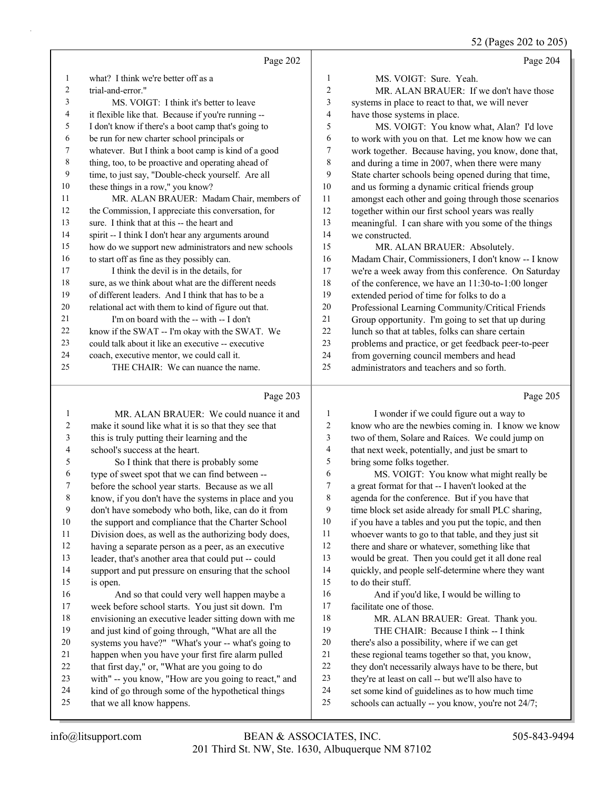52 (Pages 202 to 205)

| $32 \text{ m}$ (1 agos 202 to 20.                    |                         |                                                      |    |
|------------------------------------------------------|-------------------------|------------------------------------------------------|----|
| Page 204                                             |                         | Page 202                                             |    |
| MS. VOIGT: Sure. Yeah.                               | 1                       | what? I think we're better off as a                  | 1  |
| MR. ALAN BRAUER: If we don't have those              | $\overline{2}$          | trial-and-error."                                    | 2  |
| systems in place to react to that, we will never     | $\overline{\mathbf{3}}$ | MS. VOIGT: I think it's better to leave              | 3  |
| have those systems in place.                         | $\overline{4}$          | it flexible like that. Because if you're running --  | 4  |
| MS. VOIGT: You know what, Alan? I'd love             | 5                       | I don't know if there's a boot camp that's going to  | 5  |
| to work with you on that. Let me know how we can     | 6                       | be run for new charter school principals or          | 6  |
| work together. Because having, you know, done that,  | 7                       | whatever. But I think a boot camp is kind of a good  | 7  |
| and during a time in 2007, when there were many      | 8                       | thing, too, to be proactive and operating ahead of   | 8  |
| State charter schools being opened during that time, | 9                       | time, to just say, "Double-check yourself. Are all   | 9  |
| and us forming a dynamic critical friends group      | 10                      | these things in a row," you know?                    | 10 |
| amongst each other and going through those scenarios | 11                      | MR. ALAN BRAUER: Madam Chair, members of             | 11 |
| together within our first school years was really    | 12                      | the Commission, I appreciate this conversation, for  | 12 |
| meaningful. I can share with you some of the things  | 13                      | sure. I think that at this -- the heart and          | 13 |
| we constructed.                                      | 14                      | spirit -- I think I don't hear any arguments around  | 14 |
| MR. ALAN BRAUER: Absolutely.                         | 15                      | how do we support new administrators and new schools | 15 |
| Madam Chair, Commissioners, I don't know -- I know   | 16                      | to start off as fine as they possibly can.           | 16 |
| we're a week away from this conference. On Saturday  | 17                      | I think the devil is in the details, for             | 17 |
| of the conference, we have an 11:30-to-1:00 longer   | 18                      | sure, as we think about what are the different needs | 18 |
| extended period of time for folks to do a            | 19                      | of different leaders. And I think that has to be a   | 19 |
| Professional Learning Community/Critical Friends     | 20                      | relational act with them to kind of figure out that. | 20 |
| Group opportunity. I'm going to set that up during   | 21                      | I'm on board with the -- with -- I don't             | 21 |
| lunch so that at tables, folks can share certain     | 22                      | know if the SWAT -- I'm okay with the SWAT. We       | 22 |
| problems and practice, or get feedback peer-to-peer  | 23                      | could talk about it like an executive -- executive   | 23 |
| from governing council members and head              | 24                      | coach, executive mentor, we could call it.           | 24 |
| administrators and teachers and so forth.            | 25                      | THE CHAIR: We can nuance the name.                   | 25 |
| Page 205                                             |                         | Page 203                                             |    |

#### Page 203  $\parallel$

|    | MR. ALAN BRAUER: We could nuance it and              | 1  | I wonder if we could figure out a way to             |
|----|------------------------------------------------------|----|------------------------------------------------------|
| 2  | make it sound like what it is so that they see that  | 2  | know who are the newbies coming in. I know we know   |
| 3  | this is truly putting their learning and the         | 3  | two of them, Solare and Raíces. We could jump on     |
| 4  | school's success at the heart.                       | 4  | that next week, potentially, and just be smart to    |
| 5  | So I think that there is probably some               | 5  | bring some folks together.                           |
| 6  | type of sweet spot that we can find between --       | 6  | MS. VOIGT: You know what might really be             |
| 7  | before the school year starts. Because as we all     | 7  | a great format for that -- I haven't looked at the   |
| 8  | know, if you don't have the systems in place and you | 8  | agenda for the conference. But if you have that      |
| 9  | don't have somebody who both, like, can do it from   | 9  | time block set aside already for small PLC sharing,  |
| 10 | the support and compliance that the Charter School   | 10 | if you have a tables and you put the topic, and then |
| 11 | Division does, as well as the authorizing body does, | 11 | whoever wants to go to that table, and they just sit |
| 12 | having a separate person as a peer, as an executive  | 12 | there and share or whatever, something like that     |
| 13 | leader, that's another area that could put -- could  | 13 | would be great. Then you could get it all done real  |
| 14 | support and put pressure on ensuring that the school | 14 | quickly, and people self-determine where they want   |
| 15 | is open.                                             | 15 | to do their stuff.                                   |
| 16 | And so that could very well happen maybe a           | 16 | And if you'd like, I would be willing to             |
| 17 | week before school starts. You just sit down. I'm    | 17 | facilitate one of those.                             |
| 18 | envisioning an executive leader sitting down with me | 18 | MR. ALAN BRAUER: Great. Thank you.                   |
| 19 | and just kind of going through, "What are all the    | 19 | THE CHAIR: Because I think -- I think                |
| 20 | systems you have?" "What's your -- what's going to   | 20 | there's also a possibility, where if we can get      |
| 21 | happen when you have your first fire alarm pulled    | 21 | these regional teams together so that, you know,     |
| 22 | that first day," or, "What are you going to do       | 22 | they don't necessarily always have to be there, but  |
| 23 | with" -- you know, "How are you going to react," and | 23 | they're at least on call -- but we'll also have to   |
| 24 | kind of go through some of the hypothetical things   | 24 | set some kind of guidelines as to how much time      |
| 25 | that we all know happens.                            | 25 | schools can actually -- you know, you're not 24/7;   |
|    |                                                      |    |                                                      |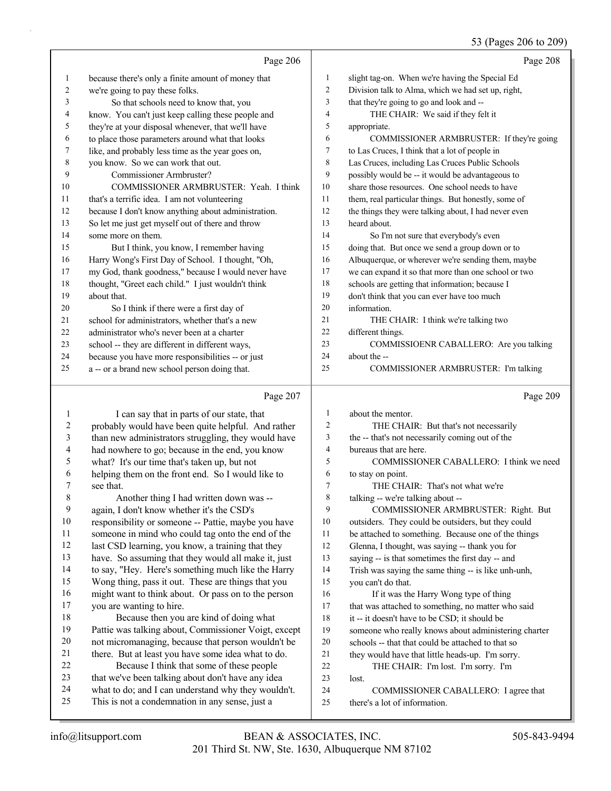## 53 (Pages 206 to 209)

|    | Page 206                                            |    | Page 208                                             |
|----|-----------------------------------------------------|----|------------------------------------------------------|
| 1  | because there's only a finite amount of money that  | 1  | slight tag-on. When we're having the Special Ed      |
| 2  | we're going to pay these folks.                     | 2  | Division talk to Alma, which we had set up, right,   |
| 3  | So that schools need to know that, you              | 3  | that they're going to go and look and --             |
| 4  | know. You can't just keep calling these people and  | 4  | THE CHAIR: We said if they felt it                   |
| 5  | they're at your disposal whenever, that we'll have  | 5  | appropriate.                                         |
| 6  | to place those parameters around what that looks    | 6  | COMMISSIONER ARMBRUSTER: If they're going            |
| 7  | like, and probably less time as the year goes on,   | 7  | to Las Cruces, I think that a lot of people in       |
| 8  | you know. So we can work that out.                  | 8  | Las Cruces, including Las Cruces Public Schools      |
| 9  | Commissioner Armbruster?                            | 9  | possibly would be -- it would be advantageous to     |
| 10 | COMMISSIONER ARMBRUSTER: Yeah. I think              | 10 | share those resources. One school needs to have      |
| 11 | that's a terrific idea. I am not volunteering       | 11 | them, real particular things. But honestly, some of  |
| 12 | because I don't know anything about administration. | 12 | the things they were talking about, I had never even |
| 13 | So let me just get myself out of there and throw    | 13 | heard about.                                         |
| 14 | some more on them.                                  | 14 | So I'm not sure that everybody's even                |
| 15 | But I think, you know, I remember having            | 15 | doing that. But once we send a group down or to      |
| 16 | Harry Wong's First Day of School. I thought, "Oh,   | 16 | Albuquerque, or wherever we're sending them, maybe   |
| 17 | my God, thank goodness," because I would never have | 17 | we can expand it so that more than one school or two |
| 18 | thought, "Greet each child." I just wouldn't think  | 18 | schools are getting that information; because I      |
| 19 | about that.                                         | 19 | don't think that you can ever have too much          |
| 20 | So I think if there were a first day of             | 20 | information.                                         |
| 21 | school for administrators, whether that's a new     | 21 | THE CHAIR: I think we're talking two                 |
| 22 | administrator who's never been at a charter         | 22 | different things.                                    |
| 23 | school -- they are different in different ways,     | 23 | COMMISSIOENR CABALLERO: Are you talking              |
| 24 | because you have more responsibilities -- or just   | 24 | about the --                                         |
| 25 | a -- or a brand new school person doing that.       | 25 | COMMISSIONER ARMBRUSTER: I'm talking                 |
|    | Page 207                                            |    | Page 209                                             |

|    | I can say that in parts of our state, that           | 1              | about the mentor.                                    |
|----|------------------------------------------------------|----------------|------------------------------------------------------|
| 2  | probably would have been quite helpful. And rather   | 2              | THE CHAIR: But that's not necessarily                |
| 3  | than new administrators struggling, they would have  | 3              | the -- that's not necessarily coming out of the      |
| 4  | had nowhere to go; because in the end, you know      | $\overline{4}$ | bureaus that are here.                               |
| 5  | what? It's our time that's taken up, but not         | 5              | COMMISSIONER CABALLERO: I think we need              |
| 6  | helping them on the front end. So I would like to    | 6              | to stay on point.                                    |
| 7  | see that.                                            | 7              | THE CHAIR: That's not what we're                     |
| 8  | Another thing I had written down was --              | 8              | talking -- we're talking about --                    |
| 9  | again, I don't know whether it's the CSD's           | 9              | COMMISSIONER ARMBRUSTER: Right. But                  |
| 10 | responsibility or someone -- Pattie, maybe you have  | 10             | outsiders. They could be outsiders, but they could   |
| 11 | someone in mind who could tag onto the end of the    | 11             | be attached to something. Because one of the things  |
| 12 | last CSD learning, you know, a training that they    | 12             | Glenna, I thought, was saying -- thank you for       |
| 13 | have. So assuming that they would all make it, just  | 13             | saying -- is that sometimes the first day -- and     |
| 14 | to say, "Hey. Here's something much like the Harry   | 14             | Trish was saying the same thing -- is like unh-unh,  |
| 15 | Wong thing, pass it out. These are things that you   | 15             | you can't do that.                                   |
| 16 | might want to think about. Or pass on to the person  | 16             | If it was the Harry Wong type of thing               |
| 17 | you are wanting to hire.                             | 17             | that was attached to something, no matter who said   |
| 18 | Because then you are kind of doing what              | 18             | it -- it doesn't have to be CSD; it should be        |
| 19 | Pattie was talking about, Commissioner Voigt, except | 19             | someone who really knows about administering charter |
| 20 | not micromanaging, because that person wouldn't be   | 20             | schools -- that that could be attached to that so    |
| 21 | there. But at least you have some idea what to do.   | 21             | they would have that little heads-up. I'm sorry.     |
| 22 | Because I think that some of these people            | 22             | THE CHAIR: I'm lost. I'm sorry. I'm                  |
| 23 | that we've been talking about don't have any idea    | 23             | lost.                                                |
| 24 | what to do; and I can understand why they wouldn't.  | 24             | COMMISSIONER CABALLERO: I agree that                 |
| 25 | This is not a condemnation in any sense, just a      | 25             | there's a lot of information.                        |
|    |                                                      |                |                                                      |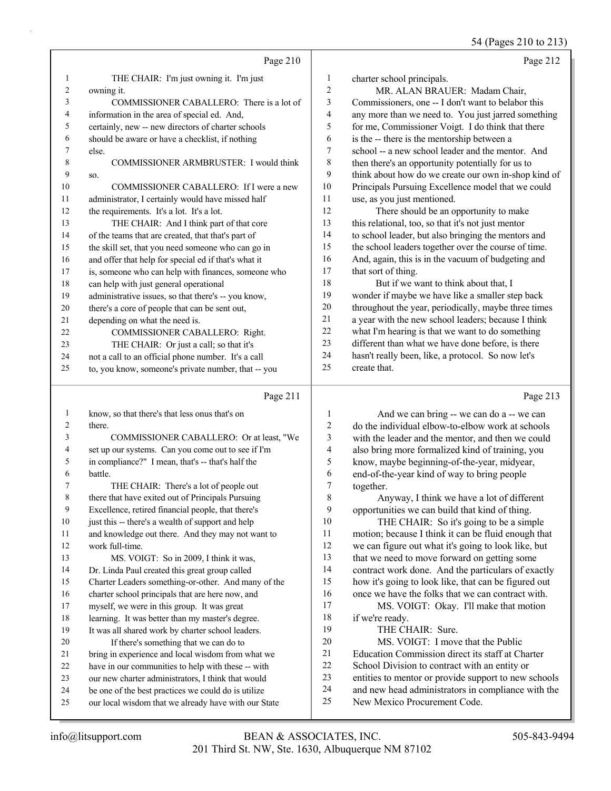|                |                                                      |                  | 54 (Pages 210 to 213)                                |
|----------------|------------------------------------------------------|------------------|------------------------------------------------------|
|                | Page 210                                             |                  | Page 212                                             |
| -1             | THE CHAIR: I'm just owning it. I'm just              | 1                | charter school principals.                           |
| $\overline{c}$ | owning it.                                           | $\overline{c}$   | MR. ALAN BRAUER: Madam Chair,                        |
| 3              | COMMISSIONER CABALLERO: There is a lot of            | 3                | Commissioners, one -- I don't want to belabor this   |
| 4              | information in the area of special ed. And,          | 4                | any more than we need to. You just jarred something  |
| 5              | certainly, new -- new directors of charter schools   | 5                | for me, Commissioner Voigt. I do think that there    |
| 6              | should be aware or have a checklist, if nothing      | 6                | is the -- there is the mentorship between a          |
| 7              | else.                                                | $\boldsymbol{7}$ | school -- a new school leader and the mentor. And    |
| 8              | COMMISSIONER ARMBRUSTER: I would think               | 8                | then there's an opportunity potentially for us to    |
| 9              | SO.                                                  | 9                | think about how do we create our own in-shop kind of |
| 10             | COMMISSIONER CABALLERO: If I were a new              | 10               | Principals Pursuing Excellence model that we could   |
| 11             | administrator, I certainly would have missed half    | 11               | use, as you just mentioned.                          |
| 12             | the requirements. It's a lot. It's a lot.            | 12               | There should be an opportunity to make               |
| 13             | THE CHAIR: And I think part of that core             | 13               | this relational, too, so that it's not just mentor   |
| 14             | of the teams that are created, that that's part of   | 14               | to school leader, but also bringing the mentors and  |
| 15             | the skill set, that you need someone who can go in   | 15               | the school leaders together over the course of time. |
| 16             | and offer that help for special ed if that's what it | 16               | And, again, this is in the vacuum of budgeting and   |
| 17             | is, someone who can help with finances, someone who  | 17               | that sort of thing.                                  |
| 18             | can help with just general operational               | 18               | But if we want to think about that, I                |
| 19             | administrative issues, so that there's -- you know,  | 19               | wonder if maybe we have like a smaller step back     |
| 20             | there's a core of people that can be sent out,       | 20               | throughout the year, periodically, maybe three times |
| 21             | depending on what the need is.                       | 21               | a year with the new school leaders; because I think  |
| 22             | COMMISSIONER CABALLERO: Right.                       | 22               | what I'm hearing is that we want to do something     |
| 23             | THE CHAIR: Or just a call; so that it's              | 23               | different than what we have done before, is there    |
| 24             | not a call to an official phone number. It's a call  | 24               | hasn't really been, like, a protocol. So now let's   |
| 25             | to, you know, someone's private number, that -- you  | 25               | create that.                                         |
|                | Page 211                                             |                  | Page 213                                             |
| $\mathbf{1}$   | know, so that there's that less onus that's on       | 1                | And we can bring -- we can do a -- we can            |
| 2              | there.                                               | $\boldsymbol{2}$ | do the individual elbow-to-elbow work at schools     |
| 3              | COMMISSIONER CABALLERO: Or at least, "We             | 3                | with the leader and the mentor, and then we could    |
| 4              | set up our systems. Can you come out to see if I'm   | 4                | also bring more formalized kind of training, you     |
| 5              | in compliance?" I mean, that's -- that's half the    | 5                | know, maybe beginning-of-the-year, midyear,          |
| 6              | battle.                                              | 6                | end-of-the-year kind of way to bring people          |
| 7              | THE CHAIR: There's a lot of people out               | 7                | together.                                            |
| 8              | there that have exited out of Principals Pursuing    | $\,8\,$          | Anyway, I think we have a lot of different           |
| 9              | Excellence, retired financial people, that there's   | 9                | opportunities we can build that kind of thing.       |
| 10             | just this -- there's a wealth of support and help    | 10               | THE CHAIR: So it's going to be a simple              |
| 11             | and knowledge out there. And they may not want to    | 11               | motion; because I think it can be fluid enough that  |
| 12             | work full-time.                                      | 12               | we can figure out what it's going to look like, but  |
| 13             | MS. VOIGT: So in 2009, I think it was,               | 13               | that we need to move forward on getting some         |
| 14             | Dr. Linda Paul created this great group called       | 14               | contract work done. And the particulars of exactly   |
| 15             | Charter Leaders something-or-other. And many of the  | 15               | how it's going to look like, that can be figured out |
| 16             | charter school principals that are here now, and     | 16               | once we have the folks that we can contract with.    |
| 17             | myself, we were in this group. It was great          | 17               | MS. VOIGT: Okay. I'll make that motion               |
| 18             | learning. It was better than my master's degree.     | 18               | if we're ready.                                      |
| 19             | It was all shared work by charter school leaders.    | 19               | THE CHAIR: Sure.                                     |
| 20             | If there's something that we can do to               | $20\,$           | MS. VOIGT: I move that the Public                    |
| 21             | bring in experience and local wisdom from what we    | 21               | Education Commission direct its staff at Charter     |
| 22             | have in our communities to help with these -- with   | $22\,$           | School Division to contract with an entity or        |
| 23             | our new charter administrators, I think that would   | 23               | entities to mentor or provide support to new schools |
| 24             | be one of the best practices we could do is utilize  | 24               | and new head administrators in compliance with the   |

 our local wisdom that we already have with our State New Mexico Procurement Code.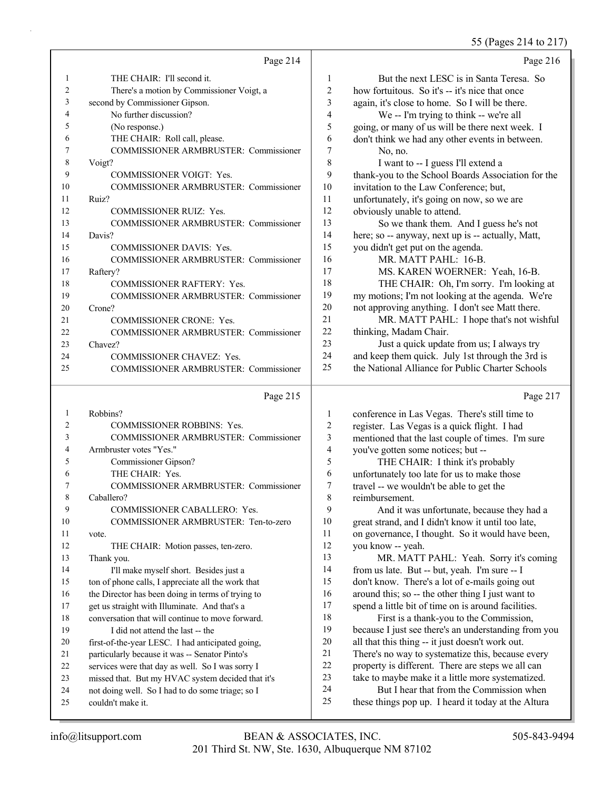55 (Pages 214 to 217)

|    |                                              |    | $55 \text{ (1450)}$ 21 $\text{10}$ 21 $\text{1}$   |
|----|----------------------------------------------|----|----------------------------------------------------|
|    | Page 214                                     |    | Page 216                                           |
|    | THE CHAIR: I'll second it.                   | 1  | But the next LESC is in Santa Teresa. So           |
| 2  | There's a motion by Commissioner Voigt, a    | 2  | how fortuitous. So it's -- it's nice that once     |
| 3  | second by Commissioner Gipson.               | 3  | again, it's close to home. So I will be there.     |
| 4  | No further discussion?                       | 4  | We -- I'm trying to think -- we're all             |
| 5  | (No response.)                               | 5  | going, or many of us will be there next week. I    |
| 6  | THE CHAIR: Roll call, please.                | 6  | don't think we had any other events in between.    |
|    | <b>COMMISSIONER ARMBRUSTER: Commissioner</b> | 7  | No, no.                                            |
| 8  | Voigt?                                       | 8  | I want to -- I guess I'll extend a                 |
| 9  | <b>COMMISSIONER VOIGT: Yes.</b>              | 9  | thank-you to the School Boards Association for the |
| 10 | <b>COMMISSIONER ARMBRUSTER: Commissioner</b> | 10 | invitation to the Law Conference; but,             |
| 11 | Ruiz?                                        | 11 | unfortunately, it's going on now, so we are        |
| 12 | <b>COMMISSIONER RUIZ: Yes.</b>               | 12 | obviously unable to attend.                        |
| 13 | <b>COMMISSIONER ARMBRUSTER: Commissioner</b> | 13 | So we thank them. And I guess he's not             |
| 14 | Davis?                                       | 14 | here; so -- anyway, next up is -- actually, Matt,  |
| 15 | <b>COMMISSIONER DAVIS: Yes.</b>              | 15 | you didn't get put on the agenda.                  |
| 16 | <b>COMMISSIONER ARMBRUSTER: Commissioner</b> | 16 | MR. MATT PAHL: 16-B.                               |
| 17 | Raftery?                                     | 17 | MS. KAREN WOERNER: Yeah, 16-B.                     |
| 18 | <b>COMMISSIONER RAFTERY: Yes.</b>            | 18 | THE CHAIR: Oh, I'm sorry. I'm looking at           |
| 19 | <b>COMMISSIONER ARMBRUSTER: Commissioner</b> | 19 | my motions; I'm not looking at the agenda. We're   |
| 20 | Crone?                                       | 20 | not approving anything. I don't see Matt there.    |
| 21 | <b>COMMISSIONER CRONE: Yes.</b>              | 21 | MR. MATT PAHL: I hope that's not wishful           |
| 22 | <b>COMMISSIONER ARMBRUSTER: Commissioner</b> | 22 | thinking, Madam Chair.                             |
| 23 | Chavez?                                      | 23 | Just a quick update from us; I always try          |
| 24 | <b>COMMISSIONER CHAVEZ: Yes.</b>             | 24 | and keep them quick. July 1st through the 3rd is   |
| 25 | <b>COMMISSIONER ARMBRUSTER: Commissioner</b> | 25 | the National Alliance for Public Charter Schools   |
|    |                                              |    |                                                    |

Page 215

| 1              | Robbins?                                           |
|----------------|----------------------------------------------------|
| $\overline{c}$ | <b>COMMISSIONER ROBBINS: Yes.</b>                  |
| 3              | COMMISSIONER ARMBRUSTER: Commissioner              |
| 4              | Armbruster votes "Yes."                            |
| 5              | Commissioner Gipson?                               |
| 6              | THE CHAIR: Yes.                                    |
| 7              | COMMISSIONER ARMBRUSTER: Commissioner              |
| 8              | Caballero?                                         |
| 9              | COMMISSIONER CABALLERO: Yes.                       |
| 10             | COMMISSIONER ARMBRUSTER: Ten-to-zero               |
| 11             | vote.                                              |
| 12             | THE CHAIR: Motion passes, ten-zero.                |
| 13             | Thank you.                                         |
| 14             | I'll make myself short. Besides just a             |
| 15             | ton of phone calls, I appreciate all the work that |
| 16             | the Director has been doing in terms of trying to  |
| 17             | get us straight with Illuminate. And that's a      |
| 18             | conversation that will continue to move forward.   |
| 19             | I did not attend the last -- the                   |
| 20             | first-of-the-year LESC. I had anticipated going,   |
| 2.1            | particularly because it was -- Senator Pinto's     |
| 22.            | services were that day as well. So I was sorry I   |
| 23             | missed that. But my HVAC system decided that it's  |
| 24             | not doing well. So I had to do some triage; so I   |
| 25             | couldn't make it.                                  |
|                |                                                    |

Page 217

| 1              | conference in Las Vegas. There's still time to       |
|----------------|------------------------------------------------------|
| 2              | register. Las Vegas is a quick flight. I had         |
| 3              | mentioned that the last couple of times. I'm sure    |
| $\overline{4}$ | you've gotten some notices; but --                   |
| 5              | THE CHAIR: I think it's probably                     |
| 6              | unfortunately too late for us to make those          |
| 7              | travel -- we wouldn't be able to get the             |
| 8              | reimbursement.                                       |
| 9              | And it was unfortunate, because they had a           |
| 10             | great strand, and I didn't know it until too late,   |
| 11             | on governance, I thought. So it would have been,     |
| 12             | you know -- yeah.                                    |
| 13             | MR. MATT PAHL: Yeah. Sorry it's coming               |
| 14             | from us late. But -- but, yeah. I'm sure -- I        |
| 15             | don't know. There's a lot of e-mails going out       |
| 16             | around this; so -- the other thing I just want to    |
| 17             | spend a little bit of time on is around facilities.  |
| 18             | First is a thank-you to the Commission,              |
| 19             | because I just see there's an understanding from you |
| 20             | all that this thing -- it just doesn't work out.     |
| 21             | There's no way to systematize this, because every    |
| 22             | property is different. There are steps we all can    |
| 23             | take to maybe make it a little more systematized.    |
| 24             | But I hear that from the Commission when             |
| 25             | these things pop up. I heard it today at the Altura  |
|                |                                                      |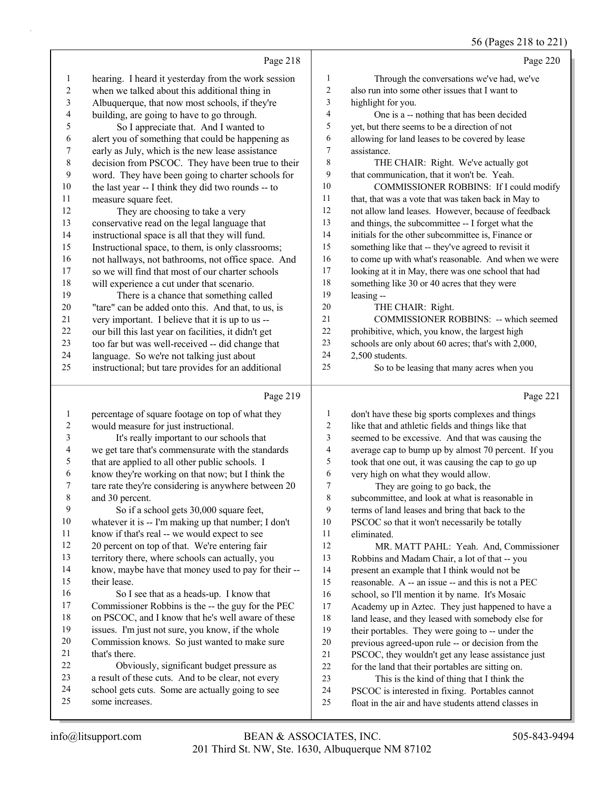#### 56 (Pages 218 to 221)

Page 218 hearing. I heard it yesterday from the work session when we talked about this additional thing in Albuquerque, that now most schools, if they're building, are going to have to go through. 5 So I appreciate that. And I wanted to alert you of something that could be happening as early as July, which is the new lease assistance decision from PSCOC. They have been true to their word. They have been going to charter schools for the last year -- I think they did two rounds -- to measure square feet. 12 They are choosing to take a very conservative read on the legal language that instructional space is all that they will fund. Instructional space, to them, is only classrooms; not hallways, not bathrooms, not office space. And so we will find that most of our charter schools will experience a cut under that scenario. 19 There is a chance that something called "tare" can be added onto this. And that, to us, is very important. I believe that it is up to us -- our bill this last year on facilities, it didn't get 23 too far but was well-received -- did change that<br>24 language So we're not talking just about language. So we're not talking just about instructional; but tare provides for an additional Page 219 percentage of square footage on top of what they Page 220 1 Through the conversations we've had, we've also run into some other issues that I want to highlight for you. 4 One is a -- nothing that has been decided yet, but there seems to be a direction of not allowing for land leases to be covered by lease assistance. 8 THE CHAIR: Right. We've actually got that communication, that it won't be. Yeah. 10 COMMISSIONER ROBBINS: If I could modify that, that was a vote that was taken back in May to not allow land leases. However, because of feedback and things, the subcommittee -- I forget what the initials for the other subcommittee is, Finance or something like that -- they've agreed to revisit it to come up with what's reasonable. And when we were looking at it in May, there was one school that had something like 30 or 40 acres that they were leasing -- 20 THE CHAIR: Right. 21 COMMISSIONER ROBBINS: -- which seemed prohibitive, which, you know, the largest high schools are only about 60 acres; that's with 2,000, 2,500 students. 25 So to be leasing that many acres when you Page 221 don't have these big sports complexes and things

| 1  | percentage of square footage on top of what they     | 1           | don't have these big sports complexes and things     |
|----|------------------------------------------------------|-------------|------------------------------------------------------|
| 2  | would measure for just instructional.                | 2           | like that and athletic fields and things like that   |
| 3  | It's really important to our schools that            | 3           | seemed to be excessive. And that was causing the     |
| 4  | we get tare that's commensurate with the standards   | 4           | average cap to bump up by almost 70 percent. If you  |
| 5  | that are applied to all other public schools. I      | 5           | took that one out, it was causing the cap to go up   |
| 6  | know they're working on that now; but I think the    | 6           | very high on what they would allow.                  |
| 7  | tare rate they're considering is anywhere between 20 | $\tau$      | They are going to go back, the                       |
| 8  | and 30 percent.                                      | $\,$ 8 $\,$ | subcommittee, and look at what is reasonable in      |
| 9  | So if a school gets 30,000 square feet,              | 9           | terms of land leases and bring that back to the      |
| 10 | whatever it is -- I'm making up that number; I don't | 10          | PSCOC so that it won't necessarily be totally        |
| 11 | know if that's real -- we would expect to see        | 11          | eliminated.                                          |
| 12 | 20 percent on top of that. We're entering fair       | 12          | MR. MATT PAHL: Yeah. And, Commissioner               |
| 13 | territory there, where schools can actually, you     | 13          | Robbins and Madam Chair, a lot of that -- you        |
| 14 | know, maybe have that money used to pay for their -- | 14          | present an example that I think would not be         |
| 15 | their lease.                                         | 15          | reasonable. A -- an issue -- and this is not a PEC   |
| 16 | So I see that as a heads-up. I know that             | 16          | school, so I'll mention it by name. It's Mosaic      |
| 17 | Commissioner Robbins is the -- the guy for the PEC   | 17          | Academy up in Aztec. They just happened to have a    |
| 18 | on PSCOC, and I know that he's well aware of these   | 18          | land lease, and they leased with somebody else for   |
| 19 | issues. I'm just not sure, you know, if the whole    | 19          | their portables. They were going to -- under the     |
| 20 | Commission knows. So just wanted to make sure        | 20          | previous agreed-upon rule -- or decision from the    |
| 21 | that's there.                                        | 21          | PSCOC, they wouldn't get any lease assistance just   |
| 22 | Obviously, significant budget pressure as            | 22          | for the land that their portables are sitting on.    |
| 23 | a result of these cuts. And to be clear, not every   | 23          | This is the kind of thing that I think the           |
| 24 | school gets cuts. Some are actually going to see     | 24          | PSCOC is interested in fixing. Portables cannot      |
| 25 | some increases.                                      | 25          | float in the air and have students attend classes in |
|    |                                                      |             |                                                      |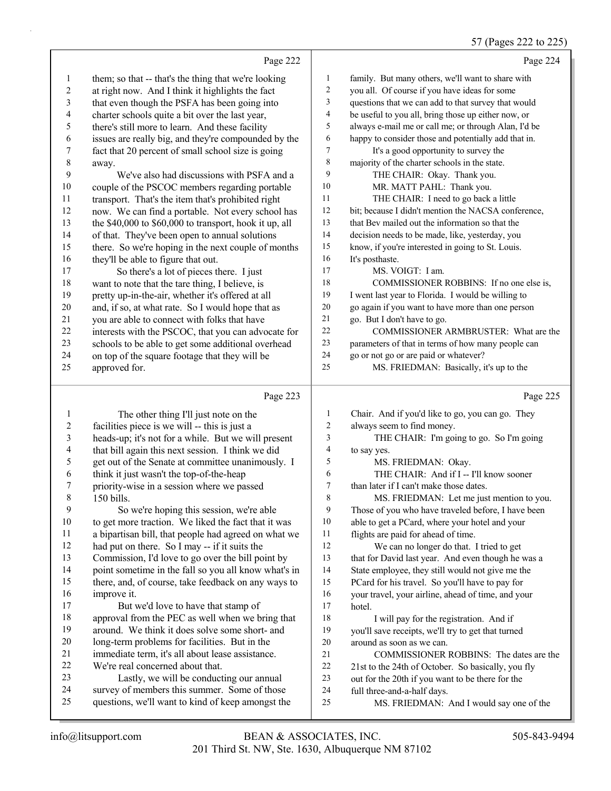#### $(D_{\text{area}} 222$

|                          |                                                        |                  | $31$ (rages 222 to 223                               |
|--------------------------|--------------------------------------------------------|------------------|------------------------------------------------------|
|                          | Page 222                                               |                  | Page 224                                             |
| $\mathbf{1}$             | them; so that -- that's the thing that we're looking   | 1                | family. But many others, we'll want to share with    |
| $\overline{c}$           | at right now. And I think it highlights the fact       | 2                | you all. Of course if you have ideas for some        |
| $\sqrt{3}$               | that even though the PSFA has been going into          | 3                | questions that we can add to that survey that would  |
| $\overline{4}$           | charter schools quite a bit over the last year,        | 4                | be useful to you all, bring those up either now, or  |
| 5                        | there's still more to learn. And these facility        | 5                | always e-mail me or call me; or through Alan, I'd be |
| 6                        | issues are really big, and they're compounded by the   | 6                | happy to consider those and potentially add that in. |
| 7                        | fact that 20 percent of small school size is going     | 7                | It's a good opportunity to survey the                |
| $\,$ $\,$                | away.                                                  | $\,$ $\,$        | majority of the charter schools in the state.        |
| 9                        | We've also had discussions with PSFA and a             | 9                | THE CHAIR: Okay. Thank you.                          |
| $10\,$                   | couple of the PSCOC members regarding portable         | 10               | MR. MATT PAHL: Thank you.                            |
| 11                       | transport. That's the item that's prohibited right     | 11               | THE CHAIR: I need to go back a little                |
| 12                       | now. We can find a portable. Not every school has      | 12               | bit; because I didn't mention the NACSA conference,  |
| 13                       | the \$40,000 to \$60,000 to transport, hook it up, all | 13               | that Bev mailed out the information so that the      |
| 14                       | of that. They've been open to annual solutions         | 14               | decision needs to be made, like, yesterday, you      |
| 15                       | there. So we're hoping in the next couple of months    | 15               | know, if you're interested in going to St. Louis.    |
| 16                       | they'll be able to figure that out.                    | 16               | It's posthaste.                                      |
| 17                       | So there's a lot of pieces there. I just               | 17               | MS. VOIGT: I am.                                     |
| 18                       | want to note that the tare thing, I believe, is        | 18               | COMMISSIONER ROBBINS: If no one else is,             |
| 19                       | pretty up-in-the-air, whether it's offered at all      | 19               | I went last year to Florida. I would be willing to   |
| $20\,$                   | and, if so, at what rate. So I would hope that as      | $20\,$           | go again if you want to have more than one person    |
| 21                       | you are able to connect with folks that have           | 21               | go. But I don't have to go.                          |
| 22                       | interests with the PSCOC, that you can advocate for    | 22               | COMMISSIONER ARMBRUSTER: What are the                |
| 23                       | schools to be able to get some additional overhead     | 23               | parameters of that in terms of how many people can   |
| 24                       | on top of the square footage that they will be         | 24               | go or not go or are paid or whatever?                |
| 25                       | approved for.                                          | 25               | MS. FRIEDMAN: Basically, it's up to the              |
|                          | Page 223                                               |                  | Page 225                                             |
| $\mathbf{1}$             | The other thing I'll just note on the                  | $\mathbf{1}$     | Chair. And if you'd like to go, you can go. They     |
| $\sqrt{2}$               | facilities piece is we will -- this is just a          | $\sqrt{2}$       | always seem to find money.                           |
| $\mathfrak{Z}$           | heads-up; it's not for a while. But we will present    | 3                | THE CHAIR: I'm going to go. So I'm going             |
| $\overline{\mathcal{A}}$ | that bill again this next session. I think we did      | 4                | to say yes.                                          |
| 5                        | get out of the Senate at committee unanimously. I      | 5                | MS. FRIEDMAN: Okay.                                  |
| 6                        | think it just wasn't the top-of-the-heap               | 6                | THE CHAIR: And if I -- I'll know sooner              |
| 7                        | priority-wise in a session where we passed             | $\boldsymbol{7}$ | than later if I can't make those dates.              |
| $\,8\,$                  | 150 bills.                                             | $\,$ 8 $\,$      | MS. FRIEDMAN: Let me just mention to you.            |
| 9                        | So we're hoping this session, we're able               | 9                | Those of you who have traveled before, I have been   |
| 10                       | to get more traction. We liked the fact that it was    | $10\,$           | able to get a PCard, where your hotel and your       |
| 11                       | a bipartisan bill, that people had agreed on what we   | 11               | flights are paid for ahead of time.                  |
| 12                       | had put on there. So I may -- if it suits the          | 12               | We can no longer do that. I tried to get             |
| 13                       | Commission, I'd love to go over the bill point by      | 13               | that for David last year. And even though he was a   |
| 14                       | point sometime in the fall so you all know what's in   | 14               | State employee, they still would not give me the     |
| 15                       | there, and, of course, take feedback on any ways to    | 15               | PCard for his travel. So you'll have to pay for      |
| 16                       | improve it.                                            | 16               | your travel, your airline, ahead of time, and your   |
| 17                       | But we'd love to have that stamp of                    | $17\,$           | hotel.                                               |

- 18 I will pay for the registration. And if you'll save receipts, we'll try to get that turned around as soon as we can.
- 21 COMMISSIONER ROBBINS: The dates are the
- 22 21st to the 24th of October. So basically, you fly
- out for the 20th if you want to be there for the
- full three-and-a-half days.
- 25 MS. FRIEDMAN: And I would say one of the

 approval from the PEC as well when we bring that around. We think it does solve some short- and long-term problems for facilities. But in the 21 immediate term, it's all about lease assistance.<br>22 We're real concerned about that. We're real concerned about that. 23 Lastly, we will be conducting our annual survey of members this summer. Some of those questions, we'll want to kind of keep amongst the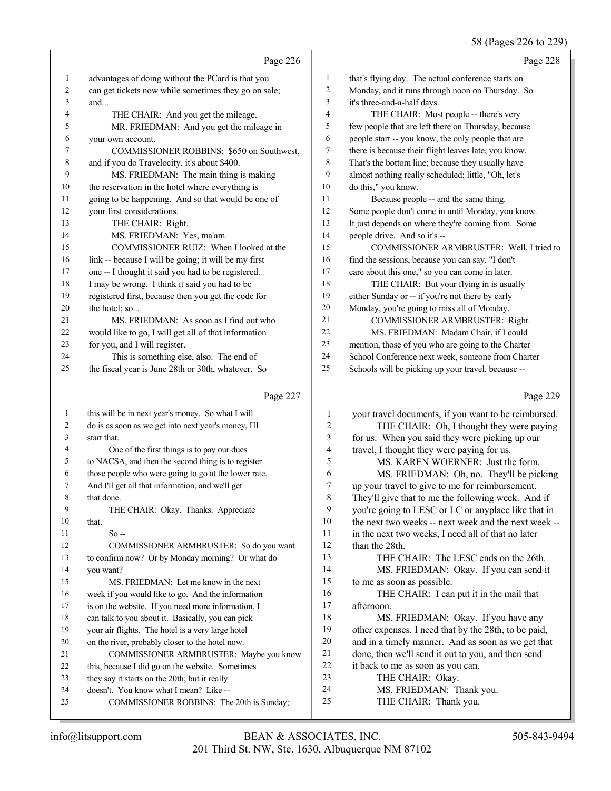## 58 (Pages 226 to 229)

|              | Page 226                                                                            |                | Page 228                                                                                    |
|--------------|-------------------------------------------------------------------------------------|----------------|---------------------------------------------------------------------------------------------|
| $\mathbf{1}$ | advantages of doing without the PCard is that you                                   | $\mathbf{1}$   | that's flying day. The actual conference starts on                                          |
| 2            | can get tickets now while sometimes they go on sale;                                | 2              | Monday, and it runs through noon on Thursday. So                                            |
| 3            | and                                                                                 | 3              | it's three-and-a-half days.                                                                 |
| 4            | THE CHAIR: And you get the mileage.                                                 | 4              | THE CHAIR: Most people -- there's very                                                      |
| 5            | MR. FRIEDMAN: And you get the mileage in                                            | 5              | few people that are left there on Thursday, because                                         |
| 6            | your own account.                                                                   | 6              | people start -- you know, the only people that are                                          |
| 7            | COMMISSIONER ROBBINS: \$650 on Southwest,                                           | 7              | there is because their flight leaves late, you know.                                        |
| 8            | and if you do Travelocity, it's about \$400.                                        | $\,$ 8 $\,$    | That's the bottom line; because they usually have                                           |
| 9            | MS. FRIEDMAN: The main thing is making                                              | 9              | almost nothing really scheduled; little, "Oh, let's                                         |
| 10           | the reservation in the hotel where everything is                                    | 10             | do this," you know.                                                                         |
| 11           | going to be happening. And so that would be one of                                  | 11             | Because people -- and the same thing.                                                       |
| 12           | your first considerations.                                                          | 12             | Some people don't come in until Monday, you know.                                           |
| 13           | THE CHAIR: Right.                                                                   | 13             | It just depends on where they're coming from. Some                                          |
| 14           | MS. FRIEDMAN: Yes, ma'am.                                                           | 14             | people drive. And so it's --                                                                |
| 15           | COMMISSIONER RUIZ: When I looked at the                                             | 15             | COMMISSIONER ARMBRUSTER: Well, I tried to                                                   |
| 16           | link -- because I will be going; it will be my first                                | 16             | find the sessions, because you can say, "I don't                                            |
| 17           | one -- I thought it said you had to be registered.                                  | 17             | care about this one," so you can come in later.                                             |
| 18           | I may be wrong. I think it said you had to be                                       | 18             | THE CHAIR: But your flying in is usually                                                    |
| 19           | registered first, because then you get the code for                                 | 19             | either Sunday or -- if you're not there by early                                            |
| 20           | the hotel; so                                                                       | $20\,$         | Monday, you're going to miss all of Monday.                                                 |
| 21           | MS. FRIEDMAN: As soon as I find out who                                             | 21             | COMMISSIONER ARMBRUSTER: Right.                                                             |
| 22           | would like to go, I will get all of that information                                | 22             | MS. FRIEDMAN: Madam Chair, if I could                                                       |
| 23           | for you, and I will register.                                                       | 23             | mention, those of you who are going to the Charter                                          |
| 24           | This is something else, also. The end of                                            | 24             | School Conference next week, someone from Charter                                           |
| 25           | the fiscal year is June 28th or 30th, whatever. So                                  | 25             | Schools will be picking up your travel, because --                                          |
|              | Page 227                                                                            |                |                                                                                             |
|              |                                                                                     |                | Page 229                                                                                    |
| $\mathbf{1}$ | this will be in next year's money. So what I will                                   | $\mathbf{1}$   |                                                                                             |
| 2            | do is as soon as we get into next year's money, I'll                                | $\overline{c}$ | your travel documents, if you want to be reimbursed.                                        |
| 3            | start that.                                                                         | 3              | THE CHAIR: Oh, I thought they were paying<br>for us. When you said they were picking up our |
| 4            | One of the first things is to pay our dues                                          | 4              | travel, I thought they were paying for us.                                                  |
| 5            | to NACSA, and then the second thing is to register                                  | 5              | MS. KAREN WOERNER: Just the form.                                                           |
| 6            | those people who were going to go at the lower rate.                                | 6              | MS. FRIEDMAN: Oh, no. They'll be picking                                                    |
| 7            | And I'll get all that information, and we'll get                                    | 7              | up your travel to give to me for reimbursement.                                             |
| 8            | that done.                                                                          | 8              | They'll give that to me the following week. And if                                          |
| 9            | THE CHAIR: Okay. Thanks. Appreciate                                                 | 9              | you're going to LESC or LC or anyplace like that in                                         |
| 10           | that.                                                                               | 10             | the next two weeks -- next week and the next week --                                        |
| 11           | $So -$                                                                              | 11             | in the next two weeks, I need all of that no later                                          |
| 12           | COMMISSIONER ARMBRUSTER: So do you want                                             | 12             | than the 28th.                                                                              |
| 13           | to confirm now? Or by Monday morning? Or what do                                    | 13             | THE CHAIR: The LESC ends on the 26th.                                                       |
| 14           | you want?                                                                           | 14             | MS. FRIEDMAN: Okay. If you can send it                                                      |
| 15           | MS. FRIEDMAN: Let me know in the next                                               | 15             | to me as soon as possible.                                                                  |
| 16           | week if you would like to go. And the information                                   | 16             | THE CHAIR: I can put it in the mail that                                                    |
| 17           | is on the website. If you need more information, I                                  | 17             | afternoon.                                                                                  |
| 18           | can talk to you about it. Basically, you can pick                                   | 18             | MS. FRIEDMAN: Okay. If you have any                                                         |
| 19           | your air flights. The hotel is a very large hotel                                   | 19             | other expenses, I need that by the 28th, to be paid,                                        |
| 20           | on the river, probably closer to the hotel now.                                     | $20\,$         | and in a timely manner. And as soon as we get that                                          |
| 21           | COMMISSIONER ARMBRUSTER: Maybe you know                                             | 21             | done, then we'll send it out to you, and then send                                          |
| 22           | this, because I did go on the website. Sometimes                                    | 22             | it back to me as soon as you can.                                                           |
| 23           | they say it starts on the 20th; but it really                                       | 23<br>24       | THE CHAIR: Okay.                                                                            |
| 24<br>25     | doesn't. You know what I mean? Like --<br>COMMISSIONER ROBBINS: The 20th is Sunday; | 25             | MS. FRIEDMAN: Thank you.<br>THE CHAIR: Thank you.                                           |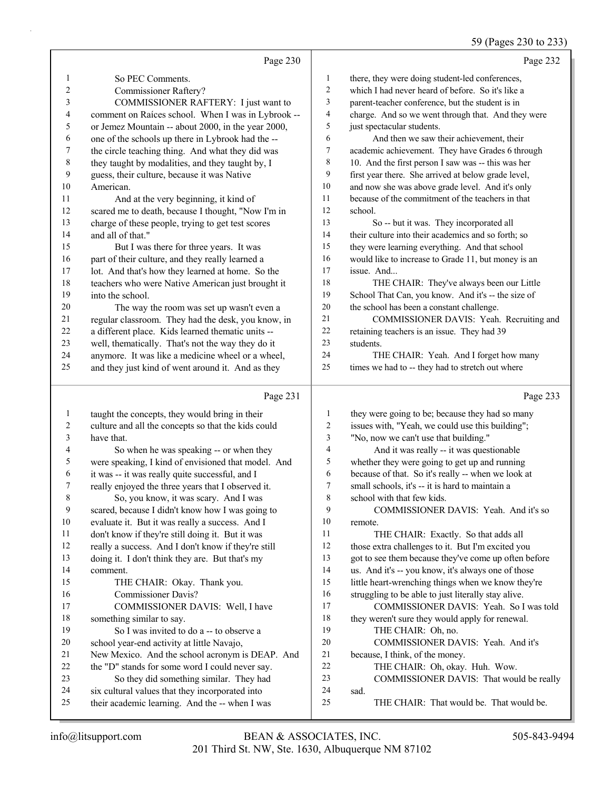## 59 (Pages 230 to 233)

|                          | Page 230                                                                                   |                  | Page 232                                             |
|--------------------------|--------------------------------------------------------------------------------------------|------------------|------------------------------------------------------|
| 1                        | So PEC Comments.                                                                           | $\mathbf{1}$     | there, they were doing student-led conferences,      |
| 2                        | Commissioner Raftery?                                                                      | 2                | which I had never heard of before. So it's like a    |
| 3                        | COMMISSIONER RAFTERY: I just want to                                                       | 3                | parent-teacher conference, but the student is in     |
| $\overline{\mathcal{L}}$ | comment on Raíces school. When I was in Lybrook --                                         | 4                | charge. And so we went through that. And they were   |
| $\mathfrak s$            | or Jemez Mountain -- about 2000, in the year 2000,                                         | 5                | just spectacular students.                           |
| 6                        | one of the schools up there in Lybrook had the --                                          | 6                | And then we saw their achievement, their             |
| 7                        | the circle teaching thing. And what they did was                                           | 7                | academic achievement. They have Grades 6 through     |
| $\,$ $\,$                | they taught by modalities, and they taught by, I                                           | 8                | 10. And the first person I saw was -- this was her   |
| $\boldsymbol{9}$         | guess, their culture, because it was Native                                                | 9                | first year there. She arrived at below grade level,  |
| 10                       | American.                                                                                  | 10               | and now she was above grade level. And it's only     |
| 11                       | And at the very beginning, it kind of                                                      | $11\,$           | because of the commitment of the teachers in that    |
| 12                       | scared me to death, because I thought, "Now I'm in                                         | 12               | school.                                              |
| 13                       | charge of these people, trying to get test scores                                          | 13               | So -- but it was. They incorporated all              |
| 14                       | and all of that."                                                                          | 14               | their culture into their academics and so forth; so  |
| 15                       | But I was there for three years. It was                                                    | 15               | they were learning everything. And that school       |
| 16                       | part of their culture, and they really learned a                                           | 16               | would like to increase to Grade 11, but money is an  |
| 17                       | lot. And that's how they learned at home. So the                                           | 17               | issue. And                                           |
| 18                       | teachers who were Native American just brought it                                          | $18\,$           | THE CHAIR: They've always been our Little            |
| 19                       | into the school.                                                                           | 19               | School That Can, you know. And it's -- the size of   |
| $20\,$                   | The way the room was set up wasn't even a                                                  | $20\,$           | the school has been a constant challenge.            |
| 21                       | regular classroom. They had the desk, you know, in                                         | 21               | COMMISSIONER DAVIS: Yeah. Recruiting and             |
| $22\,$                   | a different place. Kids learned thematic units --                                          | 22               | retaining teachers is an issue. They had 39          |
| 23                       | well, thematically. That's not the way they do it                                          | 23               | students.                                            |
| 24                       | anymore. It was like a medicine wheel or a wheel,                                          | 24               | THE CHAIR: Yeah. And I forget how many               |
| 25                       | and they just kind of went around it. And as they                                          | 25               | times we had to -- they had to stretch out where     |
|                          |                                                                                            |                  |                                                      |
|                          | Page 231                                                                                   |                  | Page 233                                             |
| $\mathbf{1}$             | taught the concepts, they would bring in their                                             | 1                | they were going to be; because they had so many      |
| $\overline{c}$           | culture and all the concepts so that the kids could                                        | $\boldsymbol{2}$ | issues with, "Yeah, we could use this building";     |
| 3                        | have that.                                                                                 | 3                | "No, now we can't use that building."                |
| 4                        | So when he was speaking -- or when they                                                    | 4                | And it was really -- it was questionable             |
| 5                        | were speaking, I kind of envisioned that model. And                                        | 5                | whether they were going to get up and running        |
| 6                        | it was -- it was really quite successful, and I                                            | 6                | because of that. So it's really -- when we look at   |
| 7                        | really enjoyed the three years that I observed it.                                         | 7                | small schools, it's -- it is hard to maintain a      |
| $\,$ $\,$                | So, you know, it was scary. And I was                                                      | $\,$ $\,$        | school with that few kids.                           |
| 9                        | scared, because I didn't know how I was going to                                           | 9                | COMMISSIONER DAVIS: Yeah. And it's so                |
| $10\,$                   | evaluate it. But it was really a success. And I                                            | 10               | remote.                                              |
| 11                       | don't know if they're still doing it. But it was                                           | 11               | THE CHAIR: Exactly. So that adds all                 |
| 12                       | really a success. And I don't know if they're still                                        | 12               | those extra challenges to it. But I'm excited you    |
| 13                       | doing it. I don't think they are. But that's my                                            | 13               | got to see them because they've come up often before |
| 14                       | comment.                                                                                   | 14               | us. And it's -- you know, it's always one of those   |
| 15                       | THE CHAIR: Okay. Thank you.                                                                | 15               | little heart-wrenching things when we know they're   |
| 16                       | <b>Commissioner Davis?</b>                                                                 | 16               | struggling to be able to just literally stay alive.  |
| 17                       | COMMISSIONER DAVIS: Well, I have                                                           | 17               | COMMISSIONER DAVIS: Yeah. So I was told              |
| 18                       | something similar to say.                                                                  | 18               | they weren't sure they would apply for renewal.      |
| 19                       | So I was invited to do a -- to observe a                                                   | 19               | THE CHAIR: Oh, no.                                   |
| 20                       | school year-end activity at little Navajo,                                                 | $20\,$           | COMMISSIONER DAVIS: Yeah. And it's                   |
| 21                       | New Mexico. And the school acronym is DEAP. And                                            | $21\,$<br>22     | because, I think, of the money.                      |
| 22<br>23                 | the "D" stands for some word I could never say.                                            | 23               | THE CHAIR: Oh, okay. Huh. Wow.                       |
| 24                       | So they did something similar. They had<br>six cultural values that they incorporated into | $24\,$           | COMMISSIONER DAVIS: That would be really<br>sad.     |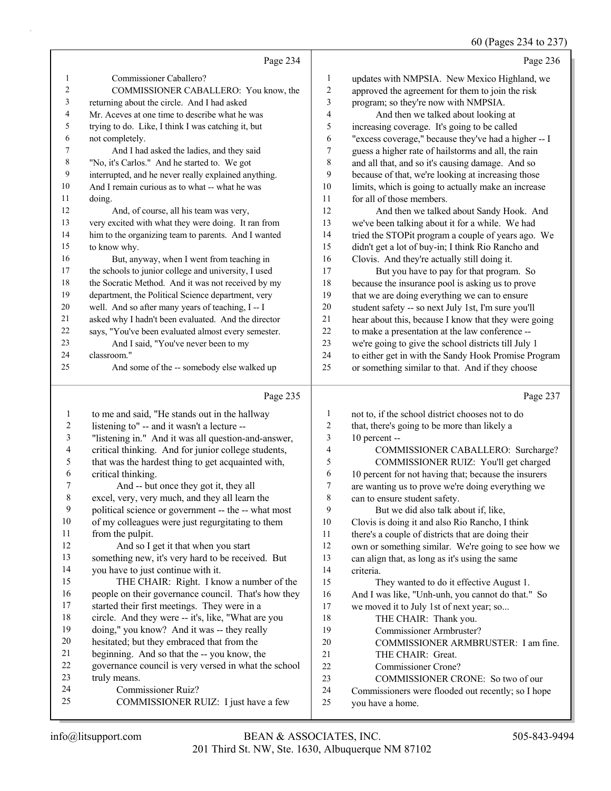60 (Pages 234 to 237)

|                |                                                      |                         | 00 (rages $234$ to $231$ )                           |
|----------------|------------------------------------------------------|-------------------------|------------------------------------------------------|
|                | Page 234                                             |                         | Page 236                                             |
| $\mathbf{1}$   | Commissioner Caballero?                              | 1                       | updates with NMPSIA. New Mexico Highland, we         |
| 2              | COMMISSIONER CABALLERO: You know, the                | $\overline{c}$          | approved the agreement for them to join the risk     |
| 3              | returning about the circle. And I had asked          | 3                       | program; so they're now with NMPSIA.                 |
| 4              | Mr. Aceves at one time to describe what he was       | $\overline{\mathbf{4}}$ | And then we talked about looking at                  |
| 5              | trying to do. Like, I think I was catching it, but   | 5                       | increasing coverage. It's going to be called         |
| 6              | not completely.                                      | 6                       | "excess coverage," because they've had a higher -- I |
| 7              | And I had asked the ladies, and they said            | $\tau$                  | guess a higher rate of hailstorms and all, the rain  |
| $\,$ 8 $\,$    | "No, it's Carlos." And he started to. We got         | $\,$ $\,$               | and all that, and so it's causing damage. And so     |
| 9              | interrupted, and he never really explained anything. | 9                       | because of that, we're looking at increasing those   |
| 10             | And I remain curious as to what -- what he was       | 10                      | limits, which is going to actually make an increase  |
| 11             | doing.                                               | 11                      | for all of those members.                            |
| 12             | And, of course, all his team was very,               | 12                      | And then we talked about Sandy Hook. And             |
| 13             | very excited with what they were doing. It ran from  | 13                      | we've been talking about it for a while. We had      |
| 14             | him to the organizing team to parents. And I wanted  | 14                      | tried the STOPit program a couple of years ago. We   |
| 15             | to know why.                                         | 15                      | didn't get a lot of buy-in; I think Rio Rancho and   |
| 16             | But, anyway, when I went from teaching in            | 16                      | Clovis. And they're actually still doing it.         |
| 17             | the schools to junior college and university, I used | 17                      | But you have to pay for that program. So             |
| 18             | the Socratic Method. And it was not received by my   | $18\,$                  | because the insurance pool is asking us to prove     |
| 19             | department, the Political Science department, very   | 19                      | that we are doing everything we can to ensure        |
| 20             | well. And so after many years of teaching, I -- I    | $20\,$                  | student safety -- so next July 1st, I'm sure you'll  |
| 21             | asked why I hadn't been evaluated. And the director  | $21\,$                  | hear about this, because I know that they were going |
| 22             | says, "You've been evaluated almost every semester.  | $22\,$                  | to make a presentation at the law conference --      |
| 23             | And I said, "You've never been to my                 | 23                      | we're going to give the school districts till July 1 |
| 24             | classroom."                                          | 24                      | to either get in with the Sandy Hook Promise Program |
| 25             | And some of the -- somebody else walked up           | 25                      | or something similar to that. And if they choose     |
|                |                                                      |                         |                                                      |
|                | Page 235                                             |                         | Page 237                                             |
| $\mathbf{1}$   | to me and said, "He stands out in the hallway        | $\mathbf{1}$            | not to, if the school district chooses not to do     |
| $\overline{c}$ | listening to" -- and it wasn't a lecture --          | $\overline{c}$          | that, there's going to be more than likely a         |
| $\sqrt{3}$     | "listening in." And it was all question-and-answer,  | $\mathfrak{Z}$          | 10 percent --                                        |
| 4              | critical thinking. And for junior college students,  | $\overline{4}$          | COMMISSIONER CABALLERO: Surcharge?                   |
| $\sqrt{5}$     | that was the hardest thing to get acquainted with,   | 5                       | COMMISSIONER RUIZ: You'll get charged                |
| 6              | critical thinking.                                   | 6                       | 10 percent for not having that; because the insurers |
| 7              | And -- but once they got it, they all                | 7                       | are wanting us to prove we're doing everything we    |
| $\,$ 8 $\,$    | excel, very, very much, and they all learn the       | $\,8\,$                 | can to ensure student safety.                        |
| 9              | political science or government -- the -- what most  | 9                       | But we did also talk about if, like,                 |
| $10\,$         | of my colleagues were just regurgitating to them     | $10\,$                  | Clovis is doing it and also Rio Rancho, I think      |
| 11             | from the pulpit.                                     | 11                      | there's a couple of districts that are doing their   |
| 12             | And so I get it that when you start                  | 12                      | own or something similar. We're going to see how we  |
| 13             | something new, it's very hard to be received. But    | 13                      | can align that, as long as it's using the same       |
| 14             | you have to just continue with it.                   | 14                      | criteria.                                            |

15 THE CHAIR: Right. I know a number of the people on their governance council. That's how they started their first meetings. They were in a circle. And they were -- it's, like, "What are you doing," you know? And it was -- they really hesitated; but they embraced that from the beginning. And so that the -- you know, the

- governance council is very versed in what the school
- truly means.
- 24 Commissioner Ruiz?
- 25 COMMISSIONER RUIZ: I just have a few
- 15 They wanted to do it effective August 1. And I was like, "Unh-unh, you cannot do that." So we moved it to July 1st of next year; so...
- 18 THE CHAIR: Thank you.
- 19 Commissioner Armbruster?
- 20 COMMISSIONER ARMBRUSTER: I am fine.
- 21 THE CHAIR: Great.
- 22 Commissioner Crone?
- 23 COMMISSIONER CRONE: So two of our
- Commissioners were flooded out recently; so I hope
- you have a home.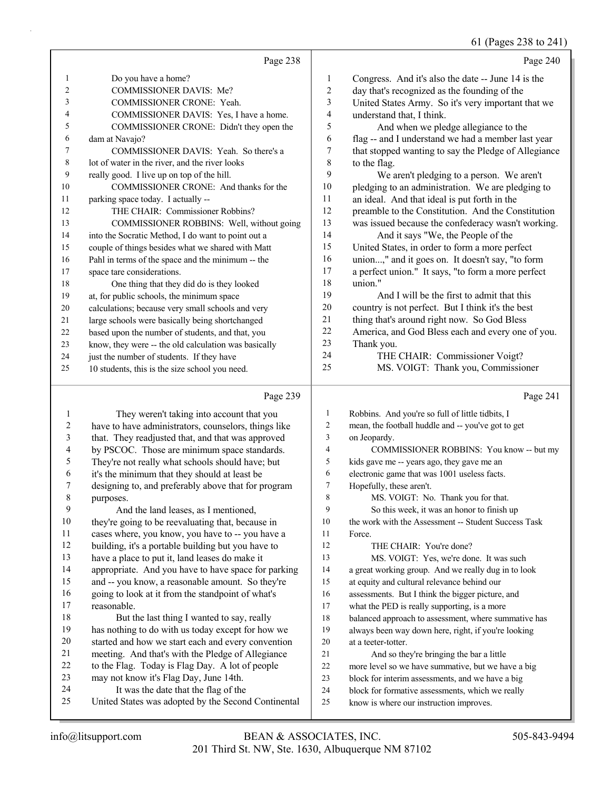61 (Pages 238 to 241)

Page 238 1 Do you have a home? 2 COMMISSIONER DAVIS: Me? 3 COMMISSIONER CRONE: Yeah. 4 COMMISSIONER DAVIS: Yes, I have a home. 5 COMMISSIONER CRONE: Didn't they open the dam at Navajo? 7 COMMISSIONER DAVIS: Yeah. So there's a lot of water in the river, and the river looks really good. I live up on top of the hill. 10 COMMISSIONER CRONE: And thanks for the parking space today. I actually -- 12 THE CHAIR: Commissioner Robbins? 13 COMMISSIONER ROBBINS: Well, without going into the Socratic Method, I do want to point out a couple of things besides what we shared with Matt Pahl in terms of the space and the minimum -- the space tare considerations. 18 One thing that they did do is they looked at, for public schools, the minimum space calculations; because very small schools and very large schools were basically being shortchanged based upon the number of students, and that, you know, they were -- the old calculation was basically 24 just the number of students. If they have 10 students, this is the size school you need. Page 240 Congress. And it's also the date -- June 14 is the day that's recognized as the founding of the United States Army. So it's very important that we understand that, I think. 5 And when we pledge allegiance to the flag -- and I understand we had a member last year that stopped wanting to say the Pledge of Allegiance to the flag. 9 We aren't pledging to a person. We aren't pledging to an administration. We are pledging to an ideal. And that ideal is put forth in the preamble to the Constitution. And the Constitution was issued because the confederacy wasn't working. 14 And it says "We, the People of the<br>15 United States, in order to form a more per United States, in order to form a more perfect union...," and it goes on. It doesn't say, "to form a perfect union." It says, "to form a more perfect union." 19 And I will be the first to admit that this country is not perfect. But I think it's the best thing that's around right now. So God Bless America, and God Bless each and every one of you. Thank you. 24 THE CHAIR: Commissioner Voigt? 25 MS. VOIGT: Thank you, Commissioner

#### Page 239

|             | Page 239                                             |                | Page 241                                             |
|-------------|------------------------------------------------------|----------------|------------------------------------------------------|
|             | They weren't taking into account that you            | 1              | Robbins. And you're so full of little tidbits, I     |
| 2           | have to have administrators, counselors, things like | 2              | mean, the football huddle and -- you've got to get   |
| 3           | that. They readjusted that, and that was approved    | 3              | on Jeopardy.                                         |
| 4           | by PSCOC. Those are minimum space standards.         | $\overline{4}$ | COMMISSIONER ROBBINS: You know -- but my             |
| 5           | They're not really what schools should have; but     | 5              | kids gave me -- years ago, they gave me an           |
| 6           | it's the minimum that they should at least be        | 6              | electronic game that was 1001 useless facts.         |
| 7           | designing to, and preferably above that for program  | 7              | Hopefully, these aren't.                             |
| $\,$ 8 $\,$ | purposes.                                            | 8              | MS. VOIGT: No. Thank you for that.                   |
| 9           | And the land leases, as I mentioned,                 | 9              | So this week, it was an honor to finish up           |
| 10          | they're going to be reevaluating that, because in    | 10             | the work with the Assessment -- Student Success Task |
| 11          | cases where, you know, you have to -- you have a     | 11             | Force.                                               |
| 12          | building, it's a portable building but you have to   | 12             | THE CHAIR: You're done?                              |
| 13          | have a place to put it, land leases do make it       | 13             | MS. VOIGT: Yes, we're done. It was such              |
| 14          | appropriate. And you have to have space for parking  | 14             | a great working group. And we really dug in to look  |
| 15          | and -- you know, a reasonable amount. So they're     | 15             | at equity and cultural relevance behind our          |
| 16          | going to look at it from the standpoint of what's    | 16             | assessments. But I think the bigger picture, and     |
| 17          | reasonable.                                          | 17             | what the PED is really supporting, is a more         |
| 18          | But the last thing I wanted to say, really           | 18             | balanced approach to assessment, where summative has |
| 19          | has nothing to do with us today except for how we    | 19             | always been way down here, right, if you're looking  |
| 20          | started and how we start each and every convention   | 20             | at a teeter-totter.                                  |
| 21          | meeting. And that's with the Pledge of Allegiance    | 21             | And so they're bringing the bar a little             |
| 22          | to the Flag. Today is Flag Day. A lot of people      | 22             | more level so we have summative, but we have a big   |
| 23          | may not know it's Flag Day, June 14th.               | 23             | block for interim assessments, and we have a big     |
| 24          | It was the date that the flag of the                 | 24             | block for formative assessments, which we really     |
| 25          | United States was adopted by the Second Continental  | 25             | know is where our instruction improves.              |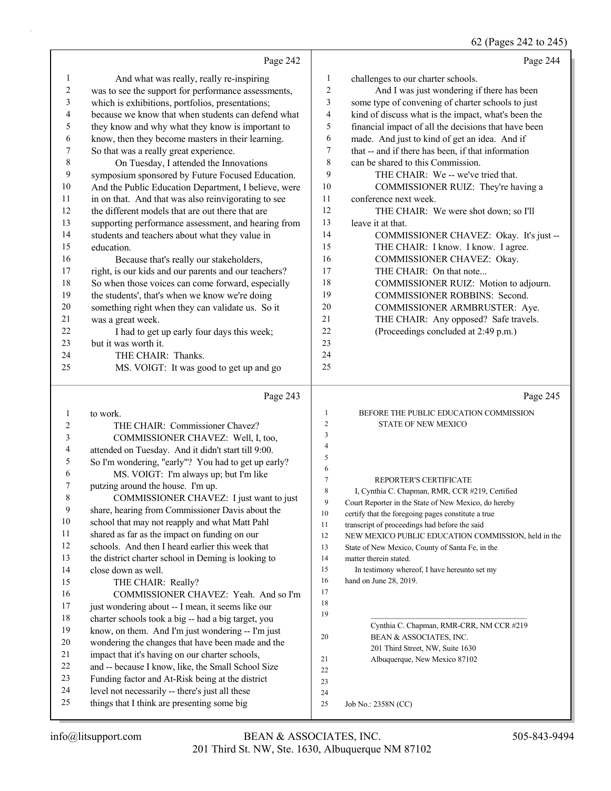#### 62 (Pages 242 to 245)

|    | Page 242                                             |                | Page 244                                                                                               |
|----|------------------------------------------------------|----------------|--------------------------------------------------------------------------------------------------------|
| 1  | And what was really, really re-inspiring             | 1              | challenges to our charter schools.                                                                     |
| 2  | was to see the support for performance assessments,  | $\overline{c}$ | And I was just wondering if there has been                                                             |
| 3  | which is exhibitions, portfolios, presentations;     | 3              | some type of convening of charter schools to just                                                      |
| 4  | because we know that when students can defend what   | $\overline{4}$ | kind of discuss what is the impact, what's been the                                                    |
| 5  | they know and why what they know is important to     | 5              | financial impact of all the decisions that have been                                                   |
| 6  | know, then they become masters in their learning.    | 6              | made. And just to kind of get an idea. And if                                                          |
| 7  | So that was a really great experience.               | $\tau$         | that -- and if there has been, if that information                                                     |
| 8  | On Tuesday, I attended the Innovations               | 8              | can be shared to this Commission.                                                                      |
| 9  | symposium sponsored by Future Focused Education.     | 9              | THE CHAIR: We -- we've tried that.                                                                     |
| 10 | And the Public Education Department, I believe, were | 10             | COMMISSIONER RUIZ: They're having a                                                                    |
| 11 | in on that. And that was also reinvigorating to see  | 11             | conference next week.                                                                                  |
| 12 | the different models that are out there that are     | 12             | THE CHAIR: We were shot down; so I'll                                                                  |
| 13 | supporting performance assessment, and hearing from  | 13             | leave it at that.                                                                                      |
| 14 | students and teachers about what they value in       | 14             | COMMISSIONER CHAVEZ: Okay. It's just --                                                                |
| 15 | education.                                           | 15             | THE CHAIR: I know. I know. I agree.                                                                    |
| 16 | Because that's really our stakeholders,              | 16             | COMMISSIONER CHAVEZ: Okay.                                                                             |
| 17 | right, is our kids and our parents and our teachers? | 17             | THE CHAIR: On that note                                                                                |
| 18 | So when those voices can come forward, especially    | 18             | COMMISSIONER RUIZ: Motion to adjourn.                                                                  |
| 19 | the students', that's when we know we're doing       | 19             | COMMISSIONER ROBBINS: Second.                                                                          |
| 20 | something right when they can validate us. So it     | 20             | COMMISSIONER ARMBRUSTER: Aye.                                                                          |
| 21 | was a great week.                                    | 21             | THE CHAIR: Any opposed? Safe travels.                                                                  |
| 22 | I had to get up early four days this week;           | 22             | (Proceedings concluded at 2:49 p.m.)                                                                   |
| 23 | but it was worth it.                                 | 23             |                                                                                                        |
| 24 | THE CHAIR: Thanks.                                   | 24             |                                                                                                        |
| 25 | MS. VOIGT: It was good to get up and go              | 25             |                                                                                                        |
|    | Page 243                                             |                | Page 245                                                                                               |
| 1  | to work.                                             | $\mathbf{1}$   | BEFORE THE PUBLIC EDUCATION COMMISSION                                                                 |
| 2  | THE CHAIR: Commissioner Chavez?                      | $\overline{2}$ | STATE OF NEW MEXICO                                                                                    |
| 3  | COMMISSIONER CHAVEZ: Well, I, too,                   | $\mathfrak{Z}$ |                                                                                                        |
| 4  | attended on Tuesday. And it didn't start till 9:00.  | $\overline{4}$ |                                                                                                        |
| 5  | So I'm wondering, "early"? You had to get up early?  | 5              |                                                                                                        |
| 6  | MS. VOIGT: I'm always up; but I'm like               | 6              |                                                                                                        |
| 7  | putzing around the house. I'm up.                    | $\tau$         | REPORTER'S CERTIFICATE                                                                                 |
| 8  | COMMISSIONER CHAVEZ: I just want to just             | 8              | I, Cynthia C. Chapman, RMR, CCR #219, Certified                                                        |
| 9  | share, hearing from Commissioner Davis about the     | 9              | Court Reporter in the State of New Mexico, do hereby                                                   |
| 10 | school that may not reapply and what Matt Pahl       | $10\,$         | certify that the foregoing pages constitute a true                                                     |
| 11 | shared as far as the impact on funding on our        | 11             | transcript of proceedings had before the said                                                          |
| 12 | schools. And then I heard earlier this week that     | 12<br>13       | NEW MEXICO PUBLIC EDUCATION COMMISSION, held in the<br>State of New Mexico, County of Santa Fe, in the |
| 13 | the district charter school in Deming is looking to  | 14             | matter therein stated.                                                                                 |
| 14 | close down as well.                                  | 15             | In testimony whereof, I have hereunto set my                                                           |
| 15 | THE CHAIR: Really?                                   | 16             | hand on June 28, 2019.                                                                                 |
| 16 | COMMISSIONER CHAVEZ: Yeah. And so I'm                | 17             |                                                                                                        |
| 17 |                                                      | 18             |                                                                                                        |

17 just wondering about -- I mean, it seems like our charter schools took a big -- had a big target, you know, on them. And I'm just wondering -- I'm just wondering the changes that have been made and the impact that it's having on our charter schools, and -- because I know, like, the Small School Size Funding factor and At-Risk being at the district level not necessarily -- there's just all these things that I think are presenting some big

 

 $19 \,$ 

201 Third Street, NW, Suite 1630

20 BEAN & ASSOCIATES, INC.

Job No.: 2358N (CC)

21 Albuquerque, New Mexico 87102

Cynthia C. Chapman, RMR-CRR, NM CCR #219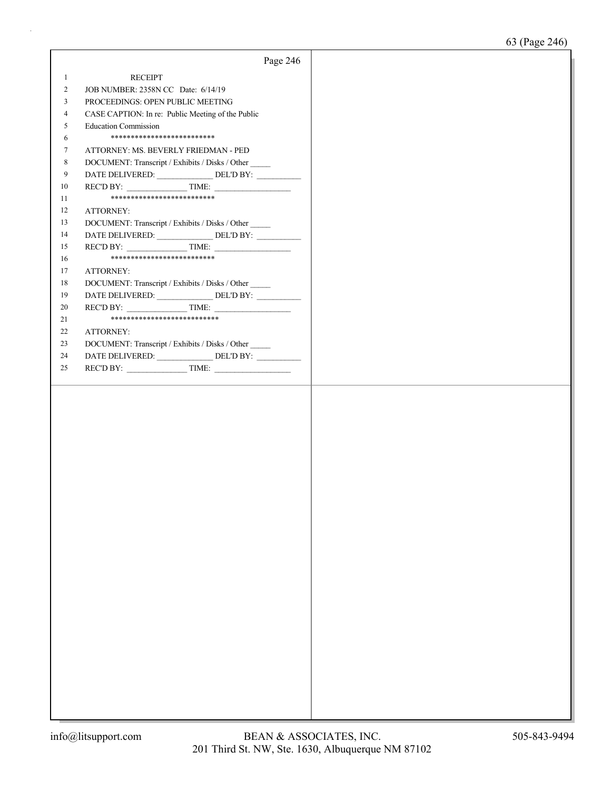|                | Page 246                                              |  |
|----------------|-------------------------------------------------------|--|
| $\mathbf{1}$   | <b>RECEIPT</b>                                        |  |
| $\overline{c}$ | JOB NUMBER: 2358N CC Date: 6/14/19                    |  |
| 3              | PROCEEDINGS: OPEN PUBLIC MEETING                      |  |
| 4              | CASE CAPTION: In re: Public Meeting of the Public     |  |
| 5              | <b>Education Commission</b>                           |  |
| 6              | **************************                            |  |
| 7              | ATTORNEY: MS. BEVERLY FRIEDMAN - PED                  |  |
| 8              | DOCUMENT: Transcript / Exhibits / Disks / Other       |  |
| 9              | DATE DELIVERED: ________________ DEL'D BY: __________ |  |
| 10             | $RECD BY:$ TIME:                                      |  |
| 11             | **************************                            |  |
| 12             | ATTORNEY:                                             |  |
| 13             | DOCUMENT: Transcript / Exhibits / Disks / Other       |  |
| 14             | DATE DELIVERED: ________________ DEL'D BY: __________ |  |
| 15             | REC'D BY: $\qquad \qquad$ TIME:                       |  |
| 16             | **************************                            |  |
| 17             | ATTORNEY:                                             |  |
| 18             | DOCUMENT: Transcript / Exhibits / Disks / Other       |  |
| 19             |                                                       |  |
| 20             | $RECD BY:$ TIME:                                      |  |
| 21             | ***************************                           |  |
| 22             | ATTORNEY:                                             |  |
| 23             | DOCUMENT: Transcript / Exhibits / Disks / Other       |  |
| 24             | DATE DELIVERED: ______________DEL'D BY: __________    |  |
| 25             | REC'D BY: $\qquad \qquad$ TIME:                       |  |
|                |                                                       |  |
|                |                                                       |  |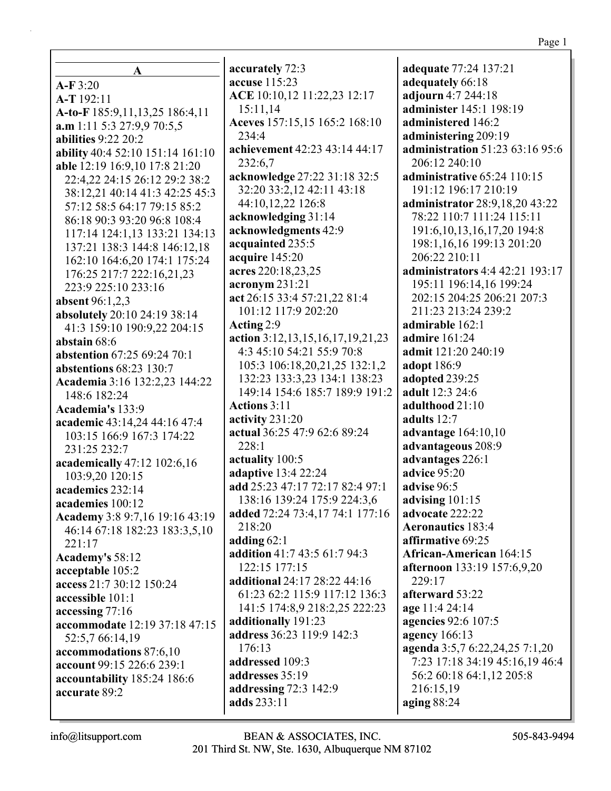| A                                  |
|------------------------------------|
| $A-F3:20$                          |
| A-T192:11                          |
| A-to-F 185:9,11,13,25 186:4,11     |
| $a.m$ 1:11 5:3 27:9,9 70:5,5       |
| <b>abilities</b> 9:22 20:2         |
| ability 40:4 52:10 151:14 161:10   |
| able 12:19 16:9,10 17:8 21:20      |
| 22:4,22 24:15 26:12 29:2 38:2      |
|                                    |
| 38:12,21 40:14 41:3 42:25 45:3     |
| 57:12 58:5 64:17 79:15 85:2        |
| 86:18 90:3 93:20 96:8 108:4        |
| 117:14 124:1,13 133:21 134:13      |
| 137:21 138:3 144:8 146:12,18       |
| 162:10 164:6,20 174:1 175:24       |
| 176:25 217:7 222:16,21,23          |
| 223:9 225:10 233:16                |
| <b>absent</b> 96:1,2,3             |
| absolutely 20:10 24:19 38:14       |
| 41:3 159:10 190:9,22 204:15        |
| abstain 68:6                       |
| <b>abstention</b> 67:25 69:24 70:1 |
| abstentions 68:23 130:7            |
| Academia 3:16 132:2,23 144:22      |
| 148:6 182:24                       |
| Academia's 133:9                   |
| academic 43:14,24 44:16 47:4       |
| 103:15 166:9 167:3 174:22          |
| 231:25 232:7                       |
| academically 47:12 102:6,16        |
| 103:9,20 120:15                    |
| academics 232:14                   |
| academies 100:12                   |
| Academy 3:8 9:7,16 19:16 43:19     |
| 46:14 67:18 182:23 183:3,5,10      |
| 221:17                             |
| Academy's 58:12                    |
| acceptable 105:2                   |
| access 21:7 30:12 150:24           |
| accessible 101:1                   |
| accessing 77:16                    |
| accommodate 12:19 37:18 47:15      |
| 52:5,7 66:14,19                    |
| accommodations 87:6,10             |
| account 99:15 226:6 239:1          |
| accountability 185:24 186:6        |
| accurate 89:2                      |

accurately 72:3 accuse 115:23 ACE 10:10,12 11:22,23 12:17 15:11,14 Aceves 157:15,15 165:2 168:10 234:4 achievement 42:23 43:14 44:17 232:6.7 acknowledge 27:22 31:18 32:5 32:20 33:2.12 42:11 43:18 44:10,12,22 126:8 acknowledging 31:14 acknowledgments 42:9 acquainted 235:5 acquire 145:20 acres 220:18,23,25  $\arcsin 231:21$ act 26:15 33:4 57:21.22 81:4 101:12 117:9 202:20 Acting 2:9 action  $3:12,13,15,16,17,19,21,23$ 4:3 45:10 54:21 55:9 70:8 105:3 106:18,20,21,25 132:1,2 132:23 133:3,23 134:1 138:23 149:14 154:6 185:7 189:9 191:2 **Actions** 3:11 activity  $231:20$ actual 36:25 47:9 62:6 89:24  $228:1$ actuality 100:5 **adaptive** 13:4 22:24 add 25:23 47:17 72:17 82:4 97:1 138:16 139:24 175:9 224:3,6 added 72:24 73:4,17 74:1 177:16 218:20 adding  $62:1$ addition 41:7 43:5 61:7 94:3  $122:15$  177:15 additional 24:17 28:22 44:16 61:23 62:2 115:9 117:12 136:3 141:5 174:8,9 218:2,25 222:23 additionally 191:23 address 36:23 119:9 142:3 176:13 addressed 109:3 addresses 35:19 addressing 72:3 142:9 adds 233:11

**adequate** 77:24 137:21 adequately 66:18 adjourn 4:7 244:18 administer 145:1 198:19 administered 146:2 administering 209:19 administration 51:23 63:16 95:6 206:12 240:10 administrative 65:24 110:15 191:12 196:17 210:19 administrator 28:9,18,20 43:22 78:22 110:7 111:24 115:11 191:6, 10, 13, 16, 17, 20 194:8 198:1,16,16 199:13 201:20 206:22 210:11 **administrators** 4:4 42:21 193:17 195:11 196:14.16 199:24 202:15 204:25 206:21 207:3 211:23 213:24 239:2 admirable 162:1 **admire** 161:24 admit 121:20 240:19 **adopt** 186:9 adopted 239:25 **adult** 12:3 24:6 adulthood 21:10 adults  $12:7$ advantage 164:10,10 advantageous 208:9 advantages 226:1 advice 95:20 advise 96:5 advising  $101:15$ advocate 222:22 **Aeronautics** 183:4 affirmative 69:25 **African-American** 164:15 **afternoon** 133:19 157:6,9,20  $229:17$ afterward 53:22 age 11:4 24:14 agencies 92:6 107:5 agency  $166:13$ agenda 3:5,7 6:22,24,25 7:1,20 7:23 17:18 34:19 45:16,19 46:4 56:2 60:18 64:1,12 205:8 216:15,19 aging  $88:24$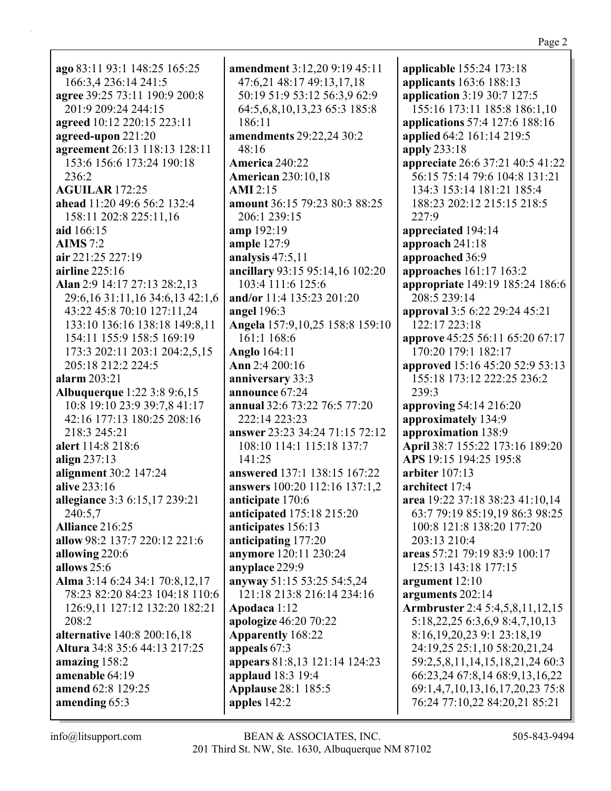ago 83:11 93:1 148:25 165:25 166:3,4 236:14 241:5 agree 39:25 73:11 190:9 200:8 201:9 209:24 244:15 agreed 10:12 220:15 223:11 agreed-upon 221:20 agreement 26:13 118:13 128:11 153:6 156:6 173:24 190:18  $236:2$ **AGUILAR** 172:25 ahead 11:20 49:6 56:2 132:4 158:11 202:8 225:11,16 aid 166:15  $AIMS 7:2$ air 221:25 227:19 airline  $225:16$ Alan 2:9 14:17 27:13 28:2,13 29:6, 16 31:11, 16 34:6, 13 42:1, 6 43:22 45:8 70:10 127:11,24 133:10 136:16 138:18 149:8,11 154:11 155:9 158:5 169:19 173:3 202:11 203:1 204:2,5,15 205:18 212:2 224:5 alarm 203:21 **Albuquerque** 1:22 3:8 9:6,15 10:8 19:10 23:9 39:7,8 41:17 42:16 177:13 180:25 208:16 218:3 245:21 alert 114:8 218:6 align  $237:13$ alignment 30:2 147:24 alive 233:16 allegiance 3:3 6:15,17 239:21 240:5.7 Alliance 216:25 allow 98:2 137:7 220:12 221:6 allowing 220:6 allows  $25:6$ Alma 3:14 6:24 34:1 70:8,12,17 78:23 82:20 84:23 104:18 110:6 126:9,11 127:12 132:20 182:21 208:2 **alternative** 140:8 200:16,18 Altura 34:8 35:6 44:13 217:25 amazing  $158:2$ amenable 64:19 amend 62:8 129:25 amending 65:3

**amendment** 3:12.20 9:19 45:11 47:6,21 48:17 49:13,17,18 50:19 51:9 53:12 56:3,9 62:9 64:5, 6, 8, 10, 13, 23 65: 3 185: 8  $186:11$ amendments 29:22,24 30:2  $48:16$ **America 240:22 American 230:10,18**  $AMI$  2:15 amount 36:15 79:23 80:3 88:25 206:1 239:15 amp 192:19 ample 127:9 analysis  $47:5,11$ ancillary 93:15 95:14,16 102:20 103:4 111:6 125:6 and/or 11:4 135:23 201:20 **angel** 196:3 Angela 157:9,10,25 158:8 159:10 161:1 168:6 **Anglo** 164:11 Ann 2:4 200:16 anniversary 33:3 announce 67:24 annual 32:6 73:22 76:5 77:20 222:14 223:23 answer 23:23 34:24 71:15 72:12 108:10 114:1 115:18 137:7  $141:25$ answered 137:1 138:15 167:22 **answers** 100:20 112:16 137:1,2 anticipate 170:6 anticipated 175:18 215:20 anticipates 156:13 anticipating 177:20 anymore 120:11 230:24 anyplace 229:9 anyway 51:15 53:25 54:5,24 121:18 213:8 216:14 234:16 Apodaca 1:12 apologize 46:20 70:22 **Apparently** 168:22 appeals 67:3 appears 81:8,13 121:14 124:23 applaud 18:3 19:4 **Applause 28:1 185:5** apples 142:2

applicable 155:24 173:18 applicants 163:6 188:13 application 3:19 30:7 127:5 155:16 173:11 185:8 186:1,10 **applications** 57:4 127:6 188:16 applied 64:2 161:14 219:5 apply 233:18 **appreciate** 26:6 37:21 40:5 41:22 56:15 75:14 79:6 104:8 131:21 134:3 153:14 181:21 185:4 188:23 202:12 215:15 218:5  $227:9$ appreciated 194:14 approach  $241:18$ approached 36:9 approaches 161:17 163:2 appropriate 149:19 185:24 186:6 208:5 239:14 approval 3:5 6:22 29:24 45:21 122:17 223:18 approve 45:25 56:11 65:20 67:17 170:20 179:1 182:17 approved 15:16 45:20 52:9 53:13 155:18 173:12 222:25 236:2  $239:3$ approving 54:14 216:20 approximately 134:9 approximation 138:9 April 38:7 155:22 173:16 189:20 APS 19:15 194:25 195:8 arbiter  $107:13$ architect 17:4 area 19:22 37:18 38:23 41:10,14 63:7 79:19 85:19.19 86:3 98:25 100:8 121:8 138:20 177:20  $203:13210:4$ areas 57:21 79:19 83:9 100:17 125:13 143:18 177:15 argument  $12:10$ arguments 202:14 **Armbruster** 2:4 5:4,5,8,11,12,15 5:18,22,25 6:3,6,9 8:4,7,10,13 8:16, 19, 20, 23 9:1 23:18, 19 24:19,25 25:1,10 58:20,21,24 59:2,5,8,11,14,15,18,21,24 60:3 66:23,24 67:8,14 68:9,13,16,22 69:1,4,7,10,13,16,17,20,23 75:8 76:24 77:10,22 84:20,21 85:21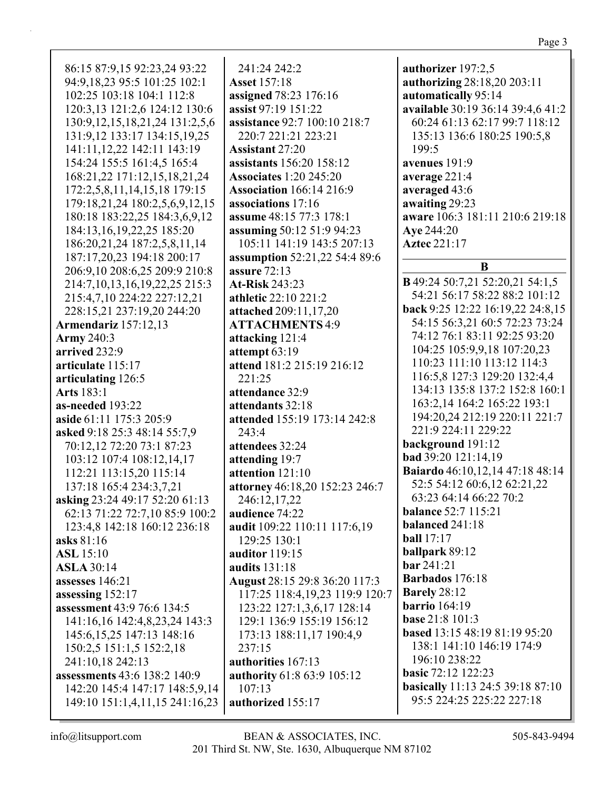| 86:15 87:9,15 92:23,24 93:22          | 241:24 242:2                         | authorizer 197:2,5                     |
|---------------------------------------|--------------------------------------|----------------------------------------|
| 94:9,18,23 95:5 101:25 102:1          | <b>Asset 157:18</b>                  | authorizing 28:18,20 203:11            |
| 102:25 103:18 104:1 112:8             | assigned 78:23 176:16                | automatically 95:14                    |
| 120:3,13 121:2,6 124:12 130:6         | assist 97:19 151:22                  | available 30:19 36:14 39:4,6 41:2      |
|                                       |                                      |                                        |
| 130:9, 12, 15, 18, 21, 24 131:2, 5, 6 | assistance 92:7 100:10 218:7         | 60:24 61:13 62:17 99:7 118:12          |
| 131:9,12 133:17 134:15,19,25          | 220:7 221:21 223:21                  | 135:13 136:6 180:25 190:5,8            |
| 141:11,12,22 142:11 143:19            | <b>Assistant 27:20</b>               | 199:5                                  |
| 154:24 155:5 161:4,5 165:4            | assistants 156:20 158:12             | avenues 191:9                          |
| 168:21,22 171:12,15,18,21,24          | <b>Associates 1:20 245:20</b>        | average 221:4                          |
| 172:2,5,8,11,14,15,18 179:15          | <b>Association</b> 166:14 216:9      | averaged 43:6                          |
| 179:18,21,24 180:2,5,6,9,12,15        | associations 17:16                   | awaiting 29:23                         |
| 180:18 183:22,25 184:3,6,9,12         | assume 48:15 77:3 178:1              | aware 106:3 181:11 210:6 219:18        |
| 184:13,16,19,22,25 185:20             | assuming 50:12 51:9 94:23            | Aye 244:20                             |
| 186:20,21,24 187:2,5,8,11,14          | 105:11 141:19 143:5 207:13           | <b>Aztec 221:17</b>                    |
| 187:17,20,23 194:18 200:17            | <b>assumption</b> 52:21,22 54:4 89:6 |                                        |
| 206:9,10 208:6,25 209:9 210:8         | assure 72:13                         | B                                      |
| 214:7, 10, 13, 16, 19, 22, 25 215:3   | <b>At-Risk 243:23</b>                | <b>B</b> 49:24 50:7,21 52:20,21 54:1,5 |
| 215:4,7,10 224:22 227:12,21           | athletic 22:10 221:2                 | 54:21 56:17 58:22 88:2 101:12          |
| 228:15,21 237:19,20 244:20            | attached 209:11,17,20                | back 9:25 12:22 16:19,22 24:8,15       |
| Armendariz 157:12,13                  | <b>ATTACHMENTS 4:9</b>               | 54:15 56:3,21 60:5 72:23 73:24         |
| Army 240:3                            | attacking 121:4                      | 74:12 76:1 83:11 92:25 93:20           |
| arrived 232:9                         | attempt 63:19                        | 104:25 105:9,9,18 107:20,23            |
| articulate 115:17                     | attend 181:2 215:19 216:12           | 110:23 111:10 113:12 114:3             |
| articulating 126:5                    | 221:25                               | 116:5,8 127:3 129:20 132:4,4           |
| <b>Arts</b> 183:1                     | attendance 32:9                      | 134:13 135:8 137:2 152:8 160:1         |
| as-needed 193:22                      | attendants 32:18                     | 163:2,14 164:2 165:22 193:1            |
| aside 61:11 175:3 205:9               | attended 155:19 173:14 242:8         | 194:20,24 212:19 220:11 221:7          |
| asked 9:18 25:3 48:14 55:7,9          | 243:4                                | 221:9 224:11 229:22                    |
| 70:12,12 72:20 73:1 87:23             | attendees 32:24                      | background 191:12                      |
| 103:12 107:4 108:12,14,17             | attending 19:7                       | bad 39:20 121:14,19                    |
| 112:21 113:15,20 115:14               | attention 121:10                     | Baiardo 46:10,12,14 47:18 48:14        |
| 137:18 165:4 234:3,7,21               | attorney 46:18,20 152:23 246:7       | 52:5 54:12 60:6,12 62:21,22            |
| asking 23:24 49:17 52:20 61:13        | 246:12,17,22                         | 63:23 64:14 66:22 70:2                 |
| 62:13 71:22 72:7,10 85:9 100:2        | audience 74:22                       | <b>balance</b> 52:7 115:21             |
| 123:4,8 142:18 160:12 236:18          | audit 109:22 110:11 117:6,19         | balanced 241:18                        |
| asks 81:16                            | 129:25 130:1                         | ball $17:17$                           |
| <b>ASL</b> 15:10                      | auditor 119:15                       | ballpark 89:12                         |
| <b>ASLA 30:14</b>                     | audits 131:18                        | <b>bar</b> 241:21                      |
| assesses 146:21                       | August 28:15 29:8 36:20 117:3        | <b>Barbados</b> 176:18                 |
| assessing 152:17                      | 117:25 118:4,19,23 119:9 120:7       | <b>Barely</b> 28:12                    |
| <b>assessment</b> 43:9 76:6 134:5     | 123:22 127:1,3,6,17 128:14           | barrio $164:19$                        |
| 141:16,16 142:4,8,23,24 143:3         | 129:1 136:9 155:19 156:12            | <b>base 21:8 101:3</b>                 |
| 145:6, 15, 25 147: 13 148: 16         | 173:13 188:11,17 190:4,9             | based 13:15 48:19 81:19 95:20          |
| 150:2,5 151:1,5 152:2,18              | 237:15                               | 138:1 141:10 146:19 174:9              |
| 241:10,18 242:13                      | authorities 167:13                   | 196:10 238:22                          |
| assessments 43:6 138:2 140:9          | <b>authority 61:8 63:9 105:12</b>    | <b>basic</b> 72:12 122:23              |
| 142:20 145:4 147:17 148:5,9,14        | 107:13                               | basically 11:13 24:5 39:18 87:10       |
| 149:10 151:1,4,11,15 241:16,23        | authorized 155:17                    | 95:5 224:25 225:22 227:18              |
|                                       |                                      |                                        |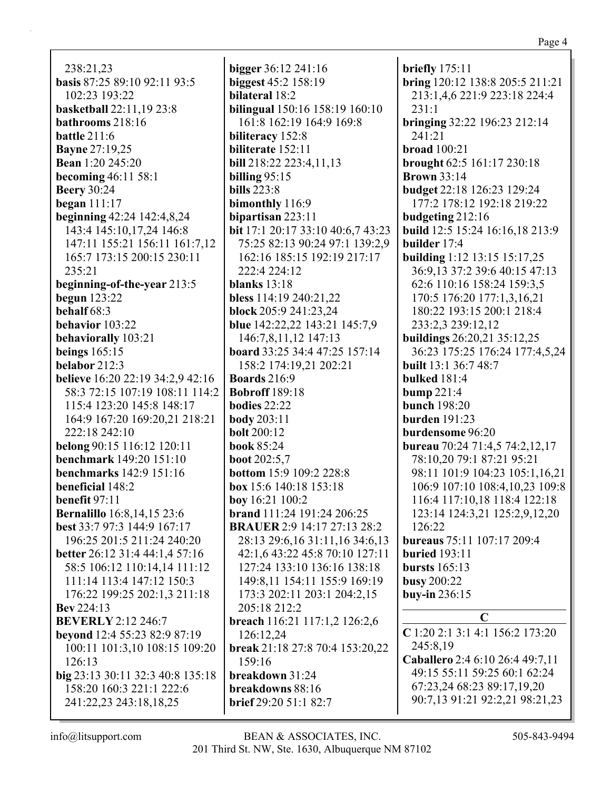238:21.23 basis 87:25 89:10 92:11 93:5 102:23 193:22 basketball 22:11,19 23:8 bathrooms 218:16 **battle**  $211:6$ **Bayne 27:19,25 Bean** 1:20 245:20 becoming  $46:11\,58:1$ **Beery** 30:24 began  $111:17$ **beginning** 42:24 142:4,8,24 143:4 145:10,17,24 146:8 147:11 155:21 156:11 161:7,12 165:7 173:15 200:15 230:11  $235:21$ beginning-of-the-year 213:5 **begun** 123:22 behalf  $68:3$ behavior 103:22 behaviorally 103:21 beings  $165:15$ belabor  $212:3$ **believe** 16:20 22:19 34:2,9 42:16 58:3 72:15 107:19 108:11 114:2 115:4 123:20 145:8 148:17 164:9 167:20 169:20,21 218:21 222:18 242:10 belong 90:15 116:12 120:11 **benchmark** 149:20 151:10 benchmarks 142:9 151:16 beneficial 148:2 benefit 97:11 **Bernalillo** 16:8,14,15 23:6 best 33:7 97:3 144:9 167:17 196:25 201:5 211:24 240:20 better 26:12 31:4 44:1,4 57:16 58:5 106:12 110:14.14 111:12 111:14 113:4 147:12 150:3 176:22 199:25 202:1,3 211:18 **Bev** 224:13 **BEVERLY** 2:12 246:7 **beyond** 12:4 55:23 82:9 87:19 100:11 101:3,10 108:15 109:20  $126:13$ big 23:13 30:11 32:3 40:8 135:18 158:20 160:3 221:1 222:6 241:22,23 243:18,18,25

bigger  $36:12$  241:16 biggest 45:2 158:19 bilateral 18:2 bilingual 150:16 158:19 160:10 161:8 162:19 164:9 169:8 biliteracy 152:8 biliterate 152:11 **bill** 218:22 223:4,11,13 billing  $95:15$ bills  $223:8$ bimonthly 116:9 bipartisan  $223:11$ bit 17:1 20:17 33:10 40:6,7 43:23 75:25 82:13 90:24 97:1 139:2,9 162:16 185:15 192:19 217:17 222:4 224:12 blanks  $13:18$ bless 114:19 240:21.22 **block** 205:9 241:23,24 blue 142:22,22 143:21 145:7,9 146:7,8,11,12 147:13 board 33:25 34:4 47:25 157:14 158:2 174:19,21 202:21 **Boards** 216:9 **Bobroff** 189:18 bodies  $22:22$ **body** 203:11 **bolt** 200:12 **book 85:24 boot**  $202:5,7$ **bottom** 15:9 109:2 228:8 **box** 15:6 140:18 153:18 boy  $16:21$   $100:2$ **brand** 111:24 191:24 206:25 **BRAUER** 2:9 14:17 27:13 28:2 28:13 29:6,16 31:11,16 34:6,13 42:1,6 43:22 45:8 70:10 127:11 127:24 133:10 136:16 138:18 149:8,11 154:11 155:9 169:19 173:3 202:11 203:1 204:2,15 205:18 212:2 breach 116:21 117:1,2 126:2,6 126:12.24 break 21:18 27:8 70:4 153:20,22  $159:16$ breakdown 31:24 breakdowns 88:16 brief 29:20 51:1 82:7

briefly  $175:11$ bring 120:12 138:8 205:5 211:21 213:1,4,6 221:9 223:18 224:4  $231:1$ bringing  $32:22$  196:23 212:14 241:21  $broad 100:21$ brought  $62:5$  161:17 230:18 **Brown** 33:14 **budget** 22:18 126:23 129:24 177:2 178:12 192:18 219:22 budgeting 212:16 build 12:5 15:24 16:16,18 213:9 builder 17:4 building 1:12 13:15 15:17,25 36:9.13 37:2 39:6 40:15 47:13 62:6 110:16 158:24 159:3,5 170:5 176:20 177:1.3.16.21 180:22 193:15 200:1 218:4 233:2,3 239:12,12 buildings 26:20,21 35:12,25 36:23 175:25 176:24 177:4,5,24 built 13:1 36:7 48:7 **bulked** 181:4 bump  $221:4$ **bunch** 198:20 burden  $191:23$ burdensome 96:20 **bureau** 70:24 71:4,5 74:2,12,17 78:10,20 79:1 87:21 95:21 98:11 101:9 104:23 105:1,16,21 106:9 107:10 108:4,10,23 109:8 116:4 117:10,18 118:4 122:18 123:14 124:3,21 125:2,9,12,20 126:22 **bureaus** 75:11 107:17 209:4 **buried** 193:11 bursts  $165:13$ **busy** 200:22 buy-in 236:15  $\mathbf C$ C 1:20 2:1 3:1 4:1 156:2 173:20 245:8.19 Caballero 2:4 6:10 26:4 49:7,11 49:15 55:11 59:25 60:1 62:24 67:23,24 68:23 89:17,19,20 90:7,13 91:21 92:2,21 98:21,23

 $info@$ litsupport.com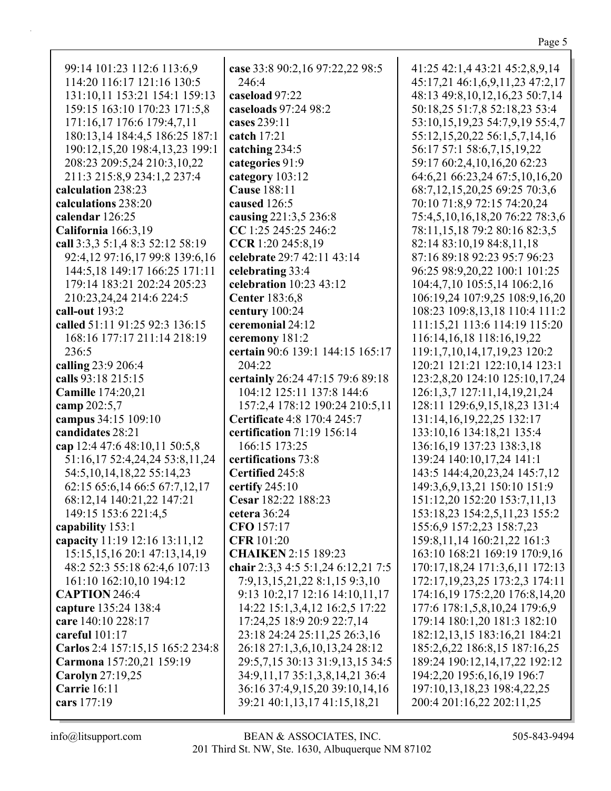| 99:14 101:23 112:6 113:6,9       | case 33:8 90:2,16 97:22,22 98:5    | 41:25 42:1,4 43:21 45:2,8,9,14                                |
|----------------------------------|------------------------------------|---------------------------------------------------------------|
| 114:20 116:17 121:16 130:5       | 246:4                              | 45:17,21 46:1,6,9,11,23 47:2,17                               |
| 131:10,11 153:21 154:1 159:13    | caseload 97:22                     | 48:13 49:8,10,12,16,23 50:7,14                                |
| 159:15 163:10 170:23 171:5,8     | caseloads 97:24 98:2               | 50:18,25 51:7,8 52:18,23 53:4                                 |
| 171:16,17 176:6 179:4,7,11       | cases 239:11                       | 53:10,15,19,23 54:7,9,19 55:4,7                               |
| 180:13,14 184:4,5 186:25 187:1   | catch 17:21                        | 55:12,15,20,22 56:1,5,7,14,16                                 |
| 190:12,15,20 198:4,13,23 199:1   | catching 234:5                     | 56:17 57:1 58:6,7,15,19,22                                    |
| 208:23 209:5,24 210:3,10,22      | categories 91:9                    | 59:17 60:2,4,10,16,20 62:23                                   |
| 211:3 215:8,9 234:1,2 237:4      | category 103:12                    | 64:6,21 66:23,24 67:5,10,16,20                                |
| calculation 238:23               | <b>Cause 188:11</b>                | 68:7,12,15,20,25 69:25 70:3,6                                 |
| calculations 238:20              | caused 126:5                       | 70:10 71:8,9 72:15 74:20,24                                   |
| calendar 126:25                  | causing 221:3,5 236:8              | 75:4,5,10,16,18,20 76:22 78:3,6                               |
| California 166:3,19              | CC 1:25 245:25 246:2               | 78:11,15,18 79:2 80:16 82:3,5                                 |
| call 3:3,3 5:1,4 8:3 52:12 58:19 | CCR 1:20 245:8,19                  | 82:14 83:10,19 84:8,11,18                                     |
| 92:4,12 97:16,17 99:8 139:6,16   | celebrate 29:7 42:11 43:14         | 87:16 89:18 92:23 95:7 96:23                                  |
| 144:5,18 149:17 166:25 171:11    | celebrating 33:4                   | 96:25 98:9,20,22 100:1 101:25                                 |
| 179:14 183:21 202:24 205:23      | celebration 10:23 43:12            | 104:4,7,10 105:5,14 106:2,16                                  |
| 210:23,24,24 214:6 224:5         | <b>Center</b> 183:6,8              | 106:19,24 107:9,25 108:9,16,20                                |
| call-out 193:2                   | century 100:24                     | 108:23 109:8,13,18 110:4 111:2                                |
| called 51:11 91:25 92:3 136:15   | ceremonial 24:12                   | 111:15,21 113:6 114:19 115:20                                 |
| 168:16 177:17 211:14 218:19      | ceremony 181:2                     | 116:14, 16, 18 118:16, 19, 22                                 |
| 236:5                            | certain 90:6 139:1 144:15 165:17   | 119:1,7,10,14,17,19,23 120:2                                  |
| calling 23:9 206:4               | 204:22                             | 120:21 121:21 122:10,14 123:1                                 |
| calls 93:18 215:15               | certainly 26:24 47:15 79:6 89:18   | 123:2,8,20 124:10 125:10,17,24                                |
| <b>Camille</b> 174:20,21         | 104:12 125:11 137:8 144:6          | 126:1,3,7 127:11,14,19,21,24                                  |
| camp 202:5,7                     | 157:2,4 178:12 190:24 210:5,11     | 128:11 129:6,9,15,18,23 131:4                                 |
| campus 34:15 109:10              | <b>Certificate 4:8 170:4 245:7</b> | 131:14, 16, 19, 22, 25 132:17                                 |
| candidates 28:21                 | certification 71:19 156:14         | 133:10,16 134:18,21 135:4                                     |
| cap 12:4 47:6 48:10,11 50:5,8    | 166:15 173:25                      | 136:16,19 137:23 138:3,18                                     |
| 51:16,17 52:4,24,24 53:8,11,24   | certifications 73:8                | 139:24 140:10,17,24 141:1                                     |
| 54:5, 10, 14, 18, 22 55: 14, 23  | <b>Certified 245:8</b>             | 143:5 144:4,20,23,24 145:7,12                                 |
|                                  | certify 245:10                     | 149:3,6,9,13,21 150:10 151:9                                  |
| 62:15 65:6,14 66:5 67:7,12,17    | Cesar 182:22 188:23                |                                                               |
| 68:12,14 140:21,22 147:21        |                                    | 151:12,20 152:20 153:7,11,13<br>153:18,23 154:2,5,11,23 155:2 |
| 149:15 153:6 221:4,5             | cetera $36:24$                     |                                                               |
| capability 153:1                 | CFO 157:17                         | 155:6,9 157:2,23 158:7,23                                     |
| capacity 11:19 12:16 13:11,12    | <b>CFR</b> 101:20                  | 159:8, 11, 14 160: 21, 22 161: 3                              |
| 15:15, 15, 16 20:1 47:13, 14, 19 | <b>CHAIKEN 2:15 189:23</b>         | 163:10 168:21 169:19 170:9,16                                 |
| 48:2 52:3 55:18 62:4,6 107:13    | chair 2:3,3 4:5 5:1,24 6:12,21 7:5 | 170:17,18,24 171:3,6,11 172:13                                |
| 161:10 162:10,10 194:12          | 7:9,13,15,21,22 8:1,15 9:3,10      | 172:17, 19, 23, 25 173: 2, 3 174: 11                          |
| <b>CAPTION 246:4</b>             | 9:13 10:2,17 12:16 14:10,11,17     | 174:16,19 175:2,20 176:8,14,20                                |
| capture 135:24 138:4             | 14:22 15:1,3,4,12 16:2,5 17:22     | 177:6 178:1,5,8,10,24 179:6,9                                 |
| care 140:10 228:17               | 17:24,25 18:9 20:9 22:7,14         | 179:14 180:1,20 181:3 182:10                                  |
| careful 101:17                   | 23:18 24:24 25:11,25 26:3,16       | 182:12,13,15 183:16,21 184:21                                 |
| Carlos 2:4 157:15,15 165:2 234:8 | 26:18 27:1,3,6,10,13,24 28:12      | 185:2,6,22 186:8,15 187:16,25                                 |
| Carmona 157:20,21 159:19         | 29:5,7,15 30:13 31:9,13,15 34:5    | 189:24 190:12,14,17,22 192:12                                 |
| <b>Carolyn</b> 27:19,25          | 34:9,11,17 35:1,3,8,14,21 36:4     | 194:2,20 195:6,16,19 196:7                                    |
| <b>Carrie</b> 16:11              | 36:16 37:4,9,15,20 39:10,14,16     | 197:10,13,18,23 198:4,22,25                                   |
| cars 177:19                      | 39:21 40:1,13,17 41:15,18,21       | 200:4 201:16,22 202:11,25                                     |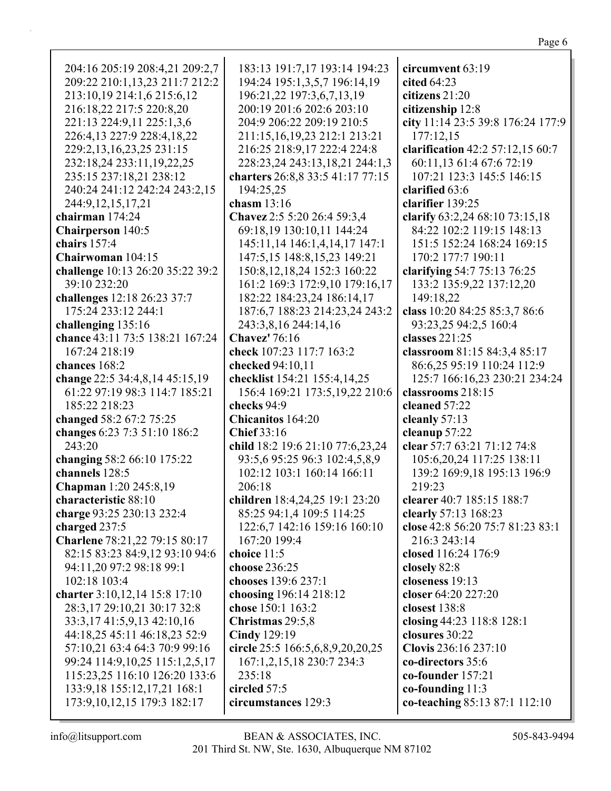## Page 6

| 204:16 205:19 208:4,21 209:2,7<br>209:22 210:1,13,23 211:7 212:2<br>213:10,19 214:1,6 215:6,12<br>216:18,22 217:5 220:8,20<br>221:13 224:9,11 225:1,3,6<br>226:4,13 227:9 228:4,18,22<br>229:2,13,16,23,25 231:15<br>232:18,24 233:11,19,22,25<br>235:15 237:18,21 238:12<br>240:24 241:12 242:24 243:2,15 | 183:13 191:7,17 193:14 194:23<br>194:24 195:1,3,5,7 196:14,19<br>196:21,22 197:3,6,7,13,19<br>200:19 201:6 202:6 203:10<br>204:9 206:22 209:19 210:5<br>211:15,16,19,23 212:1 213:21<br>216:25 218:9,17 222:4 224:8<br>228:23,24 243:13,18,21 244:1,3<br>charters 26:8,8 33:5 41:17 77:15<br>194:25,25 | circumvent 63:19<br>cited $64:23$<br>citizens 21:20<br>citizenship 12:8<br>city 11:14 23:5 39:8 176:24 177:9<br>177:12,15<br>clarification 42:2 57:12,15 60:7<br>60:11,13 61:4 67:6 72:19<br>107:21 123:3 145:5 146:15<br>clarified 63:6 |
|------------------------------------------------------------------------------------------------------------------------------------------------------------------------------------------------------------------------------------------------------------------------------------------------------------|--------------------------------------------------------------------------------------------------------------------------------------------------------------------------------------------------------------------------------------------------------------------------------------------------------|------------------------------------------------------------------------------------------------------------------------------------------------------------------------------------------------------------------------------------------|
| 244:9,12,15,17,21<br>chairman 174:24                                                                                                                                                                                                                                                                       | chasm $13:16$<br>Chavez 2:5 5:20 26:4 59:3,4                                                                                                                                                                                                                                                           | clarifier 139:25<br>clarify 63:2,24 68:10 73:15,18                                                                                                                                                                                       |
| <b>Chairperson</b> 140:5                                                                                                                                                                                                                                                                                   | 69:18,19 130:10,11 144:24                                                                                                                                                                                                                                                                              | 84:22 102:2 119:15 148:13                                                                                                                                                                                                                |
| chairs 157:4                                                                                                                                                                                                                                                                                               | 145:11,14 146:1,4,14,17 147:1                                                                                                                                                                                                                                                                          | 151:5 152:24 168:24 169:15                                                                                                                                                                                                               |
| Chairwoman 104:15                                                                                                                                                                                                                                                                                          | 147:5,15 148:8,15,23 149:21                                                                                                                                                                                                                                                                            | 170:2 177:7 190:11                                                                                                                                                                                                                       |
| challenge 10:13 26:20 35:22 39:2                                                                                                                                                                                                                                                                           | 150:8, 12, 18, 24 152:3 160:22                                                                                                                                                                                                                                                                         | clarifying 54:7 75:13 76:25                                                                                                                                                                                                              |
| 39:10 232:20                                                                                                                                                                                                                                                                                               | 161:2 169:3 172:9,10 179:16,17                                                                                                                                                                                                                                                                         | 133:2 135:9,22 137:12,20                                                                                                                                                                                                                 |
| challenges 12:18 26:23 37:7                                                                                                                                                                                                                                                                                | 182:22 184:23,24 186:14,17                                                                                                                                                                                                                                                                             | 149:18,22                                                                                                                                                                                                                                |
| 175:24 233:12 244:1                                                                                                                                                                                                                                                                                        | 187:6,7 188:23 214:23,24 243:2                                                                                                                                                                                                                                                                         | class 10:20 84:25 85:3,7 86:6                                                                                                                                                                                                            |
| challenging 135:16                                                                                                                                                                                                                                                                                         | 243:3,8,16 244:14,16                                                                                                                                                                                                                                                                                   | 93:23,25 94:2,5 160:4                                                                                                                                                                                                                    |
| chance 43:11 73:5 138:21 167:24                                                                                                                                                                                                                                                                            | <b>Chavez'</b> 76:16                                                                                                                                                                                                                                                                                   | classes 221:25                                                                                                                                                                                                                           |
| 167:24 218:19                                                                                                                                                                                                                                                                                              | check 107:23 117:7 163:2                                                                                                                                                                                                                                                                               | classroom 81:15 84:3,4 85:17                                                                                                                                                                                                             |
| chances 168:2                                                                                                                                                                                                                                                                                              | checked 94:10,11                                                                                                                                                                                                                                                                                       | 86:6,25 95:19 110:24 112:9                                                                                                                                                                                                               |
| change 22:5 34:4,8,14 45:15,19                                                                                                                                                                                                                                                                             | checklist 154:21 155:4,14,25                                                                                                                                                                                                                                                                           | 125:7 166:16,23 230:21 234:24                                                                                                                                                                                                            |
| 61:22 97:19 98:3 114:7 185:21                                                                                                                                                                                                                                                                              | 156:4 169:21 173:5, 19, 22 210:6                                                                                                                                                                                                                                                                       | classrooms 218:15                                                                                                                                                                                                                        |
| 185:22 218:23                                                                                                                                                                                                                                                                                              | checks 94:9                                                                                                                                                                                                                                                                                            | cleaned 57:22                                                                                                                                                                                                                            |
| changed 58:2 67:2 75:25                                                                                                                                                                                                                                                                                    | <b>Chicanitos</b> 164:20                                                                                                                                                                                                                                                                               | cleanly 57:13                                                                                                                                                                                                                            |
| changes 6:23 7:3 51:10 186:2                                                                                                                                                                                                                                                                               | <b>Chief 33:16</b>                                                                                                                                                                                                                                                                                     | cleanup 57:22                                                                                                                                                                                                                            |
| 243:20                                                                                                                                                                                                                                                                                                     | child 18:2 19:6 21:10 77:6,23,24                                                                                                                                                                                                                                                                       | clear 57:7 63:21 71:12 74:8                                                                                                                                                                                                              |
| changing 58:2 66:10 175:22                                                                                                                                                                                                                                                                                 | 93:5,6 95:25 96:3 102:4,5,8,9                                                                                                                                                                                                                                                                          | 105:6,20,24 117:25 138:11                                                                                                                                                                                                                |
| channels 128:5                                                                                                                                                                                                                                                                                             | 102:12 103:1 160:14 166:11                                                                                                                                                                                                                                                                             | 139:2 169:9,18 195:13 196:9                                                                                                                                                                                                              |
| Chapman 1:20 245:8,19                                                                                                                                                                                                                                                                                      | 206:18                                                                                                                                                                                                                                                                                                 | 219:23                                                                                                                                                                                                                                   |
| characteristic 88:10                                                                                                                                                                                                                                                                                       | children 18:4,24,25 19:1 23:20                                                                                                                                                                                                                                                                         | clearer 40:7 185:15 188:7                                                                                                                                                                                                                |
| charge 93:25 230:13 232:4                                                                                                                                                                                                                                                                                  | 85:25 94:1,4 109:5 114:25                                                                                                                                                                                                                                                                              | clearly 57:13 168:23                                                                                                                                                                                                                     |
| charged 237:5                                                                                                                                                                                                                                                                                              | 122:6,7 142:16 159:16 160:10<br>167:20 199:4                                                                                                                                                                                                                                                           | close 42:8 56:20 75:7 81:23 83:1<br>216:3 243:14                                                                                                                                                                                         |
| Charlene 78:21,22 79:15 80:17                                                                                                                                                                                                                                                                              | choice 11:5                                                                                                                                                                                                                                                                                            | closed 116:24 176:9                                                                                                                                                                                                                      |
| 82:15 83:23 84:9,12 93:10 94:6<br>94:11,20 97:2 98:18 99:1                                                                                                                                                                                                                                                 | choose 236:25                                                                                                                                                                                                                                                                                          | closely 82:8                                                                                                                                                                                                                             |
| 102:18 103:4                                                                                                                                                                                                                                                                                               | chooses 139:6 237:1                                                                                                                                                                                                                                                                                    | closeness 19:13                                                                                                                                                                                                                          |
| charter 3:10,12,14 15:8 17:10                                                                                                                                                                                                                                                                              | choosing 196:14 218:12                                                                                                                                                                                                                                                                                 | closer 64:20 227:20                                                                                                                                                                                                                      |
| 28:3,17 29:10,21 30:17 32:8                                                                                                                                                                                                                                                                                | chose 150:1 163:2                                                                                                                                                                                                                                                                                      | closest 138:8                                                                                                                                                                                                                            |
| 33:3,17 41:5,9,13 42:10,16                                                                                                                                                                                                                                                                                 | Christmas 29:5,8                                                                                                                                                                                                                                                                                       | closing 44:23 118:8 128:1                                                                                                                                                                                                                |
| 44:18,25 45:11 46:18,23 52:9                                                                                                                                                                                                                                                                               | <b>Cindy</b> 129:19                                                                                                                                                                                                                                                                                    | closures 30:22                                                                                                                                                                                                                           |
| 57:10,21 63:4 64:3 70:9 99:16                                                                                                                                                                                                                                                                              | circle 25:5 166:5,6,8,9,20,20,25                                                                                                                                                                                                                                                                       | Clovis 236:16 237:10                                                                                                                                                                                                                     |
| 99:24 114:9,10,25 115:1,2,5,17                                                                                                                                                                                                                                                                             | 167:1,2,15,18 230:7 234:3                                                                                                                                                                                                                                                                              | co-directors 35:6                                                                                                                                                                                                                        |
| 115:23,25 116:10 126:20 133:6                                                                                                                                                                                                                                                                              | 235:18                                                                                                                                                                                                                                                                                                 | co-founder $157:21$                                                                                                                                                                                                                      |
| 133:9,18 155:12,17,21 168:1                                                                                                                                                                                                                                                                                | circled 57:5                                                                                                                                                                                                                                                                                           | co-founding $11:3$                                                                                                                                                                                                                       |
| 173:9, 10, 12, 15 179: 3 182: 17                                                                                                                                                                                                                                                                           | circumstances 129:3                                                                                                                                                                                                                                                                                    | co-teaching 85:13 87:1 112:10                                                                                                                                                                                                            |
|                                                                                                                                                                                                                                                                                                            |                                                                                                                                                                                                                                                                                                        |                                                                                                                                                                                                                                          |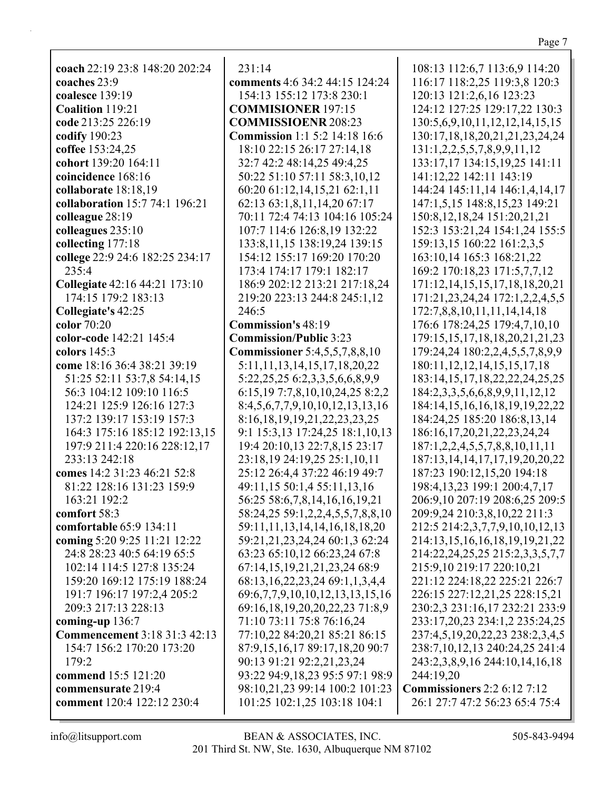Page 7

coach 22:19 23:8 148:20 202:24 coaches  $23:9$ coalesce 139:19 Coalition 119:21 code 213:25 226:19 codify  $190:23$ coffee 153:24.25 cohort 139:20 164:11 coincidence 168:16 collaborate 18:18,19 collaboration 15:7 74:1 196:21 colleague 28:19 colleagues 235:10 collecting 177:18 college 22:9 24:6 182:25 234:17  $235:4$ **Collegiate** 42:16 44:21 173:10 174:15 179:2 183:13 Collegiate's 42:25 color 70:20 color-code 142:21 145:4 colors 145:3 come 18:16 36:4 38:21 39:19 51:25 52:11 53:7,8 54:14,15 56:3 104:12 109:10 116:5 124:21 125:9 126:16 127:3 137:2 139:17 153:19 157:3 164:3 175:16 185:12 192:13,15 197:9 211:4 220:16 228:12,17 233:13 242:18 comes 14:2 31:23 46:21 52:8 81:22 128:16 131:23 159:9 163:21 192:2 comfort  $58:3$ comfortable 65:9 134:11 coming 5:20 9:25 11:21 12:22 24:8 28:23 40:5 64:19 65:5 102:14 114:5 127:8 135:24 159:20 169:12 175:19 188:24 191:7 196:17 197:2.4 205:2 209:3 217:13 228:13 coming-up  $136:7$ **Commencement** 3:18 31:3 42:13 154:7 156:2 170:20 173:20  $179:2$ commend 15:5 121:20 commensurate 219:4 comment 120:4 122:12 230:4

 $231:14$ 

comments 4:6 34:2 44:15 124:24 154:13 155:12 173:8 230:1 **COMMISIONER 197:15 COMMISSIOENR 208:23 Commission** 1:1 5:2 14:18 16:6 18:10 22:15 26:17 27:14.18 32:7 42:2 48:14,25 49:4,25 50:22 51:10 57:11 58:3,10,12 60:20 61:12,14,15,21 62:1,11 62:13 63:1,8,11,14,20 67:17 70:11 72:4 74:13 104:16 105:24 107:7 114:6 126:8,19 132:22 133:8, 11, 15 138:19, 24 139:15 154:12 155:17 169:20 170:20 173:4 174:17 179:1 182:17 186:9 202:12 213:21 217:18,24 219:20 223:13 244:8 245:1,12  $246:5$ **Commission's 48:19 Commission/Public 3:23 Commissioner** 5:4,5,5,7,8,8,10 5:11,11,13,14,15,17,18,20,22 5:22, 25, 25 6:2, 3, 3, 5, 6, 6, 8, 9, 9 6:15,19 7:7,8,10,10,24,25 8:2,2 8:4,5,6,7,7,9,10,10,12,13,13,16 8:16,18,19,19,21,22,23,23,25 9:1 15:3,13 17:24,25 18:1,10,13 19:4 20:10,13 22:7,8,15 23:17 23:18,19 24:19,25 25:1,10,11 25:12 26:4,4 37:22 46:19 49:7 49:11,15 50:1,4 55:11,13,16 56:25 58:6,7,8,14,16,16,19,21 58:24,25 59:1,2,2,4,5,5,7,8,8,10 59:11,11,13,14,14,16,18,18,20 59:21,21,23,24,24 60:1,3 62:24 63:23 65:10,12 66:23,24 67:8 67:14,15,19,21,21,23,24 68:9 68:13, 16, 22, 23, 24 69:1, 1, 3, 4, 4 69:6,7,7,9,10,10,12,13,13,15,16 69:16,18,19,20,20,22,23 71:8,9 71:10 73:11 75:8 76:16,24 77:10,22 84:20,21 85:21 86:15 87:9,15,16,17 89:17,18,20 90:7 90:13 91:21 92:2,21,23,24 93:22 94:9,18,23 95:5 97:1 98:9 98:10,21,23 99:14 100:2 101:23 101:25 102:1,25 103:18 104:1

108:13 112:6,7 113:6,9 114:20 116:17 118:2,25 119:3,8 120:3 120:13 121:2,6,16 123:23 124:12 127:25 129:17,22 130:3 130:5,6,9,10,11,12,12,14,15,15 130:17, 18, 18, 20, 21, 21, 23, 24, 24 131:1,2,2,5,5,7,8,9,9,11,12 133:17,17 134:15,19,25 141:11 141:12,22 142:11 143:19 144:24 145:11,14 146:1,4,14,17 147:1,5,15 148:8,15,23 149:21 150:8, 12, 18, 24 151: 20, 21, 21 152:3 153:21,24 154:1,24 155:5 159:13,15 160:22 161:2,3,5 163:10,14 165:3 168:21,22 169:2 170:18,23 171:5,7,7,12 171:12,14,15,15,17,18,18,20,21 171:21,23,24,24 172:1,2,2,4,5,5 172:7,8,8,10,11,11,14,14,18 176:6 178:24,25 179:4,7,10,10 179:15, 15, 17, 18, 18, 20, 21, 21, 23 179:24,24 180:2,2,4,5,5,7,8,9,9 180:11, 12, 12, 14, 15, 15, 17, 18 183:14, 15, 17, 18, 22, 22, 24, 25, 25 184:2,3,3,5,6,6,8,9,9,11,12,12 184:14,15,16,16,18,19,19,22,22 184:24,25 185:20 186:8,13,14 186:16,17,20,21,22,23,24,24  $187:1,2,2,4,5,5,7,8,8,10,11,11$ 187:13, 14, 14, 17, 17, 19, 20, 20, 22 187:23 190:12,15,20 194:18 198:4, 13, 23 199:1 200: 4, 7, 17 206:9,10 207:19 208:6,25 209:5 209:9,24 210:3,8,10,22 211:3 212:5 214:2,3,7,7,9,10,10,12,13 214:13,15,16,16,18,19,19,21,22 214:22,24,25,25 215:2,3,3,5,7,7 215:9,10 219:17 220:10,21 221:12 224:18,22 225:21 226:7 226:15 227:12,21,25 228:15,21 230:2,3 231:16,17 232:21 233:9 233:17,20,23 234:1,2 235:24,25 237:4,5,19,20,22,23 238:2,3,4,5 238:7,10,12,13 240:24,25 241:4 243:2,3,8,9,16 244:10,14,16,18 244:19,20

**Commissioners** 2:2 6:12 7:12 26:1 27:7 47:2 56:23 65:4 75:4

 $info@$ litsupport.com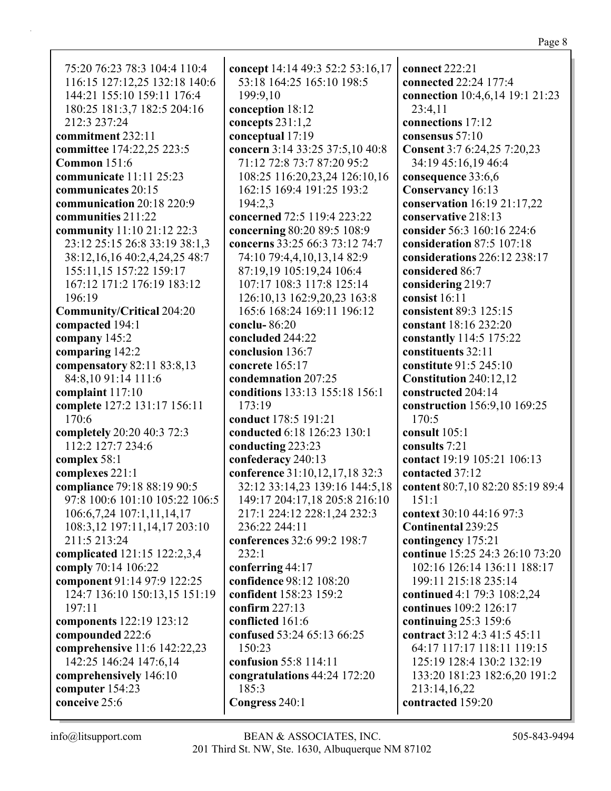Page 8

75:20 76:23 78:3 104:4 110:4 116:15 127:12,25 132:18 140:6 144:21 155:10 159:11 176:4 180:25 181:3,7 182:5 204:16 212:3 237:24 **commitment** 232:11 **committee** 174:22,25 223:5 **Common** 151:6 **communicate** 11:11 25:23 **communicates** 20:15 **communication** 20:18 220:9 **communities** 211:22 **community** 11:10 21:12 22:3 23:12 25:15 26:8 33:19 38:1,3 38:12,16,16 40:2,4,24,25 48:7 155:11,15 157:22 159:17 167:12 171:2 176:19 183:12 196:19 **Community/Critical** 204:20 **compacted** 194:1 **company** 145:2 **comparing** 142:2 **compensatory** 82:11 83:8,13 84:8,10 91:14 111:6 **complaint** 117:10 **complete** 127:2 131:17 156:11 170:6 **completely** 20:20 40:3 72:3 112:2 127:7 234:6 **complex** 58:1 **complexes** 221:1 **compliance** 79:18 88:19 90:5 97:8 100:6 101:10 105:22 106:5 106:6,7,24 107:1,11,14,17 108:3,12 197:11,14,17 203:10 211:5 213:24 **complicated** 121:15 122:2,3,4 **comply** 70:14 106:22 **component** 91:14 97:9 122:25 124:7 136:10 150:13,15 151:19 197:11 **components** 122:19 123:12 **compounded** 222:6 **comprehensive** 11:6 142:22,23 142:25 146:24 147:6,14 **comprehensively** 146:10 **computer** 154:23 **conceive** 25:6

**concept** 14:14 49:3 52:2 53:16,17 53:18 164:25 165:10 198:5 199:9,10 **conception** 18:12 **concepts** 231:1,2 **conceptual** 17:19 **concern** 3:14 33:25 37:5,10 40:8 71:12 72:8 73:7 87:20 95:2 108:25 116:20,23,24 126:10,16 162:15 169:4 191:25 193:2 194:2,3 **concerned** 72:5 119:4 223:22 **concerning** 80:20 89:5 108:9 **concerns** 33:25 66:3 73:12 74:7 74:10 79:4,4,10,13,14 82:9 87:19,19 105:19,24 106:4 107:17 108:3 117:8 125:14 126:10,13 162:9,20,23 163:8 165:6 168:24 169:11 196:12 **conclu-** 86:20 **concluded** 244:22 **conclusion** 136:7 **concrete** 165:17 **condemnation** 207:25 **conditions** 133:13 155:18 156:1 173:19 **conduct** 178:5 191:21 **conducted** 6:18 126:23 130:1 **conducting** 223:23 **confederacy** 240:13 **conference** 31:10,12,17,18 32:3 32:12 33:14,23 139:16 144:5,18 149:17 204:17,18 205:8 216:10 217:1 224:12 228:1,24 232:3 236:22 244:11 **conferences** 32:6 99:2 198:7 232:1 **conferring** 44:17 **confidence** 98:12 108:20 **confident** 158:23 159:2 **confirm** 227:13 **conflicted** 161:6 **confused** 53:24 65:13 66:25 150:23 **confusion** 55:8 114:11 **congratulations** 44:24 172:20 185:3 **Congress** 240:1

**connect** 222:21 **connected** 22:24 177:4 **connection** 10:4,6,14 19:1 21:23 23:4,11 **connections** 17:12 **consensus** 57:10 **Consent** 3:7 6:24,25 7:20,23 34:19 45:16,19 46:4 **consequence** 33:6,6 **Conservancy** 16:13 **conservation** 16:19 21:17,22 **conservative** 218:13 **consider** 56:3 160:16 224:6 **consideration** 87:5 107:18 **considerations** 226:12 238:17 **considered** 86:7 **considering** 219:7 **consist** 16:11 **consistent** 89:3 125:15 **constant** 18:16 232:20 **constantly** 114:5 175:22 **constituents** 32:11 **constitute** 91:5 245:10 **Constitution** 240:12,12 **constructed** 204:14 **construction** 156:9,10 169:25 170:5 **consult** 105:1 **consults** 7:21 **contact** 19:19 105:21 106:13 **contacted** 37:12 **content** 80:7,10 82:20 85:19 89:4 151:1 **context** 30:10 44:16 97:3 **Continental** 239:25 **contingency** 175:21 **continue** 15:25 24:3 26:10 73:20 102:16 126:14 136:11 188:17 199:11 215:18 235:14 **continued** 4:1 79:3 108:2,24 **continues** 109:2 126:17 **continuing** 25:3 159:6 **contract** 3:12 4:3 41:5 45:11 64:17 117:17 118:11 119:15 125:19 128:4 130:2 132:19 133:20 181:23 182:6,20 191:2 213:14,16,22 **contracted** 159:20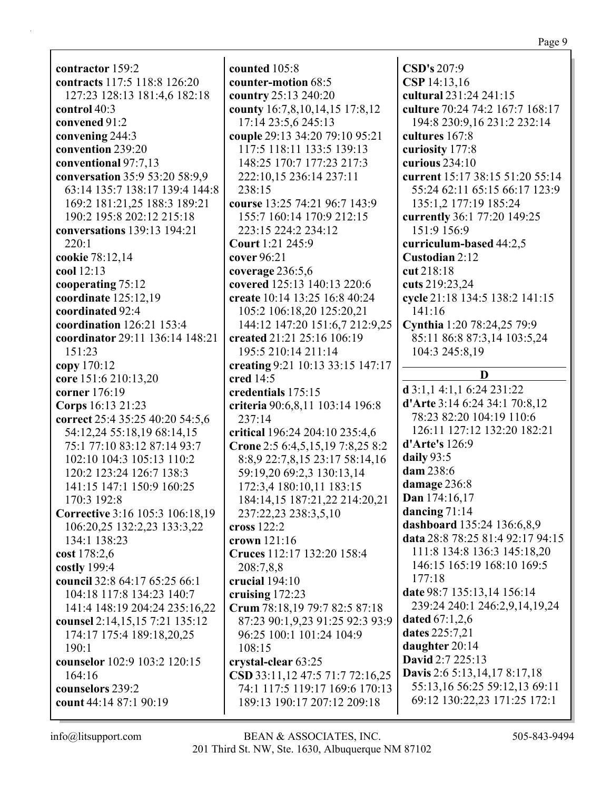**contractor** 159:2 **contracts** 117:5 118:8 126:20 127:23 128:13 181:4,6 182:18 **control** 40:3 **convened** 91:2 **convening** 244:3 **convention** 239:20 **conventional** 97:7,13 **conversation** 35:9 53:20 58:9,9 63:14 135:7 138:17 139:4 144:8 169:2 181:21,25 188:3 189:21 190:2 195:8 202:12 215:18 **conversations** 139:13 194:21 220:1 **cookie** 78:12,14 **cool** 12:13 **cooperating** 75:12 **coordinate** 125:12,19 **coordinated** 92:4 **coordination** 126:21 153:4 **coordinator** 29:11 136:14 148:21 151:23 **copy** 170:12 **core** 151:6 210:13,20 **corner** 176:19 **Corps** 16:13 21:23 **correct** 25:4 35:25 40:20 54:5,6 54:12,24 55:18,19 68:14,15 75:1 77:10 83:12 87:14 93:7 102:10 104:3 105:13 110:2 120:2 123:24 126:7 138:3 141:15 147:1 150:9 160:25 170:3 192:8 **Corrective** 3:16 105:3 106:18,19 106:20,25 132:2,23 133:3,22 134:1 138:23 **cost** 178:2,6 **costly** 199:4 **council** 32:8 64:17 65:25 66:1 104:18 117:8 134:23 140:7 141:4 148:19 204:24 235:16,22 **counsel** 2:14,15,15 7:21 135:12 174:17 175:4 189:18,20,25 190:1 **counselor** 102:9 103:2 120:15 164:16 **counselors** 239:2 **count** 44:14 87:1 90:19

**counted** 105:8 **counter-motion** 68:5 **country** 25:13 240:20 **county** 16:7,8,10,14,15 17:8,12 17:14 23:5,6 245:13 **couple** 29:13 34:20 79:10 95:21 117:5 118:11 133:5 139:13 148:25 170:7 177:23 217:3 222:10,15 236:14 237:11 238:15 **course** 13:25 74:21 96:7 143:9 155:7 160:14 170:9 212:15 223:15 224:2 234:12 **Court** 1:21 245:9 **cover** 96:21 **coverage** 236:5,6 **covered** 125:13 140:13 220:6 **create** 10:14 13:25 16:8 40:24 105:2 106:18,20 125:20,21 144:12 147:20 151:6,7 212:9,25 **created** 21:21 25:16 106:19 195:5 210:14 211:14 **creating** 9:21 10:13 33:15 147:17 **cred** 14:5 **credentials** 175:15 **criteria** 90:6,8,11 103:14 196:8 237:14 **critical** 196:24 204:10 235:4,6 **Crone** 2:5 6:4,5,15,19 7:8,25 8:2 8:8,9 22:7,8,15 23:17 58:14,16 59:19,20 69:2,3 130:13,14 172:3,4 180:10,11 183:15 184:14,15 187:21,22 214:20,21 237:22,23 238:3,5,10 **cross** 122:2 **crown** 121:16 **Cruces** 112:17 132:20 158:4 208:7,8,8 **crucial** 194:10 **cruising** 172:23 **Crum** 78:18,19 79:7 82:5 87:18 87:23 90:1,9,23 91:25 92:3 93:9 96:25 100:1 101:24 104:9 108:15 **crystal-clear** 63:25 **CSD** 33:11,12 47:5 71:7 72:16,25 74:1 117:5 119:17 169:6 170:13 189:13 190:17 207:12 209:18

**CSD's** 207:9 **CSP** 14:13,16 **cultural** 231:24 241:15 **culture** 70:24 74:2 167:7 168:17 194:8 230:9,16 231:2 232:14 **cultures** 167:8 **curiosity** 177:8 **curious** 234:10 **current** 15:17 38:15 51:20 55:14 55:24 62:11 65:15 66:17 123:9 135:1,2 177:19 185:24 **currently** 36:1 77:20 149:25 151:9 156:9 **curriculum-based** 44:2,5 **Custodian** 2:12 **cut** 218:18 **cuts** 219:23,24 **cycle** 21:18 134:5 138:2 141:15 141:16 **Cynthia** 1:20 78:24,25 79:9 85:11 86:8 87:3,14 103:5,24 104:3 245:8,19 **D d** 3:1,1 4:1,1 6:24 231:22 **d'Arte** 3:14 6:24 34:1 70:8,12 78:23 82:20 104:19 110:6 126:11 127:12 132:20 182:21 **d'Arte's** 126:9 **daily** 93:5 **dam** 238:6 **damage** 236:8 **Dan** 174:16,17 **dancing** 71:14 **dashboard** 135:24 136:6,8,9 **data** 28:8 78:25 81:4 92:17 94:15 111:8 134:8 136:3 145:18,20 146:15 165:19 168:10 169:5 177:18 **date** 98:7 135:13,14 156:14 239:24 240:1 246:2,9,14,19,24 **dated** 67:1,2,6 **dates** 225:7,21 **daughter** 20:14 **David** 2:7 225:13 **Davis** 2:6 5:13,14,17 8:17,18 55:13,16 56:25 59:12,13 69:11 69:12 130:22,23 171:25 172:1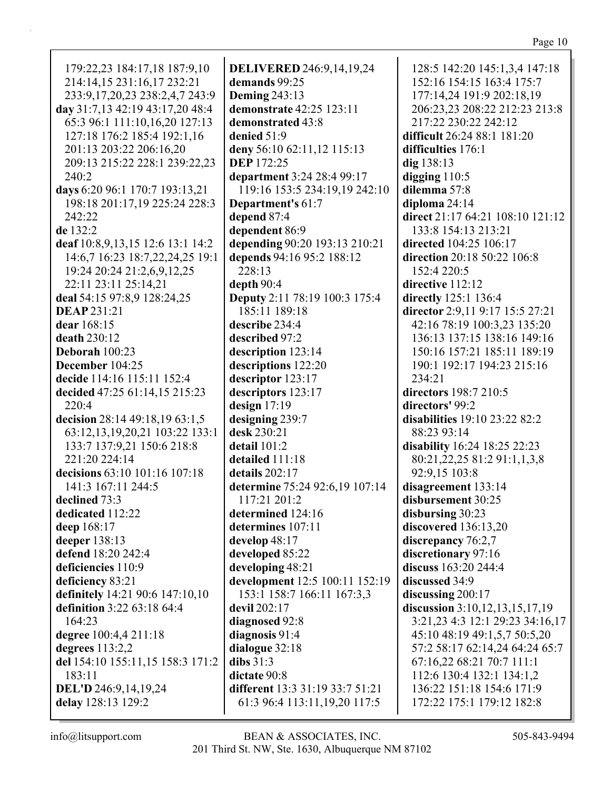| 179:22,23 184:17,18 187:9,10                      | <b>DELIVERED</b> 246:9,14,19,24                                   | 128:5 142:20 145:1,3,4 147:18                          |
|---------------------------------------------------|-------------------------------------------------------------------|--------------------------------------------------------|
| 214:14,15 231:16,17 232:21                        | demands 99:25                                                     | 152:16 154:15 163:4 175:7                              |
|                                                   |                                                                   |                                                        |
| 233:9,17,20,23 238:2,4,7 243:9                    | <b>Deming 243:13</b>                                              | 177:14,24 191:9 202:18,19                              |
| day 31:7,13 42:19 43:17,20 48:4                   | demonstrate 42:25 123:11                                          | 206:23,23 208:22 212:23 213:8                          |
| 65:3 96:1 111:10,16,20 127:13                     | demonstrated 43:8                                                 | 217:22 230:22 242:12                                   |
| 127:18 176:2 185:4 192:1,16                       | denied 51:9                                                       | difficult 26:24 88:1 181:20                            |
| 201:13 203:22 206:16,20                           | deny 56:10 62:11,12 115:13                                        | difficulties 176:1                                     |
| 209:13 215:22 228:1 239:22,23                     | <b>DEP</b> 172:25                                                 | dig 138:13                                             |
| 240:2                                             | department 3:24 28:4 99:17                                        | digging $110:5$                                        |
| days 6:20 96:1 170:7 193:13,21                    | 119:16 153:5 234:19,19 242:10                                     | dilemma 57:8                                           |
| 198:18 201:17,19 225:24 228:3                     | Department's 61:7                                                 | diploma $24:14$                                        |
| 242:22                                            | depend 87:4                                                       | direct 21:17 64:21 108:10 121:12                       |
| de 132:2                                          | dependent 86:9                                                    | 133:8 154:13 213:21                                    |
|                                                   |                                                                   |                                                        |
| deaf 10:8,9,13,15 12:6 13:1 14:2                  | depending 90:20 193:13 210:21                                     | directed 104:25 106:17                                 |
| 14:6,7 16:23 18:7,22,24,25 19:1                   | depends 94:16 95:2 188:12                                         | direction 20:18 50:22 106:8                            |
| 19:24 20:24 21:2,6,9,12,25                        | 228:13                                                            | 152:4 220:5                                            |
| 22:11 23:11 25:14,21                              | depth 90:4                                                        | directive 112:12                                       |
| deal 54:15 97:8,9 128:24,25                       | <b>Deputy</b> 2:11 78:19 100:3 175:4                              | directly 125:1 136:4                                   |
| <b>DEAP</b> 231:21                                | 185:11 189:18                                                     | director 2:9,11 9:17 15:5 27:21                        |
| dear 168:15                                       | describe 234:4                                                    | 42:16 78:19 100:3,23 135:20                            |
| death 230:12                                      | described 97:2                                                    | 136:13 137:15 138:16 149:16                            |
| Deborah 100:23                                    | description 123:14                                                | 150:16 157:21 185:11 189:19                            |
| December 104:25                                   | descriptions 122:20                                               | 190:1 192:17 194:23 215:16                             |
| decide 114:16 115:11 152:4                        | descriptor 123:17                                                 | 234:21                                                 |
| decided 47:25 61:14,15 215:23                     | descriptors 123:17                                                | directors 198:7 210:5                                  |
|                                                   |                                                                   |                                                        |
|                                                   |                                                                   |                                                        |
| 220:4                                             | design $17:19$                                                    | directors' 99:2                                        |
| decision 28:14 49:18,19 63:1,5                    | designing 239:7                                                   | disabilities 19:10 23:22 82:2                          |
| 63:12,13,19,20,21 103:22 133:1                    | desk 230:21                                                       | 88:23 93:14                                            |
| 133:7 137:9,21 150:6 218:8                        | detail 101:2                                                      | disability 16:24 18:25 22:23                           |
| 221:20 224:14                                     | detailed 111:18                                                   | 80:21,22,25 81:2 91:1,1,3,8                            |
| decisions 63:10 101:16 107:18                     | details 202:17                                                    | 92:9,15 103:8                                          |
| 141:3 167:11 244:5                                | determine 75:24 92:6,19 107:14                                    | disagreement 133:14                                    |
| declined 73:3                                     | 117:21 201:2                                                      | disbursement 30:25                                     |
| dedicated 112:22                                  | determined 124:16                                                 | disbursing 30:23                                       |
| deep 168:17                                       | determines 107:11                                                 | discovered 136:13,20                                   |
| deeper 138:13                                     | develop 48:17                                                     | discrepancy 76:2,7                                     |
| defend 18:20 242:4                                | developed 85:22                                                   | discretionary 97:16                                    |
| deficiencies 110:9                                | developing 48:21                                                  | discuss 163:20 244:4                                   |
| deficiency 83:21                                  | development 12:5 100:11 152:19                                    | discussed 34:9                                         |
| definitely 14:21 90:6 147:10,10                   | 153:1 158:7 166:11 167:3,3                                        | discussing 200:17                                      |
| definition 3:22 63:18 64:4                        | devil 202:17                                                      | discussion 3:10,12,13,15,17,19                         |
| 164:23                                            |                                                                   | 3:21,23 4:3 12:1 29:23 34:16,17                        |
|                                                   | diagnosed 92:8                                                    |                                                        |
| degree 100:4,4 211:18                             | diagnosis 91:4                                                    | 45:10 48:19 49:1,5,7 50:5,20                           |
| degrees $113:2,2$                                 | dialogue 32:18                                                    | 57:2 58:17 62:14,24 64:24 65:7                         |
| del 154:10 155:11,15 158:3 171:2                  | dibs $31:3$                                                       | 67:16,22 68:21 70:7 111:1                              |
| 183:11                                            | dictate 90:8                                                      | 112:6 130:4 132:1 134:1,2                              |
| <b>DEL'D</b> 246:9,14,19,24<br>delay 128:13 129:2 | different 13:3 31:19 33:7 51:21<br>61:3 96:4 113:11, 19, 20 117:5 | 136:22 151:18 154:6 171:9<br>172:22 175:1 179:12 182:8 |

 $\mathop{\mathsf{info}}\nolimits @ \mathop{\mathsf{litsupport.com}}$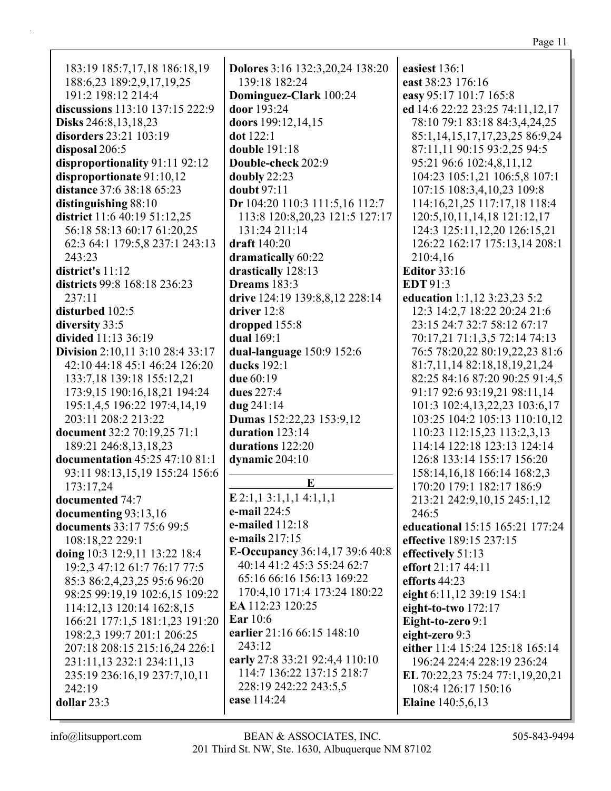183:19 185:7,17,18 186:18,19 188:6,23 189:2,9,17,19,25 191:2 198:12 214:4 **discussions** 113:10 137:15 222:9 **Disks** 246:8,13,18,23 **disorders** 23:21 103:19 **disposal** 206:5 **disproportionality** 91:11 92:12 **disproportionate** 91:10,12 **distance** 37:6 38:18 65:23 **distinguishing** 88:10 **district** 11:6 40:19 51:12,25 56:18 58:13 60:17 61:20,25 62:3 64:1 179:5,8 237:1 243:13 243:23 **district's** 11:12 **districts** 99:8 168:18 236:23 237:11 **disturbed** 102:5 **diversity** 33:5 **divided** 11:13 36:19 **Division** 2:10,11 3:10 28:4 33:17 42:10 44:18 45:1 46:24 126:20 133:7,18 139:18 155:12,21 173:9,15 190:16,18,21 194:24 195:1,4,5 196:22 197:4,14,19 203:11 208:2 213:22 **document** 32:2 70:19,25 71:1 189:21 246:8,13,18,23 **documentation** 45:25 47:10 81:1 93:11 98:13,15,19 155:24 156:6 173:17,24 **documented** 74:7 **documenting** 93:13,16 **documents** 33:17 75:6 99:5 108:18,22 229:1 **doing** 10:3 12:9,11 13:22 18:4 19:2,3 47:12 61:7 76:17 77:5 85:3 86:2,4,23,25 95:6 96:20 98:25 99:19,19 102:6,15 109:22 114:12,13 120:14 162:8,15 166:21 177:1,5 181:1,23 191:20 198:2,3 199:7 201:1 206:25 207:18 208:15 215:16,24 226:1 231:11,13 232:1 234:11,13 235:19 236:16,19 237:7,10,11 242:19 **dollar** 23:3

**Dolores** 3:16 132:3,20,24 138:20 139:18 182:24 **Dominguez-Clark** 100:24 **door** 193:24 **doors** 199:12,14,15 **dot** 122:1 **double** 191:18 **Double-check** 202:9 **doubly** 22:23 **doubt** 97:11 **Dr** 104:20 110:3 111:5,16 112:7 113:8 120:8,20,23 121:5 127:17 131:24 211:14 **draft** 140:20 **dramatically** 60:22 **drastically** 128:13 **Dreams** 183:3 **drive** 124:19 139:8,8,12 228:14 **driver** 12:8 **dropped** 155:8 **dual** 169:1 **dual-language** 150:9 152:6 **ducks** 192:1 **due** 60:19 **dues** 227:4 **dug** 241:14 **Dumas** 152:22,23 153:9,12 **duration** 123:14 **durations** 122:20 **dynamic** 204:10 **E E** 2:1,1 3:1,1,1 4:1,1,1 **e-mail** 224:5 **e-mailed** 112:18 **e-mails** 217:15 **E-Occupancy** 36:14,17 39:6 40:8 40:14 41:2 45:3 55:24 62:7 65:16 66:16 156:13 169:22 170:4,10 171:4 173:24 180:22 **EA** 112:23 120:25 **Ear** 10:6 **earlier** 21:16 66:15 148:10 243:12 **early** 27:8 33:21 92:4,4 110:10 114:7 136:22 137:15 218:7 228:19 242:22 243:5,5 **ease** 114:24

**easiest** 136:1 **east** 38:23 176:16 **easy** 95:17 101:7 165:8 **ed** 14:6 22:22 23:25 74:11,12,17 78:10 79:1 83:18 84:3,4,24,25 85:1,14,15,17,17,23,25 86:9,24 87:11,11 90:15 93:2,25 94:5 95:21 96:6 102:4,8,11,12 104:23 105:1,21 106:5,8 107:1 107:15 108:3,4,10,23 109:8 114:16,21,25 117:17,18 118:4 120:5,10,11,14,18 121:12,17 124:3 125:11,12,20 126:15,21 126:22 162:17 175:13,14 208:1 210:4,16 **Editor** 33:16 **EDT** 91:3 **education** 1:1,12 3:23,23 5:2 12:3 14:2,7 18:22 20:24 21:6 23:15 24:7 32:7 58:12 67:17 70:17,21 71:1,3,5 72:14 74:13 76:5 78:20,22 80:19,22,23 81:6 81:7,11,14 82:18,18,19,21,24 82:25 84:16 87:20 90:25 91:4,5 91:17 92:6 93:19,21 98:11,14 101:3 102:4,13,22,23 103:6,17 103:25 104:2 105:13 110:10,12 110:23 112:15,23 113:2,3,13 114:14 122:18 123:13 124:14 126:8 133:14 155:17 156:20 158:14,16,18 166:14 168:2,3 170:20 179:1 182:17 186:9 213:21 242:9,10,15 245:1,12 246:5 **educational** 15:15 165:21 177:24 **effective** 189:15 237:15 **effectively** 51:13 **effort** 21:17 44:11 **efforts** 44:23 **eight** 6:11,12 39:19 154:1 **eight-to-two** 172:17 **Eight-to-zero** 9:1 **eight-zero** 9:3 **either** 11:4 15:24 125:18 165:14 196:24 224:4 228:19 236:24 **EL** 70:22,23 75:24 77:1,19,20,21 108:4 126:17 150:16 **Elaine** 140:5,6,13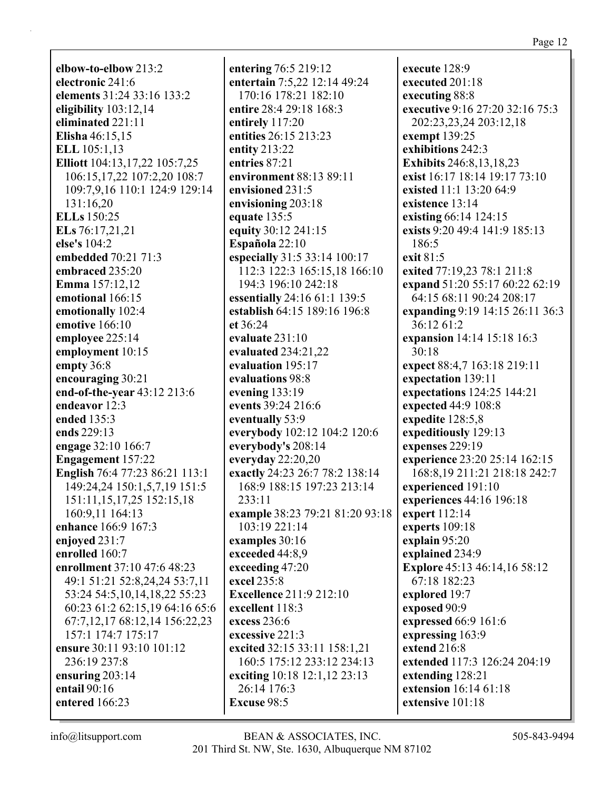**elbow-to-elbow** 213:2 **electronic** 241:6 **elements** 31:24 33:16 133:2 **eligibility** 103:12,14 **eliminated** 221:11 **Elisha** 46:15,15 **ELL** 105:1,13 **Elliott** 104:13,17,22 105:7,25 106:15,17,22 107:2,20 108:7 109:7,9,16 110:1 124:9 129:14 131:16,20 **ELLs** 150:25 **ELs** 76:17,21,21 **else's** 104:2 **embedded** 70:21 71:3 **embraced** 235:20 **Emma** 157:12,12 **emotional** 166:15 **emotionally** 102:4 **emotive** 166:10 **employee** 225:14 **employment** 10:15 **empty** 36:8 **encouraging** 30:21 **end-of-the-year** 43:12 213:6 **endeavor** 12:3 **ended** 135:3 **ends** 229:13 **engage** 32:10 166:7 **Engagement** 157:22 **English** 76:4 77:23 86:21 113:1 149:24,24 150:1,5,7,19 151:5 151:11,15,17,25 152:15,18 160:9,11 164:13 **enhance** 166:9 167:3 **enjoyed** 231:7 **enrolled** 160:7 **enrollment** 37:10 47:6 48:23 49:1 51:21 52:8,24,24 53:7,11 53:24 54:5,10,14,18,22 55:23 60:23 61:2 62:15,19 64:16 65:6 67:7,12,17 68:12,14 156:22,23 157:1 174:7 175:17 **ensure** 30:11 93:10 101:12 236:19 237:8 **ensuring** 203:14 **entail** 90:16 **entered** 166:23

**entering** 76:5 219:12 **entertain** 7:5,22 12:14 49:24 170:16 178:21 182:10 **entire** 28:4 29:18 168:3 **entirely** 117:20 **entities** 26:15 213:23 **entity** 213:22 **entries** 87:21 **environment** 88:13 89:11 **envisioned** 231:5 **envisioning** 203:18 **equate** 135:5 **equity** 30:12 241:15 **Española** 22:10 **especially** 31:5 33:14 100:17 112:3 122:3 165:15,18 166:10 194:3 196:10 242:18 **essentially** 24:16 61:1 139:5 **establish** 64:15 189:16 196:8 **et** 36:24 **evaluate** 231:10 **evaluated** 234:21,22 **evaluation** 195:17 **evaluations** 98:8 **evening** 133:19 **events** 39:24 216:6 **eventually** 53:9 **everybody** 102:12 104:2 120:6 **everybody's** 208:14 **everyday** 22:20,20 **exactly** 24:23 26:7 78:2 138:14 168:9 188:15 197:23 213:14 233:11 **example** 38:23 79:21 81:20 93:18 103:19 221:14 **examples** 30:16 **exceeded** 44:8,9 **exceeding** 47:20 **excel** 235:8 **Excellence** 211:9 212:10 **excellent** 118:3 **excess** 236:6 **excessive** 221:3 **excited** 32:15 33:11 158:1,21 160:5 175:12 233:12 234:13 **exciting** 10:18 12:1,12 23:13 26:14 176:3 **Excuse** 98:5

**execute** 128:9 **executed** 201:18 **executing** 88:8 **executive** 9:16 27:20 32:16 75:3 202:23,23,24 203:12,18 **exempt** 139:25 **exhibitions** 242:3 **Exhibits** 246:8,13,18,23 **exist** 16:17 18:14 19:17 73:10 **existed** 11:1 13:20 64:9 **existence** 13:14 **existing** 66:14 124:15 **exists** 9:20 49:4 141:9 185:13 186:5 **exit** 81:5 **exited** 77:19,23 78:1 211:8 **expand** 51:20 55:17 60:22 62:19 64:15 68:11 90:24 208:17 **expanding** 9:19 14:15 26:11 36:3 36:12 61:2 **expansion** 14:14 15:18 16:3 30:18 **expect** 88:4,7 163:18 219:11 **expectation** 139:11 **expectations** 124:25 144:21 **expected** 44:9 108:8 **expedite** 128:5,8 **expeditiously** 129:13 **expenses** 229:19 **experience** 23:20 25:14 162:15 168:8,19 211:21 218:18 242:7 **experienced** 191:10 **experiences** 44:16 196:18 **expert** 112:14 **experts** 109:18 **explain** 95:20 **explained** 234:9 **Explore** 45:13 46:14,16 58:12 67:18 182:23 **explored** 19:7 **exposed** 90:9 **expressed** 66:9 161:6 **expressing** 163:9 **extend** 216:8 **extended** 117:3 126:24 204:19 **extending** 128:21 **extension** 16:14 61:18 **extensive** 101:18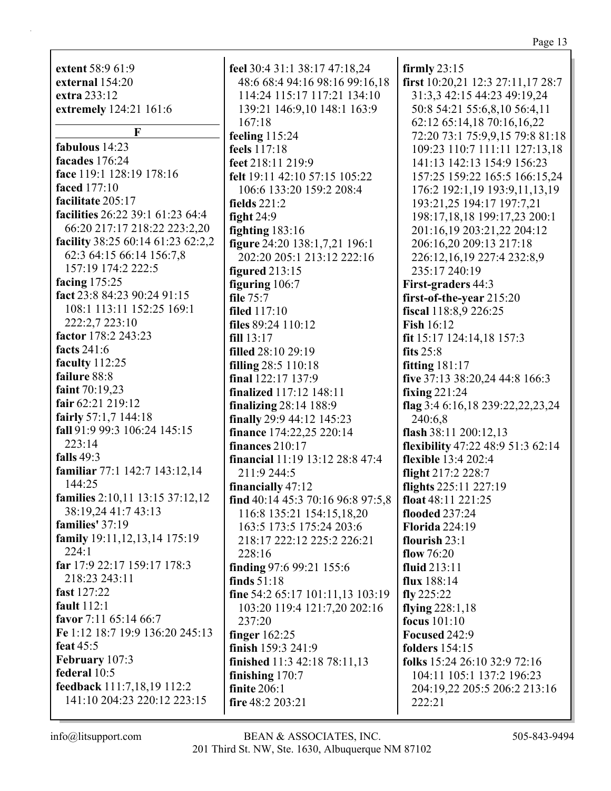extent  $58:961:9$ feel 30:4 31:1 38:17 47:18,24 external 154:20 48:6 68:4 94:16 98:16 99:16,18 extra 233:12 114:24 115:17 117:21 134:10 extremely 124:21 161:6 139:21 146:9,10 148:1 163:9  $167:18$  $\mathbf{F}$ feeling  $115:24$ fabulous 14:23 feels 117:18 facades  $176:24$ feet 218:11 219:9 face 119:1 128:19 178:16 felt 19:11 42:10 57:15 105:22 **faced** 177:10 106:6 133:20 159:2 208:4 facilitate 205:17 fields  $221:2$ facilities 26:22 39:1 61:23 64:4 fight  $24:9$ 66:20 217:17 218:22 223:2,20 fighting  $183:16$ facility 38:25 60:14 61:23 62:2,2 figure 24:20 138:1,7,21 196:1 62:3 64:15 66:14 156:7,8 202:20 205:1 213:12 222:16 157:19 174:2 222:5 figured  $213:15$ facing  $175:25$ figuring  $106:7$ fact 23:8 84:23 90:24 91:15 file  $75:7$ 108:1 113:11 152:25 169:1 filed  $117:10$ 222:2,7 223:10 files  $89:24$  110:12 factor 178:2 243:23  $fill 13:17$ facts 241:6 filled 28:10 29:19 faculty 112:25 filling 28:5 110:18 failure 88:8 final 122:17 137:9 faint 70:19.23 **finalized** 117:12 148:11 fair  $62:21219:12$ finalizing  $28:14$  188:9 fairly  $57:1,7$  144:18 finally 29:9 44:12 145:23 fall 91:9 99:3 106:24 145:15 **finance** 174:22,25 220:14  $223:14$ finances  $210:17$ falls  $49:3$ financial 11:19 13:12 28:8 47:4 familiar 77:1 142:7 143:12,14 211:9 244:5 144:25 financially  $47:12$ **families**  $2:10,11$  13:15 37:12,12 find 40:14 45:3 70:16 96:8 97:5,8 38:19,24 41:7 43:13 116:8 135:21 154:15.18.20 families'  $37:19$ 163:5 173:5 175:24 203:6 family 19:11, 12, 13, 14 175:19 218:17 222:12 225:2 226:21  $224:1$ 228:16 far 17:9 22:17 159:17 178:3 finding 97:6 99:21 155:6 218:23 243:11 finds  $51:18$ fast 127:22 fine 54:2 65:17 101:11,13 103:19 fault  $112:1$ 103:20 119:4 121:7,20 202:16 favor 7:11  $65:14$   $66:7$ 237:20 Fe 1:12 18:7 19:9 136:20 245:13 finger 162:25 feat  $45:5$ February 107:3 federal 10:5 feedback 111:7,18,19 112:2 141:10 204:23 220:12 223:15

finish  $159:3$  241:9 **finished** 11:3 42:18 78:11,13 finishing  $170:7$ finite  $206:1$ fire 48:2 203:21 BEAN & ASSOCIATES, INC. 201 Third St. NW, Ste. 1630, Albuquerque NM 87102

firmly  $23:15$ first 10:20,21 12:3 27:11,17 28:7 31:3,3 42:15 44:23 49:19,24 50:8 54:21 55:6,8,10 56:4,11 62:12 65:14,18 70:16,16,22 72:20 73:1 75:9,9,15 79:8 81:18 109:23 110:7 111:11 127:13.18 141:13 142:13 154:9 156:23 157:25 159:22 165:5 166:15,24 176:2 192:1,19 193:9,11,13,19 193:21,25 194:17 197:7,21 198:17,18,18 199:17,23 200:1 201:16,19 203:21,22 204:12 206:16,20 209:13 217:18 226:12,16,19 227:4 232:8,9 235:17 240:19 **First-graders** 44:3 first-of-the-year 215:20 fiscal 118:8,9 226:25 **Fish 16:12** fit  $15:17$  124:14,18 157:3 fits  $25:8$ fitting  $181:17$ five 37:13 38:20,24 44:8 166:3 fixing  $221:24$ flag 3:4 6:16,18 239:22,22,23,24  $240:6.8$ flash  $38:11\ 200:12,13$ flexibility 47:22 48:9 51:3 62:14 flexible 13:4 202:4 flight 217:2 228:7 flights 225:11 227:19 float 48:11 221:25 flooded 237:24 **Florida 224:19** flourish  $23:1$ flow  $76:20$ fluid  $213:11$ flux  $188:14$  $f{I}v 225:22$ flying  $228:1,18$ focus  $101:10$ **Focused 242:9** folders  $154:15$ folks 15:24 26:10 32:9 72:16 104:11 105:1 137:2 196:23 204:19,22 205:5 206:2 213:16 222:21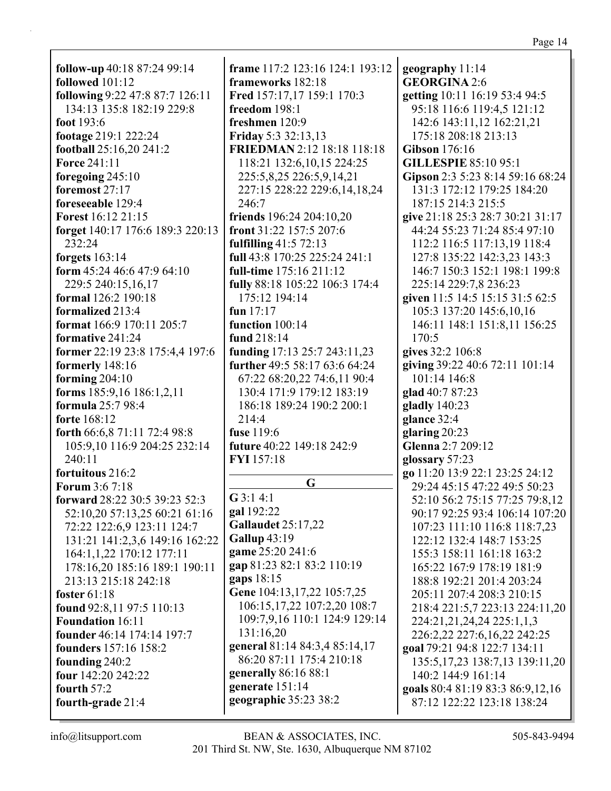| н<br>U<br>∼<br>v |  |
|------------------|--|
|                  |  |

| follow-up 40:18 87:24 99:14      | fram            |
|----------------------------------|-----------------|
| followed 101:12                  | fram            |
| following 9:22 47:8 87:7 126:11  | Fred            |
| 134:13 135:8 182:19 229:8        | freed           |
| foot 193:6                       | fresh           |
| footage 219:1 222:24             | Frida           |
| football 25:16,20 241:2          | <b>FRIE</b>     |
| <b>Force 241:11</b>              | 118             |
| foregoing 245:10                 | 225             |
| foremost 27:17                   | 227             |
| foreseeable 129:4                | 246             |
| <b>Forest</b> 16:12 21:15        | frien           |
| forget 140:17 176:6 189:3 220:13 | front           |
| 232:24                           | fulfil          |
| forgets $163:14$                 | full 4          |
| form 45:24 46:6 47:9 64:10       | full-t          |
| 229:5 240:15,16,17               | fully           |
| formal 126:2 190:18              | 175             |
| formalized 213:4                 | fun $1$         |
| format 166:9 170:11 205:7        | funct           |
| formative 241:24                 | fund            |
| former 22:19 23:8 175:4,4 197:6  | fundi           |
| formerly 148:16                  | furth           |
| forming $204:10$                 | 67:             |
| forms 185:9,16 186:1,2,11        | 130             |
| formula 25:7 98:4                | 186             |
| forte 168:12                     | 214             |
| forth 66:6,8 71:11 72:4 98:8     | fuse 1          |
| 105:9,10 116:9 204:25 232:14     | futur           |
| 240:11                           | <b>FYI1</b>     |
| fortuitous 216:2                 |                 |
| <b>Forum 3:6 7:18</b>            |                 |
| forward 28:22 30:5 39:23 52:3    | G3:1            |
| 52:10,20 57:13,25 60:21 61:16    | gal 19<br>Galla |
| 72:22 122:6,9 123:11 124:7       | Gallu           |
| 131:21 141:2,3,6 149:16 162:22   |                 |
| 164:1,1,22 170:12 177:11         | game            |
| 178:16,20 185:16 189:1 190:11    | gap 8           |
| 213:13 215:18 242:18             | gaps            |
| foster 61:18                     | Gene            |
| found 92:8,11 97:5 110:13        | 106             |
| <b>Foundation 16:11</b>          | 109             |
| founder 46:14 174:14 197:7       | 131             |
| founders 157:16 158:2            | gener           |
| founding 240:2                   | 86:             |
| four 142:20 242:22               | gener           |
| fourth 57:2                      | gener           |
| fourth-grade 21:4                | geogr           |

e 117:2 123:16 124:1 193:12 eworks 182:18 157:17,17 159:1 170:3  $\mathrm{bm} 198:1$ men 120:9 ay 5:3 32:13,13 **EDMAN** 2:12 18:18 118:18  $: 21$  132:6, 10, 15 224:25  $:5,8,25$  226:5,9,14,21  $228:22229:6,14,18,24$  $:7$ ds  $196:24204:10,20$ 31:22 157:5 207:6  $\ln 2$  41:5 72:13 3:8 170:25 225:24 241:1 ime 175:16 211:12 88:18 105:22 106:3 174:4  $:12$  194:14  $7:17$  $\frac{100:14}{ }$ 218:14 ing 17:13 25:7 243:11,23 er 49:5 58:17 63:6 64:24 22 68:20,22 74:6,11 90:4 :4 171:9 179:12 183:19 :18 189:24 190:2 200:1  $\cdot$ 4  $19:6$  $e$  40:22 149:18 242:9  $.57:18$ G  $4:1$ 92:22 udet 25:17,22 up 43:19 25:20 241:6 1:23 82:1 83:2 110:19  $18:15$ 104:13,17,22 105:7,25 :15,17,22 107:2,20 108:7 :7,9,16 110:1 124:9 129:14  $:16.20$ ral 81:14 84:3.4 85:14.17 20 87:11 175:4 210:18 r**ally** 86:16 88:1 rate 151:14 raphic 35:23 38:2

geography 11:14 **GEORGINA 2:6** getting 10:11 16:19 53:4 94:5 95:18 116:6 119:4,5 121:12 142:6 143:11,12 162:21,21 175:18 208:18 213:13 **Gibson** 176:16 **GILLESPIE 85:10 95:1** Gipson 2:3 5:23 8:14 59:16 68:24 131:3 172:12 179:25 184:20 187:15 214:3 215:5 give 21:18 25:3 28:7 30:21 31:17 44:24 55:23 71:24 85:4 97:10 112:2 116:5 117:13,19 118:4 127:8 135:22 142:3,23 143:3 146:7 150:3 152:1 198:1 199:8 225:14 229:7,8 236:23 given 11:5 14:5 15:15 31:5 62:5 105:3 137:20 145:6,10,16 146:11 148:1 151:8,11 156:25 170:5 gives 32:2 106:8 giving 39:22 40:6 72:11 101:14 101:14 146:8 glad  $40:787:23$ gladly  $140:23$ glance  $32:4$ glaring  $20:23$ Glenna 2:7 209:12 glossary 57:23 go 11:20 13:9 22:1 23:25 24:12 29:24 45:15 47:22 49:5 50:23 52:10 56:2 75:15 77:25 79:8,12 90:17 92:25 93:4 106:14 107:20 107:23 111:10 116:8 118:7,23 122:12 132:4 148:7 153:25 155:3 158:11 161:18 163:2 165:22 167:9 178:19 181:9 188:8 192:21 201:4 203:24 205:11 207:4 208:3 210:15 218:4 221:5,7 223:13 224:11,20 224:21,21,24,24 225:1,1,3 226:2,22 227:6,16,22 242:25 goal 79:21 94:8 122:7 134:11 135:5, 17, 23 138:7, 13 139:11, 20 140:2 144:9 161:14 goals 80:4 81:19 83:3 86:9,12,16 87:12 122:22 123:18 138:24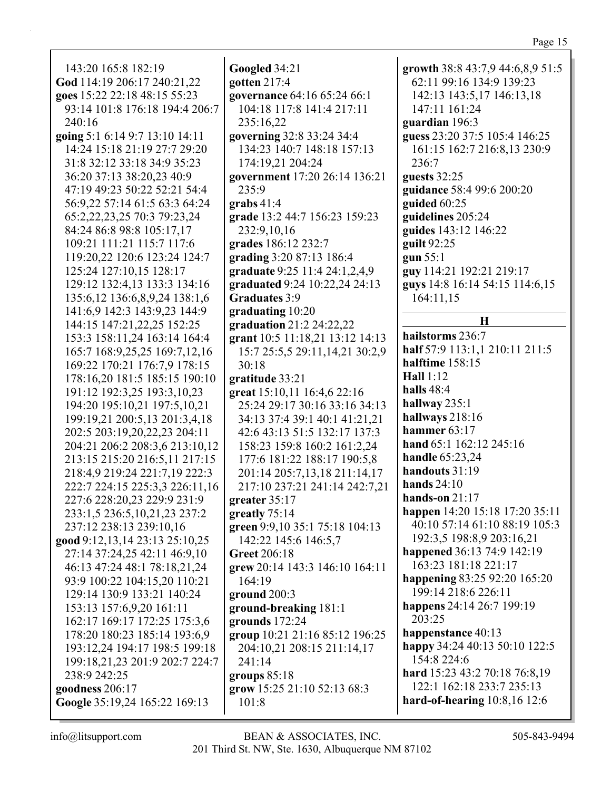| 143:20 165:8 182:19                                                                                                                                                                                                         | Googled 34:21                                                                                                                                                                                         | growth 38:8 43:7,9 44:6,8,9 51:5                                                                             |
|-----------------------------------------------------------------------------------------------------------------------------------------------------------------------------------------------------------------------------|-------------------------------------------------------------------------------------------------------------------------------------------------------------------------------------------------------|--------------------------------------------------------------------------------------------------------------|
| God 114:19 206:17 240:21,22                                                                                                                                                                                                 | gotten 217:4                                                                                                                                                                                          | 62:11 99:16 134:9 139:23                                                                                     |
| goes 15:22 22:18 48:15 55:23                                                                                                                                                                                                | governance 64:16 65:24 66:1                                                                                                                                                                           | 142:13 143:5,17 146:13,18                                                                                    |
| 93:14 101:8 176:18 194:4 206:7                                                                                                                                                                                              | 104:18 117:8 141:4 217:11                                                                                                                                                                             | 147:11 161:24                                                                                                |
| 240:16                                                                                                                                                                                                                      | 235:16,22                                                                                                                                                                                             | guardian 196:3                                                                                               |
| going 5:1 6:14 9:7 13:10 14:11                                                                                                                                                                                              | governing 32:8 33:24 34:4                                                                                                                                                                             | guess 23:20 37:5 105:4 146:25                                                                                |
| 14:24 15:18 21:19 27:7 29:20                                                                                                                                                                                                | 134:23 140:7 148:18 157:13                                                                                                                                                                            | 161:15 162:7 216:8,13 230:9                                                                                  |
| 31:8 32:12 33:18 34:9 35:23                                                                                                                                                                                                 | 174:19,21 204:24                                                                                                                                                                                      | 236:7                                                                                                        |
| 36:20 37:13 38:20,23 40:9                                                                                                                                                                                                   | government 17:20 26:14 136:21                                                                                                                                                                         | guests 32:25                                                                                                 |
| 47:19 49:23 50:22 52:21 54:4                                                                                                                                                                                                | 235:9                                                                                                                                                                                                 | guidance 58:4 99:6 200:20                                                                                    |
| 56:9,22 57:14 61:5 63:3 64:24                                                                                                                                                                                               | grabs $41:4$                                                                                                                                                                                          | guided 60:25                                                                                                 |
| 65:2,22,23,25 70:3 79:23,24                                                                                                                                                                                                 | grade 13:2 44:7 156:23 159:23                                                                                                                                                                         | guidelines 205:24                                                                                            |
| 84:24 86:8 98:8 105:17,17                                                                                                                                                                                                   | 232:9,10,16                                                                                                                                                                                           | guides 143:12 146:22                                                                                         |
| 109:21 111:21 115:7 117:6                                                                                                                                                                                                   | grades 186:12 232:7                                                                                                                                                                                   | guilt 92:25                                                                                                  |
| 119:20,22 120:6 123:24 124:7<br>125:24 127:10,15 128:17<br>129:12 132:4,13 133:3 134:16<br>135:6, 12 136:6, 8, 9, 24 138:1, 6<br>141:6,9 142:3 143:9,23 144:9<br>144:15 147:21,22,25 152:25<br>153:3 158:11,24 163:14 164:4 | grading 3:20 87:13 186:4<br>graduate 9:25 11:4 24:1,2,4,9<br>graduated 9:24 10:22,24 24:13<br><b>Graduates 3:9</b><br>graduating 10:20<br>graduation 21:2 24:22,22<br>grant 10:5 11:18,21 13:12 14:13 | gun 55:1<br>guy 114:21 192:21 219:17<br>guys 14:8 16:14 54:15 114:6,15<br>164:11,15<br>H<br>hailstorms 236:7 |
| 165:7 168:9,25,25 169:7,12,16                                                                                                                                                                                               | 15:7 25:5,5 29:11,14,21 30:2,9                                                                                                                                                                        | half 57:9 113:1,1 210:11 211:5                                                                               |
| 169:22 170:21 176:7,9 178:15                                                                                                                                                                                                | 30:18                                                                                                                                                                                                 | halftime 158:15                                                                                              |
| 178:16,20 181:5 185:15 190:10                                                                                                                                                                                               | gratitude 33:21                                                                                                                                                                                       | <b>Hall</b> 1:12                                                                                             |
| 191:12 192:3,25 193:3,10,23                                                                                                                                                                                                 | great 15:10,11 16:4,6 22:16                                                                                                                                                                           | halls 48:4                                                                                                   |
| 194:20 195:10,21 197:5,10,21                                                                                                                                                                                                | 25:24 29:17 30:16 33:16 34:13                                                                                                                                                                         | hallway $235:1$                                                                                              |
| 199:19,21 200:5,13 201:3,4,18                                                                                                                                                                                               | 34:13 37:4 39:1 40:1 41:21,21                                                                                                                                                                         | hallways 218:16                                                                                              |
| 202:5 203:19,20,22,23 204:11                                                                                                                                                                                                | 42:6 43:13 51:5 132:17 137:3                                                                                                                                                                          | hammer 63:17                                                                                                 |
| 204:21 206:2 208:3,6 213:10,12                                                                                                                                                                                              | 158:23 159:8 160:2 161:2,24                                                                                                                                                                           | hand 65:1 162:12 245:16                                                                                      |
| 213:15 215:20 216:5,11 217:15                                                                                                                                                                                               | 177:6 181:22 188:17 190:5,8                                                                                                                                                                           | <b>handle</b> 65:23,24                                                                                       |
| 218:4,9 219:24 221:7,19 222:3                                                                                                                                                                                               | 201:14 205:7,13,18 211:14,17                                                                                                                                                                          | handouts 31:19                                                                                               |
| 222:7 224:15 225:3,3 226:11,16                                                                                                                                                                                              | 217:10 237:21 241:14 242:7,21                                                                                                                                                                         | hands $24:10$                                                                                                |
| 227:6 228:20,23 229:9 231:9                                                                                                                                                                                                 | greater $35:17$                                                                                                                                                                                       | hands-on $21:17$                                                                                             |
| 233:1,5 236:5,10,21,23 237:2                                                                                                                                                                                                | greatly 75:14                                                                                                                                                                                         | happen 14:20 15:18 17:20 35:11                                                                               |
| 237:12 238:13 239:10,16                                                                                                                                                                                                     | green 9:9,10 35:1 75:18 104:13                                                                                                                                                                        | 40:10 57:14 61:10 88:19 105:3                                                                                |
| good 9:12,13,14 23:13 25:10,25                                                                                                                                                                                              | 142:22 145:6 146:5,7                                                                                                                                                                                  | 192:3,5 198:8,9 203:16,21                                                                                    |
| 27:14 37:24,25 42:11 46:9,10                                                                                                                                                                                                | <b>Greet 206:18</b>                                                                                                                                                                                   | happened 36:13 74:9 142:19                                                                                   |
| 46:13 47:24 48:1 78:18,21,24                                                                                                                                                                                                | grew 20:14 143:3 146:10 164:11                                                                                                                                                                        | 163:23 181:18 221:17                                                                                         |
| 93:9 100:22 104:15,20 110:21                                                                                                                                                                                                | 164:19                                                                                                                                                                                                | happening 83:25 92:20 165:20                                                                                 |
| 129:14 130:9 133:21 140:24                                                                                                                                                                                                  | ground 200:3                                                                                                                                                                                          | 199:14 218:6 226:11                                                                                          |
| 153:13 157:6,9,20 161:11                                                                                                                                                                                                    | ground-breaking 181:1                                                                                                                                                                                 | happens 24:14 26:7 199:19                                                                                    |
| 162:17 169:17 172:25 175:3,6                                                                                                                                                                                                | grounds $172:24$                                                                                                                                                                                      | 203:25                                                                                                       |
| 178:20 180:23 185:14 193:6,9                                                                                                                                                                                                | group 10:21 21:16 85:12 196:25                                                                                                                                                                        | happenstance 40:13                                                                                           |
| 193:12,24 194:17 198:5 199:18                                                                                                                                                                                               | 204:10,21 208:15 211:14,17                                                                                                                                                                            | happy 34:24 40:13 50:10 122:5                                                                                |
| 199:18,21,23 201:9 202:7 224:7                                                                                                                                                                                              | 241:14                                                                                                                                                                                                | 154:8 224:6                                                                                                  |
| 238:9 242:25                                                                                                                                                                                                                | groups $85:18$                                                                                                                                                                                        | hard 15:23 43:2 70:18 76:8,19                                                                                |
| goodness 206:17                                                                                                                                                                                                             | grow 15:25 21:10 52:13 68:3                                                                                                                                                                           | 122:1 162:18 233:7 235:13                                                                                    |
| Google 35:19,24 165:22 169:13                                                                                                                                                                                               | 101:8                                                                                                                                                                                                 | hard-of-hearing $10:8,16$ 12:6                                                                               |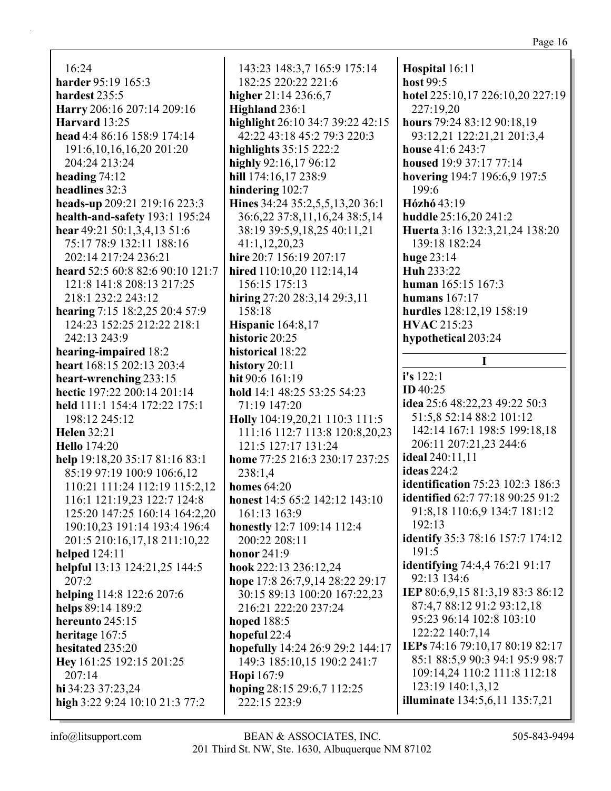$16:24$ harder 95:19 165:3 hardest 235:5 Harry 206:16 207:14 209:16 Harvard 13:25 head 4:4 86:16 158:9 174:14 191:6,10,16,16,20 201:20 204:24 213:24 heading  $74:12$ headlines 32:3 heads-up 209:21 219:16 223:3 health-and-safety 193:1 195:24 hear 49:21 50:1,3,4,13 51:6 75:17 78:9 132:11 188:16 202:14 217:24 236:21 heard 52:5 60:8 82:6 90:10 121:7 121:8 141:8 208:13 217:25 218:1 232:2 243:12 hearing 7:15 18:2,25 20:4 57:9 124:23 152:25 212:22 218:1 242:13 243:9 hearing-impaired 18:2 heart 168:15 202:13 203:4 heart-wrenching 233:15 hectic 197:22 200:14 201:14 held 111:1 154:4 172:22 175:1 198:12 245:12 **Helen** 32:21 **Hello** 174:20 help 19:18,20 35:17 81:16 83:1 85:19 97:19 100:9 106:6,12 110:21 111:24 112:19 115:2,12 116:1 121:19,23 122:7 124:8 125:20 147:25 160:14 164:2.20 190:10,23 191:14 193:4 196:4 201:5 210:16,17,18 211:10,22 **helped** 124:11 helpful 13:13 124:21,25 144:5  $207:2$ helping 114:8 122:6 207:6 helps 89:14 189:2 hereunto 245:15 heritage  $167:5$ hesitated 235:20 Hey 161:25 192:15 201:25  $207:14$ hi 34:23 37:23.24 high 3:22 9:24 10:10 21:3 77:2

143:23 148:3,7 165:9 175:14 182:25 220:22 221:6 higher  $21:14$   $236:6,7$ Highland 236:1 highlight 26:10 34:7 39:22 42:15 42:22 43:18 45:2 79:3 220:3 highlights  $35:15222:2$ highly  $92:16,17,96:12$ hill 174:16,17 238:9 hindering  $102:7$ Hines 34:24 35:2,5,5,13,20 36:1 36:6,22 37:8,11,16,24 38:5,14 38:19 39:5,9,18,25 40:11,21  $41:1,12,20,23$ hire 20:7 156:19 207:17 hired 110:10.20 112:14.14 156:15 175:13 hiring  $27:20$   $28:3,14$   $29:3,11$ 158:18 **Hispanic** 164:8,17 historic 20:25 historical 18:22 history  $20:11$ hit 90:6 161:19 hold 14:1 48:25 53:25 54:23 71:19 147:20 Holly 104:19,20,21 110:3 111:5 111:16 112:7 113:8 120:8,20,23 121:5 127:17 131:24 home 77:25 216:3 230:17 237:25  $238:1,4$ homes  $64:20$ honest 14:5 65:2 142:12 143:10 161:13 163:9 honestly 12:7 109:14 112:4 200:22 208:11 honor  $241:9$ hook 222:13 236:12,24 hope  $17:826:7,9,1428:2229:17$ 30:15 89:13 100:20 167:22,23 216:21 222:20 237:24 hoped 188:5 hopeful 22:4 hopefully 14:24 26:9 29:2 144:17 149:3 185:10,15 190:2 241:7 Hopi 167:9 hoping 28:15 29:6,7 112:25 222:15 223:9

Hospital 16:11 host 99:5 hotel 225:10,17 226:10,20 227:19 227:19,20 hours 79:24 83:12 90:18,19 93:12,21 122:21,21 201:3,4 house 41:6 243:7 housed  $19:937:177:14$ hovering 194:7 196:6,9 197:5  $199:6$ Hózhó 43:19 huddle 25:16,20 241:2 Huerta 3:16 132:3,21,24 138:20 139:18 182:24 huge  $23:14$ Huh 233:22 human  $165:15$   $167:3$ humans  $167:17$ hurdles 128:12,19 158:19 **HVAC** 215:23 hypothetical 203:24  $\mathbf I$  $i's 122:1$ **ID** 40:25 **idea** 25:6 48:22.23 49:22 50:3 51:5,8 52:14 88:2 101:12 142:14 167:1 198:5 199:18,18 206:11 207:21,23 244:6 **ideal** 240:11.11 **ideas** 224:2 **identification** 75:23 102:3 186:3 **identified** 62:7 77:18 90:25 91:2 91:8,18 110:6,9 134:7 181:12  $192:13$ identify 35:3 78:16 157:7 174:12  $191:5$ **identifying** 74:4,4 76:21 91:17 92:13 134:6 IEP 80:6,9,15 81:3,19 83:3 86:12 87:4.7 88:12 91:2 93:12.18 95:23 96:14 102:8 103:10 122:22 140:7.14 IEPs 74:16 79:10,17 80:19 82:17 85:1 88:5,9 90:3 94:1 95:9 98:7 109:14,24 110:2 111:8 112:18 123:19 140:1,3,12 **illuminate** 134:5,6,11 135:7,21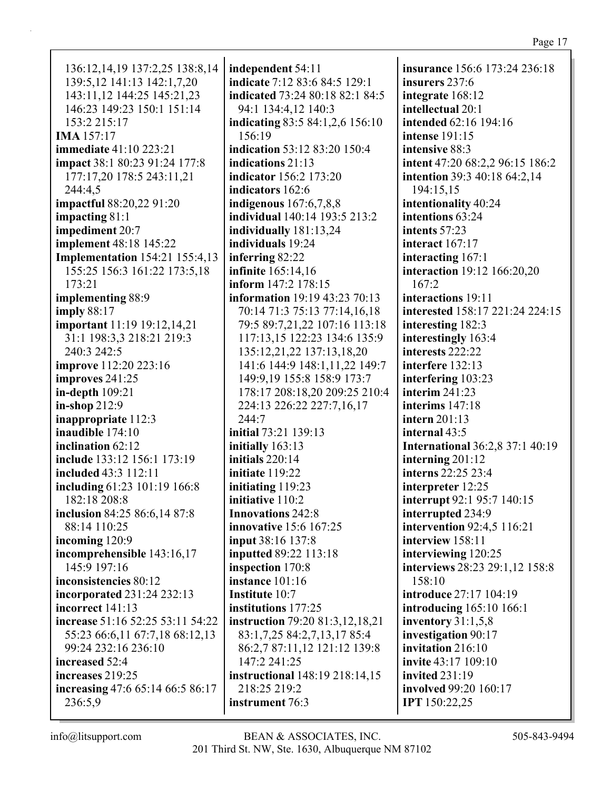| 136:12, 14, 19 137:2, 25 138:8, 14    |
|---------------------------------------|
| 139:5,12 141:13 142:1,7,20            |
| 143:11,12 144:25 145:21,23            |
| 146:23 149:23 150:1 151:14            |
| 153:2 215:17                          |
| <b>IMA</b> 157:17                     |
|                                       |
| <b>immediate</b> 41:10 223:21         |
| impact 38:1 80:23 91:24 177:8         |
| 177:17,20 178:5 243:11,21             |
| 244:4,5                               |
| impactful 88:20,22 91:20              |
|                                       |
| impacting $81:1$                      |
| impediment 20:7                       |
| implement 48:18 145:22                |
| <b>Implementation</b> 154:21 155:4,13 |
| 155:25 156:3 161:22 173:5,18          |
| 173:21                                |
|                                       |
| implementing 88:9                     |
| imply 88:17                           |
| <b>important</b> 11:19 19:12,14,21    |
| 31:1 198:3,3 218:21 219:3             |
| 240:3 242:5                           |
|                                       |
| <b>improve</b> 112:20 223:16          |
| improves 241:25                       |
| in-depth 109:21                       |
| in-shop 212:9                         |
| inappropriate 112:3                   |
| inaudible 174:10                      |
|                                       |
| inclination 62:12                     |
| include 133:12 156:1 173:19           |
| included 43:3 112:11                  |
| including 61:23 101:19 166:8          |
| 182:18 208:8                          |
| inclusion 84:25 86:6,14 87:8          |
| 88:14 110:25                          |
|                                       |
| incoming 120:9                        |
| incomprehensible 143:16,17            |
| 145:9 197:16                          |
| inconsistencies 80:12                 |
| incorporated 231:24 232:13            |
| incorrect 141:13                      |
|                                       |
| increase 51:16 52:25 53:11 54:22      |
| 55:23 66:6,11 67:7,18 68:12,13        |
| 99:24 232:16 236:10                   |
| increased 52:4                        |
| increases 219:25                      |
| increasing 47:6 65:14 66:5 86:17      |
|                                       |
| 236:5,9                               |

**independent** 54:11 **indicate** 7:12 83:6 84:5 129:1 **indicated** 73:24 80:18 82:1 84:5 94:1 134:4,12 140:3 **indicating** 83:5 84:1,2,6 156:10 156:19 **indication** 53:12 83:20 150:4 **indications** 21:13 **indicator** 156:2 173:20 **indicators** 162:6 **indigenous** 167:6,7,8,8 **individual** 140:14 193:5 213:2 **individually** 181:13,24 **individuals** 19:24 **inferring** 82:22 **infinite** 165:14,16 **inform** 147:2 178:15 **information** 19:19 43:23 70:13 70:14 71:3 75:13 77:14,16,18 79:5 89:7,21,22 107:16 113:18 117:13,15 122:23 134:6 135:9 135:12,21,22 137:13,18,20 141:6 144:9 148:1,11,22 149:7 149:9,19 155:8 158:9 173:7 178:17 208:18,20 209:25 210:4 224:13 226:22 227:7,16,17 244:7 **initial** 73:21 139:13 **initially** 163:13 **initials** 220:14 **initiate** 119:22 **initiating** 119:23 **initiative** 110:2 **Innovations** 242:8 **innovative** 15:6 167:25 **input** 38:16 137:8 **inputted** 89:22 113:18 **inspection** 170:8 **instance** 101:16 **Institute** 10:7 **institutions** 177:25 **instruction** 79:20 81:3,12,18,21 83:1,7,25 84:2,7,13,17 85:4 86:2,7 87:11,12 121:12 139:8 147:2 241:25 **instructional** 148:19 218:14,15 218:25 219:2 **instrument** 76:3

**insurance** 156:6 173:24 236:18 **insurers** 237:6 **integrate** 168:12 **intellectual** 20:1 **intended** 62:16 194:16 **intense** 191:15 **intensive** 88:3 **intent** 47:20 68:2,2 96:15 186:2 **intention** 39:3 40:18 64:2,14 194:15,15 **intentionality** 40:24 **intentions** 63:24 **intents** 57:23 **interact** 167:17 **interacting** 167:1 **interaction** 19:12 166:20,20 167:2 **interactions** 19:11 **interested** 158:17 221:24 224:15 **interesting** 182:3 **interestingly** 163:4 **interests** 222:22 **interfere** 132:13 **interfering** 103:23 **interim** 241:23 **interims** 147:18 **intern** 201:13 **internal** 43:5 **International** 36:2,8 37:1 40:19 **interning** 201:12 **interns** 22:25 23:4 **interpreter** 12:25 **interrupt** 92:1 95:7 140:15 **interrupted** 234:9 **intervention** 92:4,5 116:21 **interview** 158:11 **interviewing** 120:25 **interviews** 28:23 29:1,12 158:8 158:10 **introduce** 27:17 104:19 **introducing** 165:10 166:1 **inventory** 31:1,5,8 **investigation** 90:17 **invitation** 216:10 **invite** 43:17 109:10 **invited** 231:19 **involved** 99:20 160:17 **IPT** 150:22,25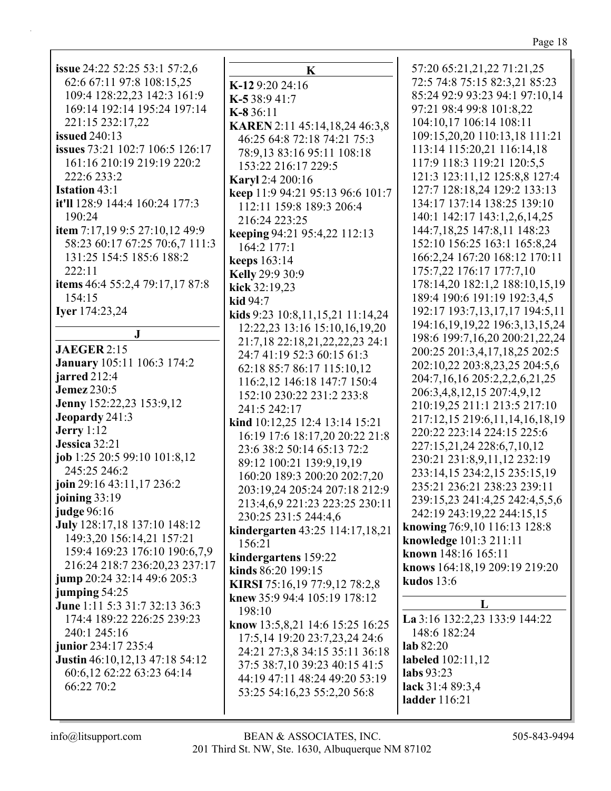| ×. |  |
|----|--|
|    |  |

| issue 24:22 52:25 53:1 57:2,6<br>62:6 67:11 97:8 108:15,25<br>109:4 128:22,23 142:3 161:9<br>169:14 192:14 195:24 197:14<br>221:15 232:17,22<br><b>issued</b> 240:13<br>issues 73:21 102:7 106:5 126:17<br>161:16 210:19 219:19 220:2<br>222:6 233:2<br><b>Istation 43:1</b><br>it'll 128:9 144:4 160:24 177:3<br>190:24<br>item 7:17,19 9:5 27:10,12 49:9<br>58:23 60:17 67:25 70:6,7 111:3<br>131:25 154:5 185:6 188:2<br>222:11<br>items 46:4 55:2,4 79:17,17 87:8<br>154:15<br>Iyer 174:23,24<br>$\bf J$<br><b>JAEGER 2:15</b><br><b>January</b> 105:11 106:3 174:2<br>jarred 212:4<br><b>Jemez</b> 230:5<br>Jenny 152:22,23 153:9,12<br>Jeopardy 241:3<br>Jerry $1:12$<br>Jessica 32:21<br>job 1:25 20:5 99:10 101:8,12 | K-<br>K.<br>K-<br>$\mathbf{K}$<br>$\overline{\phantom{a}}$<br>K:<br>ke<br>ke<br>ke<br>K<br>ki<br>ki<br>ki<br>$\frac{1}{2}$<br>$\epsilon$ |
|------------------------------------------------------------------------------------------------------------------------------------------------------------------------------------------------------------------------------------------------------------------------------------------------------------------------------------------------------------------------------------------------------------------------------------------------------------------------------------------------------------------------------------------------------------------------------------------------------------------------------------------------------------------------------------------------------------------------------|------------------------------------------------------------------------------------------------------------------------------------------|
| 245:25 246:2<br>join 29:16 43:11,17 236:2<br>joining 33:19<br><b>judge</b> 96:16<br>July 128:17,18 137:10 148:12<br>149:3,20 156:14,21 157:21<br>159:4 169:23 176:10 190:6,7,9<br>216:24 218:7 236:20,23 237:17<br>jump 20:24 32:14 49:6 205:3<br>jumping 54:25<br>June 1:11 5:3 31:7 32:13 36:3<br>174:4 189:22 226:25 239:23<br>240:1 245:16<br>junior 234:17 235:4<br>Justin 46:10,12,13 47:18 54:12<br>60:6,12 62:22 63:23 64:14<br>66:22 70:2                                                                                                                                                                                                                                                                           | ki<br>$\{$<br>$\frac{1}{2}$<br>$\overline{\phantom{a}}$<br>kiı<br>kiı<br>kiı<br>K<br>kn<br>$\mathbf{kn}$<br>$\overline{\mathcal{L}}$     |

| K                                                        | 57              |
|----------------------------------------------------------|-----------------|
| K-129:2024:16                                            | 72              |
| <b>K-5</b> 38:9 41:7                                     | 85              |
| $K-836:11$                                               | 97              |
| KAREN 2:11 45:14,18,24 46:3,8                            | 10              |
| 46:25 64:8 72:18 74:21 75:3                              | 10              |
| 78:9,13 83:16 95:11 108:18                               | 11              |
| 153:22 216:17 229:5                                      | 11<br>12        |
| <b>Karyl</b> 2:4 200:16                                  | 12              |
| keep 11:9 94:21 95:13 96:6 101:7                         | 13              |
| 112:11 159:8 189:3 206:4                                 | 14              |
| 216:24 223:25                                            | 14              |
| keeping 94:21 95:4,22 112:13                             | 15              |
| 164:2 177:1                                              | 16              |
| keeps 163:14                                             | 17              |
| <b>Kelly</b> 29:9 30:9                                   | 17              |
| kick 32:19,23                                            | 18              |
| <b>kid</b> 94:7                                          | 19              |
| kids 9:23 10:8,11,15,21 11:14,24                         | 1 <sup>5</sup>  |
| 12:22,23 13:16 15:10,16,19,20                            | 1 <sup>5</sup>  |
| 21:7,18 22:18,21,22,22,23 24:1                           | 20              |
| 24:7 41:19 52:3 60:15 61:3                               | 20              |
| 62:18 85:7 86:17 115:10,12                               | 20              |
| 116:2,12 146:18 147:7 150:4<br>152:10 230:22 231:2 233:8 | 20              |
| 241:5 242:17                                             | 21              |
| kind 10:12,25 12:4 13:14 15:21                           | 21              |
| 16:19 17:6 18:17,20 20:22 21:8                           | 22              |
| 23:6 38:2 50:14 65:13 72:2                               | 22              |
| 89:12 100:21 139:9,19,19                                 | 23              |
| 160:20 189:3 200:20 202:7,20                             | 23              |
| 203:19,24 205:24 207:18 212:9                            | 23              |
| 213:4,6,9 221:23 223:25 230:11                           | 23              |
| 230:25 231:5 244:4,6                                     | 24              |
| kindergarten 43:25 114:17,18,21                          | kno             |
| 156:21                                                   | kno             |
| kindergartens 159:22                                     | kno             |
| kinds 86:20 199:15                                       | kno             |
| KIRSI 75:16,19 77:9,12 78:2,8                            | kud             |
| knew 35:9 94:4 105:19 178:12                             |                 |
| 198:10                                                   |                 |
| know 13:5,8,21 14:6 15:25 16:25                          | La <sup>3</sup> |
| 17:5,14 19:20 23:7,23,24 24:6                            | 14              |
| 24:21 27:3,8 34:15 35:11 36:18                           | lab             |
| 37:5 38:7,10 39:23 40:15 41:5                            | labo            |
| 44:19 47:11 48:24 49:20 53:19                            | labs            |
| 53:25 54:16,23 55:2,20 56:8                              | lack            |
|                                                          | lado            |
|                                                          |                 |

 $: 20\,65: 21, 21, 22\,71: 21, 25$ :5 74:8 75:15 82:3,21 85:23 :24 92:9 93:23 94:1 97:10,14 :21 98:4 99:8 101:8,22 94:10,17 106:14 108:11 9:15,20,20 110:13,18 111:21 3:14 115:20.21 116:14.18 7:9 118:3 119:21 120:5,5 1:3 123:11,12 125:8,8 127:4 7:7 128:18,24 129:2 133:13 4:17 137:14 138:25 139:10  $-0.1$  142:17 143:1,2,6,14,25 4:7,18,25 147:8,11 148:23 2:10 156:25 163:1 165:8,24 6:2,24 167:20 168:12 170:11 5:7,22 176:17 177:7,10 8:14,20 182:1,2 188:10,15,19 9:4 190:6 191:19 192:3,4,5 92:17 193:7,13,17,17 194:5,11 94:16,19,19,22 196:3,13,15,24 98:6 199:7,16,20 200:21,22,24 00:25 201:3,4,17,18,25 202:5 02:10,22 203:8,23,25 204:5,6 94:7,16,16 205:2,2,2,6,21,25 06:3,4,8,12,15 207:4,9,12 0:19,25 211:1 213:5 217:10 7:12,15 219:6,11,14,16,18,19 0:22 223:14 224:15 225:6 7:15,21,24 228:6,7,10,12 0:21 231:8,9,11,12 232:19 3:14,15 234:2,15 235:15,19 5:21 236:21 238:23 239:11 9:15,23 241:4,25 242:4,5,5,6 2:19 243:19,22 244:15,15 wing 76:9,10 116:13 128:8 wledge 101:3 211:11 wn 148:16 165:11 ws 164:18,19 209:19 219:20  $\log 13:6$ L 3:16 132:2,23 133:9 144:22

8:6 182:24 82:20 eled 102:11,12 93:23  $x31:489:3,4$ der 116:21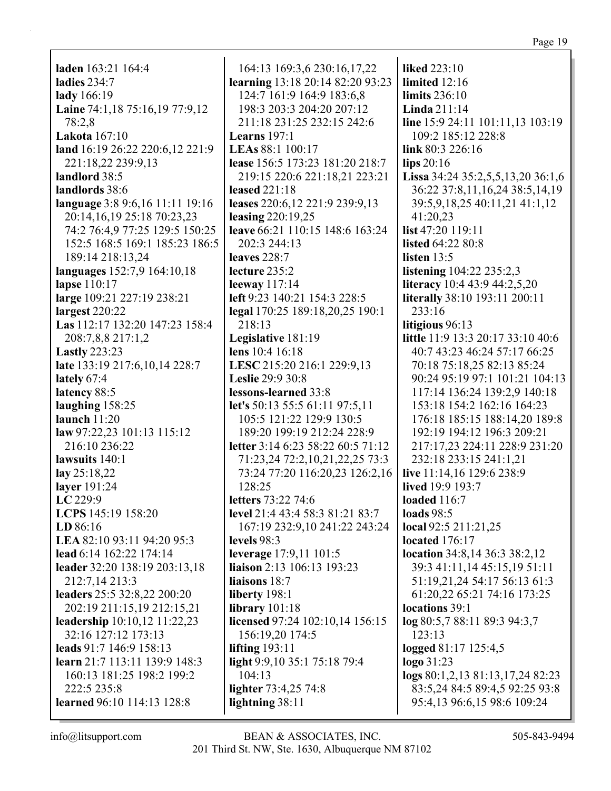laden 163:21 164:4 ladies  $234:7$ lady 166:19 Laine 74:1,18 75:16,19 77:9,12 78:2.8 **Lakota** 167:10 land 16:19 26:22 220:6,12 221:9 221:18,22 239:9,13 landlord 38:5 landlords 38:6 language 3:8 9:6,16 11:11 19:16 20:14, 16, 19 25:18 70:23, 23 74:2 76:4,9 77:25 129:5 150:25 152:5 168:5 169:1 185:23 186:5 189:14 218:13,24 languages 152:7,9 164:10,18 lapse  $110:17$ large 109:21 227:19 238:21  $largest 220:22$ Las 112:17 132:20 147:23 158:4 208:7,8,8 217:1,2 **Lastly** 223:23 late 133:19 217:6,10,14 228:7 lately 67:4 latency 88:5 laughing  $158:25$ launch  $11:20$ law 97:22.23 101:13 115:12 216:10 236:22 lawsuits  $140:1$  $\text{lay } 25:18,22$ layer  $191:24$  $LC 229:9$ LCPS 145:19 158:20  $LD 86:16$ LEA 82:10 93:11 94:20 95:3 lead 6:14 162:22 174:14 leader 32:20 138:19 203:13,18 212:7,14 213:3 leaders 25:5 32:8,22 200:20 202:19 211:15,19 212:15,21 leadership 10:10,12 11:22,23 32:16 127:12 173:13 leads 91:7 146:9 158:13 learn  $21:7$  113:11 139:9 148:3 160:13 181:25 198:2 199:2  $222:5235:8$ learned 96:10 114:13 128:8

164:13 169:3,6 230:16,17,22 learning 13:18 20:14 82:20 93:23 124:7 161:9 164:9 183:6,8 198:3 203:3 204:20 207:12 211:18 231:25 232:15 242:6 Learns  $197:1$ LEAs 88:1 100:17 lease 156:5 173:23 181:20 218:7 219:15 220:6 221:18,21 223:21 leased  $221:18$ leases 220:6,12 221:9 239:9,13 leasing  $220:19.25$ leave 66:21 110:15 148:6 163:24 202:3 244:13 leaves  $228:7$ lecture  $235:2$ leeway  $117:14$ left 9:23 140:21 154:3 228:5 legal 170:25 189:18,20,25 190:1 218:13 Legislative 181:19 lens 10:4 16:18 LESC 215:20 216:1 229:9,13 **Leslie** 29:9 30:8 lessons-learned 33:8 let's 50:13 55:5 61:11 97:5.11 105:5 121:22 129:9 130:5 189:20 199:19 212:24 228:9 letter 3:14 6:23 58:22 60:5 71:12 71:23,24 72:2,10,21,22,25 73:3 73:24 77:20 116:20,23 126:2,16 128:25 letters 73:22 74:6 level 21:4 43:4 58:3 81:21 83:7 167:19 232:9,10 241:22 243:24 levels  $98:3$ leverage 17:9,11 101:5 **liaison** 2:13 106:13 193:23 liaisons 18:7 liberty 198:1 library  $101:18$ licensed 97:24 102:10,14 156:15 156:19,20 174:5 lifting  $193:11$ light 9:9,10 35:1 75:18 79:4  $104:13$ lighter 73:4,25 74:8 lightning 38:11

liked  $223:10$ limited  $12:16$ limits  $236:10$ Linda  $211:14$ line 15:9 24:11 101:11,13 103:19 109:2 185:12 228:8 link  $80:3$  226:16  $\lim_{20:16}$ Lissa 34:24 35:2,5,5,13,20 36:1,6 36:22 37:8,11,16,24 38:5,14,19 39:5,9,18,25 40:11,21 41:1,12 41:20.23 list 47:20 119:11 **listed 64:22 80:8** listen  $13:5$ **listening**  $104:22$  235:2,3 **literacy** 10:4 43:9 44:2,5,20 **literally** 38:10 193:11 200:11  $233:16$ litigious 96:13 little 11:9 13:3 20:17 33:10 40:6 40:7 43:23 46:24 57:17 66:25 70:18 75:18,25 82:13 85:24 90:24 95:19 97:1 101:21 104:13 117:14 136:24 139:2.9 140:18 153:18 154:2 162:16 164:23 176:18 185:15 188:14.20 189:8 192:19 194:12 196:3 209:21 217:17,23 224:11 228:9 231:20 232:18 233:15 241:1,21 live 11:14,16 129:6 238:9 **lived** 19:9 193:7 loaded  $116:7$ loads  $98:5$ local 92:5 211:21,25 located  $176:17$ location 34:8,14 36:3 38:2,12 39:3 41:11,14 45:15,19 51:11 51:19,21,24 54:17 56:13 61:3 61:20,22 65:21 74:16 173:25 locations 39:1 log 80:5,7 88:11 89:3 94:3,7  $123:13$ logged 81:17 125:4,5  $logo 31:23$ logs 80:1,2,13 81:13,17,24 82:23 83:5,24 84:5 89:4,5 92:25 93:8 95:4,13 96:6,15 98:6 109:24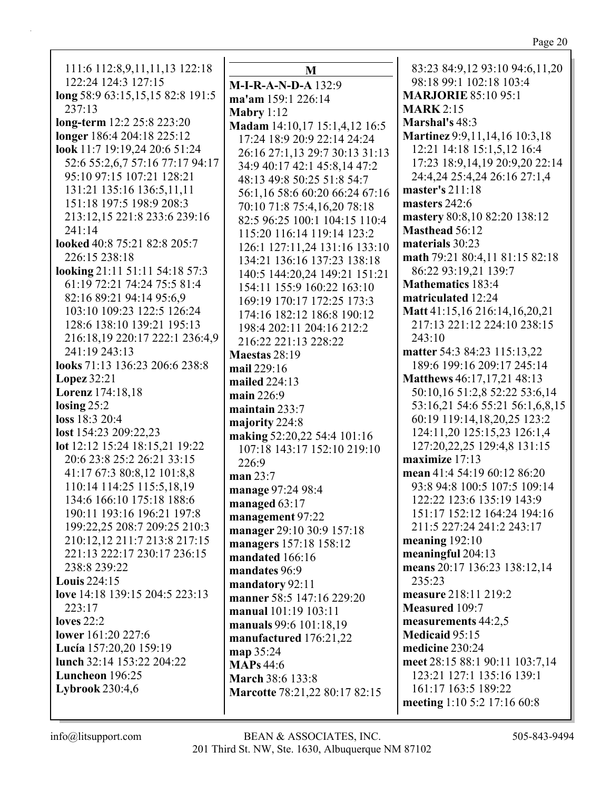111:6 112:8,9,11,11,13 122:18 122:24 124:3 127:15 long 58:9 63:15,15,15 82:8 191:5  $237:13$ long-term 12:2 25:8 223:20 longer 186:4 204:18 225:12 look 11:7 19:19.24 20:6 51:24 52:6 55:2,6,7 57:16 77:17 94:17 95:10 97:15 107:21 128:21 131:21 135:16 136:5.11.11 151:18 197:5 198:9 208:3 213:12,15 221:8 233:6 239:16  $241:14$ looked 40:8 75:21 82:8 205:7 226:15 238:18 looking 21:11 51:11 54:18 57:3 61:19 72:21 74:24 75:5 81:4 82:16 89:21 94:14 95:6.9 103:10 109:23 122:5 126:24 128:6 138:10 139:21 195:13 216:18,19 220:17 222:1 236:4,9 241:19 243:13 looks 71:13 136:23 206:6 238:8 Lopez  $32:21$ Lorenz 174:18,18 losing  $25:2$  $loss 18:3 20:4$ lost 154:23 209:22,23 lot 12:12 15:24 18:15,21 19:22 20:6 23:8 25:2 26:21 33:15 226:9 41:17 67:3 80:8,12 101:8,8 110:14 114:25 115:5,18,19 134:6 166:10 175:18 188:6 190:11 193:16 196:21 197:8 199:22,25 208:7 209:25 210:3 210:12.12 211:7 213:8 217:15 221:13 222:17 230:17 236:15 238:8 239:22 **Louis**  $224:15$ love 14:18 139:15 204:5 223:13 223:17 loves  $22:2$ **lower** 161:20 227:6 Lucía 157:20,20 159:19 lunch 32:14 153:22 204:22 Luncheon 196:25 **Lybrook** 230:4,6

M  $M-I-R-A-N-D-A$  132:9 ma'am 159:1 226:14 Mabry  $1:12$ Madam 14:10,17 15:1,4,12 16:5 17:24 18:9 20:9 22:14 24:24 26:16 27:1,13 29:7 30:13 31:13 34:9 40:17 42:1 45:8,14 47:2 48:13 49:8 50:25 51:8 54:7 56:1.16 58:6 60:20 66:24 67:16 70:10 71:8 75:4,16,20 78:18 82:5 96:25 100:1 104:15 110:4 115:20 116:14 119:14 123:2 126:1 127:11,24 131:16 133:10 134:21 136:16 137:23 138:18 140:5 144:20,24 149:21 151:21 154:11 155:9 160:22 163:10 169:19 170:17 172:25 173:3 174:16 182:12 186:8 190:12 198:4 202:11 204:16 212:2 216:22 221:13 228:22 Maestas  $28:19$ mail 229:16 mailed  $224:13$ main 226:9 maintain  $233:7$ majority 224:8 making 52:20,22 54:4 101:16 107:18 143:17 152:10 219:10 man  $23:7$ manage 97:24 98:4 managed 63:17 management 97:22 manager 29:10 30:9 157:18 managers 157:18 158:12 mandated 166:16 mandates 96:9 mandatory 92:11 manner 58:5 147:16 229:20 manual 101:19 103:11 manuals 99:6 101:18.19 manufactured 176:21,22 map 35:24 **MAPs** 44:6 March 38:6 133:8 Marcotte 78:21,22 80:17 82:15

83:23 84:9,12 93:10 94:6,11,20 98:18 99:1 102:18 103:4 **MARJORIE 85:10 95:1 MARK** 2:15 Marshal's 48:3 **Martinez** 9:9,11,14,16 10:3,18 12:21 14:18 15:1.5.12 16:4 17:23 18:9,14,19 20:9,20 22:14 24:4,24 25:4,24 26:16 27:1,4 master's  $211:18$ masters 242:6 mastery 80:8,10 82:20 138:12 **Masthead 56:12** materials 30:23 math 79:21 80:4,11 81:15 82:18 86:22 93:19.21 139:7 **Mathematics 183:4** matriculated 12:24 Matt 41:15,16 216:14,16,20,21 217:13 221:12 224:10 238:15  $243:10$ matter 54:3 84:23 115:13,22 189:6 199:16 209:17 245:14 Matthews 46:17,17,21 48:13 50:10,16 51:2,8 52:22 53:6,14 53:16,21 54:6 55:21 56:1,6,8,15 60:19 119:14,18,20,25 123:2 124:11,20 125:15,23 126:1,4 127:20,22,25 129:4,8 131:15 maximize  $17:13$ mean 41:4 54:19 60:12 86:20 93:8 94:8 100:5 107:5 109:14 122:22 123:6 135:19 143:9 151:17 152:12 164:24 194:16 211:5 227:24 241:2 243:17 meaning  $192:10$ meaningful 204:13 means 20:17 136:23 138:12,14  $235:23$ measure 218:11 219:2 **Measured** 109:7 measurements 44:2,5 Medicaid 95:15 medicine 230:24 meet 28:15 88:1 90:11 103:7,14 123:21 127:1 135:16 139:1 161:17 163:5 189:22 meeting 1:10 5:2 17:16 60:8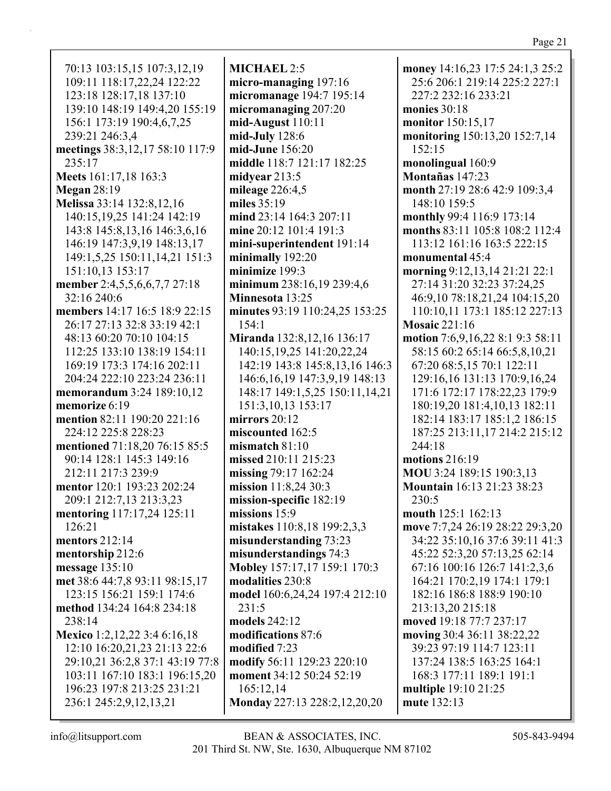70:13 103:15,15 107:3,12,19 109:11 118:17,22,24 122:22 123:18 128:17,18 137:10 139:10 148:19 149:4,20 155:19 156:1 173:19 190:4,6,7,25 239:21 246:3,4 **meetings** 38:3,12,17 58:10 117:9 235:17 **Meets** 161:17,18 163:3 **Megan** 28:19 **Melissa** 33:14 132:8,12,16 140:15,19,25 141:24 142:19 143:8 145:8,13,16 146:3,6,16 146:19 147:3,9,19 148:13,17 149:1,5,25 150:11,14,21 151:3 151:10,13 153:17 **member** 2:4,5,5,6,6,7,7 27:18 32:16 240:6 **members** 14:17 16:5 18:9 22:15 26:17 27:13 32:8 33:19 42:1 48:13 60:20 70:10 104:15 112:25 133:10 138:19 154:11 169:19 173:3 174:16 202:11 204:24 222:10 223:24 236:11 **memorandum** 3:24 189:10,12 **memorize** 6:19 **mention** 82:11 190:20 221:16 224:12 225:8 228:23 **mentioned** 71:18,20 76:15 85:5 90:14 128:1 145:3 149:16 212:11 217:3 239:9 **mentor** 120:1 193:23 202:24 209:1 212:7,13 213:3,23 **mentoring** 117:17,24 125:11 126:21 **mentors** 212:14 **mentorship** 212:6 **message** 135:10 **met** 38:6 44:7,8 93:11 98:15,17 123:15 156:21 159:1 174:6 **method** 134:24 164:8 234:18 238:14 **Mexico** 1:2,12,22 3:4 6:16,18 12:10 16:20,21,23 21:13 22:6 29:10,21 36:2,8 37:1 43:19 77:8 103:11 167:10 183:1 196:15,20 196:23 197:8 213:25 231:21 236:1 245:2,9,12,13,21

**MICHAEL** 2:5 **micro-managing** 197:16 **micromanage** 194:7 195:14 **micromanaging** 207:20 **mid-August** 110:11 **mid-July** 128:6 **mid-June** 156:20 **middle** 118:7 121:17 182:25 **midyear** 213:5 **mileage** 226:4,5 **miles** 35:19 **mind** 23:14 164:3 207:11 **mine** 20:12 101:4 191:3 **mini-superintendent** 191:14 **minimally** 192:20 **minimize** 199:3 **minimum** 238:16,19 239:4,6 **Minnesota** 13:25 **minutes** 93:19 110:24,25 153:25 154:1 **Miranda** 132:8,12,16 136:17 140:15,19,25 141:20,22,24 142:19 143:8 145:8,13,16 146:3 146:6,16,19 147:3,9,19 148:13 148:17 149:1,5,25 150:11,14,21 151:3,10,13 153:17 **mirrors** 20:12 **miscounted** 162:5 **mismatch** 81:10 **missed** 210:11 215:23 **missing** 79:17 162:24 **mission** 11:8,24 30:3 **mission-specific** 182:19 **missions** 15:9 **mistakes** 110:8,18 199:2,3,3 **misunderstanding** 73:23 **misunderstandings** 74:3 **Mobley** 157:17,17 159:1 170:3 **modalities** 230:8 **model** 160:6,24,24 197:4 212:10 231:5 **models** 242:12 **modifications** 87:6 **modified** 7:23 **modify** 56:11 129:23 220:10 **moment** 34:12 50:24 52:19 165:12,14 **Monday** 227:13 228:2,12,20,20

**money** 14:16,23 17:5 24:1,3 25:2 25:6 206:1 219:14 225:2 227:1 227:2 232:16 233:21 **monies** 30:18 **monitor** 150:15,17 **monitoring** 150:13,20 152:7,14 152:15 **monolingual** 160:9 **Montañas** 147:23 **month** 27:19 28:6 42:9 109:3,4 148:10 159:5 **monthly** 99:4 116:9 173:14 **months** 83:11 105:8 108:2 112:4 113:12 161:16 163:5 222:15 **monumental** 45:4 **morning** 9:12,13,14 21:21 22:1 27:14 31:20 32:23 37:24,25 46:9,10 78:18,21,24 104:15,20 110:10,11 173:1 185:12 227:13 **Mosaic** 221:16 **motion** 7:6,9,16,22 8:1 9:3 58:11 58:15 60:2 65:14 66:5,8,10,21 67:20 68:5,15 70:1 122:11 129:16,16 131:13 170:9,16,24 171:6 172:17 178:22,23 179:9 180:19,20 181:4,10,13 182:11 182:14 183:17 185:1,2 186:15 187:25 213:11,17 214:2 215:12 244:18 **motions** 216:19 **MOU** 3:24 189:15 190:3,13 **Mountain** 16:13 21:23 38:23 230:5 **mouth** 125:1 162:13 **move** 7:7,24 26:19 28:22 29:3,20 34:22 35:10,16 37:6 39:11 41:3 45:22 52:3,20 57:13,25 62:14 67:16 100:16 126:7 141:2,3,6 164:21 170:2,19 174:1 179:1 182:16 186:8 188:9 190:10 213:13,20 215:18 **moved** 19:18 77:7 237:17 **moving** 30:4 36:11 38:22,22 39:23 97:19 114:7 123:11 137:24 138:5 163:25 164:1 168:3 177:11 189:1 191:1 **multiple** 19:10 21:25 **mute** 132:13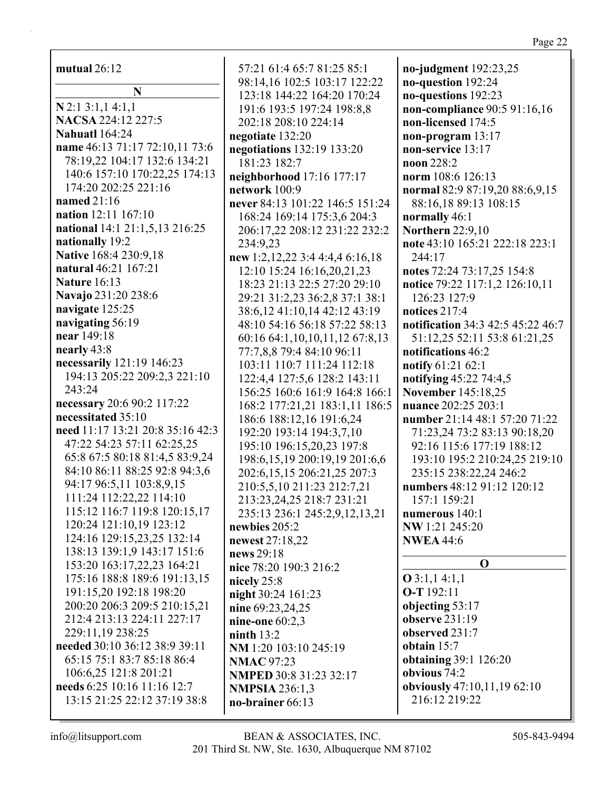mutual  $26:12$ 

 $\mathbf N$  $N$  2:1 3:1,1 4:1,1 NACSA 224:12 227:5 **Nahuatl** 164:24 name 46:13 71:17 72:10,11 73:6 78:19.22 104:17 132:6 134:21 140:6 157:10 170:22,25 174:13 174:20 202:25 221:16 named  $21:16$ nation 12:11 167:10 national 14:1 21:1,5,13 216:25 nationally 19:2 **Native 168:4 230:9.18** natural 46:21 167:21 **Nature 16:13** Navajo 231:20 238:6 navigate 125:25 navigating 56:19 near 149:18 nearly 43:8 necessarily 121:19 146:23 194:13 205:22 209:2,3 221:10 243:24 necessary 20:6 90:2 117:22 necessitated 35:10 need 11:17 13:21 20:8 35:16 42:3 47:22 54:23 57:11 62:25,25 65:8 67:5 80:18 81:4,5 83:9,24 84:10 86:11 88:25 92:8 94:3,6 94:17 96:5.11 103:8.9.15 111:24 112:22,22 114:10 115:12 116:7 119:8 120:15,17 120:24 121:10,19 123:12 124:16 129:15,23,25 132:14 138:13 139:1,9 143:17 151:6 153:20 163:17,22,23 164:21 175:16 188:8 189:6 191:13,15 191:15,20 192:18 198:20 200:20 206:3 209:5 210:15.21 212:4 213:13 224:11 227:17 229:11.19 238:25 needed 30:10 36:12 38:9 39:11 65:15 75:1 83:7 85:18 86:4 106:6,25 121:8 201:21 needs 6:25 10:16 11:16 12:7 13:15 21:25 22:12 37:19 38:8

57:21 61:4 65:7 81:25 85:1 98:14,16 102:5 103:17 122:22 123:18 144:22 164:20 170:24 191:6 193:5 197:24 198:8,8 202:18 208:10 224:14 negotiate 132:20 negotiations 132:19 133:20 181:23 182:7 neighborhood 17:16 177:17 network  $100:9$ never 84:13 101:22 146:5 151:24 168:24 169:14 175:3,6 204:3 206:17,22 208:12 231:22 232:2 234:9.23 new 1:2,12,22 3:4 4:4,4 6:16,18 12:10 15:24 16:16.20.21.23 18:23 21:13 22:5 27:20 29:10 29:21 31:2.23 36:2.8 37:1 38:1 38:6,12 41:10,14 42:12 43:19 48:10 54:16 56:18 57:22 58:13 60:16 64:1,10,10,11,12 67:8,13 77:7,8,8 79:4 84:10 96:11 103:11 110:7 111:24 112:18 122:4,4 127:5,6 128:2 143:11 156:25 160:6 161:9 164:8 166:1 168:2 177:21,21 183:1,11 186:5 186:6 188:12,16 191:6,24 192:20 193:14 194:3,7,10 195:10 196:15,20,23 197:8 198:6, 15, 19 200: 19, 19 201: 6, 6 202:6,15,15 206:21,25 207:3 210:5,5,10 211:23 212:7,21 213:23, 24, 25 218:7 231:21 235:13 236:1 245:2,9,12,13,21 newbies  $205:2$ newest 27:18.22 news 29:18 nice 78:20 190:3 216:2 nicely  $25:8$ night 30:24 161:23 nine 69:23,24,25 nine-one  $60:2,3$ ninth  $13:2$ NM 1:20 103:10 245:19 **NMAC** 97:23 NMPED 30:8 31:23 32:17 **NMPSIA 236:1.3** no-brainer 66:13

no-judgment 192:23,25 no-question 192:24 no-questions 192:23 non-compliance 90:5 91:16,16 non-licensed 174:5 non-program  $13:17$ non-service 13:17 noon 228:2 norm 108:6 126:13 normal 82:9 87:19,20 88:6,9,15 88:16,18 89:13 108:15 normally 46:1 **Northern** 22:9,10 note 43:10 165:21 222:18 223:1  $244:17$ notes 72:24 73:17,25 154:8 notice 79:22 117:1,2 126:10,11 126:23 127:9 notices  $217:4$ notification 34:3 42:5 45:22 46:7 51:12,25 52:11 53:8 61:21,25 notifications 46:2 notify 61:21 62:1 notifying 45:22 74:4,5 **November 145:18.25** nuance 202:25 203:1 number 21:14 48:1 57:20 71:22 71:23,24 73:2 83:13 90:18,20 92:16 115:6 177:19 188:12 193:10 195:2 210:24,25 219:10 235:15 238:22.24 246:2 numbers 48:12 91:12 120:12 157:1 159:21 numerous  $140:1$ NW 1:21 245:20 **NWEA** 44:6  $\Omega$  $Q$  3:1,1 4:1,1  $O-T 192:11$ objecting 53:17 observe  $231:19$ observed 231:7 obtain  $15:7$ **obtaining 39:1 126:20** obvious 74:2 obviously 47:10,11,19 62:10 216:12 219:22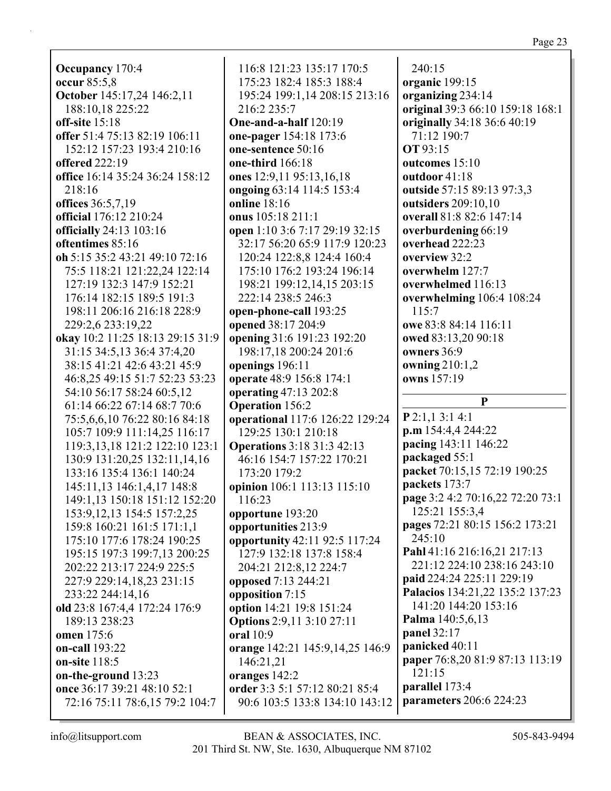**Occupancy** 170:4 **occur** 85:5,8 **October** 145:17,24 146:2,11 188:10,18 225:22 **off-site** 15:18 **offer** 51:4 75:13 82:19 106:11 152:12 157:23 193:4 210:16 **offered** 222:19 **office** 16:14 35:24 36:24 158:12 218:16 **offices** 36:5,7,19 **official** 176:12 210:24 **officially** 24:13 103:16 **oftentimes** 85:16 **oh** 5:15 35:2 43:21 49:10 72:16 75:5 118:21 121:22,24 122:14 127:19 132:3 147:9 152:21 176:14 182:15 189:5 191:3 198:11 206:16 216:18 228:9 229:2,6 233:19,22 **okay** 10:2 11:25 18:13 29:15 31:9 31:15 34:5,13 36:4 37:4,20 38:15 41:21 42:6 43:21 45:9 46:8,25 49:15 51:7 52:23 53:23 54:10 56:17 58:24 60:5,12 61:14 66:22 67:14 68:7 70:6 75:5,6,6,10 76:22 80:16 84:18 105:7 109:9 111:14,25 116:17 119:3,13,18 121:2 122:10 123:1 130:9 131:20,25 132:11,14,16 133:16 135:4 136:1 140:24 145:11,13 146:1,4,17 148:8 149:1,13 150:18 151:12 152:20 153:9,12,13 154:5 157:2,25 159:8 160:21 161:5 171:1,1 175:10 177:6 178:24 190:25 195:15 197:3 199:7,13 200:25 202:22 213:17 224:9 225:5 227:9 229:14,18,23 231:15 233:22 244:14,16 **old** 23:8 167:4,4 172:24 176:9 189:13 238:23 **omen** 175:6

116:8 121:23 135:17 170:5 175:23 182:4 185:3 188:4 195:24 199:1,14 208:15 213:16 216:2 235:7 **One-and-a-half** 120:19 **one-pager** 154:18 173:6 **one-sentence** 50:16 **one-third** 166:18 **ones** 12:9,11 95:13,16,18 **ongoing** 63:14 114:5 153:4 **online** 18:16 **onus** 105:18 211:1 **open** 1:10 3:6 7:17 29:19 32:15 32:17 56:20 65:9 117:9 120:23 120:24 122:8,8 124:4 160:4 175:10 176:2 193:24 196:14 198:21 199:12,14,15 203:15 222:14 238:5 246:3 **open-phone-call** 193:25 **opened** 38:17 204:9 **opening** 31:6 191:23 192:20 198:17,18 200:24 201:6 **openings** 196:11 **operate** 48:9 156:8 174:1 **operating** 47:13 202:8 **Operation** 156:2 **operational** 117:6 126:22 129:24 129:25 130:1 210:18 **Operations** 3:18 31:3 42:13 46:16 154:7 157:22 170:21 173:20 179:2 **opinion** 106:1 113:13 115:10 116:23 **opportune** 193:20 **opportunities** 213:9 **opportunity** 42:11 92:5 117:24 127:9 132:18 137:8 158:4 204:21 212:8,12 224:7 **opposed** 7:13 244:21 **opposition** 7:15 **option** 14:21 19:8 151:24 **Options** 2:9,11 3:10 27:11 **oral** 10:9 **orange** 142:21 145:9,14,25 146:9 146:21,21 **oranges** 142:2 **order** 3:3 5:1 57:12 80:21 85:4 90:6 103:5 133:8 134:10 143:12

240:15 **organic** 199:15 **organizing** 234:14 **original** 39:3 66:10 159:18 168:1 **originally** 34:18 36:6 40:19 71:12 190:7 **OT** 93:15 **outcomes** 15:10 **outdoor** 41:18 **outside** 57:15 89:13 97:3,3 **outsiders** 209:10,10 **overall** 81:8 82:6 147:14 **overburdening** 66:19 **overhead** 222:23 **overview** 32:2 **overwhelm** 127:7 **overwhelmed** 116:13 **overwhelming** 106:4 108:24 115:7 **owe** 83:8 84:14 116:11 **owed** 83:13,20 90:18 **owners** 36:9 **owning** 210:1,2 **owns** 157:19 **P P** 2:1,1 3:1 4:1 **p.m** 154:4,4 244:22 **pacing** 143:11 146:22 **packaged** 55:1 **packet** 70:15,15 72:19 190:25 **packets** 173:7 **page** 3:2 4:2 70:16,22 72:20 73:1 125:21 155:3,4 **pages** 72:21 80:15 156:2 173:21 245:10 **Pahl** 41:16 216:16,21 217:13 221:12 224:10 238:16 243:10 **paid** 224:24 225:11 229:19 **Palacios** 134:21,22 135:2 137:23 141:20 144:20 153:16 **Palma** 140:5,6,13 **panel** 32:17 **panicked** 40:11 **paper** 76:8,20 81:9 87:13 113:19 121:15 **parallel** 173:4 **parameters** 206:6 224:23

**on-call** 193:22 **on-site** 118:5

**on-the-ground** 13:23

**once** 36:17 39:21 48:10 52:1

72:16 75:11 78:6,15 79:2 104:7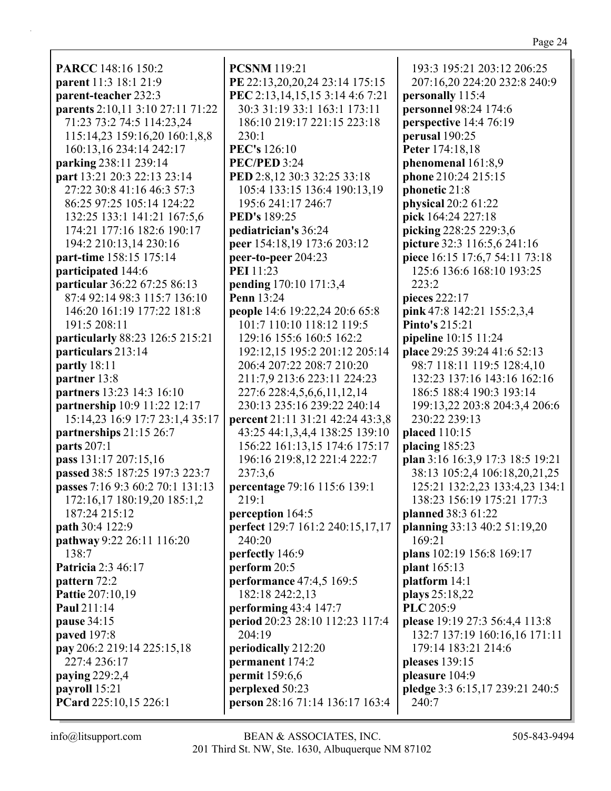**PARCC** 148:16 150:2 **parent** 11:3 18:1 21:9 **parent-teacher** 232:3 **parents** 2:10,11 3:10 27:11 71:22 71:23 73:2 74:5 114:23,24 115:14,23 159:16,20 160:1,8,8 160:13,16 234:14 242:17 **parking** 238:11 239:14 **part** 13:21 20:3 22:13 23:14 27:22 30:8 41:16 46:3 57:3 86:25 97:25 105:14 124:22 132:25 133:1 141:21 167:5,6 174:21 177:16 182:6 190:17 194:2 210:13,14 230:16 **part-time** 158:15 175:14 **participated** 144:6 **particular** 36:22 67:25 86:13 87:4 92:14 98:3 115:7 136:10 146:20 161:19 177:22 181:8 191:5 208:11 **particularly** 88:23 126:5 215:21 **particulars** 213:14 **partly** 18:11 **partner** 13:8 **partners** 13:23 14:3 16:10 **partnership** 10:9 11:22 12:17 15:14,23 16:9 17:7 23:1,4 35:17 **partnerships** 21:15 26:7 **parts** 207:1 **pass** 131:17 207:15,16 **passed** 38:5 187:25 197:3 223:7 **passes** 7:16 9:3 60:2 70:1 131:13 172:16,17 180:19,20 185:1,2 187:24 215:12 **path** 30:4 122:9 **pathway** 9:22 26:11 116:20 138:7 **Patricia** 2:3 46:17 **pattern** 72:2 **Pattie** 207:10,19 **Paul** 211:14 **pause** 34:15 **paved** 197:8 **pay** 206:2 219:14 225:15,18 227:4 236:17 **paying** 229:2,4 **payroll** 15:21 **PCard** 225:10,15 226:1

**PCSNM** 119:21 **PE** 22:13,20,20,24 23:14 175:15 **PEC** 2:13,14,15,15 3:14 4:6 7:21 30:3 31:19 33:1 163:1 173:11 186:10 219:17 221:15 223:18 230:1 **PEC's** 126:10 **PEC/PED** 3:24 **PED** 2:8,12 30:3 32:25 33:18 105:4 133:15 136:4 190:13,19 195:6 241:17 246:7 **PED's** 189:25 **pediatrician's** 36:24 **peer** 154:18,19 173:6 203:12 **peer-to-peer** 204:23 **PEI** 11:23 **pending** 170:10 171:3,4 **Penn** 13:24 **people** 14:6 19:22,24 20:6 65:8 101:7 110:10 118:12 119:5 129:16 155:6 160:5 162:2 192:12,15 195:2 201:12 205:14 206:4 207:22 208:7 210:20 211:7,9 213:6 223:11 224:23 227:6 228:4,5,6,6,11,12,14 230:13 235:16 239:22 240:14 **percent** 21:11 31:21 42:24 43:3,8 43:25 44:1,3,4,4 138:25 139:10 156:22 161:13,15 174:6 175:17 196:16 219:8,12 221:4 222:7 237:3,6 **percentage** 79:16 115:6 139:1 219:1 **perception** 164:5 **perfect** 129:7 161:2 240:15,17,17 240:20 **perfectly** 146:9 **perform** 20:5 **performance** 47:4,5 169:5 182:18 242:2,13 **performing** 43:4 147:7 **period** 20:23 28:10 112:23 117:4 204:19 **periodically** 212:20 **permanent** 174:2 **permit** 159:6,6 **perplexed** 50:23 **person** 28:16 71:14 136:17 163:4

193:3 195:21 203:12 206:25 207:16,20 224:20 232:8 240:9 **personally** 115:4 **personnel** 98:24 174:6 **perspective** 14:4 76:19 **perusal** 190:25 **Peter** 174:18,18 **phenomenal** 161:8,9 **phone** 210:24 215:15 **phonetic** 21:8 **physical** 20:2 61:22 **pick** 164:24 227:18 **picking** 228:25 229:3,6 **picture** 32:3 116:5,6 241:16 **piece** 16:15 17:6,7 54:11 73:18 125:6 136:6 168:10 193:25 223:2 **pieces** 222:17 **pink** 47:8 142:21 155:2,3,4 **Pinto's** 215:21 **pipeline** 10:15 11:24 **place** 29:25 39:24 41:6 52:13 98:7 118:11 119:5 128:4,10 132:23 137:16 143:16 162:16 186:5 188:4 190:3 193:14 199:13,22 203:8 204:3,4 206:6 230:22 239:13 **placed** 110:15 **placing** 185:23 **plan** 3:16 16:3,9 17:3 18:5 19:21 38:13 105:2,4 106:18,20,21,25 125:21 132:2,23 133:4,23 134:1 138:23 156:19 175:21 177:3 **planned** 38:3 61:22 **planning** 33:13 40:2 51:19,20 169:21 **plans** 102:19 156:8 169:17 **plant** 165:13 **platform** 14:1 **plays** 25:18,22 **PLC** 205:9 **please** 19:19 27:3 56:4,4 113:8 132:7 137:19 160:16,16 171:11 179:14 183:21 214:6 **pleases** 139:15 **pleasure** 104:9 **pledge** 3:3 6:15,17 239:21 240:5 240:7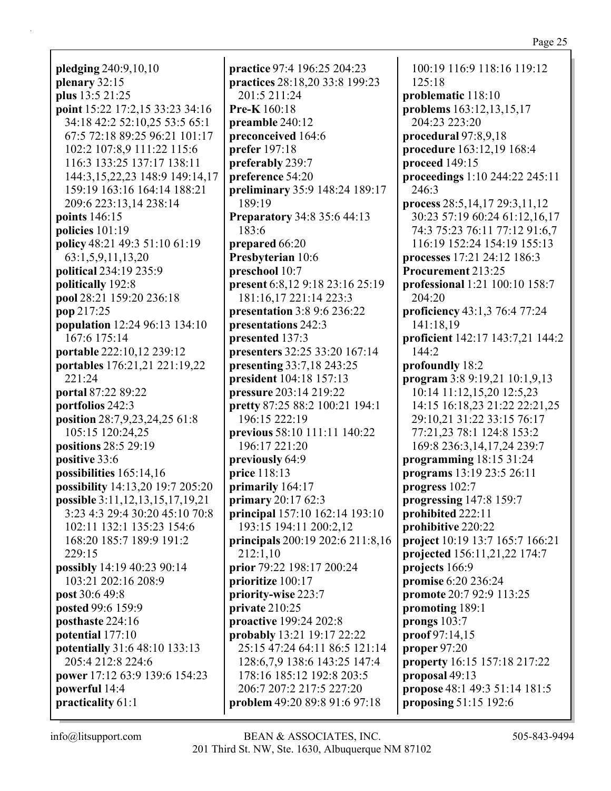pledging  $240:9,10,10$ plenary  $32:15$ plus 13:5 21:25 point 15:22 17:2,15 33:23 34:16 34:18 42:2 52:10,25 53:5 65:1 67:5 72:18 89:25 96:21 101:17 102:2 107:8.9 111:22 115:6 116:3 133:25 137:17 138:11 144:3,15,22,23 148:9 149:14,17 159:19 163:16 164:14 188:21 209:6 223:13,14 238:14 points 146:15 policies  $101:19$ policy 48:21 49:3 51:10 61:19 63:1,5,9,11,13,20 **political** 234:19 235:9 politically 192:8 pool 28:21 159:20 236:18 pop 217:25 **population** 12:24 96:13 134:10 167:6 175:14 portable 222:10,12 239:12 portables 176:21,21 221:19,22 221:24 **portal 87:22 89:22** portfolios 242:3 position 28:7,9,23,24,25 61:8 105:15 120:24,25 positions  $28:529:19$ positive 33:6 possibilities  $165:14,16$ possibility 14:13,20 19:7 205:20 possible 3:11, 12, 13, 15, 17, 19, 21 3:23 4:3 29:4 30:20 45:10 70:8 102:11 132:1 135:23 154:6 168:20 185:7 189:9 191:2  $229:15$ possibly 14:19 40:23 90:14 103:21 202:16 208:9 post 30:6 49:8 **posted 99:6 159:9** posthaste 224:16 potential 177:10 potentially 31:6 48:10 133:13 205:4 212:8 224:6 power 17:12 63:9 139:6 154:23 powerful 14:4 practicality 61:1

**practice** 97:4 196:25 204:23 practices 28:18,20 33:8 199:23 201:5 211:24 **Pre-K**  $160:18$ preamble 240:12 preconceived 164:6 **prefer** 197:18 preferably 239:7 preference 54:20 preliminary 35:9 148:24 189:17 189:19 **Preparatory 34:8 35:6 44:13** 183:6 prepared 66:20 Presbyterian 10:6 preschool 10:7 present 6:8,12 9:18 23:16 25:19 181:16.17 221:14 223:3 **presentation** 3:8 9:6 236:22 presentations 242:3 presented 137:3 presenters 32:25 33:20 167:14 presenting 33:7,18 243:25 president 104:18 157:13 **pressure** 203:14 219:22 pretty 87:25 88:2 100:21 194:1 196:15 222:19 **previous 58:10 111:11 140:22** 196:17 221:20 previously 64:9 price 118:13 primarily 164:17 primary  $20:1762:3$ principal 157:10 162:14 193:10 193:15 194:11 200:2,12 **principals** 200:19 202:6 211:8,16  $212:1.10$ prior 79:22 198:17 200:24 prioritize 100:17 priority-wise 223:7 private  $210:25$ proactive 199:24 202:8 **probably** 13:21 19:17 22:22 25:15 47:24 64:11 86:5 121:14 128:6,7,9 138:6 143:25 147:4 178:16 185:12 192:8 203:5 206:7 207:2 217:5 227:20 problem 49:20 89:8 91:6 97:18

100:19 116:9 118:16 119:12  $125:18$ problematic 118:10 problems 163:12,13,15,17 204:23 223:20 procedural 97:8,9,18 procedure 163:12,19 168:4 proceed 149:15 proceedings 1:10 244:22 245:11  $246:3$ process 28:5,14,17 29:3,11,12 30:23 57:19 60:24 61:12,16,17 74:3 75:23 76:11 77:12 91:6,7 116:19 152:24 154:19 155:13 processes 17:21 24:12 186:3 Procurement 213:25 professional 1:21 100:10 158:7 204:20 **proficiency** 43:1,3 76:4 77:24 141:18,19 proficient 142:17 143:7,21 144:2 144:2 profoundly 18:2 program 3:8 9:19,21 10:1,9,13 10:14 11:12,15,20 12:5,23 14:15 16:18,23 21:22 22:21,25 29:10.21 31:22 33:15 76:17 77:21,23 78:1 124:8 153:2 169:8 236:3,14,17,24 239:7 programming  $18:1531:24$ programs 13:19 23:5 26:11 progress 102:7 progressing 147:8 159:7 prohibited 222:11 prohibitive 220:22 **project** 10:19 13:7 165:7 166:21 projected 156:11,21,22 174:7 projects 166:9 **promise** 6:20 236:24 promote 20:7 92:9 113:25 promoting 189:1 prongs  $103:7$  $proof 97:14,15$ proper  $97:20$ property 16:15 157:18 217:22 proposal 49:13 **propose** 48:1 49:3 51:14 181:5 proposing 51:15 192:6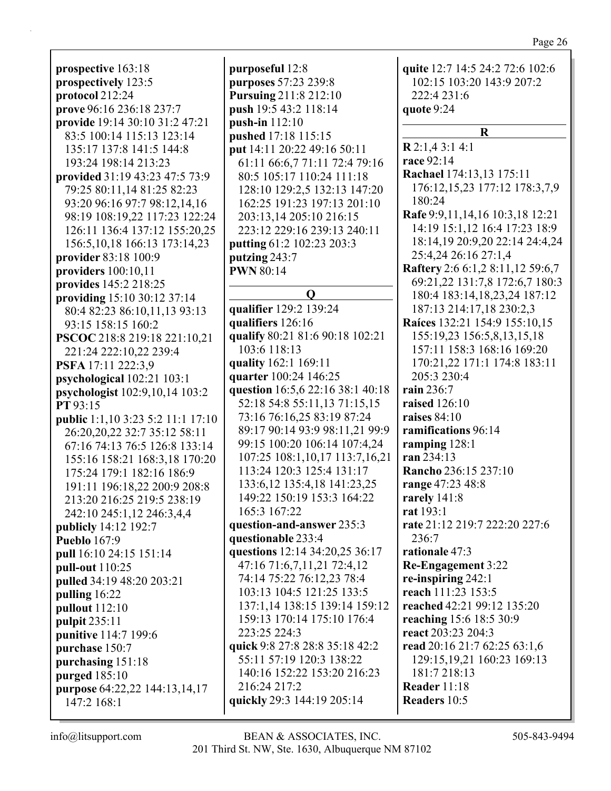**prospective** 163:18 **prospectively** 123:5 **protocol** 212:24 **prove** 96:16 236:18 237:7 **provide** 19:14 30:10 31:2 47:21 83:5 100:14 115:13 123:14 135:17 137:8 141:5 144:8 193:24 198:14 213:23 **provided** 31:19 43:23 47:5 73:9 79:25 80:11,14 81:25 82:23 93:20 96:16 97:7 98:12,14,16 98:19 108:19,22 117:23 122:24 126:11 136:4 137:12 155:20,25 156:5,10,18 166:13 173:14,23 **provider** 83:18 100:9 **providers** 100:10,11 **provides** 145:2 218:25 **providing** 15:10 30:12 37:14 80:4 82:23 86:10,11,13 93:13 93:15 158:15 160:2 **PSCOC** 218:8 219:18 221:10,21 221:24 222:10,22 239:4 **PSFA** 17:11 222:3,9 **psychological** 102:21 103:1 **psychologist** 102:9,10,14 103:2 **PT** 93:15 **public** 1:1,10 3:23 5:2 11:1 17:10 26:20,20,22 32:7 35:12 58:11 67:16 74:13 76:5 126:8 133:14 155:16 158:21 168:3,18 170:20 175:24 179:1 182:16 186:9 191:11 196:18,22 200:9 208:8 213:20 216:25 219:5 238:19 242:10 245:1,12 246:3,4,4 **publicly** 14:12 192:7 **Pueblo** 167:9 **pull** 16:10 24:15 151:14 **pull-out** 110:25 **pulled** 34:19 48:20 203:21 **pulling** 16:22 **pullout** 112:10 **pulpit** 235:11 **punitive** 114:7 199:6 **purchase** 150:7 **purchasing** 151:18 **purged** 185:10 **purpose** 64:22,22 144:13,14,17 147:2 168:1

**purposeful** 12:8 **purposes** 57:23 239:8 **Pursuing** 211:8 212:10 **push** 19:5 43:2 118:14 **push-in** 112:10 **pushed** 17:18 115:15 **put** 14:11 20:22 49:16 50:11 61:11 66:6,7 71:11 72:4 79:16 80:5 105:17 110:24 111:18 128:10 129:2,5 132:13 147:20 162:25 191:23 197:13 201:10 203:13,14 205:10 216:15 223:12 229:16 239:13 240:11 **putting** 61:2 102:23 203:3 **putzing** 243:7 **PWN** 80:14 **Q qualifier** 129:2 139:24 **qualifiers** 126:16 **qualify** 80:21 81:6 90:18 102:21 103:6 118:13 **quality** 162:1 169:11 **quarter** 100:24 146:25 **question** 16:5,6 22:16 38:1 40:18 52:18 54:8 55:11,13 71:15,15 73:16 76:16,25 83:19 87:24 89:17 90:14 93:9 98:11,21 99:9 99:15 100:20 106:14 107:4,24 107:25 108:1,10,17 113:7,16,21 113:24 120:3 125:4 131:17 133:6,12 135:4,18 141:23,25 149:22 150:19 153:3 164:22 165:3 167:22 **question-and-answer** 235:3 **questionable** 233:4 **questions** 12:14 34:20,25 36:17 47:16 71:6,7,11,21 72:4,12 74:14 75:22 76:12,23 78:4 103:13 104:5 121:25 133:5 137:1,14 138:15 139:14 159:12 159:13 170:14 175:10 176:4

223:25 224:3 **quick** 9:8 27:8 28:8 35:18 42:2 55:11 57:19 120:3 138:22 140:16 152:22 153:20 216:23 216:24 217:2 **quickly** 29:3 144:19 205:14

102:15 103:20 143:9 207:2 222:4 231:6 **quote** 9:24 **R R** 2:1,4 3:1 4:1 **race** 92:14 **Rachael** 174:13,13 175:11 176:12,15,23 177:12 178:3,7,9 180:24 **Rafe** 9:9,11,14,16 10:3,18 12:21 14:19 15:1,12 16:4 17:23 18:9 18:14,19 20:9,20 22:14 24:4,24 25:4,24 26:16 27:1,4 **Raftery** 2:6 6:1,2 8:11,12 59:6,7 69:21,22 131:7,8 172:6,7 180:3 180:4 183:14,18,23,24 187:12 187:13 214:17,18 230:2,3 **Raíces** 132:21 154:9 155:10,15 155:19,23 156:5,8,13,15,18 157:11 158:3 168:16 169:20 170:21,22 171:1 174:8 183:11 205:3 230:4 **rain** 236:7 **raised** 126:10 **raises** 84:10 **ramifications** 96:14 **ramping** 128:1 **ran** 234:13 **Rancho** 236:15 237:10 **range** 47:23 48:8 **rarely** 141:8 **rat** 193:1 **rate** 21:12 219:7 222:20 227:6

**quite** 12:7 14:5 24:2 72:6 102:6

236:7 **rationale** 47:3 **Re-Engagement** 3:22 **re-inspiring** 242:1 **reach** 111:23 153:5 **reached** 42:21 99:12 135:20 **reaching** 15:6 18:5 30:9 **react** 203:23 204:3 **read** 20:16 21:7 62:25 63:1,6 129:15,19,21 160:23 169:13 181:7 218:13 **Reader** 11:18 **Readers** 10:5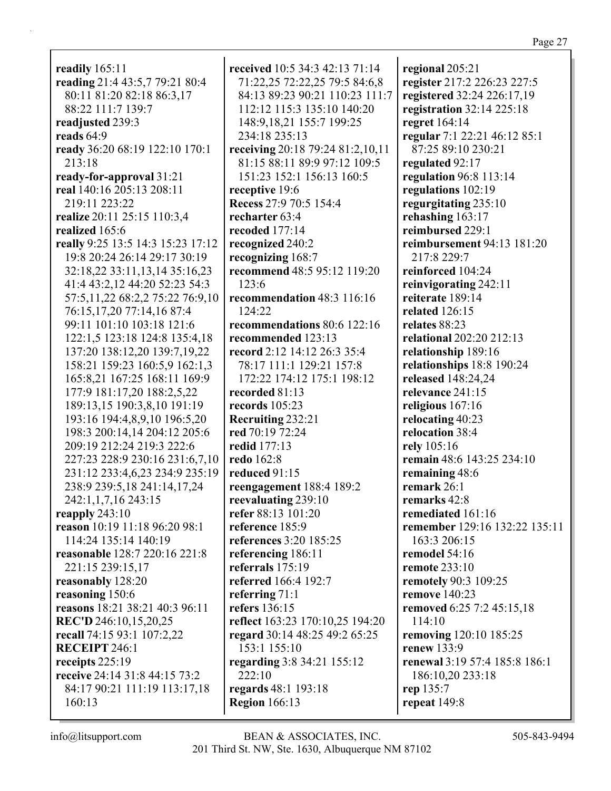**readily** 165:11 **reading** 21:4 43:5,7 79:21 80:4 80:11 81:20 82:18 86:3,17 88:22 111:7 139:7 **readjusted** 239:3 **reads** 64:9 **ready** 36:20 68:19 122:10 170:1 213:18 **ready-for-approval** 31:21 **real** 140:16 205:13 208:11 219:11 223:22 **realize** 20:11 25:15 110:3,4 **realized** 165:6 **really** 9:25 13:5 14:3 15:23 17:12 19:8 20:24 26:14 29:17 30:19 32:18,22 33:11,13,14 35:16,23 41:4 43:2,12 44:20 52:23 54:3 57:5,11,22 68:2,2 75:22 76:9,10 76:15,17,20 77:14,16 87:4 99:11 101:10 103:18 121:6 122:1,5 123:18 124:8 135:4,18 137:20 138:12,20 139:7,19,22 158:21 159:23 160:5,9 162:1,3 165:8,21 167:25 168:11 169:9 177:9 181:17,20 188:2,5,22 189:13,15 190:3,8,10 191:19 193:16 194:4,8,9,10 196:5,20 198:3 200:14,14 204:12 205:6 209:19 212:24 219:3 222:6 227:23 228:9 230:16 231:6,7,10 231:12 233:4,6,23 234:9 235:19 238:9 239:5,18 241:14,17,24 242:1,1,7,16 243:15 **reapply** 243:10 **reason** 10:19 11:18 96:20 98:1 114:24 135:14 140:19 **reasonable** 128:7 220:16 221:8 221:15 239:15,17 **reasonably** 128:20 **reasoning** 150:6 **reasons** 18:21 38:21 40:3 96:11 **REC'D** 246:10,15,20,25 **recall** 74:15 93:1 107:2,22 **RECEIPT** 246:1 **receipts** 225:19 **receive** 24:14 31:8 44:15 73:2 84:17 90:21 111:19 113:17,18 160:13

**received** 10:5 34:3 42:13 71:14 71:22,25 72:22,25 79:5 84:6,8 84:13 89:23 90:21 110:23 111:7 112:12 115:3 135:10 140:20 148:9,18,21 155:7 199:25 234:18 235:13 **receiving** 20:18 79:24 81:2,10,11 81:15 88:11 89:9 97:12 109:5 151:23 152:1 156:13 160:5 **receptive** 19:6 **Recess** 27:9 70:5 154:4 **recharter** 63:4 **recoded** 177:14 **recognized** 240:2 **recognizing** 168:7 **recommend** 48:5 95:12 119:20 123:6 **recommendation** 48:3 116:16 124:22 **recommendations** 80:6 122:16 **recommended** 123:13 **record** 2:12 14:12 26:3 35:4 78:17 111:1 129:21 157:8 172:22 174:12 175:1 198:12 **recorded** 81:13 **records** 105:23 **Recruiting** 232:21 **red** 70:19 72:24 **redid** 177:13 **redo** 162:8 **reduced** 91:15 **reengagement** 188:4 189:2 **reevaluating** 239:10 **refer** 88:13 101:20 **reference** 185:9 **references** 3:20 185:25 **referencing** 186:11 **referrals** 175:19 **referred** 166:4 192:7 **referring** 71:1 **refers** 136:15 **reflect** 163:23 170:10,25 194:20 **regard** 30:14 48:25 49:2 65:25 153:1 155:10 **regarding** 3:8 34:21 155:12 222:10 **regards** 48:1 193:18 **Region** 166:13

**regional** 205:21 **register** 217:2 226:23 227:5 **registered** 32:24 226:17,19 **registration** 32:14 225:18 **regret** 164:14 **regular** 7:1 22:21 46:12 85:1 87:25 89:10 230:21 **regulated** 92:17 **regulation** 96:8 113:14 **regulations** 102:19 **regurgitating** 235:10 **rehashing** 163:17 **reimbursed** 229:1 **reimbursement** 94:13 181:20 217:8 229:7 **reinforced** 104:24 **reinvigorating** 242:11 **reiterate** 189:14 **related** 126:15 **relates** 88:23 **relational** 202:20 212:13 **relationship** 189:16 **relationships** 18:8 190:24 **released** 148:24,24 **relevance** 241:15 **religious** 167:16 **relocating** 40:23 **relocation** 38:4 **rely** 105:16 **remain** 48:6 143:25 234:10 **remaining** 48:6 **remark** 26:1 **remarks** 42:8 **remediated** 161:16 **remember** 129:16 132:22 135:11 163:3 206:15 **remodel** 54:16 **remote** 233:10 **remotely** 90:3 109:25 **remove** 140:23 **removed** 6:25 7:2 45:15,18 114:10 **removing** 120:10 185:25 **renew** 133:9 **renewal** 3:19 57:4 185:8 186:1 186:10,20 233:18 **rep** 135:7 **repeat** 149:8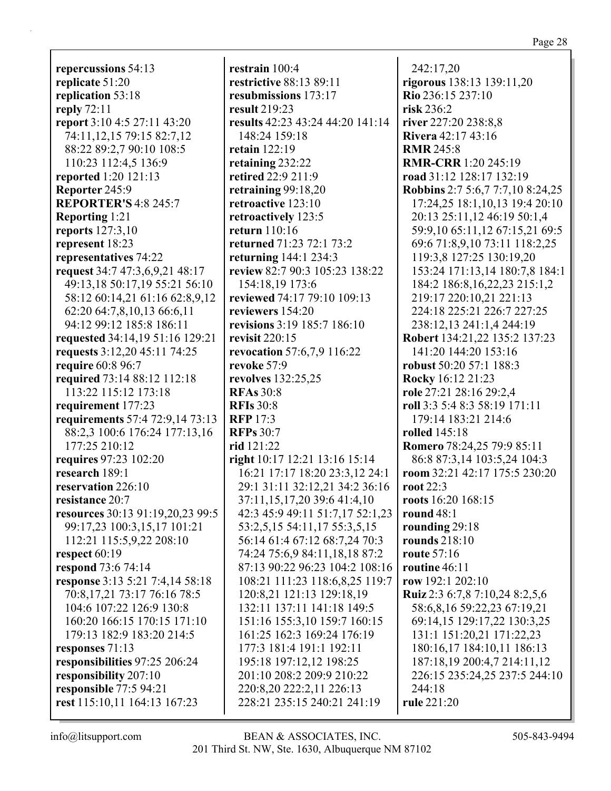**repercussions** 54:13 **replicate** 51:20 **replication** 53:18 **reply** 72:11 **report** 3:10 4:5 27:11 43:20 74:11,12,15 79:15 82:7,12 88:22 89:2,7 90:10 108:5 110:23 112:4,5 136:9 **reported** 1:20 121:13 **Reporter** 245:9 **REPORTER'S** 4:8 245:7 **Reporting** 1:21 **reports** 127:3,10 **represent** 18:23 **representatives** 74:22 **request** 34:7 47:3,6,9,21 48:17 49:13,18 50:17,19 55:21 56:10 58:12 60:14,21 61:16 62:8,9,12 62:20 64:7,8,10,13 66:6,11 94:12 99:12 185:8 186:11 **requested** 34:14,19 51:16 129:21 **requests** 3:12,20 45:11 74:25 **require** 60:8 96:7 **required** 73:14 88:12 112:18 113:22 115:12 173:18 **requirement** 177:23 **requirements** 57:4 72:9,14 73:13 88:2,3 100:6 176:24 177:13,16 177:25 210:12 **requires** 97:23 102:20 **research** 189:1 **reservation** 226:10 **resistance** 20:7 **resources** 30:13 91:19,20,23 99:5 99:17,23 100:3,15,17 101:21 112:21 115:5,9,22 208:10 **respect** 60:19 **respond** 73:6 74:14 **response** 3:13 5:21 7:4,14 58:18 70:8,17,21 73:17 76:16 78:5 104:6 107:22 126:9 130:8 160:20 166:15 170:15 171:10 179:13 182:9 183:20 214:5 **responses** 71:13 **responsibilities** 97:25 206:24 **responsibility** 207:10 **responsible** 77:5 94:21

**restrain** 100:4 **restrictive** 88:13 89:11 **resubmissions** 173:17 **result** 219:23 **results** 42:23 43:24 44:20 141:14 148:24 159:18 **retain** 122:19 **retaining** 232:22 **retired** 22:9 211:9 **retraining** 99:18,20 **retroactive** 123:10 **retroactively** 123:5 **return** 110:16 **returned** 71:23 72:1 73:2 **returning** 144:1 234:3 **review** 82:7 90:3 105:23 138:22 154:18,19 173:6 **reviewed** 74:17 79:10 109:13 **reviewers** 154:20 **revisions** 3:19 185:7 186:10 **revisit** 220:15 **revocation** 57:6,7,9 116:22 **revoke** 57:9 **revolves** 132:25,25 **RFAs** 30:8 **RFIs** 30:8 **RFP** 17:3 **RFPs** 30:7 **rid** 121:22 **right** 10:17 12:21 13:16 15:14 16:21 17:17 18:20 23:3,12 24:1 29:1 31:11 32:12,21 34:2 36:16 37:11,15,17,20 39:6 41:4,10 42:3 45:9 49:11 51:7,17 52:1,23 53:2,5,15 54:11,17 55:3,5,15 56:14 61:4 67:12 68:7,24 70:3 74:24 75:6,9 84:11,18,18 87:2 87:13 90:22 96:23 104:2 108:16 108:21 111:23 118:6,8,25 119:7 120:8,21 121:13 129:18,19 132:11 137:11 141:18 149:5 151:16 155:3,10 159:7 160:15 161:25 162:3 169:24 176:19 177:3 181:4 191:1 192:11 195:18 197:12,12 198:25 201:10 208:2 209:9 210:22 220:8,20 222:2,11 226:13 228:21 235:15 240:21 241:19

242:17,20 **rigorous** 138:13 139:11,20 **Rio** 236:15 237:10 **risk** 236:2 **river** 227:20 238:8,8 **Rivera** 42:17 43:16 **RMR** 245:8 **RMR-CRR** 1:20 245:19 **road** 31:12 128:17 132:19 **Robbins** 2:7 5:6,7 7:7,10 8:24,25 17:24,25 18:1,10,13 19:4 20:10 20:13 25:11,12 46:19 50:1,4 59:9,10 65:11,12 67:15,21 69:5 69:6 71:8,9,10 73:11 118:2,25 119:3,8 127:25 130:19,20 153:24 171:13,14 180:7,8 184:1 184:2 186:8,16,22,23 215:1,2 219:17 220:10,21 221:13 224:18 225:21 226:7 227:25 238:12,13 241:1,4 244:19 **Robert** 134:21,22 135:2 137:23 141:20 144:20 153:16 **robust** 50:20 57:1 188:3 **Rocky** 16:12 21:23 **role** 27:21 28:16 29:2,4 **roll** 3:3 5:4 8:3 58:19 171:11 179:14 183:21 214:6 **rolled** 145:18 **Romero** 78:24,25 79:9 85:11 86:8 87:3,14 103:5,24 104:3 **room** 32:21 42:17 175:5 230:20 **root** 22:3 **roots** 16:20 168:15 **round** 48:1 **rounding** 29:18 **rounds** 218:10 **route** 57:16 **routine** 46:11 **row** 192:1 202:10 **Ruiz** 2:3 6:7,8 7:10,24 8:2,5,6 58:6,8,16 59:22,23 67:19,21 69:14,15 129:17,22 130:3,25 131:1 151:20,21 171:22,23 180:16,17 184:10,11 186:13 187:18,19 200:4,7 214:11,12 226:15 235:24,25 237:5 244:10 244:18 **rule** 221:20

Page 28

**rest** 115:10,11 164:13 167:23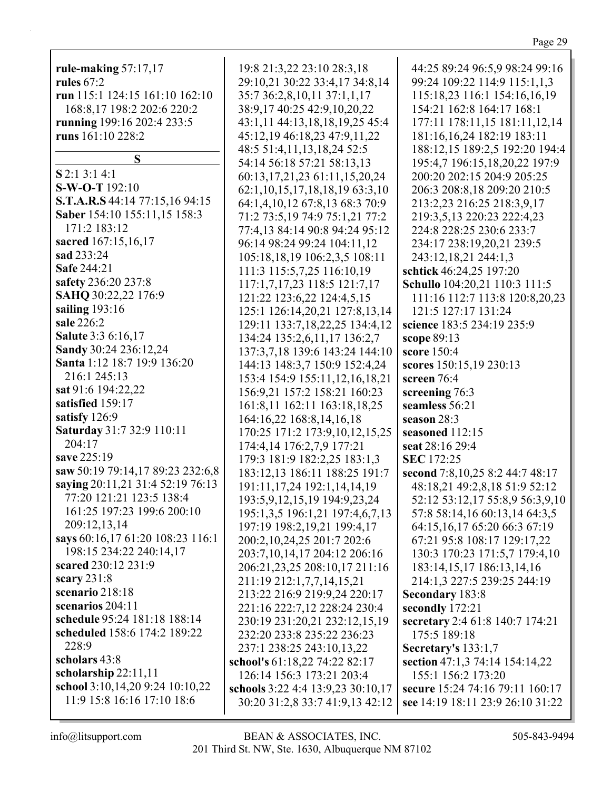| rule-making $57:17,17$           | 19:8 21:3,22 23:10 28:3,18            | 44:25 89:24 96:5,9 98:24 99:16    |
|----------------------------------|---------------------------------------|-----------------------------------|
| rules $67:2$                     | 29:10,21 30:22 33:4,17 34:8,14        | 99:24 109:22 114:9 115:1,1,3      |
| run 115:1 124:15 161:10 162:10   | 35:7 36:2,8,10,11 37:1,1,17           | 115:18,23 116:1 154:16,16,19      |
| 168:8,17 198:2 202:6 220:2       | 38:9,17 40:25 42:9,10,20,22           | 154:21 162:8 164:17 168:1         |
| running 199:16 202:4 233:5       | 43:1,11 44:13,18,18,19,25 45:4        | 177:11 178:11,15 181:11,12,14     |
| runs 161:10 228:2                | 45:12,19 46:18,23 47:9,11,22          | 181:16,16,24 182:19 183:11        |
|                                  | 48:5 51:4,11,13,18,24 52:5            | 188:12,15 189:2,5 192:20 194:4    |
| S                                | 54:14 56:18 57:21 58:13,13            | 195:4,7 196:15,18,20,22 197:9     |
| $S$ 2:1 3:1 4:1                  | 60:13,17,21,23 61:11,15,20,24         | 200:20 202:15 204:9 205:25        |
| S-W-O-T 192:10                   | 62:1, 10, 15, 17, 18, 18, 19 63:3, 10 | 206:3 208:8,18 209:20 210:5       |
| S.T.A.R.S 44:14 77:15,16 94:15   | 64:1,4,10,12 67:8,13 68:3 70:9        | 213:2,23 216:25 218:3,9,17        |
| Saber 154:10 155:11,15 158:3     | 71:2 73:5,19 74:9 75:1,21 77:2        | 219:3,5,13 220:23 222:4,23        |
| 171:2 183:12                     | 77:4,13 84:14 90:8 94:24 95:12        | 224:8 228:25 230:6 233:7          |
| sacred 167:15,16,17              | 96:14 98:24 99:24 104:11,12           | 234:17 238:19,20,21 239:5         |
| sad 233:24                       | 105:18,18,19 106:2,3,5 108:11         | 243:12,18,21 244:1,3              |
| <b>Safe 244:21</b>               | 111:3 115:5,7,25 116:10,19            | schtick 46:24,25 197:20           |
| safety 236:20 237:8              | 117:1,7,17,23 118:5 121:7,17          | Schullo 104:20,21 110:3 111:5     |
| SAHQ 30:22,22 176:9              | 121:22 123:6,22 124:4,5,15            | 111:16 112:7 113:8 120:8,20,23    |
| sailing 193:16                   | 125:1 126:14,20,21 127:8,13,14        | 121:5 127:17 131:24               |
| sale 226:2                       | 129:11 133:7,18,22,25 134:4,12        | science 183:5 234:19 235:9        |
| Salute 3:3 6:16,17               | 134:24 135:2,6,11,17 136:2,7          | scope 89:13                       |
| Sandy 30:24 236:12,24            | 137:3,7,18 139:6 143:24 144:10        | score 150:4                       |
| Santa 1:12 18:7 19:9 136:20      | 144:13 148:3,7 150:9 152:4,24         | scores 150:15,19 230:13           |
| 216:1 245:13                     | 153:4 154:9 155:11,12,16,18,21        | screen 76:4                       |
| sat 91:6 194:22,22               | 156:9,21 157:2 158:21 160:23          | screening 76:3                    |
| satisfied 159:17                 | 161:8,11 162:11 163:18,18,25          | seamless 56:21                    |
| satisfy 126:9                    | 164:16,22 168:8,14,16,18              | season 28:3                       |
| Saturday 31:7 32:9 110:11        | 170:25 171:2 173:9,10,12,15,25        | seasoned 112:15                   |
| 204:17                           | 174:4,14 176:2,7,9 177:21             | seat 28:16 29:4                   |
| save 225:19                      | 179:3 181:9 182:2,25 183:1,3          | <b>SEC</b> 172:25                 |
| saw 50:19 79:14,17 89:23 232:6,8 | 183:12,13 186:11 188:25 191:7         | second 7:8, 10, 25 8:2 44:7 48:17 |
| saying 20:11,21 31:4 52:19 76:13 | 191:11,17,24 192:1,14,14,19           | 48:18,21 49:2,8,18 51:9 52:12     |
| 77:20 121:21 123:5 138:4         | 193:5, 9, 12, 15, 19 194: 9, 23, 24   | 52:12 53:12,17 55:8,9 56:3,9,10   |
| 161:25 197:23 199:6 200:10       | 195:1,3,5 196:1,21 197:4,6,7,13       | 57:8 58:14,16 60:13,14 64:3,5     |
| 209:12,13,14                     | 197:19 198:2,19,21 199:4,17           | 64:15,16,17 65:20 66:3 67:19      |
| says 60:16,17 61:20 108:23 116:1 | 200:2,10,24,25 201:7 202:6            | 67:21 95:8 108:17 129:17,22       |
| 198:15 234:22 240:14,17          | 203:7,10,14,17 204:12 206:16          | 130:3 170:23 171:5,7 179:4,10     |
| scared 230:12 231:9              | 206:21,23,25 208:10,17 211:16         | 183:14,15,17 186:13,14,16         |
| scary $231:8$                    | 211:19 212:1,7,7,14,15,21             | 214:1,3 227:5 239:25 244:19       |
| scenario 218:18                  | 213:22 216:9 219:9,24 220:17          | <b>Secondary 183:8</b>            |
| scenarios 204:11                 | 221:16 222:7,12 228:24 230:4          | secondly 172:21                   |
| schedule 95:24 181:18 188:14     | 230:19 231:20,21 232:12,15,19         | secretary 2:4 61:8 140:7 174:21   |
| scheduled 158:6 174:2 189:22     | 232:20 233:8 235:22 236:23            | 175:5 189:18                      |
| 228:9                            | 237:1 238:25 243:10,13,22             | Secretary's 133:1,7               |
| scholars 43:8                    | school's 61:18,22 74:22 82:17         | section 47:1,3 74:14 154:14,22    |
| scholarship 22:11,11             | 126:14 156:3 173:21 203:4             | 155:1 156:2 173:20                |
| school 3:10,14,20 9:24 10:10,22  | schools 3:22 4:4 13:9,23 30:10,17     | secure 15:24 74:16 79:11 160:17   |
| 11:9 15:8 16:16 17:10 18:6       | 30:20 31:2,8 33:7 41:9,13 42:12       | see 14:19 18:11 23:9 26:10 31:22  |
|                                  |                                       |                                   |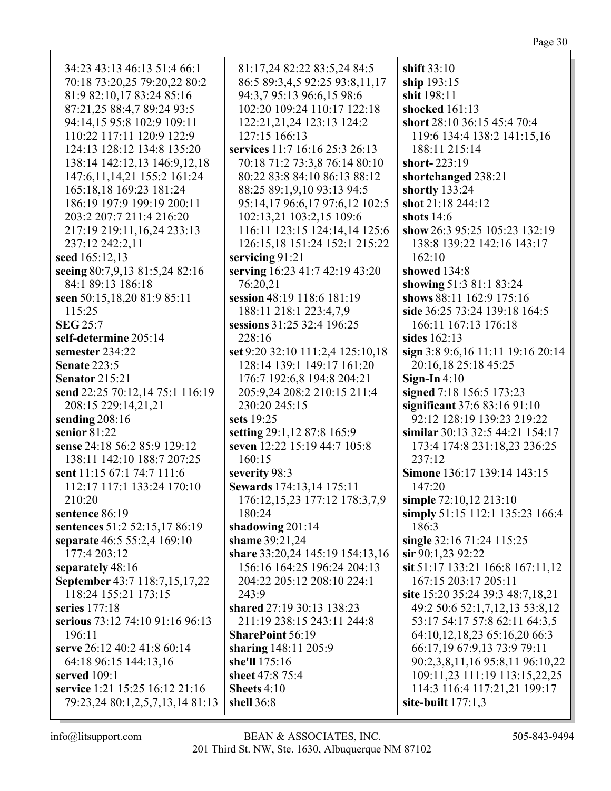| 34:23 43:13 46:13 51:4 66:1      | 81:17,24 82:22 83:5,24 84:5      | shift 33:10                       |
|----------------------------------|----------------------------------|-----------------------------------|
| 70:18 73:20,25 79:20,22 80:2     | 86:5 89:3,4,5 92:25 93:8,11,17   | ship 193:15                       |
| 81:9 82:10,17 83:24 85:16        | 94:3,7 95:13 96:6,15 98:6        | shit 198:11                       |
| 87:21,25 88:4,7 89:24 93:5       | 102:20 109:24 110:17 122:18      | shocked 161:13                    |
| 94:14,15 95:8 102:9 109:11       | 122:21,21,24 123:13 124:2        | short 28:10 36:15 45:4 70:4       |
| 110:22 117:11 120:9 122:9        | 127:15 166:13                    | 119:6 134:4 138:2 141:15,16       |
| 124:13 128:12 134:8 135:20       | services 11:7 16:16 25:3 26:13   | 188:11 215:14                     |
| 138:14 142:12,13 146:9,12,18     | 70:18 71:2 73:3,8 76:14 80:10    | short-223:19                      |
| 147:6, 11, 14, 21 155: 2 161: 24 | 80:22 83:8 84:10 86:13 88:12     | shortchanged 238:21               |
| 165:18,18 169:23 181:24          | 88:25 89:1,9,10 93:13 94:5       | shortly 133:24                    |
| 186:19 197:9 199:19 200:11       | 95:14,17 96:6,17 97:6,12 102:5   | shot 21:18 244:12                 |
| 203:2 207:7 211:4 216:20         | 102:13,21 103:2,15 109:6         | shots $14:6$                      |
| 217:19 219:11,16,24 233:13       | 116:11 123:15 124:14,14 125:6    | show 26:3 95:25 105:23 132:19     |
| 237:12 242:2,11                  | 126:15,18 151:24 152:1 215:22    | 138:8 139:22 142:16 143:17        |
| seed 165:12,13                   | servicing 91:21                  | 162:10                            |
| seeing 80:7,9,13 81:5,24 82:16   | serving 16:23 41:7 42:19 43:20   | showed 134:8                      |
| 84:1 89:13 186:18                | 76:20,21                         | showing 51:3 81:1 83:24           |
| seen 50:15,18,20 81:9 85:11      | session 48:19 118:6 181:19       | shows 88:11 162:9 175:16          |
| 115:25                           | 188:11 218:1 223:4,7,9           | side 36:25 73:24 139:18 164:5     |
| <b>SEG 25:7</b>                  | sessions 31:25 32:4 196:25       | 166:11 167:13 176:18              |
| self-determine 205:14            | 228:16                           | sides 162:13                      |
| semester 234:22                  |                                  |                                   |
| <b>Senate 223:5</b>              | set 9:20 32:10 111:2,4 125:10,18 | sign 3:8 9:6,16 11:11 19:16 20:14 |
|                                  | 128:14 139:1 149:17 161:20       | 20:16,18 25:18 45:25              |
| <b>Senator 215:21</b>            | 176:7 192:6,8 194:8 204:21       | Sign-In $4:10$                    |
| send 22:25 70:12,14 75:1 116:19  | 205:9,24 208:2 210:15 211:4      | signed 7:18 156:5 173:23          |
| 208:15 229:14,21,21              | 230:20 245:15                    | significant 37:6 83:16 91:10      |
| sending 208:16                   | sets 19:25                       | 92:12 128:19 139:23 219:22        |
| senior 81:22                     | setting 29:1,12 87:8 165:9       | similar 30:13 32:5 44:21 154:17   |
| sense 24:18 56:2 85:9 129:12     | seven 12:22 15:19 44:7 105:8     | 173:4 174:8 231:18,23 236:25      |
| 138:11 142:10 188:7 207:25       | 160:15                           | 237:12                            |
| sent 11:15 67:1 74:7 111:6       | severity 98:3                    | Simone 136:17 139:14 143:15       |
| 112:17 117:1 133:24 170:10       | Sewards 174:13,14 175:11         | 147:20                            |
| 210:20                           | 176:12,15,23 177:12 178:3,7,9    | simple 72:10,12 213:10            |
| sentence 86:19                   | 180:24                           | simply 51:15 112:1 135:23 166:4   |
| sentences 51:2 52:15,17 86:19    | shadowing 201:14                 | 186:3                             |
| separate 46:5 55:2,4 169:10      | shame 39:21,24                   | single 32:16 71:24 115:25         |
| 177:4 203:12                     | share 33:20,24 145:19 154:13,16  | sir 90:1,23 92:22                 |
| separately 48:16                 | 156:16 164:25 196:24 204:13      | sit 51:17 133:21 166:8 167:11,12  |
| September 43:7 118:7,15,17,22    | 204:22 205:12 208:10 224:1       | 167:15 203:17 205:11              |
| 118:24 155:21 173:15             | 243:9                            | site 15:20 35:24 39:3 48:7,18,21  |
| series $177:18$                  | shared 27:19 30:13 138:23        | 49:2 50:6 52:1,7,12,13 53:8,12    |
| serious 73:12 74:10 91:16 96:13  | 211:19 238:15 243:11 244:8       | 53:17 54:17 57:8 62:11 64:3,5     |
| 196:11                           | <b>SharePoint 56:19</b>          | 64:10,12,18,23 65:16,20 66:3      |
| serve 26:12 40:2 41:8 60:14      | sharing 148:11 205:9             | 66:17,19 67:9,13 73:9 79:11       |
| 64:18 96:15 144:13,16            | she'll 175:16                    | 90:2,3,8,11,16 95:8,11 96:10,22   |
| served 109:1                     | sheet 47:8 75:4                  | 109:11,23 111:19 113:15,22,25     |
| service 1:21 15:25 16:12 21:16   | Sheets 4:10                      | 114:3 116:4 117:21,21 199:17      |
| 79:23,24 80:1,2,5,7,13,14 81:13  | shell 36:8                       | site-built $177:1,3$              |
|                                  |                                  |                                   |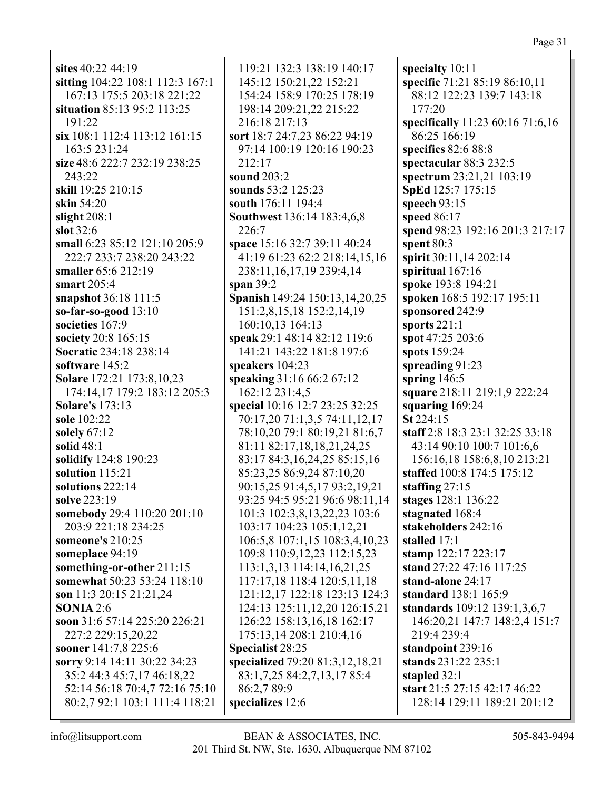sites 40:22 44:19 sitting 104:22 108:1 112:3 167:1 167:13 175:5 203:18 221:22 situation 85:13 95:2 113:25  $191:22$ six 108:1 112:4 113:12 161:15 163:5 231:24 size  $48:6$  222:7 232:19 238:25 243:22 skill 19:25 210:15 skin 54:20 slight  $208:1$ slot  $32:6$ small 6:23 85:12 121:10 205:9 222:7 233:7 238:20 243:22 smaller 65:6 212:19 smart  $205:4$ snapshot 36:18 111:5 so-far-so-good  $13:10$ societies 167:9 society 20:8 165:15 Socratic 234:18 238:14 software 145:2 Solare 172:21 173:8,10,23 174:14.17 179:2 183:12 205:3 **Solare's** 173:13 sole 102:22 solely  $67:12$ solid  $48:1$ solidify 124:8 190:23 solution 115:21 solutions  $222:14$ solve 223:19 somebody 29:4 110:20 201:10 203:9 221:18 234:25 someone's  $210:25$ someplace 94:19 something-or-other 211:15 somewhat 50:23 53:24 118:10 son 11:3 20:15 21:21,24 **SONIA** 2:6 soon 31:6 57:14 225:20 226:21 227:2 229:15,20,22 sooner 141:7,8 225:6 sorry 9:14 14:11 30:22 34:23 35:2 44:3 45:7,17 46:18,22 52:14 56:18 70:4,7 72:16 75:10 80:2,7 92:1 103:1 111:4 118:21

119:21 132:3 138:19 140:17 145:12 150:21,22 152:21 154:24 158:9 170:25 178:19 198:14 209:21,22 215:22 216:18 217:13 sort 18:7 24:7,23 86:22 94:19 97:14 100:19 120:16 190:23  $212:17$ sound 203:2 sounds 53:2 125:23 south 176:11 194:4 Southwest 136:14 183:4,6,8 226:7 space 15:16 32:7 39:11 40:24 41:19 61:23 62:2 218:14,15,16 238:11, 16, 17, 19 239: 4, 14 span  $39:2$ Spanish 149:24 150:13,14,20,25 151:2,8,15,18 152:2,14,19 160:10,13 164:13 speak 29:1 48:14 82:12 119:6 141:21 143:22 181:8 197:6 speakers  $104:23$ speaking 31:16 66:2 67:12 162:12 231:4.5 special 10:16 12:7 23:25 32:25 70:17,20 71:1,3,5 74:11,12,17 78:10,20 79:1 80:19,21 81:6,7 81:11 82:17,18,18,21,24,25 83:17 84:3,16,24,25 85:15,16 85:23,25 86:9,24 87:10,20 90:15,25 91:4,5,17 93:2,19,21 93:25 94:5 95:21 96:6 98:11,14 101:3 102:3,8,13,22,23 103:6 103:17 104:23 105:1,12,21 106:5,8 107:1,15 108:3,4,10,23 109:8 110:9,12,23 112:15,23 113:1,3,13 114:14,16,21,25 117:17,18 118:4 120:5,11,18 121:12.17 122:18 123:13 124:3 124:13 125:11,12,20 126:15,21 126:22 158:13,16,18 162:17 175:13,14 208:1 210:4,16 Specialist 28:25 specialized 79:20 81:3,12,18,21 83:1,7,25 84:2,7,13,17 85:4 86:2.7 89:9 specializes 12:6

specialty  $10:11$ specific 71:21 85:19 86:10,11 88:12 122:23 139:7 143:18  $177:20$ specifically 11:23 60:16 71:6,16 86:25 166:19 specifics  $82:688:8$ spectacular  $88:3232:5$ spectrum 23:21,21 103:19 **SpEd** 125:7 175:15 speech  $93:15$ speed  $86:17$ spend 98:23 192:16 201:3 217:17 spent  $80:3$ spirit 30:11,14 202:14 spiritual 167:16 spoke 193:8 194:21 spoken 168:5 192:17 195:11 sponsored 242:9 sports  $221:1$ spot 47:25 203:6 spots 159:24 spreading  $91:23$ spring  $146:5$ square 218:11 219:1,9 222:24 squaring  $169:24$  $St 224:15$ staff 2:8 18:3 23:1 32:25 33:18 43:14 90:10 100:7 101:6,6 156:16,18 158:6,8,10 213:21 staffed 100:8 174:5 175:12 staffing  $27:15$ stages 128:1 136:22 stagnated 168:4 stakeholders 242:16 stalled 17:1 stamp 122:17 223:17 stand 27:22 47:16 117:25 stand-alone 24:17 standard 138:1 165:9 standards 109:12 139:1,3,6,7 146:20,21 147:7 148:2,4 151:7 219:4 239:4 standpoint 239:16 stands 231:22 235:1 stapled 32:1 start 21:5 27:15 42:17 46:22 128:14 129:11 189:21 201:12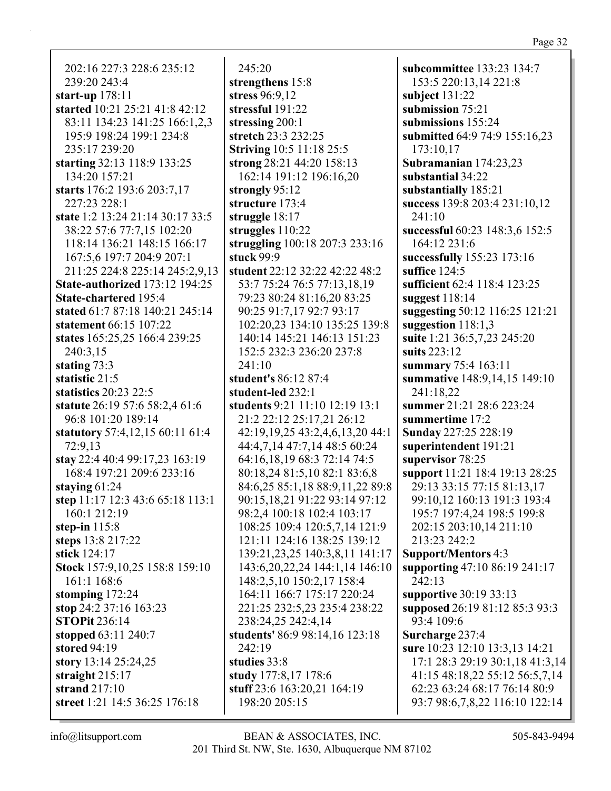202:16 227:3 228:6 235:12 239:20 243:4 **start-up** 178:11 **started** 10:21 25:21 41:8 42:12 83:11 134:23 141:25 166:1,2,3 195:9 198:24 199:1 234:8 235:17 239:20 **starting** 32:13 118:9 133:25 134:20 157:21 **starts** 176:2 193:6 203:7,17 227:23 228:1 **state** 1:2 13:24 21:14 30:17 33:5 38:22 57:6 77:7,15 102:20 118:14 136:21 148:15 166:17 167:5,6 197:7 204:9 207:1 211:25 224:8 225:14 245:2,9,13 **State-authorized** 173:12 194:25 **State-chartered** 195:4 **stated** 61:7 87:18 140:21 245:14 **statement** 66:15 107:22 **states** 165:25,25 166:4 239:25 240:3,15 **stating** 73:3 **statistic** 21:5 **statistics** 20:23 22:5 **statute** 26:19 57:6 58:2,4 61:6 96:8 101:20 189:14 **statutory** 57:4,12,15 60:11 61:4 72:9,13 **stay** 22:4 40:4 99:17,23 163:19 168:4 197:21 209:6 233:16 **staying** 61:24 **step** 11:17 12:3 43:6 65:18 113:1 160:1 212:19 **step-in** 115:8 **steps** 13:8 217:22 **stick** 124:17 **Stock** 157:9,10,25 158:8 159:10 161:1 168:6 **stomping** 172:24 **stop** 24:2 37:16 163:23 **STOPit** 236:14 **stopped** 63:11 240:7 **stored** 94:19 **story** 13:14 25:24,25 **straight** 215:17 **strand** 217:10 **street** 1:21 14:5 36:25 176:18

245:20 **strengthens** 15:8 **stress** 96:9,12 **stressful** 191:22 **stressing** 200:1 **stretch** 23:3 232:25 **Striving** 10:5 11:18 25:5 **strong** 28:21 44:20 158:13 162:14 191:12 196:16,20 **strongly** 95:12 **structure** 173:4 **struggle** 18:17 **struggles** 110:22 **struggling** 100:18 207:3 233:16 **stuck** 99:9 **student** 22:12 32:22 42:22 48:2 53:7 75:24 76:5 77:13,18,19 79:23 80:24 81:16,20 83:25 90:25 91:7,17 92:7 93:17 102:20,23 134:10 135:25 139:8 140:14 145:21 146:13 151:23 152:5 232:3 236:20 237:8 241:10 **student's** 86:12 87:4 **student-led** 232:1 **students** 9:21 11:10 12:19 13:1 21:2 22:12 25:17,21 26:12 42:19,19,25 43:2,4,6,13,20 44:1 44:4,7,14 47:7,14 48:5 60:24 64:16,18,19 68:3 72:14 74:5 80:18,24 81:5,10 82:1 83:6,8 84:6,25 85:1,18 88:9,11,22 89:8 90:15,18,21 91:22 93:14 97:12 98:2,4 100:18 102:4 103:17 108:25 109:4 120:5,7,14 121:9 121:11 124:16 138:25 139:12 139:21,23,25 140:3,8,11 141:17 143:6,20,22,24 144:1,14 146:10 148:2,5,10 150:2,17 158:4 164:11 166:7 175:17 220:24 221:25 232:5,23 235:4 238:22 238:24,25 242:4,14 **students'** 86:9 98:14,16 123:18 242:19 **studies** 33:8 **study** 177:8,17 178:6 **stuff** 23:6 163:20,21 164:19 198:20 205:15

**subcommittee** 133:23 134:7 153:5 220:13,14 221:8 **subject** 131:22 **submission** 75:21 **submissions** 155:24 **submitted** 64:9 74:9 155:16,23 173:10,17 **Subramanian** 174:23,23 **substantial** 34:22 **substantially** 185:21 **success** 139:8 203:4 231:10,12 241:10 **successful** 60:23 148:3,6 152:5 164:12 231:6 **successfully** 155:23 173:16 **suffice** 124:5 **sufficient** 62:4 118:4 123:25 **suggest** 118:14 **suggesting** 50:12 116:25 121:21 **suggestion** 118:1,3 **suite** 1:21 36:5,7,23 245:20 **suits** 223:12 **summary** 75:4 163:11 **summative** 148:9,14,15 149:10 241:18,22 **summer** 21:21 28:6 223:24 **summertime** 17:2 **Sunday** 227:25 228:19 **superintendent** 191:21 **supervisor** 78:25 **support** 11:21 18:4 19:13 28:25 29:13 33:15 77:15 81:13,17 99:10,12 160:13 191:3 193:4 195:7 197:4,24 198:5 199:8 202:15 203:10,14 211:10 213:23 242:2 **Support/Mentors** 4:3 **supporting** 47:10 86:19 241:17 242:13 **supportive** 30:19 33:13 **supposed** 26:19 81:12 85:3 93:3 93:4 109:6 **Surcharge** 237:4 **sure** 10:23 12:10 13:3,13 14:21 17:1 28:3 29:19 30:1,18 41:3,14 41:15 48:18,22 55:12 56:5,7,14 62:23 63:24 68:17 76:14 80:9 93:7 98:6,7,8,22 116:10 122:14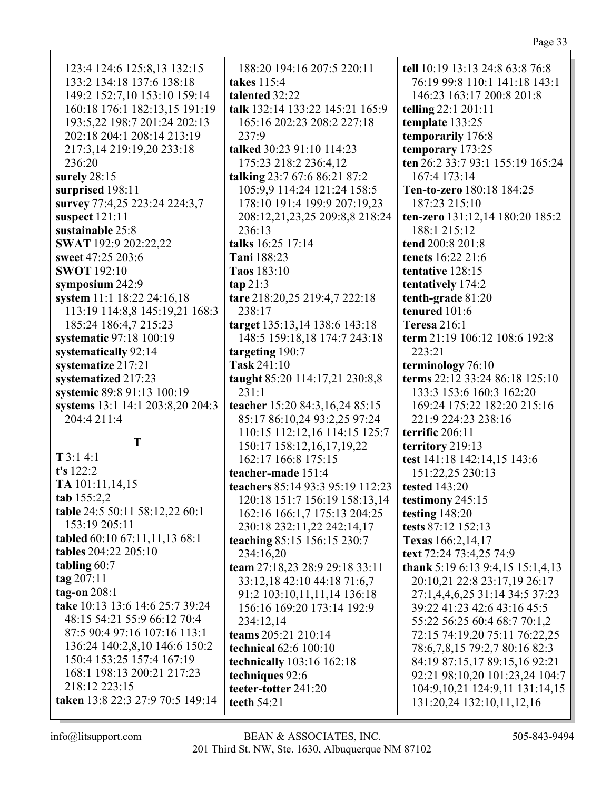| 123:4 124:6 125:8,13 132:15      | 188:20 194:16 207:5 220:11       | tell 10:19 13:13 24:8 63:8 76:8    |
|----------------------------------|----------------------------------|------------------------------------|
| 133:2 134:18 137:6 138:18        | takes 115:4                      | 76:19 99:8 110:1 141:18 143:1      |
| 149:2 152:7,10 153:10 159:14     | talented 32:22                   | 146:23 163:17 200:8 201:8          |
| 160:18 176:1 182:13,15 191:19    | talk 132:14 133:22 145:21 165:9  | telling 22:1 201:11                |
| 193:5,22 198:7 201:24 202:13     | 165:16 202:23 208:2 227:18       | template 133:25                    |
| 202:18 204:1 208:14 213:19       | 237:9                            | temporarily 176:8                  |
| 217:3,14 219:19,20 233:18        | talked 30:23 91:10 114:23        | temporary 173:25                   |
| 236:20                           | 175:23 218:2 236:4,12            | ten 26:2 33:7 93:1 155:19 165:24   |
| surely 28:15                     | talking 23:7 67:6 86:21 87:2     | 167:4 173:14                       |
| surprised 198:11                 | 105:9,9 114:24 121:24 158:5      | Ten-to-zero 180:18 184:25          |
| survey 77:4,25 223:24 224:3,7    | 178:10 191:4 199:9 207:19,23     | 187:23 215:10                      |
| suspect 121:11                   | 208:12,21,23,25 209:8,8 218:24   | ten-zero 131:12,14 180:20 185:2    |
| sustainable 25:8                 | 236:13                           | 188:1 215:12                       |
| SWAT 192:9 202:22,22             | talks 16:25 17:14                | tend 200:8 201:8                   |
|                                  |                                  | tenets 16:22 21:6                  |
| sweet 47:25 203:6                | Tani 188:23                      |                                    |
| <b>SWOT</b> 192:10               | Taos 183:10                      | tentative 128:15                   |
| symposium 242:9                  | tan 21:3                         | tentatively 174:2                  |
| system 11:1 18:22 24:16,18       | tare 218:20,25 219:4,7 222:18    | tenth-grade 81:20                  |
| 113:19 114:8,8 145:19,21 168:3   | 238:17                           | tenured 101:6                      |
| 185:24 186:4,7 215:23            | target 135:13,14 138:6 143:18    | <b>Teresa</b> 216:1                |
| systematic 97:18 100:19          | 148:5 159:18,18 174:7 243:18     | term 21:19 106:12 108:6 192:8      |
| systematically 92:14             | targeting 190:7                  | 223:21                             |
| systematize 217:21               | Task 241:10                      | terminology 76:10                  |
| systematized 217:23              | taught 85:20 114:17,21 230:8,8   | terms 22:12 33:24 86:18 125:10     |
| systemic 89:8 91:13 100:19       | 231:1                            | 133:3 153:6 160:3 162:20           |
| systems 13:1 14:1 203:8,20 204:3 | teacher 15:20 84:3,16,24 85:15   | 169:24 175:22 182:20 215:16        |
| 204:4 211:4                      | 85:17 86:10,24 93:2,25 97:24     | 221:9 224:23 238:16                |
|                                  | 110:15 112:12,16 114:15 125:7    | terrific 206:11                    |
| T                                | 150:17 158:12,16,17,19,22        | territory 219:13                   |
| $T$ 3:1 4:1                      | 162:17 166:8 175:15              | test 141:18 142:14,15 143:6        |
| t's 122:2                        | teacher-made 151:4               | 151:22,25 230:13                   |
| TA 101:11,14,15                  | teachers 85:14 93:3 95:19 112:23 | tested 143:20                      |
| tab 155:2,2                      | 120:18 151:7 156:19 158:13,14    | testimony 245:15                   |
| table 24:5 50:11 58:12,22 60:1   | 162:16 166:1,7 175:13 204:25     | testing $148:20$                   |
| 153:19 205:11                    | 230:18 232:11,22 242:14,17       | tests 87:12 152:13                 |
| tabled 60:10 67:11,11,13 68:1    | teaching 85:15 156:15 230:7      | <b>Texas</b> 166:2,14,17           |
| tables 204:22 205:10             | 234:16,20                        | text 72:24 73:4,25 74:9            |
| tabling $60:7$                   | team 27:18,23 28:9 29:18 33:11   | thank 5:19 6:13 9:4,15 15:1,4,13   |
| $\frac{\tan 207:11}{ }$          | 33:12,18 42:10 44:18 71:6,7      | 20:10,21 22:8 23:17,19 26:17       |
| tag-on $208:1$                   | 91:2 103:10,11,11,14 136:18      | 27:1,4,4,6,25 31:14 34:5 37:23     |
| take 10:13 13:6 14:6 25:7 39:24  | 156:16 169:20 173:14 192:9       | 39:22 41:23 42:6 43:16 45:5        |
| 48:15 54:21 55:9 66:12 70:4      | 234:12,14                        | 55:22 56:25 60:4 68:7 70:1,2       |
| 87:5 90:4 97:16 107:16 113:1     | teams 205:21 210:14              | 72:15 74:19,20 75:11 76:22,25      |
| 136:24 140:2,8,10 146:6 150:2    |                                  |                                    |
| 150:4 153:25 157:4 167:19        | technical 62:6 100:10            | 78:6,7,8,15 79:2,7 80:16 82:3      |
| 168:1 198:13 200:21 217:23       | <b>technically</b> 103:16 162:18 | 84:19 87:15,17 89:15,16 92:21      |
| 218:12 223:15                    | techniques 92:6                  | 92:21 98:10,20 101:23,24 104:7     |
|                                  | teeter-totter 241:20             | 104:9, 10, 21 124:9, 11 131:14, 15 |
| taken 13:8 22:3 27:9 70:5 149:14 | teeth 54:21                      | 131:20,24 132:10,11,12,16          |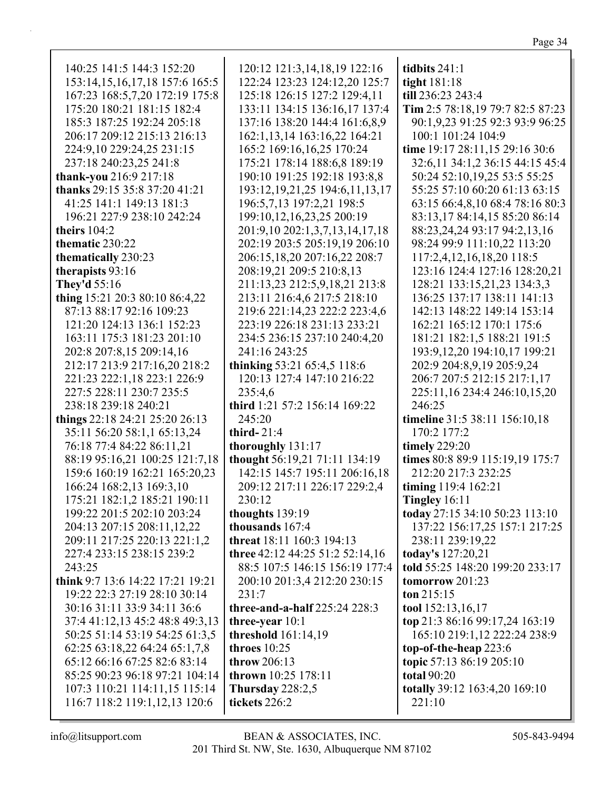| 140:25 141:5 144:3 152:20            | 120:12 121:3,14,18,19 122:16          | tidbits $241:1$                   |
|--------------------------------------|---------------------------------------|-----------------------------------|
| 153:14, 15, 16, 17, 18 157: 6 165: 5 | 122:24 123:23 124:12,20 125:7         | tight 181:18                      |
| 167:23 168:5,7,20 172:19 175:8       | 125:18 126:15 127:2 129:4,11          | till 236:23 243:4                 |
| 175:20 180:21 181:15 182:4           | 133:11 134:15 136:16,17 137:4         | Tim 2:5 78:18,19 79:7 82:5 87:23  |
| 185:3 187:25 192:24 205:18           | 137:16 138:20 144:4 161:6,8,9         | 90:1,9,23 91:25 92:3 93:9 96:25   |
| 206:17 209:12 215:13 216:13          | 162:1,13,14 163:16,22 164:21          | 100:1 101:24 104:9                |
| 224:9,10 229:24,25 231:15            | 165:2 169:16,16,25 170:24             | time 19:17 28:11,15 29:16 30:6    |
| 237:18 240:23,25 241:8               | 175:21 178:14 188:6,8 189:19          | 32:6,11 34:1,2 36:15 44:15 45:4   |
| thank-you 216:9 217:18               | 190:10 191:25 192:18 193:8,8          | 50:24 52:10,19,25 53:5 55:25      |
| thanks 29:15 35:8 37:20 41:21        | 193:12, 19, 21, 25 194: 6, 11, 13, 17 | 55:25 57:10 60:20 61:13 63:15     |
| 41:25 141:1 149:13 181:3             | 196:5,7,13 197:2,21 198:5             | 63:15 66:4,8,10 68:4 78:16 80:3   |
| 196:21 227:9 238:10 242:24           | 199:10,12,16,23,25 200:19             | 83:13,17 84:14,15 85:20 86:14     |
| theirs $104:2$                       | 201:9,10 202:1,3,7,13,14,17,18        | 88:23,24,24 93:17 94:2,13,16      |
| thematic 230:22                      | 202:19 203:5 205:19,19 206:10         | 98:24 99:9 111:10,22 113:20       |
| thematically 230:23                  | 206:15,18,20 207:16,22 208:7          | 117:2,4,12,16,18,20 118:5         |
| therapists 93:16                     | 208:19,21 209:5 210:8,13              | 123:16 124:4 127:16 128:20,21     |
| <b>They'd 55:16</b>                  | 211:13,23 212:5,9,18,21 213:8         | 128:21 133:15,21,23 134:3,3       |
| thing 15:21 20:3 80:10 86:4,22       | 213:11 216:4,6 217:5 218:10           | 136:25 137:17 138:11 141:13       |
| 87:13 88:17 92:16 109:23             | 219:6 221:14,23 222:2 223:4,6         | 142:13 148:22 149:14 153:14       |
| 121:20 124:13 136:1 152:23           | 223:19 226:18 231:13 233:21           | 162:21 165:12 170:1 175:6         |
| 163:11 175:3 181:23 201:10           | 234:5 236:15 237:10 240:4,20          | 181:21 182:1,5 188:21 191:5       |
| 202:8 207:8,15 209:14,16             | 241:16 243:25                         | 193:9, 12, 20 194: 10, 17 199: 21 |
| 212:17 213:9 217:16,20 218:2         | thinking 53:21 65:4,5 118:6           | 202:9 204:8,9,19 205:9,24         |
| 221:23 222:1,18 223:1 226:9          | 120:13 127:4 147:10 216:22            | 206:7 207:5 212:15 217:1,17       |
| 227:5 228:11 230:7 235:5             | 235:4,6                               | 225:11,16 234:4 246:10,15,20      |
| 238:18 239:18 240:21                 | third 1:21 57:2 156:14 169:22         | 246:25                            |
| things 22:18 24:21 25:20 26:13       | 245:20                                | timeline 31:5 38:11 156:10,18     |
| 35:11 56:20 58:1,1 65:13,24          | third- $21:4$                         | 170:2 177:2                       |
| 76:18 77:4 84:22 86:11,21            | thoroughly 131:17                     | timely 229:20                     |
| 88:19 95:16,21 100:25 121:7,18       | thought 56:19,21 71:11 134:19         | times 80:8 89:9 115:19,19 175:7   |
| 159:6 160:19 162:21 165:20,23        | 142:15 145:7 195:11 206:16,18         | 212:20 217:3 232:25               |
| 166:24 168:2,13 169:3,10             | 209:12 217:11 226:17 229:2,4          | timing 119:4 162:21               |
| 175:21 182:1,2 185:21 190:11         | 230:12                                | Tingley 16:11                     |
| 199:22 201:5 202:10 203:24           | thoughts 139:19                       | today 27:15 34:10 50:23 113:10    |
| 204:13 207:15 208:11,12,22           | thousands 167:4                       | 137:22 156:17,25 157:1 217:25     |
| 209:11 217:25 220:13 221:1,2         | threat 18:11 160:3 194:13             | 238:11 239:19,22                  |
| 227:4 233:15 238:15 239:2            | three 42:12 44:25 51:2 52:14,16       | today's 127:20,21                 |
| 243:25                               | 88:5 107:5 146:15 156:19 177:4        | told 55:25 148:20 199:20 233:17   |
| think 9:7 13:6 14:22 17:21 19:21     | 200:10 201:3,4 212:20 230:15          | tomorrow $201:23$                 |
| 19:22 22:3 27:19 28:10 30:14         | 231:7                                 | ton $215:15$                      |
| 30:16 31:11 33:9 34:11 36:6          | three-and-a-half 225:24 228:3         | tool 152:13,16,17                 |
| 37:4 41:12,13 45:2 48:8 49:3,13      | three-year $10:1$                     | top 21:3 86:16 99:17,24 163:19    |
| 50:25 51:14 53:19 54:25 61:3,5       | threshold 161:14,19                   | 165:10 219:1,12 222:24 238:9      |
| 62:25 63:18,22 64:24 65:1,7,8        | throes $10:25$                        | top-of-the-heap 223:6             |
| 65:12 66:16 67:25 82:6 83:14         | throw 206:13                          | topic 57:13 86:19 205:10          |
| 85:25 90:23 96:18 97:21 104:14       | thrown 10:25 178:11                   | <b>total 90:20</b>                |
| 107:3 110:21 114:11,15 115:14        | Thursday $228:2,5$                    | totally 39:12 163:4,20 169:10     |
| 116:7 118:2 119:1,12,13 120:6        | tickets 226:2                         | 221:10                            |
|                                      |                                       |                                   |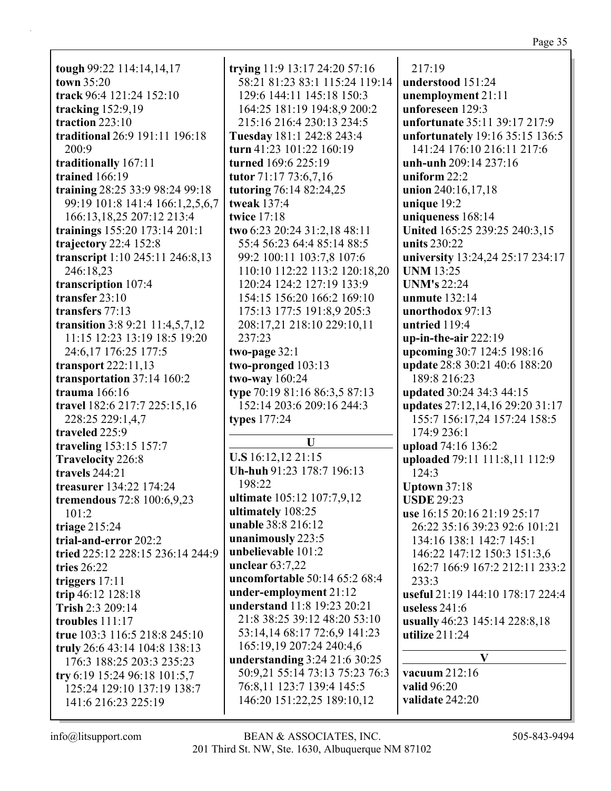**tough** 99:22 114:14,14,17 **town** 35:20 **track** 96:4 121:24 152:10 **tracking** 152:9,19 **traction** 223:10 **traditional** 26:9 191:11 196:18 200:9 **traditionally** 167:11 **trained** 166:19 **training** 28:25 33:9 98:24 99:18 99:19 101:8 141:4 166:1,2,5,6,7 166:13,18,25 207:12 213:4 **trainings** 155:20 173:14 201:1 **trajectory** 22:4 152:8 **transcript** 1:10 245:11 246:8,13 246:18,23 **transcription** 107:4 **transfer** 23:10 **transfers** 77:13 **transition** 3:8 9:21 11:4,5,7,12 11:15 12:23 13:19 18:5 19:20 24:6,17 176:25 177:5 **transport** 222:11,13 **transportation** 37:14 160:2 **trauma** 166:16 **travel** 182:6 217:7 225:15,16 228:25 229:1,4,7 **traveled** 225:9 **traveling** 153:15 157:7 **Travelocity** 226:8 **travels** 244:21 **treasurer** 134:22 174:24 **tremendous** 72:8 100:6,9,23 101:2 **triage** 215:24 **trial-and-error** 202:2 **tried** 225:12 228:15 236:14 244:9 **tries** 26:22 **triggers** 17:11 **trip** 46:12 128:18 **Trish** 2:3 209:14 **troubles** 111:17 **true** 103:3 116:5 218:8 245:10 **truly** 26:6 43:14 104:8 138:13 176:3 188:25 203:3 235:23 **try** 6:19 15:24 96:18 101:5,7 125:24 129:10 137:19 138:7 141:6 216:23 225:19

**trying** 11:9 13:17 24:20 57:16 58:21 81:23 83:1 115:24 119:14 129:6 144:11 145:18 150:3 164:25 181:19 194:8,9 200:2 215:16 216:4 230:13 234:5 **Tuesday** 181:1 242:8 243:4 **turn** 41:23 101:22 160:19 **turned** 169:6 225:19 **tutor** 71:17 73:6,7,16 **tutoring** 76:14 82:24,25 **tweak** 137:4 **twice** 17:18 **two** 6:23 20:24 31:2,18 48:11 55:4 56:23 64:4 85:14 88:5 99:2 100:11 103:7,8 107:6 110:10 112:22 113:2 120:18,20 120:24 124:2 127:19 133:9 154:15 156:20 166:2 169:10 175:13 177:5 191:8,9 205:3 208:17,21 218:10 229:10,11 237:23 **two-page** 32:1 **two-pronged** 103:13 **two-way** 160:24 **type** 70:19 81:16 86:3,5 87:13 152:14 203:6 209:16 244:3 **types** 177:24 **U U.S** 16:12,12 21:15 **Uh-huh** 91:23 178:7 196:13 198:22 **ultimate** 105:12 107:7,9,12 **ultimately** 108:25 **unable** 38:8 216:12 **unanimously** 223:5 **unbelievable** 101:2 **unclear** 63:7,22 **uncomfortable** 50:14 65:2 68:4 **under-employment** 21:12 **understand** 11:8 19:23 20:21 21:8 38:25 39:12 48:20 53:10 53:14,14 68:17 72:6,9 141:23 165:19,19 207:24 240:4,6 **understanding** 3:24 21:6 30:25 50:9,21 55:14 73:13 75:23 76:3 76:8,11 123:7 139:4 145:5 146:20 151:22,25 189:10,12

217:19 **understood** 151:24 **unemployment** 21:11 **unforeseen** 129:3 **unfortunate** 35:11 39:17 217:9 **unfortunately** 19:16 35:15 136:5 141:24 176:10 216:11 217:6 **unh-unh** 209:14 237:16 **uniform** 22:2 **union** 240:16,17,18 **unique** 19:2 **uniqueness** 168:14 **United** 165:25 239:25 240:3,15 **units** 230:22 **university** 13:24,24 25:17 234:17 **UNM** 13:25 **UNM's** 22:24 **unmute** 132:14 **unorthodox** 97:13 **untried** 119:4 **up-in-the-air** 222:19 **upcoming** 30:7 124:5 198:16 **update** 28:8 30:21 40:6 188:20 189:8 216:23 **updated** 30:24 34:3 44:15 **updates** 27:12,14,16 29:20 31:17 155:7 156:17,24 157:24 158:5 174:9 236:1 **upload** 74:16 136:2 **uploaded** 79:11 111:8,11 112:9 124:3 **Uptown** 37:18 **USDE** 29:23 **use** 16:15 20:16 21:19 25:17 26:22 35:16 39:23 92:6 101:21 134:16 138:1 142:7 145:1 146:22 147:12 150:3 151:3,6 162:7 166:9 167:2 212:11 233:2 233:3 **useful** 21:19 144:10 178:17 224:4 **useless** 241:6 **usually** 46:23 145:14 228:8,18 **utilize** 211:24 **V vacuum** 212:16 **valid** 96:20 **validate** 242:20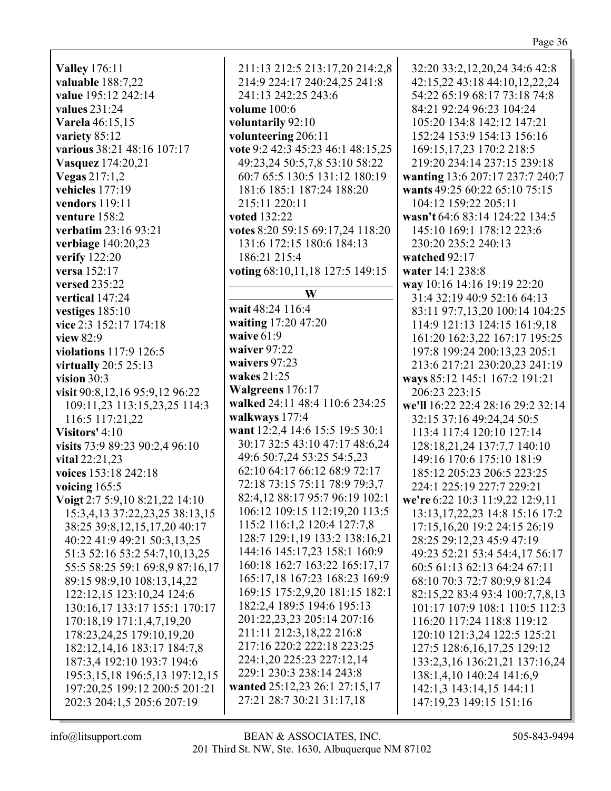**Valley** 176:11 valuable 188:7,22 value 195:12 242:14 values  $231:24$ **Varela** 46:15.15 variety 85:12 various 38:21 48:16 107:17 Vasquez 174:20,21 **Vegas** 217:1,2 vehicles 177:19 vendors 119:11 venture  $158:2$ verbatim 23:16 93:21 verbiage  $140:20,23$ verify 122:20 **versa** 152:17 versed 235:22 vertical 147:24 vestiges  $185:10$ vice 2:3 152:17 174:18 view 82:9 violations 117:9 126:5 virtually  $20:5$  25:13 vision  $30:3$ visit 90:8,12,16 95:9,12 96:22 109:11,23 113:15,23,25 114:3 116:5 117:21,22 Visitors' 4:10 visits 73:9 89:23 90:2,4 96:10 vital  $22:21,23$ voices 153:18 242:18 voicing  $165:5$ Voigt 2:7 5:9,10 8:21,22 14:10 15:3,4,13 37:22,23,25 38:13,15 38:25 39:8,12,15,17,20 40:17 40:22 41:9 49:21 50:3,13,25 51:3 52:16 53:2 54:7,10,13,25 55:5 58:25 59:1 69:8,9 87:16,17 89:15 98:9,10 108:13,14,22 122:12,15 123:10,24 124:6 130:16,17 133:17 155:1 170:17 170:18,19 171:1,4,7,19,20 178:23,24,25 179:10,19,20 182:12, 14, 16 183:17 184:7, 8 187:3,4 192:10 193:7 194:6 195:3, 15, 18 196:5, 13 197: 12, 15 197:20,25 199:12 200:5 201:21 202:3 204:1,5 205:6 207:19

211:13 212:5 213:17,20 214:2,8 214:9 224:17 240:24,25 241:8 241:13 242:25 243:6 volume 100:6 voluntarily 92:10 volunteering 206:11 vote 9:2 42:3 45:23 46:1 48:15.25 49:23,24 50:5,7,8 53:10 58:22 60:7 65:5 130:5 131:12 180:19 181:6 185:1 187:24 188:20 215:11 220:11 voted 132:22 votes 8:20 59:15 69:17,24 118:20 131:6 172:15 180:6 184:13 186:21 215:4 voting 68:10,11,18 127:5 149:15 W wait 48:24 116:4 waiting 17:20 47:20 waive  $61:9$ waiver 97:22 waivers 97:23 wakes  $21:25$ Walgreens 176:17 walked 24:11 48:4 110:6 234:25 walkways 177:4 want 12:2,4 14:6 15:5 19:5 30:1 30:17 32:5 43:10 47:17 48:6,24 49:6 50:7,24 53:25 54:5,23 62:10 64:17 66:12 68:9 72:17 72:18 73:15 75:11 78:9 79:3.7 82:4.12 88:17 95:7 96:19 102:1 106:12 109:15 112:19,20 113:5 115:2 116:1,2 120:4 127:7,8 128:7 129:1,19 133:2 138:16,21 144:16 145:17,23 158:1 160:9 160:18 162:7 163:22 165:17,17 165:17,18 167:23 168:23 169:9 169:15 175:2,9,20 181:15 182:1 182:2.4 189:5 194:6 195:13 201:22,23,23 205:14 207:16 211:11 212:3.18.22 216:8 217:16 220:2 222:18 223:25 224:1,20 225:23 227:12,14 229:1 230:3 238:14 243:8 wanted 25:12,23 26:1 27:15,17 27:21 28:7 30:21 31:17,18

32:20 33:2, 12, 20, 24 34: 642: 8 42:15,22 43:18 44:10,12,22,24 54:22 65:19 68:17 73:18 74:8 84:21 92:24 96:23 104:24 105:20 134:8 142:12 147:21 152:24 153:9 154:13 156:16 169:15.17.23 170:2 218:5 219:20 234:14 237:15 239:18 wanting 13:6 207:17 237:7 240:7 wants 49:25 60:22 65:10 75:15 104:12 159:22 205:11 wasn't 64:6 83:14 124:22 134:5 145:10 169:1 178:12 223:6 230:20 235:2 240:13 watched 92:17 water 14:1 238:8 way 10:16 14:16 19:19 22:20 31:4 32:19 40:9 52:16 64:13 83:11 97:7,13,20 100:14 104:25 114:9 121:13 124:15 161:9,18 161:20 162:3,22 167:17 195:25 197:8 199:24 200:13,23 205:1 213:6 217:21 230:20,23 241:19 ways 85:12 145:1 167:2 191:21 206:23 223:15 we'll 16:22 22:4 28:16 29:2 32:14 32:15 37:16 49:24,24 50:5 113:4 117:4 120:10 127:14 128:18,21,24 137:7,7 140:10 149:16 170:6 175:10 181:9 185:12 205:23 206:5 223:25 224:1 225:19 227:7 229:21 we're 6:22 10:3 11:9,22 12:9,11 13:13, 17, 22, 23 14:8 15:16 17:2 17:15,16,20 19:2 24:15 26:19 28:25 29:12,23 45:9 47:19 49:23 52:21 53:4 54:4,17 56:17 60:5 61:13 62:13 64:24 67:11 68:10 70:3 72:7 80:9,9 81:24 82:15,22 83:4 93:4 100:7,7,8,13 101:17 107:9 108:1 110:5 112:3 116:20 117:24 118:8 119:12 120:10 121:3.24 122:5 125:21 127:5 128:6, 16, 17, 25 129:12 133:2,3,16 136:21,21 137:16,24 138:1,4,10 140:24 141:6,9 142:1,3 143:14,15 144:11 147:19,23 149:15 151:16

 $info@$ litsupport.com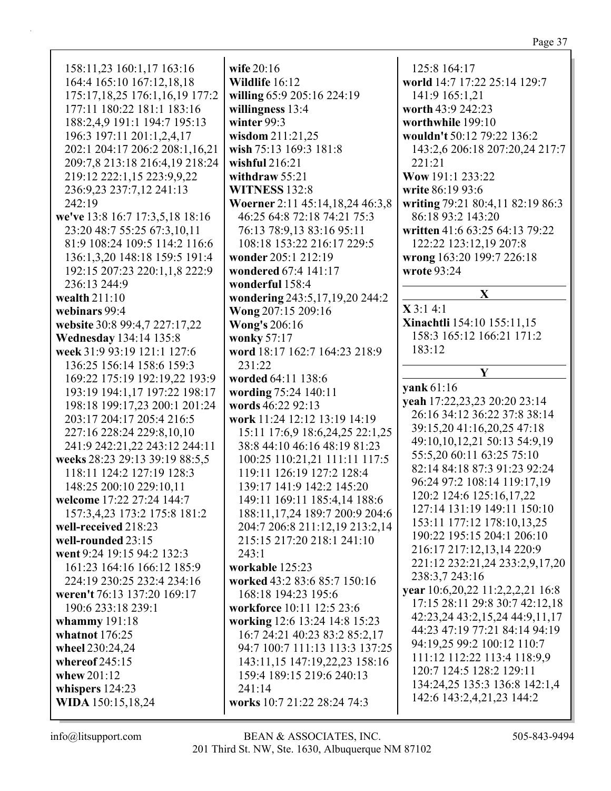158:11,23 160:1,17 163:16 164:4 165:10 167:12,18,18 175:17,18,25 176:1,16,19 177:2 177:11 180:22 181:1 183:16 188:2,4,9 191:1 194:7 195:13 196:3 197:11 201:1,2,4,17 202:1 204:17 206:2 208:1.16.21 209:7,8 213:18 216:4,19 218:24 219:12 222:1,15 223:9,9,22 236:9,23 237:7,12 241:13 242:19 we've 13:8 16:7 17:3,5,18 18:16 23:20 48:7 55:25 67:3,10,11 81:9 108:24 109:5 114:2 116:6 136:1,3,20 148:18 159:5 191:4 192:15 207:23 220:1,1,8 222:9 236:13 244:9 wealth  $211:10$ webinars 99:4 website 30:8 99:4,7 227:17,22 **Wednesday** 134:14 135:8 week 31:9 93:19 121:1 127:6 136:25 156:14 158:6 159:3 169:22 175:19 192:19,22 193:9 193:19 194:1.17 197:22 198:17 198:18 199:17,23 200:1 201:24 203:17 204:17 205:4 216:5 227:16 228:24 229:8,10,10 241:9 242:21,22 243:12 244:11 weeks 28:23 29:13 39:19 88:5,5 118:11 124:2 127:19 128:3 148:25 200:10 229:10,11 welcome 17:22 27:24 144:7 157:3.4.23 173:2 175:8 181:2 well-received 218:23 well-rounded  $23:15$ went 9:24 19:15 94:2 132:3 161:23 164:16 166:12 185:9 224:19 230:25 232:4 234:16 weren't 76:13 137:20 169:17 190:6 233:18 239:1 whammy 191:18 whatnot  $176:25$ wheel 230:24,24 whereof  $245:15$ whew 201:12 whispers 124:23 WIDA 150:15,18,24

wife  $20:16$ Wildlife 16:12 willing 65:9 205:16 224:19 willingness 13:4 winter  $99:3$ wisdom 211:21,25 wish 75:13 169:3 181:8 wishful  $216:21$ withdraw  $55:21$ **WITNESS 132:8** Woerner 2:11 45:14,18,24 46:3,8 46:25 64:8 72:18 74:21 75:3 76:13 78:9,13 83:16 95:11 108:18 153:22 216:17 229:5 wonder 205:1 212:19 wondered 67:4 141:17 wonderful 158:4 wondering 243:5,17,19,20 244:2 **Wong 207:15 209:16 Wong's 206:16** wonky 57:17 word 18:17 162:7 164:23 218:9  $231:22$ worded 64:11 138:6 wording 75:24 140:11 words 46:22 92:13 work 11:24 12:12 13:19 14:19 15:11 17:6,9 18:6,24,25 22:1,25 38:8 44:10 46:16 48:19 81:23 100:25 110:21,21 111:11 117:5 119:11 126:19 127:2 128:4 139:17 141:9 142:2 145:20 149:11 169:11 185:4,14 188:6 188:11,17,24 189:7 200:9 204:6 204:7 206:8 211:12,19 213:2,14 215:15 217:20 218:1 241:10  $243:1$ workable 125:23 worked 43:2 83:6 85:7 150:16 168:18 194:23 195:6 workforce 10:11 12:5 23:6 working 12:6 13:24 14:8 15:23 16:7 24:21 40:23 83:2 85:2,17 94:7 100:7 111:13 113:3 137:25 143:11,15 147:19,22,23 158:16 159:4 189:15 219:6 240:13  $241:14$ works 10:7 21:22 28:24 74:3

125:8 164:17 world 14:7 17:22 25:14 129:7 141:9 165:1.21 worth 43:9 242:23 worthwhile 199:10 wouldn't 50:12 79:22 136:2 143:2,6 206:18 207:20,24 217:7 221:21 Wow 191:1 233:22 write 86:19 93:6 writing 79:21 80:4,11 82:19 86:3 86:18 93:2 143:20 written 41:6 63:25 64:13 79:22 122:22 123:12,19 207:8 wrong 163:20 199:7 226:18 wrote 93:24  $\mathbf{X}$  $X3:14:1$ **Xinachtli** 154:10 155:11,15 158:3 165:12 166:21 171:2  $183:12$ Y vank  $61:16$ veah 17:22,23,23 20:20 23:14 26:16 34:12 36:22 37:8 38:14 39:15,20 41:16,20,25 47:18 49:10,10,12,21 50:13 54:9,19 55:5,20 60:11 63:25 75:10 82:14 84:18 87:3 91:23 92:24 96:24 97:2 108:14 119:17,19 120:2 124:6 125:16.17.22 127:14 131:19 149:11 150:10 153:11 177:12 178:10,13,25 190:22 195:15 204:1 206:10 216:17 217:12,13,14 220:9 221:12 232:21,24 233:2,9,17,20 238:3,7 243:16 vear  $10:6,20,22$   $11:2,2,2,21$   $16:8$ 17:15 28:11 29:8 30:7 42:12,18 42:23,24 43:2,15,24 44:9,11,17 44:23 47:19 77:21 84:14 94:19 94:19,25 99:2 100:12 110:7 111:12 112:22 113:4 118:9,9 120:7 124:5 128:2 129:11 134:24,25 135:3 136:8 142:1,4 142:6 143:2,4,21,23 144:2

 $info@$ litsupport.com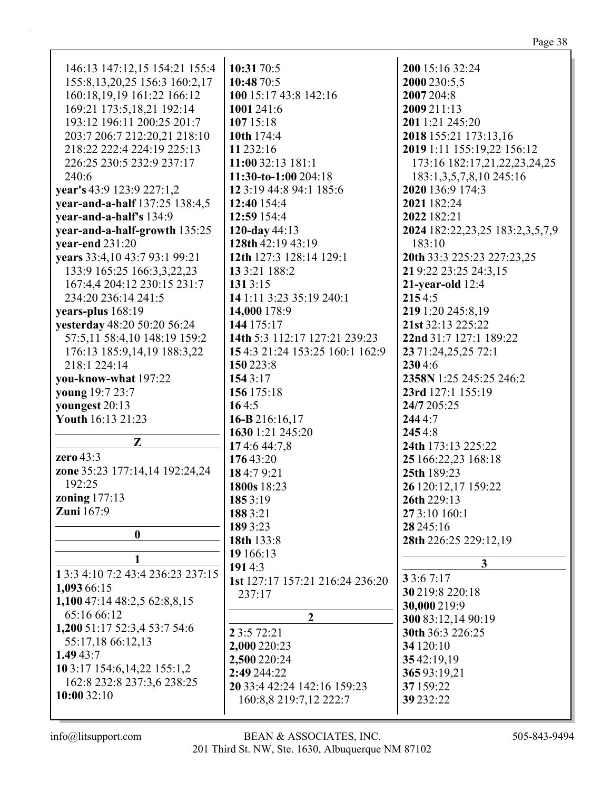| 146:13 147:12,15 154:21 155:4     | 10:31 70:5                      | 200 15:16 32:24                 |
|-----------------------------------|---------------------------------|---------------------------------|
| 155:8, 13, 20, 25 156:3 160:2, 17 | 10:48 70:5                      | 2000 230:5,5                    |
| 160:18,19,19 161:22 166:12        | 100 15:17 43:8 142:16           | 2007 204:8                      |
| 169:21 173:5,18,21 192:14         | 1001 241:6                      | 2009 211:13                     |
| 193:12 196:11 200:25 201:7        | 10715:18                        | 201 1:21 245:20                 |
|                                   | 10th 174:4                      |                                 |
| 203:7 206:7 212:20,21 218:10      |                                 | 2018 155:21 173:13,16           |
| 218:22 222:4 224:19 225:13        | 11 232:16                       | 2019 1:11 155:19,22 156:12      |
| 226:25 230:5 232:9 237:17         | 11:00 32:13 181:1               | 173:16 182:17,21,22,23,24,25    |
| 240:6                             | 11:30-to-1:00 204:18            | 183:1, 3, 5, 7, 8, 10 245:16    |
| year's 43:9 123:9 227:1,2         | 12 3:19 44:8 94:1 185:6         | 2020 136:9 174:3                |
| year-and-a-half 137:25 138:4,5    | 12:40 154:4                     | 2021 182:24                     |
| year-and-a-half's 134:9           | 12:59 154:4                     | 2022 182:21                     |
| year-and-a-half-growth 135:25     | 120-day 44:13                   | 2024 182:22,23,25 183:2,3,5,7,9 |
| year-end $231:20$                 | 128th 42:19 43:19               | 183:10                          |
| years 33:4,10 43:7 93:1 99:21     | 12th 127:3 128:14 129:1         | 20th 33:3 225:23 227:23,25      |
| 133:9 165:25 166:3,3,22,23        | 13 3:21 188:2                   | 21 9:22 23:25 24:3,15           |
| 167:4,4 204:12 230:15 231:7       | 131 3:15                        | $21$ -year-old $12:4$           |
| 234:20 236:14 241:5               | 14 1:11 3:23 35:19 240:1        | 2154:5                          |
|                                   |                                 |                                 |
| years-plus 168:19                 | 14,000 178:9                    | 219 1:20 245:8,19               |
| yesterday 48:20 50:20 56:24       | 144 175:17                      | 21st 32:13 225:22               |
| 57:5,11 58:4,10 148:19 159:2      | 14th 5:3 112:17 127:21 239:23   | 22nd 31:7 127:1 189:22          |
| 176:13 185:9,14,19 188:3,22       | 154:3 21:24 153:25 160:1 162:9  | 23 71:24,25,25 72:1             |
| 218:1 224:14                      | 150 223:8                       | 2304:6                          |
| you-know-what 197:22              | 154 3:17                        | 2358N 1:25 245:25 246:2         |
| young 19:7 23:7                   | 156 175:18                      | 23rd 127:1 155:19               |
| youngest 20:13                    | 164:5                           | 24/7 205:25                     |
| Youth 16:13 21:23                 | 16-B 216:16,17                  | 2444:7                          |
|                                   | 1630 1:21 245:20                | 2454:8                          |
| Z                                 | 174:644:7,8                     | 24th 173:13 225:22              |
| zero 43:3                         | 17643:20                        | 25 166:22,23 168:18             |
| zone 35:23 177:14,14 192:24,24    | 184:79:21                       | 25th 189:23                     |
| 192:25                            |                                 |                                 |
| <b>zoning</b> 177:13              | 1800s 18:23                     | 26 120:12,17 159:22             |
| <b>Zuni</b> 167:9                 | 1853:19                         | 26th 229:13                     |
|                                   | 1883:21                         | 27 3:10 160:1                   |
| $\boldsymbol{0}$                  | 189 3:23                        | 28 245:16                       |
|                                   | 18th 133:8                      | 28th 226:25 229:12,19           |
|                                   | 19 166:13                       |                                 |
| 1 3:3 4:10 7:2 43:4 236:23 237:15 | 1914:3                          | 3                               |
|                                   | 1st 127:17 157:21 216:24 236:20 | 3 3:6 7:17                      |
| 1,093 66:15                       | 237:17                          | 30 219:8 220:18                 |
| 1,100 47:14 48:2,5 62:8,8,15      |                                 | 30,000 219:9                    |
| 65:16 66:12                       | $\overline{2}$                  | 300 83:12,14 90:19              |
| 1,200 51:17 52:3,4 53:7 54:6      | 2 3:5 72:21                     | 30th 36:3 226:25                |
| 55:17,18 66:12,13                 | 2,000 220:23                    | 34 120:10                       |
| 1.4943:7                          | 2,500 220:24                    | 3542:19,19                      |
| 10 3:17 154:6, 14, 22 155:1, 2    | 2:49 244:22                     | 36593:19,21                     |
| 162:8 232:8 237:3,6 238:25        | 20 33:4 42:24 142:16 159:23     | 37 159:22                       |
| 10:0032:10                        | 160:8,8 219:7,12 222:7          | 39 232:22                       |
|                                   |                                 |                                 |